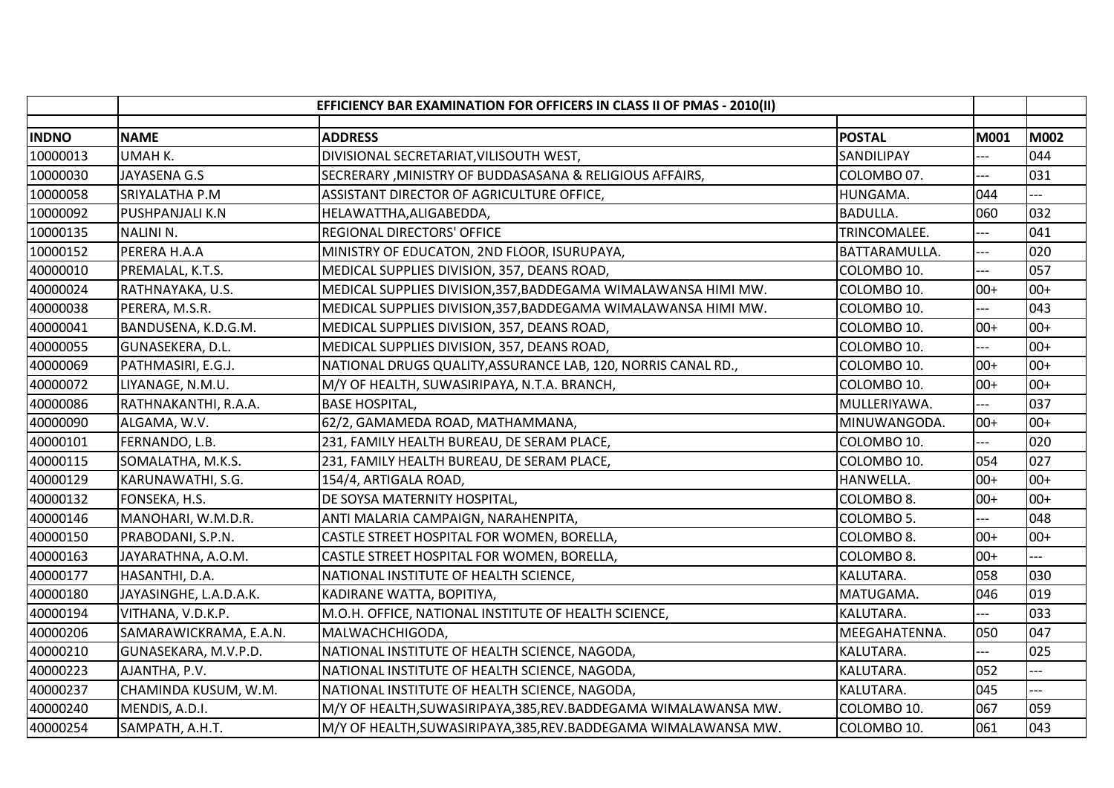|              |                        | EFFICIENCY BAR EXAMINATION FOR OFFICERS IN CLASS II OF PMAS - 2010(II) |                 |             |             |
|--------------|------------------------|------------------------------------------------------------------------|-----------------|-------------|-------------|
| <b>INDNO</b> | <b>NAME</b>            | <b>ADDRESS</b>                                                         | <b>POSTAL</b>   | <b>M001</b> | <b>M002</b> |
| 10000013     | UMAH K.                | DIVISIONAL SECRETARIAT, VILISOUTH WEST,                                | SANDILIPAY      |             | 044         |
| 10000030     | <b>JAYASENA G.S</b>    | SECRERARY, MINISTRY OF BUDDASASANA & RELIGIOUS AFFAIRS,                | COLOMBO 07.     | ---         | 031         |
| 10000058     | SRIYALATHA P.M         | ASSISTANT DIRECTOR OF AGRICULTURE OFFICE,                              | HUNGAMA.        | 044         |             |
| 10000092     | <b>PUSHPANJALI K.N</b> | HELAWATTHA, ALIGABEDDA,                                                | <b>BADULLA.</b> | 060         | 032         |
| 10000135     | <b>NALINI N.</b>       | <b>REGIONAL DIRECTORS' OFFICE</b>                                      | TRINCOMALEE.    |             | 041         |
| 10000152     | PERERA H.A.A           | MINISTRY OF EDUCATON, 2ND FLOOR, ISURUPAYA,                            | BATTARAMULLA.   |             | 020         |
| 40000010     | PREMALAL, K.T.S.       | MEDICAL SUPPLIES DIVISION, 357, DEANS ROAD,                            | COLOMBO 10.     | $-$         | 057         |
| 40000024     | RATHNAYAKA, U.S.       | MEDICAL SUPPLIES DIVISION, 357, BADDEGAMA WIMALAWANSA HIMI MW.         | COLOMBO 10.     | $00+$       | $00+$       |
| 40000038     | PERERA, M.S.R.         | MEDICAL SUPPLIES DIVISION, 357, BADDEGAMA WIMALAWANSA HIMI MW.         | COLOMBO 10.     | $---$       | 043         |
| 40000041     | BANDUSENA, K.D.G.M.    | MEDICAL SUPPLIES DIVISION, 357, DEANS ROAD,                            | COLOMBO 10.     | $00+$       | $00+$       |
| 40000055     | GUNASEKERA, D.L.       | MEDICAL SUPPLIES DIVISION, 357, DEANS ROAD,                            | COLOMBO 10.     | ---         | $00+$       |
| 40000069     | PATHMASIRI, E.G.J.     | NATIONAL DRUGS QUALITY, ASSURANCE LAB, 120, NORRIS CANAL RD.,          | COLOMBO 10.     | $00+$       | $00+$       |
| 40000072     | LIYANAGE, N.M.U.       | M/Y OF HEALTH, SUWASIRIPAYA, N.T.A. BRANCH,                            | COLOMBO 10.     | $00+$       | $00+$       |
| 40000086     | RATHNAKANTHI, R.A.A.   | <b>BASE HOSPITAL,</b>                                                  | MULLERIYAWA.    |             | 037         |
| 40000090     | ALGAMA, W.V.           | 62/2, GAMAMEDA ROAD, MATHAMMANA,                                       | MINUWANGODA.    | $00+$       | $00+$       |
| 40000101     | FERNANDO, L.B.         | 231, FAMILY HEALTH BUREAU, DE SERAM PLACE,                             | COLOMBO 10.     | ---         | 020         |
| 40000115     | SOMALATHA, M.K.S.      | 231, FAMILY HEALTH BUREAU, DE SERAM PLACE,                             | COLOMBO 10.     | 054         | 027         |
| 40000129     | KARUNAWATHI, S.G.      | 154/4, ARTIGALA ROAD,                                                  | HANWELLA.       | $00+$       | $00+$       |
| 40000132     | FONSEKA, H.S.          | DE SOYSA MATERNITY HOSPITAL,                                           | COLOMBO 8.      | $00+$       | $00+$       |
| 40000146     | MANOHARI, W.M.D.R.     | ANTI MALARIA CAMPAIGN, NARAHENPITA,                                    | COLOMBO 5.      |             | 048         |
| 40000150     | PRABODANI, S.P.N.      | CASTLE STREET HOSPITAL FOR WOMEN, BORELLA,                             | COLOMBO 8.      | $00+$       | $00+$       |
| 40000163     | JAYARATHNA, A.O.M.     | CASTLE STREET HOSPITAL FOR WOMEN, BORELLA,                             | COLOMBO 8.      | $00+$       |             |
| 40000177     | HASANTHI, D.A.         | NATIONAL INSTITUTE OF HEALTH SCIENCE,                                  | KALUTARA.       | 058         | 030         |
| 40000180     | JAYASINGHE, L.A.D.A.K. | KADIRANE WATTA, BOPITIYA,                                              | MATUGAMA.       | 046         | 019         |
| 40000194     | VITHANA, V.D.K.P.      | M.O.H. OFFICE, NATIONAL INSTITUTE OF HEALTH SCIENCE,                   | KALUTARA.       | ---         | 033         |
| 40000206     | SAMARAWICKRAMA, E.A.N. | MALWACHCHIGODA,                                                        | MEEGAHATENNA.   | 050         | 047         |
| 40000210     | GUNASEKARA, M.V.P.D.   | NATIONAL INSTITUTE OF HEALTH SCIENCE, NAGODA,                          | KALUTARA.       |             | 025         |
| 40000223     | AJANTHA, P.V.          | NATIONAL INSTITUTE OF HEALTH SCIENCE, NAGODA,                          | KALUTARA.       | 052         |             |
| 40000237     | CHAMINDA KUSUM, W.M.   | NATIONAL INSTITUTE OF HEALTH SCIENCE, NAGODA,                          | KALUTARA.       | 045         |             |
| 40000240     | MENDIS, A.D.I.         | M/Y OF HEALTH, SUWASIRIPAYA, 385, REV. BADDEGAMA WIMALAWANSA MW.       | COLOMBO 10.     | 067         | 059         |
| 40000254     | SAMPATH, A.H.T.        | M/Y OF HEALTH, SUWASIRIPAYA, 385, REV. BADDEGAMA WIMALAWANSA MW.       | COLOMBO 10.     | 061         | 043         |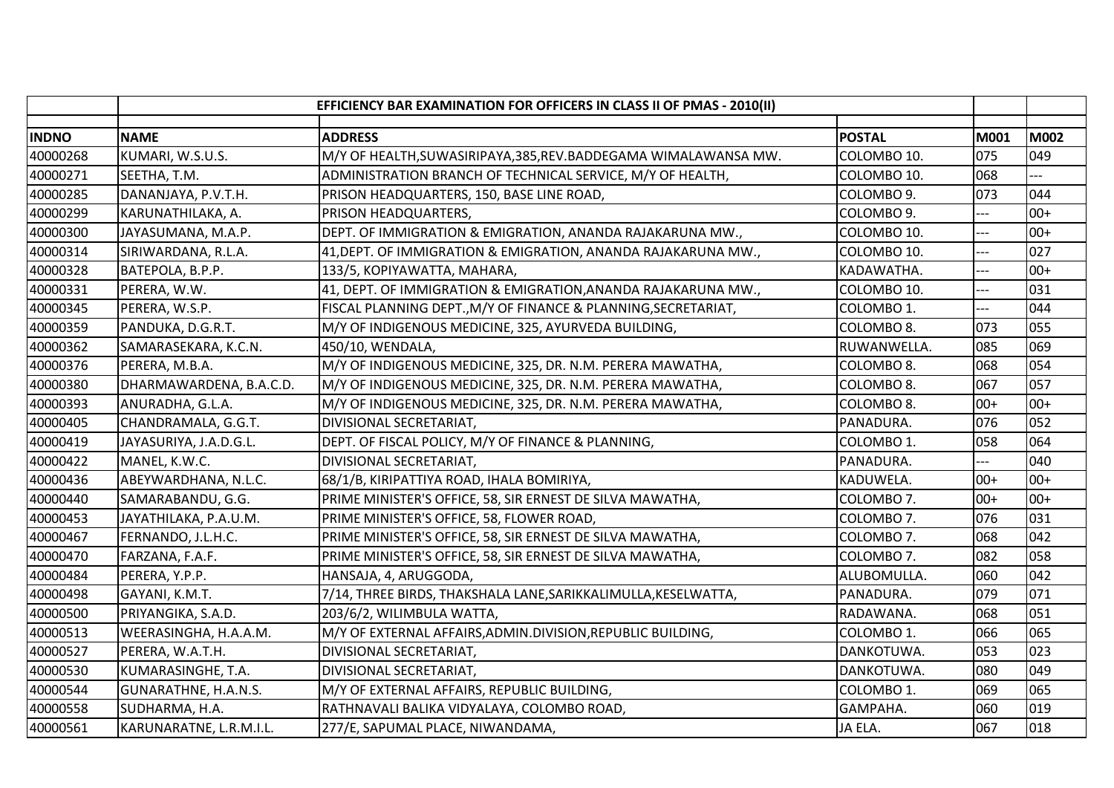|              |                         | EFFICIENCY BAR EXAMINATION FOR OFFICERS IN CLASS II OF PMAS - 2010(II) |                        |       |             |
|--------------|-------------------------|------------------------------------------------------------------------|------------------------|-------|-------------|
| <b>INDNO</b> | <b>NAME</b>             | <b>ADDRESS</b>                                                         | <b>POSTAL</b>          | M001  | <b>M002</b> |
| 40000268     | KUMARI, W.S.U.S.        | M/Y OF HEALTH, SUWASIRIPAYA, 385, REV. BADDEGAMA WIMALAWANSA MW.       | COLOMBO 10.            | 075   | 049         |
| 40000271     | SEETHA, T.M.            | ADMINISTRATION BRANCH OF TECHNICAL SERVICE, M/Y OF HEALTH,             | COLOMBO 10.            | 068   | ---         |
| 40000285     | DANANJAYA, P.V.T.H.     | PRISON HEADQUARTERS, 150, BASE LINE ROAD,                              | COLOMBO 9.             | 073   | 044         |
| 40000299     | KARUNATHILAKA, A.       | PRISON HEADQUARTERS,                                                   | COLOMBO 9.             |       | $00+$       |
| 40000300     | JAYASUMANA, M.A.P.      | DEPT. OF IMMIGRATION & EMIGRATION, ANANDA RAJAKARUNA MW.,              | COLOMBO 10.            |       | $00+$       |
| 40000314     | SIRIWARDANA, R.L.A.     | 41, DEPT. OF IMMIGRATION & EMIGRATION, ANANDA RAJAKARUNA MW.,          | COLOMBO 10.            |       | 027         |
| 40000328     | BATEPOLA, B.P.P.        | 133/5, KOPIYAWATTA, MAHARA,                                            | KADAWATHA.             | $-$   | $00+$       |
| 40000331     | PERERA, W.W.            | 41, DEPT. OF IMMIGRATION & EMIGRATION, ANANDA RAJAKARUNA MW.,          | COLOMBO 10.            |       | 031         |
| 40000345     | PERERA, W.S.P.          | FISCAL PLANNING DEPT., M/Y OF FINANCE & PLANNING, SECRETARIAT,         | COLOMBO 1.             | $---$ | 044         |
| 40000359     | PANDUKA, D.G.R.T.       | M/Y OF INDIGENOUS MEDICINE, 325, AYURVEDA BUILDING,                    | COLOMBO 8.             | 073   | 055         |
| 40000362     | SAMARASEKARA, K.C.N.    | 450/10, WENDALA,                                                       | RUWANWELLA.            | 085   | 069         |
| 40000376     | PERERA, M.B.A.          | M/Y OF INDIGENOUS MEDICINE, 325, DR. N.M. PERERA MAWATHA,              | COLOMBO 8.             | 068   | 054         |
| 40000380     | DHARMAWARDENA, B.A.C.D. | M/Y OF INDIGENOUS MEDICINE, 325, DR. N.M. PERERA MAWATHA,              | COLOMBO 8.             | 067   | 057         |
| 40000393     | ANURADHA, G.L.A.        | M/Y OF INDIGENOUS MEDICINE, 325, DR. N.M. PERERA MAWATHA,              | COLOMBO <sub>8</sub> . | $00+$ | $00+$       |
| 40000405     | CHANDRAMALA, G.G.T.     | DIVISIONAL SECRETARIAT,                                                | PANADURA.              | 076   | 052         |
| 40000419     | JAYASURIYA, J.A.D.G.L.  | DEPT. OF FISCAL POLICY, M/Y OF FINANCE & PLANNING,                     | COLOMBO 1.             | 058   | 064         |
| 40000422     | MANEL, K.W.C.           | DIVISIONAL SECRETARIAT,                                                | PANADURA.              | $-1$  | 040         |
| 40000436     | ABEYWARDHANA, N.L.C.    | 68/1/B, KIRIPATTIYA ROAD, IHALA BOMIRIYA,                              | KADUWELA.              | $00+$ | $00+$       |
| 40000440     | SAMARABANDU, G.G.       | PRIME MINISTER'S OFFICE, 58, SIR ERNEST DE SILVA MAWATHA,              | COLOMBO 7.             | $00+$ | $00+$       |
| 40000453     | JAYATHILAKA, P.A.U.M.   | PRIME MINISTER'S OFFICE, 58, FLOWER ROAD,                              | COLOMBO 7.             | 076   | 031         |
| 40000467     | FERNANDO, J.L.H.C.      | PRIME MINISTER'S OFFICE, 58, SIR ERNEST DE SILVA MAWATHA,              | COLOMBO 7.             | 068   | 042         |
| 40000470     | FARZANA, F.A.F.         | PRIME MINISTER'S OFFICE, 58, SIR ERNEST DE SILVA MAWATHA,              | COLOMBO 7.             | 082   | 058         |
| 40000484     | PERERA, Y.P.P.          | HANSAJA, 4, ARUGGODA,                                                  | ALUBOMULLA.            | 060   | 042         |
| 40000498     | GAYANI, K.M.T.          | 7/14, THREE BIRDS, THAKSHALA LANE, SARIKKALIMULLA, KESELWATTA,         | PANADURA.              | 079   | 071         |
| 40000500     | PRIYANGIKA, S.A.D.      | 203/6/2, WILIMBULA WATTA,                                              | RADAWANA.              | 068   | 051         |
| 40000513     | WEERASINGHA, H.A.A.M.   | M/Y OF EXTERNAL AFFAIRS, ADMIN. DIVISION, REPUBLIC BUILDING,           | COLOMBO 1.             | 066   | 065         |
| 40000527     | PERERA, W.A.T.H.        | DIVISIONAL SECRETARIAT,                                                | DANKOTUWA.             | 053   | 023         |
| 40000530     | KUMARASINGHE, T.A.      | DIVISIONAL SECRETARIAT,                                                | DANKOTUWA.             | 080   | 049         |
| 40000544     | GUNARATHNE, H.A.N.S.    | M/Y OF EXTERNAL AFFAIRS, REPUBLIC BUILDING,                            | COLOMBO 1.             | 069   | 065         |
| 40000558     | SUDHARMA, H.A.          | RATHNAVALI BALIKA VIDYALAYA, COLOMBO ROAD,                             | GAMPAHA.               | 060   | 019         |
| 40000561     | KARUNARATNE, L.R.M.I.L. | 277/E, SAPUMAL PLACE, NIWANDAMA,                                       | JA ELA.                | 067   | 018         |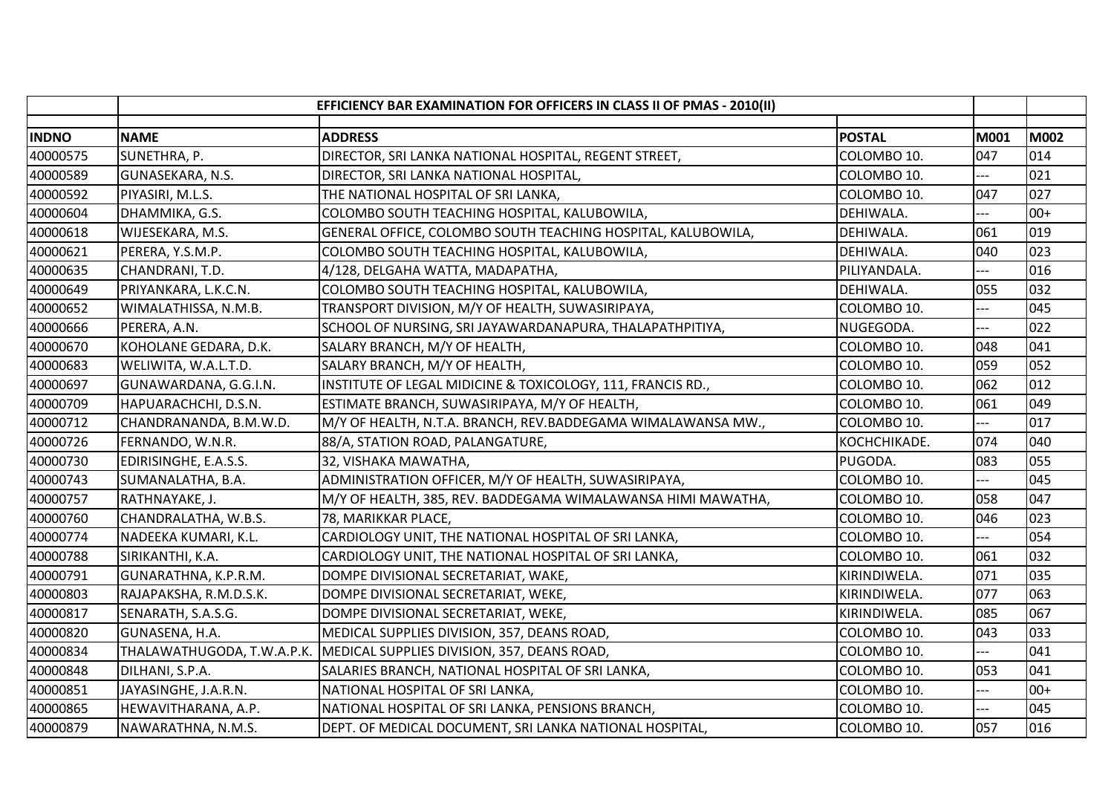|              | EFFICIENCY BAR EXAMINATION FOR OFFICERS IN CLASS II OF PMAS - 2010(II) |                                                              |               |       |             |
|--------------|------------------------------------------------------------------------|--------------------------------------------------------------|---------------|-------|-------------|
| <b>INDNO</b> | <b>NAME</b>                                                            | <b>ADDRESS</b>                                               | <b>POSTAL</b> | M001  | <b>M002</b> |
| 40000575     | SUNETHRA, P.                                                           | DIRECTOR, SRI LANKA NATIONAL HOSPITAL, REGENT STREET,        | COLOMBO 10.   | 047   | 014         |
| 40000589     | GUNASEKARA, N.S.                                                       | DIRECTOR, SRI LANKA NATIONAL HOSPITAL,                       | COLOMBO 10.   | ---   | 021         |
| 40000592     | PIYASIRI, M.L.S.                                                       | THE NATIONAL HOSPITAL OF SRI LANKA,                          | COLOMBO 10.   | 047   | 027         |
| 40000604     | DHAMMIKA, G.S.                                                         | COLOMBO SOUTH TEACHING HOSPITAL, KALUBOWILA,                 | DEHIWALA.     |       | $00+$       |
| 40000618     | WIJESEKARA, M.S.                                                       | GENERAL OFFICE, COLOMBO SOUTH TEACHING HOSPITAL, KALUBOWILA, | DEHIWALA.     | 061   | 019         |
| 40000621     | PERERA, Y.S.M.P.                                                       | COLOMBO SOUTH TEACHING HOSPITAL, KALUBOWILA,                 | DEHIWALA.     | 040   | 023         |
| 40000635     | CHANDRANI, T.D.                                                        | 4/128, DELGAHA WATTA, MADAPATHA,                             | PILIYANDALA.  | ---   | 016         |
| 40000649     | PRIYANKARA, L.K.C.N.                                                   | COLOMBO SOUTH TEACHING HOSPITAL, KALUBOWILA,                 | DEHIWALA.     | 055   | 032         |
| 40000652     | WIMALATHISSA, N.M.B.                                                   | TRANSPORT DIVISION, M/Y OF HEALTH, SUWASIRIPAYA,             | COLOMBO 10.   | $---$ | 045         |
| 40000666     | PERERA, A.N.                                                           | SCHOOL OF NURSING, SRI JAYAWARDANAPURA, THALAPATHPITIYA,     | NUGEGODA.     | ---   | 022         |
| 40000670     | KOHOLANE GEDARA, D.K.                                                  | SALARY BRANCH, M/Y OF HEALTH,                                | COLOMBO 10.   | 048   | 041         |
| 40000683     | WELIWITA, W.A.L.T.D.                                                   | SALARY BRANCH, M/Y OF HEALTH,                                | COLOMBO 10.   | 059   | 052         |
| 40000697     | GUNAWARDANA, G.G.I.N.                                                  | INSTITUTE OF LEGAL MIDICINE & TOXICOLOGY, 111, FRANCIS RD.,  | COLOMBO 10.   | 062   | 012         |
| 40000709     | HAPUARACHCHI, D.S.N.                                                   | ESTIMATE BRANCH, SUWASIRIPAYA, M/Y OF HEALTH,                | COLOMBO 10.   | 061   | 049         |
| 40000712     | CHANDRANANDA, B.M.W.D.                                                 | M/Y OF HEALTH, N.T.A. BRANCH, REV.BADDEGAMA WIMALAWANSA MW., | COLOMBO 10.   | ---   | 017         |
| 40000726     | FERNANDO, W.N.R.                                                       | 88/A, STATION ROAD, PALANGATURE,                             | KOCHCHIKADE.  | 074   | 040         |
| 40000730     | EDIRISINGHE, E.A.S.S.                                                  | 32, VISHAKA MAWATHA,                                         | PUGODA.       | 083   | 055         |
| 40000743     | SUMANALATHA, B.A.                                                      | ADMINISTRATION OFFICER, M/Y OF HEALTH, SUWASIRIPAYA,         | COLOMBO 10.   | ---   | 045         |
| 40000757     | RATHNAYAKE, J.                                                         | M/Y OF HEALTH, 385, REV. BADDEGAMA WIMALAWANSA HIMI MAWATHA, | COLOMBO 10.   | 058   | 047         |
| 40000760     | CHANDRALATHA, W.B.S.                                                   | 78, MARIKKAR PLACE,                                          | COLOMBO 10.   | 046   | 023         |
| 40000774     | NADEEKA KUMARI, K.L.                                                   | CARDIOLOGY UNIT, THE NATIONAL HOSPITAL OF SRI LANKA,         | COLOMBO 10.   | ---   | 054         |
| 40000788     | SIRIKANTHI, K.A.                                                       | CARDIOLOGY UNIT, THE NATIONAL HOSPITAL OF SRI LANKA,         | COLOMBO 10.   | 061   | 032         |
| 40000791     | GUNARATHNA, K.P.R.M.                                                   | DOMPE DIVISIONAL SECRETARIAT, WAKE,                          | KIRINDIWELA.  | 071   | 035         |
| 40000803     | RAJAPAKSHA, R.M.D.S.K.                                                 | DOMPE DIVISIONAL SECRETARIAT, WEKE,                          | KIRINDIWELA.  | 077   | 063         |
| 40000817     | SENARATH, S.A.S.G.                                                     | DOMPE DIVISIONAL SECRETARIAT, WEKE,                          | KIRINDIWELA.  | 085   | 067         |
| 40000820     | GUNASENA, H.A.                                                         | MEDICAL SUPPLIES DIVISION, 357, DEANS ROAD,                  | COLOMBO 10.   | 043   | 033         |
| 40000834     | THALAWATHUGODA, T.W.A.P.K.                                             | MEDICAL SUPPLIES DIVISION, 357, DEANS ROAD,                  | COLOMBO 10.   |       | 041         |
| 40000848     | DILHANI, S.P.A.                                                        | SALARIES BRANCH, NATIONAL HOSPITAL OF SRI LANKA,             | COLOMBO 10.   | 053   | 041         |
| 40000851     | JAYASINGHE, J.A.R.N.                                                   | NATIONAL HOSPITAL OF SRI LANKA,                              | COLOMBO 10.   | ---   | $00+$       |
| 40000865     | HEWAVITHARANA, A.P.                                                    | NATIONAL HOSPITAL OF SRI LANKA, PENSIONS BRANCH,             | COLOMBO 10.   | $-$   | 045         |
| 40000879     | NAWARATHNA, N.M.S.                                                     | DEPT. OF MEDICAL DOCUMENT, SRI LANKA NATIONAL HOSPITAL,      | COLOMBO 10.   | 057   | 016         |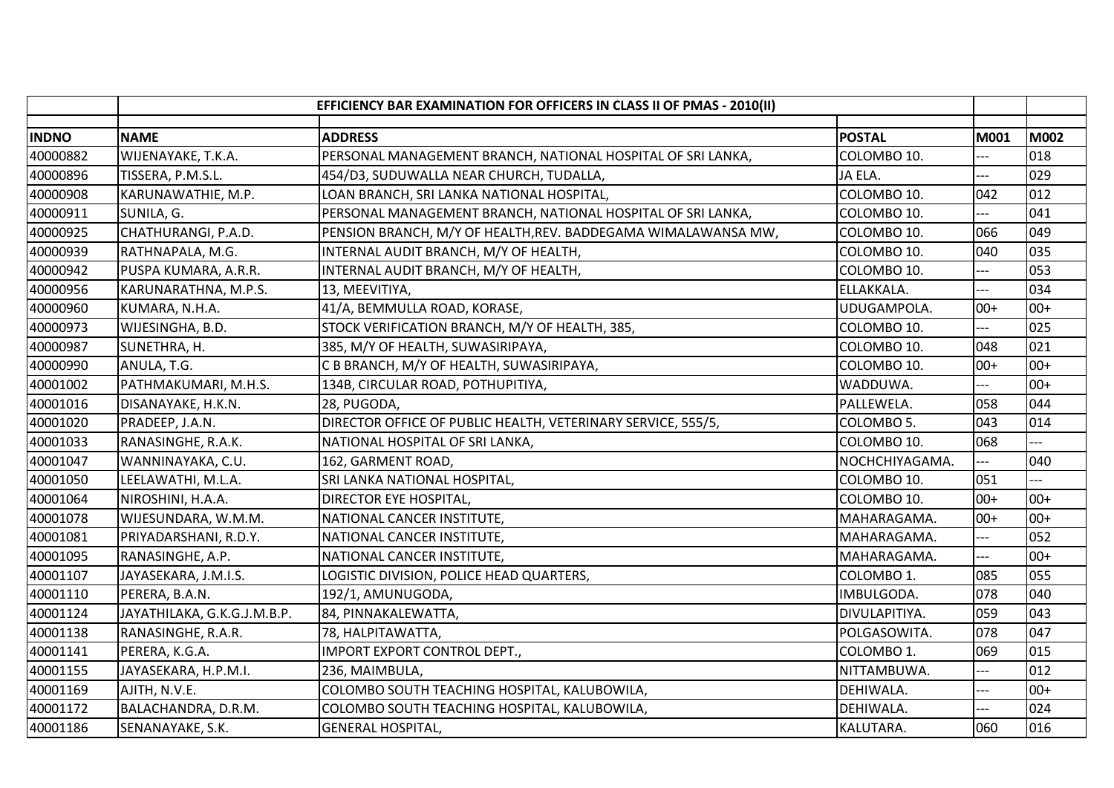|              | EFFICIENCY BAR EXAMINATION FOR OFFICERS IN CLASS II OF PMAS - 2010(II) |                                                               |                |                |             |
|--------------|------------------------------------------------------------------------|---------------------------------------------------------------|----------------|----------------|-------------|
| <b>INDNO</b> | <b>NAME</b>                                                            | <b>ADDRESS</b>                                                | <b>POSTAL</b>  | M001           | <b>M002</b> |
| 40000882     | WIJENAYAKE, T.K.A.                                                     | PERSONAL MANAGEMENT BRANCH, NATIONAL HOSPITAL OF SRI LANKA,   | COLOMBO 10.    |                | 018         |
| 40000896     | TISSERA, P.M.S.L.                                                      | 454/D3, SUDUWALLA NEAR CHURCH, TUDALLA,                       | JA ELA.        |                | 029         |
| 40000908     | KARUNAWATHIE, M.P.                                                     | LOAN BRANCH, SRI LANKA NATIONAL HOSPITAL,                     | COLOMBO 10.    | 042            | 012         |
| 40000911     | SUNILA, G.                                                             | PERSONAL MANAGEMENT BRANCH, NATIONAL HOSPITAL OF SRI LANKA,   | COLOMBO 10.    |                | 041         |
| 40000925     | CHATHURANGI, P.A.D.                                                    | PENSION BRANCH, M/Y OF HEALTH, REV. BADDEGAMA WIMALAWANSA MW, | COLOMBO 10.    | 066            | 049         |
| 40000939     | RATHNAPALA, M.G.                                                       | INTERNAL AUDIT BRANCH, M/Y OF HEALTH,                         | COLOMBO 10.    | 040            | 035         |
| 40000942     | PUSPA KUMARA, A.R.R.                                                   | INTERNAL AUDIT BRANCH, M/Y OF HEALTH,                         | COLOMBO 10.    |                | 053         |
| 40000956     | KARUNARATHNA, M.P.S.                                                   | 13, MEEVITIYA,                                                | ELLAKKALA.     |                | 034         |
| 40000960     | KUMARA, N.H.A.                                                         | 41/A, BEMMULLA ROAD, KORASE,                                  | UDUGAMPOLA.    | $00+$          | $00+$       |
| 40000973     | WIJESINGHA, B.D.                                                       | STOCK VERIFICATION BRANCH, M/Y OF HEALTH, 385,                | COLOMBO 10.    |                | 025         |
| 40000987     | SUNETHRA, H.                                                           | 385, M/Y OF HEALTH, SUWASIRIPAYA,                             | COLOMBO 10.    | 048            | 021         |
| 40000990     | ANULA, T.G.                                                            | C B BRANCH, M/Y OF HEALTH, SUWASIRIPAYA,                      | COLOMBO 10.    | $00+$          | $00+$       |
|              |                                                                        |                                                               |                |                | $00+$       |
| 40001002     | PATHMAKUMARI, M.H.S.                                                   | 134B, CIRCULAR ROAD, POTHUPITIYA,                             | WADDUWA.       |                |             |
| 40001016     | DISANAYAKE, H.K.N.                                                     | 28, PUGODA,                                                   | PALLEWELA.     | 058            | 044         |
| 40001020     | PRADEEP, J.A.N.                                                        | DIRECTOR OFFICE OF PUBLIC HEALTH, VETERINARY SERVICE, 555/5,  | COLOMBO 5.     | 043            | 014         |
| 40001033     | RANASINGHE, R.A.K.                                                     | NATIONAL HOSPITAL OF SRI LANKA,                               | COLOMBO 10.    | 068            |             |
| 40001047     | WANNINAYAKA, C.U.                                                      | 162, GARMENT ROAD,                                            | NOCHCHIYAGAMA. | $\overline{a}$ | 040         |
| 40001050     | LEELAWATHI, M.L.A.                                                     | SRI LANKA NATIONAL HOSPITAL,                                  | COLOMBO 10.    | 051            |             |
| 40001064     | NIROSHINI, H.A.A.                                                      | DIRECTOR EYE HOSPITAL,                                        | COLOMBO 10.    | $00+$          | $00+$       |
| 40001078     | WIJESUNDARA, W.M.M.                                                    | NATIONAL CANCER INSTITUTE,                                    | MAHARAGAMA.    | $00+$          | $00+$       |
| 40001081     | PRIYADARSHANI, R.D.Y.                                                  | NATIONAL CANCER INSTITUTE,                                    | MAHARAGAMA.    | ---            | 052         |
| 40001095     | RANASINGHE, A.P.                                                       | NATIONAL CANCER INSTITUTE,                                    | MAHARAGAMA.    | $---$          | $00+$       |
| 40001107     | JAYASEKARA, J.M.I.S.                                                   | LOGISTIC DIVISION, POLICE HEAD QUARTERS,                      | COLOMBO 1.     | 085            | 055         |
| 40001110     | PERERA, B.A.N.                                                         | 192/1, AMUNUGODA,                                             | IMBULGODA.     | 078            | 040         |
| 40001124     | JAYATHILAKA, G.K.G.J.M.B.P.                                            | 84, PINNAKALEWATTA,                                           | DIVULAPITIYA.  | 059            | 043         |
| 40001138     | RANASINGHE, R.A.R.                                                     | 78, HALPITAWATTA,                                             | POLGASOWITA.   | 078            | 047         |
| 40001141     | PERERA, K.G.A.                                                         | IMPORT EXPORT CONTROL DEPT.,                                  | COLOMBO 1.     | 069            | 015         |
| 40001155     | JAYASEKARA, H.P.M.I.                                                   | 236, MAIMBULA,                                                | NITTAMBUWA.    | ---            | 012         |
| 40001169     | AJITH, N.V.E.                                                          | COLOMBO SOUTH TEACHING HOSPITAL, KALUBOWILA,                  | DEHIWALA.      | ---            | $00+$       |
| 40001172     | BALACHANDRA, D.R.M.                                                    | COLOMBO SOUTH TEACHING HOSPITAL, KALUBOWILA,                  | DEHIWALA.      | $---$          | 024         |
| 40001186     | SENANAYAKE, S.K.                                                       | <b>GENERAL HOSPITAL,</b>                                      | KALUTARA.      | 060            | 016         |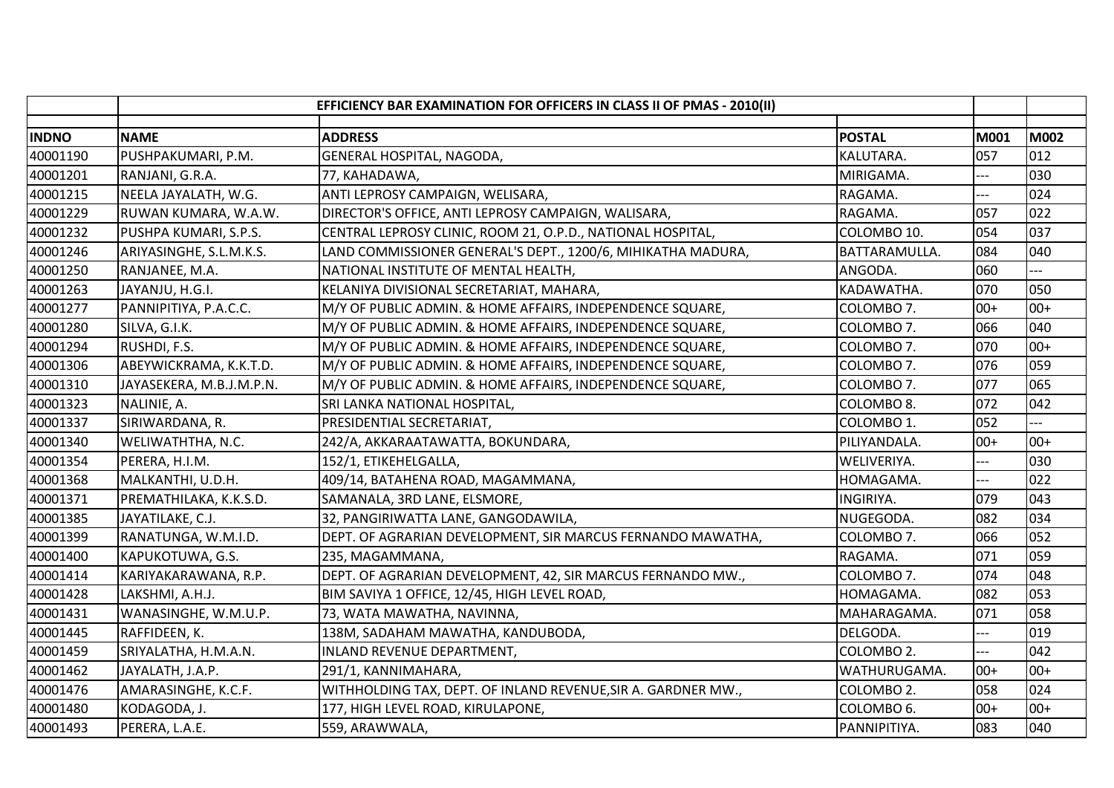|              | EFFICIENCY BAR EXAMINATION FOR OFFICERS IN CLASS II OF PMAS - 2010(II) |                                                               |                        |       |             |
|--------------|------------------------------------------------------------------------|---------------------------------------------------------------|------------------------|-------|-------------|
| <b>INDNO</b> | <b>NAME</b>                                                            | <b>ADDRESS</b>                                                | <b>POSTAL</b>          | M001  | <b>M002</b> |
| 40001190     | PUSHPAKUMARI, P.M.                                                     | GENERAL HOSPITAL, NAGODA,                                     | KALUTARA.              | 057   | 012         |
| 40001201     | RANJANI, G.R.A.                                                        | 77, KAHADAWA,                                                 | MIRIGAMA.              | ---   | 030         |
| 40001215     | NEELA JAYALATH, W.G.                                                   | ANTI LEPROSY CAMPAIGN, WELISARA,                              | RAGAMA.                | ---   | 024         |
| 40001229     | RUWAN KUMARA, W.A.W.                                                   | DIRECTOR'S OFFICE, ANTI LEPROSY CAMPAIGN, WALISARA,           | RAGAMA.                | 057   | 022         |
| 40001232     | PUSHPA KUMARI, S.P.S.                                                  | CENTRAL LEPROSY CLINIC, ROOM 21, O.P.D., NATIONAL HOSPITAL,   | COLOMBO 10.            | 054   | 037         |
| 40001246     | ARIYASINGHE, S.L.M.K.S.                                                | LAND COMMISSIONER GENERAL'S DEPT., 1200/6, MIHIKATHA MADURA,  | BATTARAMULLA.          | 084   | 040         |
| 40001250     | RANJANEE, M.A.                                                         | NATIONAL INSTITUTE OF MENTAL HEALTH,                          | ANGODA.                | 060   |             |
| 40001263     | JAYANJU, H.G.I.                                                        | KELANIYA DIVISIONAL SECRETARIAT, MAHARA,                      | KADAWATHA.             | 070   | 050         |
| 40001277     | PANNIPITIYA, P.A.C.C.                                                  | M/Y OF PUBLIC ADMIN. & HOME AFFAIRS, INDEPENDENCE SQUARE,     | COLOMBO 7.             | $00+$ | $00+$       |
| 40001280     | SILVA, G.I.K.                                                          | M/Y OF PUBLIC ADMIN. & HOME AFFAIRS, INDEPENDENCE SQUARE,     | COLOMBO 7.             | 066   | 040         |
| 40001294     | RUSHDI, F.S.                                                           | M/Y OF PUBLIC ADMIN. & HOME AFFAIRS, INDEPENDENCE SQUARE,     | COLOMBO 7.             | 070   | $00+$       |
| 40001306     | ABEYWICKRAMA, K.K.T.D.                                                 | M/Y OF PUBLIC ADMIN. & HOME AFFAIRS, INDEPENDENCE SQUARE,     | COLOMBO 7.             | 076   | 059         |
| 40001310     | JAYASEKERA, M.B.J.M.P.N.                                               | M/Y OF PUBLIC ADMIN. & HOME AFFAIRS, INDEPENDENCE SQUARE,     | COLOMBO 7.             | 077   | 065         |
| 40001323     | NALINIE, A.                                                            | SRI LANKA NATIONAL HOSPITAL,                                  | COLOMBO <sub>8</sub> . | 072   | 042         |
| 40001337     | SIRIWARDANA, R.                                                        | PRESIDENTIAL SECRETARIAT,                                     | COLOMBO 1.             | 052   |             |
| 40001340     | WELIWATHTHA, N.C.                                                      | 242/A, AKKARAATAWATTA, BOKUNDARA,                             | PILIYANDALA.           | $00+$ | $00+$       |
| 40001354     | PERERA, H.I.M.                                                         | 152/1, ETIKEHELGALLA,                                         | WELIVERIYA.            | $---$ | 030         |
| 40001368     | MALKANTHI, U.D.H.                                                      | 409/14, BATAHENA ROAD, MAGAMMANA,                             | HOMAGAMA.              | $-$   | 022         |
| 40001371     | PREMATHILAKA, K.K.S.D.                                                 | SAMANALA, 3RD LANE, ELSMORE,                                  | <b>INGIRIYA.</b>       | 079   | 043         |
| 40001385     | JAYATILAKE, C.J.                                                       | 32, PANGIRIWATTA LANE, GANGODAWILA,                           | NUGEGODA.              | 082   | 034         |
| 40001399     | RANATUNGA, W.M.I.D.                                                    | DEPT. OF AGRARIAN DEVELOPMENT, SIR MARCUS FERNANDO MAWATHA,   | COLOMBO 7.             | 066   | 052         |
| 40001400     | KAPUKOTUWA, G.S.                                                       | 235, MAGAMMANA,                                               | RAGAMA.                | 071   | 059         |
| 40001414     | KARIYAKARAWANA, R.P.                                                   | DEPT. OF AGRARIAN DEVELOPMENT, 42, SIR MARCUS FERNANDO MW.,   | COLOMBO 7.             | 074   | 048         |
| 40001428     | LAKSHMI, A.H.J.                                                        | BIM SAVIYA 1 OFFICE, 12/45, HIGH LEVEL ROAD,                  | HOMAGAMA.              | 082   | 053         |
| 40001431     | WANASINGHE, W.M.U.P.                                                   | 73, WATA MAWATHA, NAVINNA,                                    | MAHARAGAMA.            | 071   | 058         |
| 40001445     | RAFFIDEEN, K.                                                          | 138M, SADAHAM MAWATHA, KANDUBODA,                             | DELGODA.               | ---   | 019         |
| 40001459     | SRIYALATHA, H.M.A.N.                                                   | INLAND REVENUE DEPARTMENT,                                    | COLOMBO 2.             |       | 042         |
| 40001462     | JAYALATH, J.A.P.                                                       | 291/1, KANNIMAHARA,                                           | WATHURUGAMA.           | $00+$ | $00+$       |
| 40001476     | AMARASINGHE, K.C.F.                                                    | WITHHOLDING TAX, DEPT. OF INLAND REVENUE, SIR A. GARDNER MW., | COLOMBO <sub>2</sub> . | 058   | 024         |
| 40001480     | KODAGODA, J.                                                           | 177, HIGH LEVEL ROAD, KIRULAPONE,                             | COLOMBO <sub>6</sub> . | $00+$ | $00+$       |
| 40001493     | PERERA, L.A.E.                                                         | 559, ARAWWALA,                                                | PANNIPITIYA.           | 083   | 040         |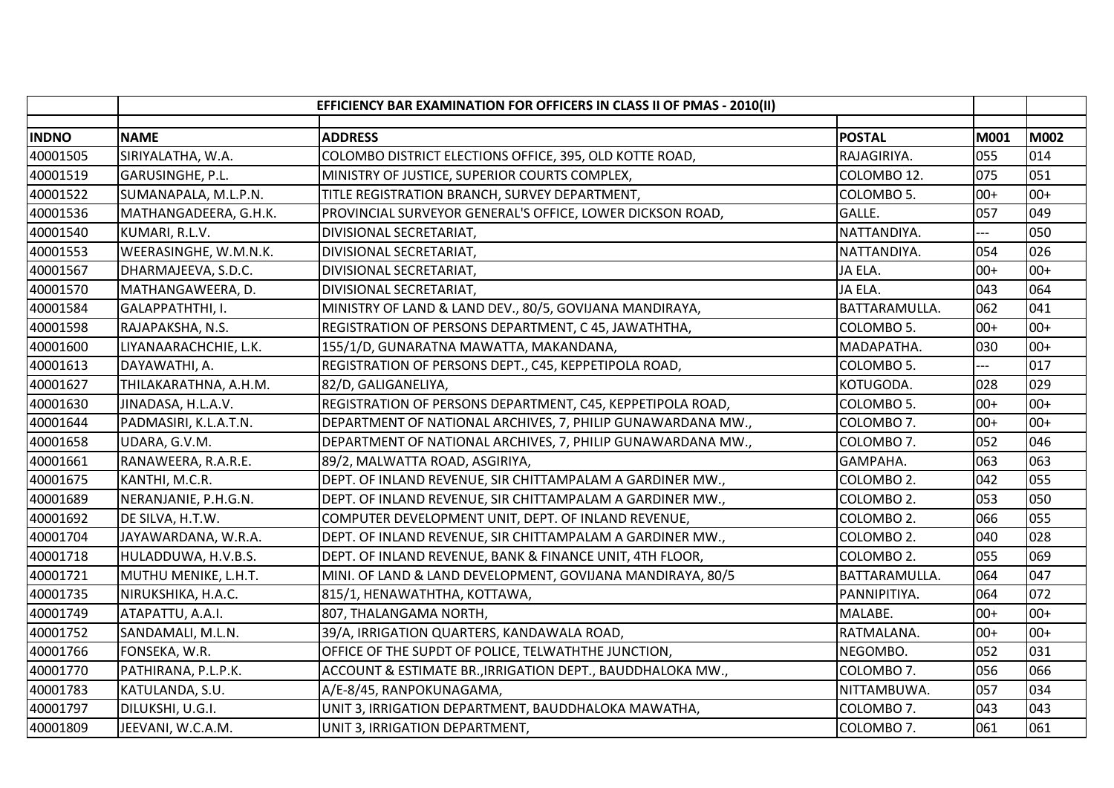|              | EFFICIENCY BAR EXAMINATION FOR OFFICERS IN CLASS II OF PMAS - 2010(II) |                                                             |               |       |             |
|--------------|------------------------------------------------------------------------|-------------------------------------------------------------|---------------|-------|-------------|
| <b>INDNO</b> | <b>NAME</b>                                                            | <b>ADDRESS</b>                                              | <b>POSTAL</b> | M001  | <b>M002</b> |
| 40001505     | SIRIYALATHA, W.A.                                                      | COLOMBO DISTRICT ELECTIONS OFFICE, 395, OLD KOTTE ROAD,     | RAJAGIRIYA.   | 055   | 014         |
| 40001519     | GARUSINGHE, P.L.                                                       | MINISTRY OF JUSTICE, SUPERIOR COURTS COMPLEX,               | COLOMBO 12.   | 075   | 051         |
| 40001522     | SUMANAPALA, M.L.P.N.                                                   | TITLE REGISTRATION BRANCH, SURVEY DEPARTMENT,               | COLOMBO 5.    | $00+$ | $00+$       |
| 40001536     | MATHANGADEERA, G.H.K.                                                  | PROVINCIAL SURVEYOR GENERAL'S OFFICE, LOWER DICKSON ROAD,   | GALLE.        | 057   | 049         |
| 40001540     | KUMARI, R.L.V.                                                         | DIVISIONAL SECRETARIAT,                                     | NATTANDIYA.   |       | 050         |
| 40001553     | WEERASINGHE, W.M.N.K.                                                  | DIVISIONAL SECRETARIAT,                                     | NATTANDIYA.   | 054   | 026         |
| 40001567     | DHARMAJEEVA, S.D.C.                                                    | DIVISIONAL SECRETARIAT,                                     | JA ELA.       | $00+$ | $00+$       |
| 40001570     | MATHANGAWEERA, D.                                                      | DIVISIONAL SECRETARIAT,                                     | JA ELA.       | 043   | 064         |
| 40001584     | GALAPPATHTHI, I.                                                       | MINISTRY OF LAND & LAND DEV., 80/5, GOVIJANA MANDIRAYA,     | BATTARAMULLA. | 062   | 041         |
| 40001598     | RAJAPAKSHA, N.S.                                                       | REGISTRATION OF PERSONS DEPARTMENT, C 45, JAWATHTHA,        | COLOMBO 5.    | $00+$ | $00+$       |
| 40001600     | LIYANAARACHCHIE, L.K.                                                  | 155/1/D, GUNARATNA MAWATTA, MAKANDANA,                      | MADAPATHA.    | 030   | $00+$       |
| 40001613     | DAYAWATHI, A.                                                          | REGISTRATION OF PERSONS DEPT., C45, KEPPETIPOLA ROAD,       | COLOMBO 5.    | $---$ | 017         |
| 40001627     | THILAKARATHNA, A.H.M.                                                  | 82/D, GALIGANELIYA,                                         | KOTUGODA.     | 028   | 029         |
| 40001630     | JINADASA, H.L.A.V.                                                     | REGISTRATION OF PERSONS DEPARTMENT, C45, KEPPETIPOLA ROAD,  | COLOMBO 5.    | $00+$ | $00+$       |
| 40001644     | PADMASIRI, K.L.A.T.N.                                                  | DEPARTMENT OF NATIONAL ARCHIVES, 7, PHILIP GUNAWARDANA MW., | COLOMBO 7.    | $00+$ | $00+$       |
| 40001658     | UDARA, G.V.M.                                                          | DEPARTMENT OF NATIONAL ARCHIVES, 7, PHILIP GUNAWARDANA MW., | COLOMBO 7.    | 052   | 046         |
| 40001661     | RANAWEERA, R.A.R.E.                                                    | 89/2, MALWATTA ROAD, ASGIRIYA,                              | GAMPAHA.      | 063   | 063         |
| 40001675     | KANTHI, M.C.R.                                                         | DEPT. OF INLAND REVENUE, SIR CHITTAMPALAM A GARDINER MW.,   | COLOMBO 2.    | 042   | 055         |
| 40001689     | NERANJANIE, P.H.G.N.                                                   | DEPT. OF INLAND REVENUE, SIR CHITTAMPALAM A GARDINER MW.,   | COLOMBO 2.    | 053   | 050         |
| 40001692     | DE SILVA, H.T.W.                                                       | COMPUTER DEVELOPMENT UNIT, DEPT. OF INLAND REVENUE,         | COLOMBO 2.    | 066   | 055         |
| 40001704     | JAYAWARDANA, W.R.A.                                                    | DEPT. OF INLAND REVENUE, SIR CHITTAMPALAM A GARDINER MW.,   | COLOMBO 2.    | 040   | 028         |
| 40001718     | HULADDUWA, H.V.B.S.                                                    | DEPT. OF INLAND REVENUE, BANK & FINANCE UNIT, 4TH FLOOR,    | COLOMBO 2.    | 055   | 069         |
| 40001721     | MUTHU MENIKE, L.H.T.                                                   | MINI. OF LAND & LAND DEVELOPMENT, GOVIJANA MANDIRAYA, 80/5  | BATTARAMULLA. | 064   | 047         |
| 40001735     | NIRUKSHIKA, H.A.C.                                                     | 815/1, HENAWATHTHA, KOTTAWA,                                | PANNIPITIYA.  | 064   | 072         |
| 40001749     | ATAPATTU, A.A.I.                                                       | 807, THALANGAMA NORTH,                                      | MALABE.       | $00+$ | $00+$       |
| 40001752     | SANDAMALI, M.L.N.                                                      | 39/A, IRRIGATION QUARTERS, KANDAWALA ROAD,                  | RATMALANA.    | $00+$ | $00+$       |
| 40001766     | FONSEKA, W.R.                                                          | OFFICE OF THE SUPDT OF POLICE, TELWATHTHE JUNCTION,         | NEGOMBO.      | 052   | 031         |
| 40001770     | PATHIRANA, P.L.P.K.                                                    | ACCOUNT & ESTIMATE BR., IRRIGATION DEPT., BAUDDHALOKA MW.,  | COLOMBO 7.    | 056   | 066         |
| 40001783     | KATULANDA, S.U.                                                        | A/E-8/45, RANPOKUNAGAMA,                                    | NITTAMBUWA.   | 057   | 034         |
| 40001797     | DILUKSHI, U.G.I.                                                       | UNIT 3, IRRIGATION DEPARTMENT, BAUDDHALOKA MAWATHA,         | COLOMBO 7.    | 043   | 043         |
| 40001809     | JEEVANI, W.C.A.M.                                                      | UNIT 3, IRRIGATION DEPARTMENT,                              | COLOMBO 7.    | 061   | 061         |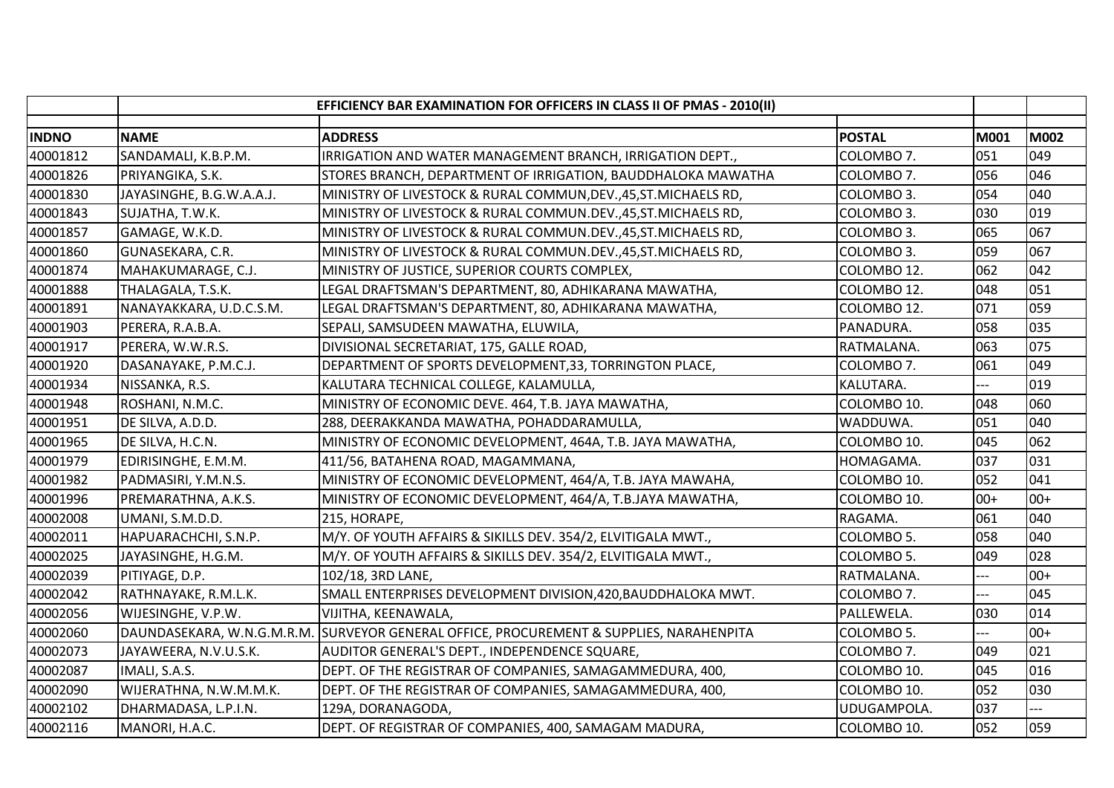|              | EFFICIENCY BAR EXAMINATION FOR OFFICERS IN CLASS II OF PMAS - 2010(II) |                                                                  |               |       |             |
|--------------|------------------------------------------------------------------------|------------------------------------------------------------------|---------------|-------|-------------|
| <b>INDNO</b> | <b>NAME</b>                                                            | <b>ADDRESS</b>                                                   | <b>POSTAL</b> | M001  | <b>M002</b> |
| 40001812     | SANDAMALI, K.B.P.M.                                                    | IRRIGATION AND WATER MANAGEMENT BRANCH, IRRIGATION DEPT.,        | COLOMBO 7.    | 051   | 049         |
| 40001826     | PRIYANGIKA, S.K.                                                       | STORES BRANCH, DEPARTMENT OF IRRIGATION, BAUDDHALOKA MAWATHA     | COLOMBO 7.    | 056   | 046         |
| 40001830     | JAYASINGHE, B.G.W.A.A.J.                                               | MINISTRY OF LIVESTOCK & RURAL COMMUN, DEV., 45, ST. MICHAELS RD, | COLOMBO 3.    | 054   | 040         |
| 40001843     | SUJATHA, T.W.K.                                                        | MINISTRY OF LIVESTOCK & RURAL COMMUN.DEV., 45, ST. MICHAELS RD,  | COLOMBO 3.    | 030   | 019         |
| 40001857     | GAMAGE, W.K.D.                                                         | MINISTRY OF LIVESTOCK & RURAL COMMUN.DEV., 45, ST. MICHAELS RD,  | COLOMBO 3.    | 065   | 067         |
| 40001860     | GUNASEKARA, C.R.                                                       | MINISTRY OF LIVESTOCK & RURAL COMMUN.DEV., 45, ST. MICHAELS RD,  | COLOMBO 3.    | 059   | 067         |
| 40001874     | MAHAKUMARAGE, C.J.                                                     | MINISTRY OF JUSTICE, SUPERIOR COURTS COMPLEX,                    | COLOMBO 12.   | 062   | 042         |
| 40001888     | THALAGALA, T.S.K.                                                      | LEGAL DRAFTSMAN'S DEPARTMENT, 80, ADHIKARANA MAWATHA,            | COLOMBO 12.   | 048   | 051         |
| 40001891     | NANAYAKKARA, U.D.C.S.M.                                                | LEGAL DRAFTSMAN'S DEPARTMENT, 80, ADHIKARANA MAWATHA,            | COLOMBO 12.   | 071   | 059         |
| 40001903     | PERERA, R.A.B.A.                                                       | SEPALI, SAMSUDEEN MAWATHA, ELUWILA,                              | PANADURA.     | 058   | 035         |
| 40001917     | PERERA, W.W.R.S.                                                       | DIVISIONAL SECRETARIAT, 175, GALLE ROAD,                         | RATMALANA.    | 063   | 075         |
| 40001920     | DASANAYAKE, P.M.C.J.                                                   | DEPARTMENT OF SPORTS DEVELOPMENT, 33, TORRINGTON PLACE,          | COLOMBO 7.    | 061   | 049         |
| 40001934     | NISSANKA, R.S.                                                         | KALUTARA TECHNICAL COLLEGE, KALAMULLA,                           | KALUTARA.     |       | 019         |
| 40001948     | ROSHANI, N.M.C.                                                        | MINISTRY OF ECONOMIC DEVE. 464, T.B. JAYA MAWATHA,               | COLOMBO 10.   | 048   | 060         |
| 40001951     | DE SILVA, A.D.D.                                                       | 288, DEERAKKANDA MAWATHA, POHADDARAMULLA,                        | WADDUWA.      | 051   | 040         |
| 40001965     | DE SILVA, H.C.N.                                                       | MINISTRY OF ECONOMIC DEVELOPMENT, 464A, T.B. JAYA MAWATHA,       | COLOMBO 10.   | 045   | 062         |
| 40001979     | EDIRISINGHE, E.M.M.                                                    | 411/56, BATAHENA ROAD, MAGAMMANA,                                | HOMAGAMA.     | 037   | 031         |
| 40001982     | PADMASIRI, Y.M.N.S.                                                    | MINISTRY OF ECONOMIC DEVELOPMENT, 464/A, T.B. JAYA MAWAHA,       | COLOMBO 10.   | 052   | 041         |
| 40001996     | PREMARATHNA, A.K.S.                                                    | MINISTRY OF ECONOMIC DEVELOPMENT, 464/A, T.B.JAYA MAWATHA,       | COLOMBO 10.   | $00+$ | $00+$       |
| 40002008     | UMANI, S.M.D.D.                                                        | 215, HORAPE,                                                     | RAGAMA.       | 061   | 040         |
| 40002011     | HAPUARACHCHI, S.N.P.                                                   | M/Y. OF YOUTH AFFAIRS & SIKILLS DEV. 354/2, ELVITIGALA MWT.,     | COLOMBO 5.    | 058   | 040         |
| 40002025     | JAYASINGHE, H.G.M.                                                     | M/Y. OF YOUTH AFFAIRS & SIKILLS DEV. 354/2, ELVITIGALA MWT.,     | COLOMBO 5.    | 049   | 028         |
| 40002039     | PITIYAGE, D.P.                                                         | 102/18, 3RD LANE,                                                | RATMALANA.    |       | $00+$       |
| 40002042     | RATHNAYAKE, R.M.L.K.                                                   | SMALL ENTERPRISES DEVELOPMENT DIVISION, 420, BAUDDHALOKA MWT.    | COLOMBO 7.    |       | 045         |
| 40002056     | WIJESINGHE, V.P.W.                                                     | VIJITHA, KEENAWALA,                                              | PALLEWELA.    | 030   | 014         |
| 40002060     | DAUNDASEKARA, W.N.G.M.R.M.                                             | SURVEYOR GENERAL OFFICE, PROCUREMENT & SUPPLIES, NARAHENPITA     | COLOMBO 5.    | $-$   | $00+$       |
| 40002073     | JAYAWEERA, N.V.U.S.K.                                                  | AUDITOR GENERAL'S DEPT., INDEPENDENCE SQUARE,                    | COLOMBO 7.    | 049   | 021         |
| 40002087     | IMALI, S.A.S.                                                          | DEPT. OF THE REGISTRAR OF COMPANIES, SAMAGAMMEDURA, 400,         | COLOMBO 10.   | 045   | 016         |
| 40002090     | WIJERATHNA, N.W.M.M.K.                                                 | DEPT. OF THE REGISTRAR OF COMPANIES, SAMAGAMMEDURA, 400,         | COLOMBO 10.   | 052   | 030         |
| 40002102     | DHARMADASA, L.P.I.N.                                                   | 129A, DORANAGODA,                                                | UDUGAMPOLA.   | 037   |             |
| 40002116     | MANORI, H.A.C.                                                         | DEPT. OF REGISTRAR OF COMPANIES, 400, SAMAGAM MADURA,            | COLOMBO 10.   | 052   | 059         |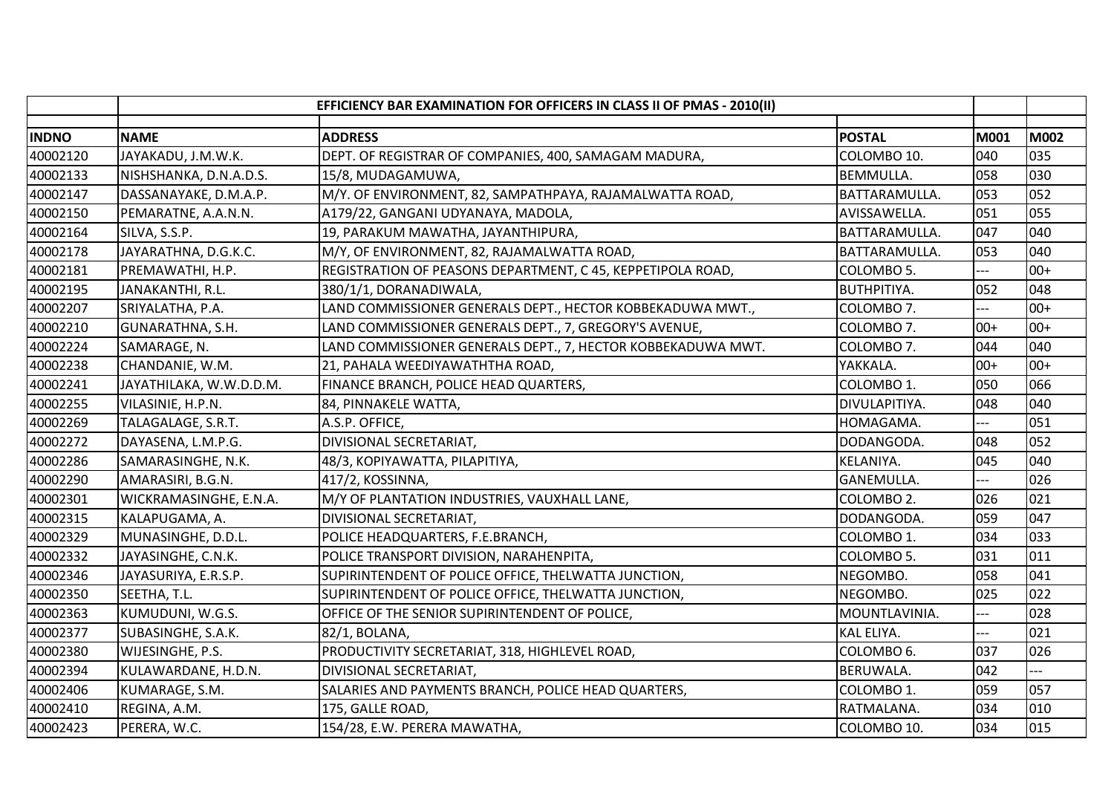|              |                         | EFFICIENCY BAR EXAMINATION FOR OFFICERS IN CLASS II OF PMAS - 2010(II) |                        |       |             |
|--------------|-------------------------|------------------------------------------------------------------------|------------------------|-------|-------------|
| <b>INDNO</b> | <b>NAME</b>             | <b>ADDRESS</b>                                                         | <b>POSTAL</b>          | M001  | <b>M002</b> |
| 40002120     | JAYAKADU, J.M.W.K.      | DEPT. OF REGISTRAR OF COMPANIES, 400, SAMAGAM MADURA,                  | COLOMBO 10.            | 040   | 035         |
| 40002133     | NISHSHANKA, D.N.A.D.S.  | 15/8, MUDAGAMUWA,                                                      | <b>BEMMULLA.</b>       | 058   | 030         |
| 40002147     | DASSANAYAKE, D.M.A.P.   | M/Y. OF ENVIRONMENT, 82, SAMPATHPAYA, RAJAMALWATTA ROAD,               | BATTARAMULLA.          | 053   | 052         |
| 40002150     | PEMARATNE, A.A.N.N.     | A179/22, GANGANI UDYANAYA, MADOLA,                                     | AVISSAWELLA.           | 051   | 055         |
| 40002164     | SILVA, S.S.P.           | 19, PARAKUM MAWATHA, JAYANTHIPURA,                                     | BATTARAMULLA.          | 047   | 040         |
| 40002178     | JAYARATHNA, D.G.K.C.    | M/Y, OF ENVIRONMENT, 82, RAJAMALWATTA ROAD,                            | BATTARAMULLA.          | 053   | 040         |
| 40002181     | PREMAWATHI, H.P.        | REGISTRATION OF PEASONS DEPARTMENT, C 45, KEPPETIPOLA ROAD,            | COLOMBO 5.             | ---   | $00+$       |
| 40002195     | JANAKANTHI, R.L.        | 380/1/1, DORANADIWALA,                                                 | <b>BUTHPITIYA.</b>     | 052   | 048         |
| 40002207     | SRIYALATHA, P.A.        | LAND COMMISSIONER GENERALS DEPT., HECTOR KOBBEKADUWA MWT.,             | COLOMBO 7.             | $---$ | $00+$       |
| 40002210     | GUNARATHNA, S.H.        | LAND COMMISSIONER GENERALS DEPT., 7, GREGORY'S AVENUE,                 | COLOMBO 7.             | $00+$ | $00+$       |
| 40002224     | SAMARAGE, N.            | LAND COMMISSIONER GENERALS DEPT., 7, HECTOR KOBBEKADUWA MWT.           | COLOMBO 7.             | 044   | 040         |
| 40002238     | CHANDANIE, W.M.         | 21, PAHALA WEEDIYAWATHTHA ROAD,                                        | YAKKALA.               | $00+$ | $00+$       |
| 40002241     | JAYATHILAKA, W.W.D.D.M. | FINANCE BRANCH, POLICE HEAD QUARTERS,                                  | COLOMBO 1.             | 050   | 066         |
| 40002255     | VILASINIE, H.P.N.       | 84, PINNAKELE WATTA,                                                   | DIVULAPITIYA.          | 048   | 040         |
| 40002269     | TALAGALAGE, S.R.T.      | A.S.P. OFFICE,                                                         | HOMAGAMA.              |       | 051         |
| 40002272     | DAYASENA, L.M.P.G.      | DIVISIONAL SECRETARIAT,                                                | DODANGODA.             | 048   | 052         |
| 40002286     | SAMARASINGHE, N.K.      | 48/3, KOPIYAWATTA, PILAPITIYA,                                         | KELANIYA.              | 045   | 040         |
| 40002290     | AMARASIRI, B.G.N.       | 417/2, KOSSINNA,                                                       | <b>GANEMULLA.</b>      |       | 026         |
| 40002301     | WICKRAMASINGHE, E.N.A.  | M/Y OF PLANTATION INDUSTRIES, VAUXHALL LANE,                           | COLOMBO 2.             | 026   | 021         |
| 40002315     | KALAPUGAMA, A.          | DIVISIONAL SECRETARIAT,                                                | DODANGODA.             | 059   | 047         |
| 40002329     | MUNASINGHE, D.D.L.      | POLICE HEADQUARTERS, F.E.BRANCH,                                       | COLOMBO 1.             | 034   | 033         |
| 40002332     | JAYASINGHE, C.N.K.      | POLICE TRANSPORT DIVISION, NARAHENPITA,                                | COLOMBO 5.             | 031   | 011         |
| 40002346     | JAYASURIYA, E.R.S.P.    | SUPIRINTENDENT OF POLICE OFFICE, THELWATTA JUNCTION,                   | NEGOMBO.               | 058   | 041         |
| 40002350     | SEETHA, T.L.            | SUPIRINTENDENT OF POLICE OFFICE, THELWATTA JUNCTION,                   | NEGOMBO.               | 025   | 022         |
| 40002363     | KUMUDUNI, W.G.S.        | OFFICE OF THE SENIOR SUPIRINTENDENT OF POLICE,                         | MOUNTLAVINIA.          | ---   | 028         |
| 40002377     | SUBASINGHE, S.A.K.      | 82/1, BOLANA,                                                          | KAL ELIYA.             | ---   | 021         |
| 40002380     | WIJESINGHE, P.S.        | PRODUCTIVITY SECRETARIAT, 318, HIGHLEVEL ROAD,                         | COLOMBO <sub>6</sub> . | 037   | 026         |
| 40002394     | KULAWARDANE, H.D.N.     | DIVISIONAL SECRETARIAT,                                                | <b>BERUWALA.</b>       | 042   |             |
| 40002406     | KUMARAGE, S.M.          | SALARIES AND PAYMENTS BRANCH, POLICE HEAD QUARTERS,                    | COLOMBO 1.             | 059   | 057         |
| 40002410     | REGINA, A.M.            | 175, GALLE ROAD,                                                       | RATMALANA.             | 034   | 010         |
| 40002423     | PERERA, W.C.            | 154/28, E.W. PERERA MAWATHA,                                           | COLOMBO 10.            | 034   | 015         |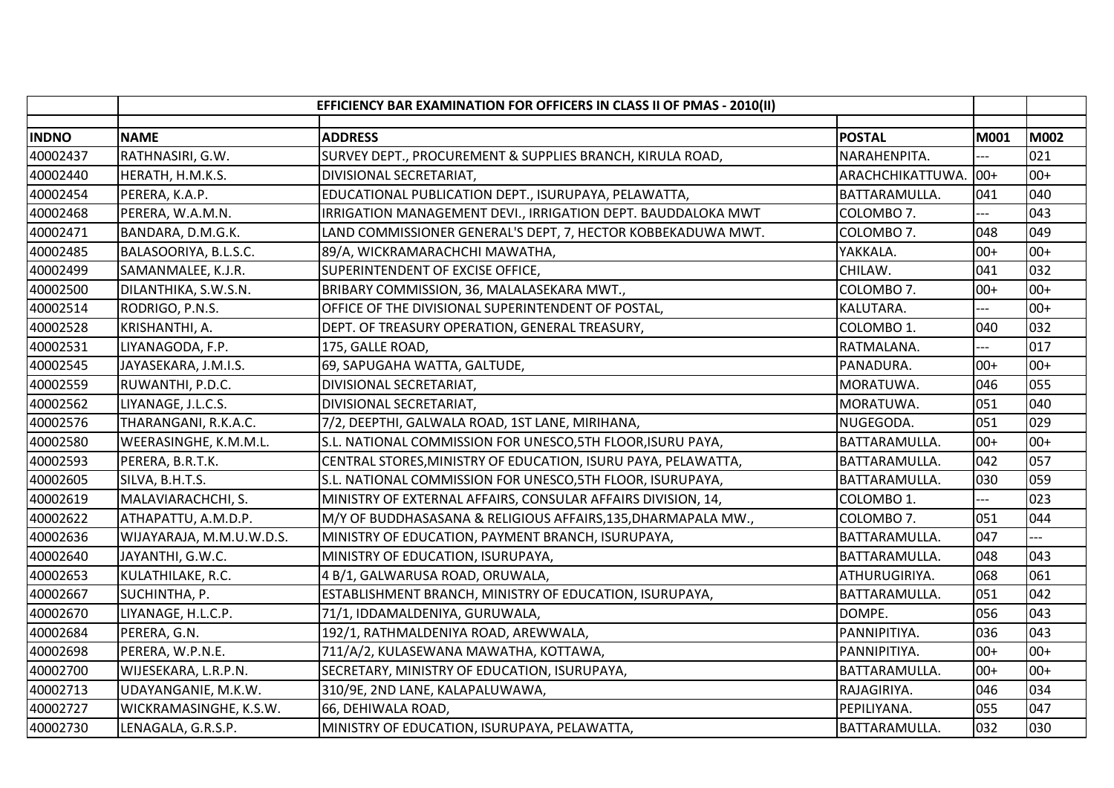|              |                          | EFFICIENCY BAR EXAMINATION FOR OFFICERS IN CLASS II OF PMAS - 2010(II) |                      |             |       |
|--------------|--------------------------|------------------------------------------------------------------------|----------------------|-------------|-------|
| <b>INDNO</b> | <b>NAME</b>              | <b>ADDRESS</b>                                                         | <b>POSTAL</b>        | <b>M001</b> | M002  |
| 40002437     | RATHNASIRI, G.W.         | SURVEY DEPT., PROCUREMENT & SUPPLIES BRANCH, KIRULA ROAD,              | NARAHENPITA.         |             | 021   |
| 40002440     | HERATH, H.M.K.S.         | DIVISIONAL SECRETARIAT,                                                | ARACHCHIKATTUWA.     | $ 00+$      | $00+$ |
| 40002454     | PERERA, K.A.P.           | EDUCATIONAL PUBLICATION DEPT., ISURUPAYA, PELAWATTA,                   | BATTARAMULLA.        | 041         | 040   |
| 40002468     | PERERA, W.A.M.N.         | IRRIGATION MANAGEMENT DEVI., IRRIGATION DEPT. BAUDDALOKA MWT           | COLOMBO 7.           |             | 043   |
| 40002471     | BANDARA, D.M.G.K.        | LAND COMMISSIONER GENERAL'S DEPT, 7, HECTOR KOBBEKADUWA MWT.           | COLOMBO 7.           | 048         | 049   |
| 40002485     | BALASOORIYA, B.L.S.C.    | 89/A, WICKRAMARACHCHI MAWATHA,                                         | YAKKALA.             | $00+$       | $00+$ |
| 40002499     | SAMANMALEE, K.J.R.       | SUPERINTENDENT OF EXCISE OFFICE,                                       | CHILAW.              | 041         | 032   |
| 40002500     | DILANTHIKA, S.W.S.N.     | BRIBARY COMMISSION, 36, MALALASEKARA MWT.,                             | COLOMBO 7.           | $00+$       | $00+$ |
| 40002514     | RODRIGO, P.N.S.          | OFFICE OF THE DIVISIONAL SUPERINTENDENT OF POSTAL,                     | KALUTARA.            | $---$       | $00+$ |
| 40002528     | KRISHANTHI, A.           | DEPT. OF TREASURY OPERATION, GENERAL TREASURY,                         | COLOMBO 1.           | 040         | 032   |
| 40002531     | LIYANAGODA, F.P.         | 175, GALLE ROAD,                                                       | RATMALANA.           | ---         | 017   |
| 40002545     | JAYASEKARA, J.M.I.S.     | 69, SAPUGAHA WATTA, GALTUDE,                                           | PANADURA.            | $00+$       | $00+$ |
| 40002559     | RUWANTHI, P.D.C.         | DIVISIONAL SECRETARIAT,                                                | MORATUWA.            | 046         | 055   |
| 40002562     | LIYANAGE, J.L.C.S.       | DIVISIONAL SECRETARIAT,                                                | MORATUWA.            | 051         | 040   |
| 40002576     | THARANGANI, R.K.A.C.     | 7/2, DEEPTHI, GALWALA ROAD, 1ST LANE, MIRIHANA,                        | NUGEGODA.            | 051         | 029   |
| 40002580     | WEERASINGHE, K.M.M.L.    | S.L. NATIONAL COMMISSION FOR UNESCO, 5TH FLOOR, ISURU PAYA,            | BATTARAMULLA.        | $00+$       | $00+$ |
| 40002593     | PERERA, B.R.T.K.         | CENTRAL STORES, MINISTRY OF EDUCATION, ISURU PAYA, PELAWATTA,          | BATTARAMULLA.        | 042         | 057   |
| 40002605     | SILVA, B.H.T.S.          | S.L. NATIONAL COMMISSION FOR UNESCO, 5TH FLOOR, ISURUPAYA,             | BATTARAMULLA.        | 030         | 059   |
| 40002619     | MALAVIARACHCHI, S.       | MINISTRY OF EXTERNAL AFFAIRS, CONSULAR AFFAIRS DIVISION, 14,           | COLOMBO 1.           |             | 023   |
| 40002622     | ATHAPATTU, A.M.D.P.      | M/Y OF BUDDHASASANA & RELIGIOUS AFFAIRS, 135, DHARMAPALA MW.,          | COLOMBO 7.           | 051         | 044   |
| 40002636     | WIJAYARAJA, M.M.U.W.D.S. | MINISTRY OF EDUCATION, PAYMENT BRANCH, ISURUPAYA,                      | BATTARAMULLA.        | 047         |       |
| 40002640     | JAYANTHI, G.W.C.         | MINISTRY OF EDUCATION, ISURUPAYA,                                      | BATTARAMULLA.        | 048         | 043   |
| 40002653     | KULATHILAKE, R.C.        | 4 B/1, GALWARUSA ROAD, ORUWALA,                                        | ATHURUGIRIYA.        | 068         | 061   |
| 40002667     | SUCHINTHA, P.            | ESTABLISHMENT BRANCH, MINISTRY OF EDUCATION, ISURUPAYA,                | BATTARAMULLA.        | 051         | 042   |
| 40002670     | LIYANAGE, H.L.C.P.       | 71/1, IDDAMALDENIYA, GURUWALA,                                         | DOMPE.               | 056         | 043   |
| 40002684     | PERERA, G.N.             | 192/1, RATHMALDENIYA ROAD, AREWWALA,                                   | PANNIPITIYA.         | 036         | 043   |
| 40002698     | PERERA, W.P.N.E.         | 711/A/2, KULASEWANA MAWATHA, KOTTAWA,                                  | PANNIPITIYA.         | $00+$       | $00+$ |
| 40002700     | WIJESEKARA, L.R.P.N.     | SECRETARY, MINISTRY OF EDUCATION, ISURUPAYA,                           | BATTARAMULLA.        | $00+$       | $00+$ |
| 40002713     | UDAYANGANIE, M.K.W.      | 310/9E, 2ND LANE, KALAPALUWAWA,                                        | RAJAGIRIYA.          | 046         | 034   |
| 40002727     | WICKRAMASINGHE, K.S.W.   | 66, DEHIWALA ROAD,                                                     | PEPILIYANA.          | 055         | 047   |
| 40002730     | LENAGALA, G.R.S.P.       | MINISTRY OF EDUCATION, ISURUPAYA, PELAWATTA,                           | <b>BATTARAMULLA.</b> | 032         | 030   |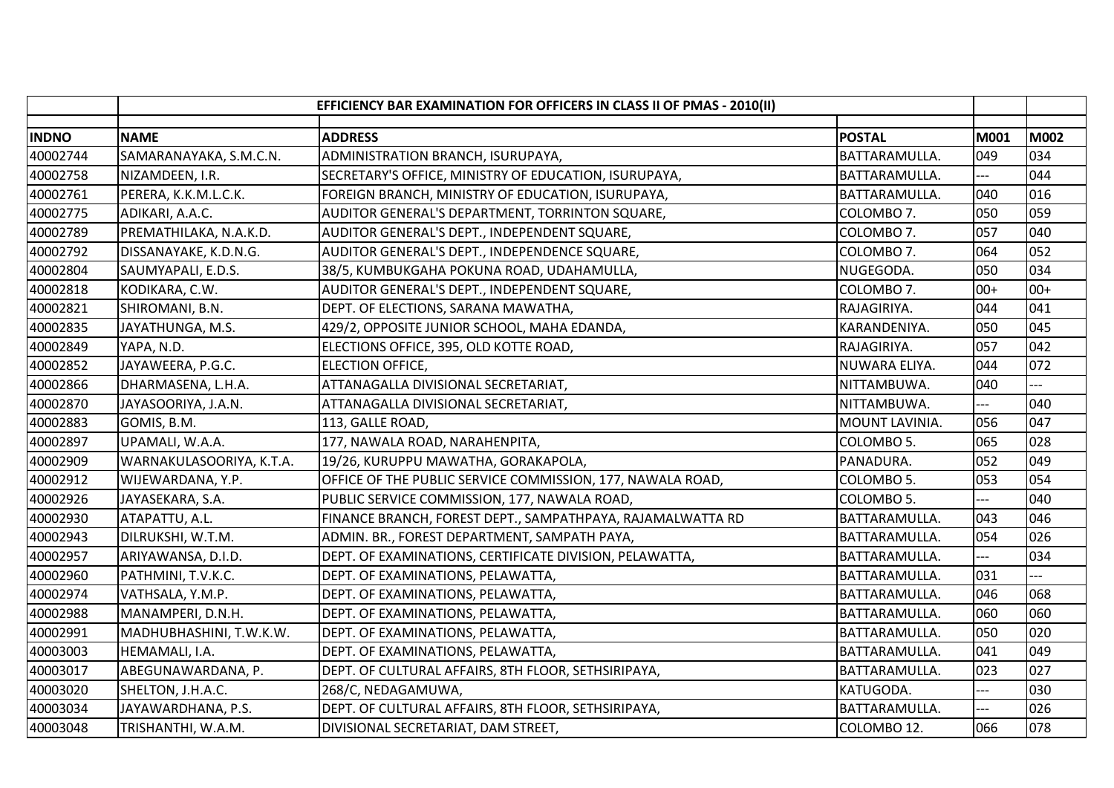|              |                          | EFFICIENCY BAR EXAMINATION FOR OFFICERS IN CLASS II OF PMAS - 2010(II) |                |                |       |
|--------------|--------------------------|------------------------------------------------------------------------|----------------|----------------|-------|
| <b>INDNO</b> | <b>NAME</b>              | <b>ADDRESS</b>                                                         | <b>POSTAL</b>  | M001           | M002  |
| 40002744     | SAMARANAYAKA, S.M.C.N.   | ADMINISTRATION BRANCH, ISURUPAYA,                                      | BATTARAMULLA.  | 049            | 034   |
| 40002758     | NIZAMDEEN, I.R.          | SECRETARY'S OFFICE, MINISTRY OF EDUCATION, ISURUPAYA,                  | BATTARAMULLA.  | ---            | 044   |
| 40002761     | PERERA, K.K.M.L.C.K.     | FOREIGN BRANCH, MINISTRY OF EDUCATION, ISURUPAYA,                      | BATTARAMULLA.  | 040            | 016   |
| 40002775     | ADIKARI, A.A.C.          | AUDITOR GENERAL'S DEPARTMENT, TORRINTON SQUARE,                        | COLOMBO 7.     | 050            | 059   |
| 40002789     | PREMATHILAKA, N.A.K.D.   | AUDITOR GENERAL'S DEPT., INDEPENDENT SQUARE,                           | COLOMBO 7.     | 057            | 040   |
| 40002792     | DISSANAYAKE, K.D.N.G.    | AUDITOR GENERAL'S DEPT., INDEPENDENCE SQUARE,                          | COLOMBO 7.     | 064            | 052   |
| 40002804     | SAUMYAPALI, E.D.S.       | 38/5, KUMBUKGAHA POKUNA ROAD, UDAHAMULLA,                              | NUGEGODA.      | 050            | 034   |
| 40002818     | KODIKARA, C.W.           | AUDITOR GENERAL'S DEPT., INDEPENDENT SQUARE,                           | COLOMBO 7.     | $00+$          | $00+$ |
| 40002821     | SHIROMANI, B.N.          | DEPT. OF ELECTIONS, SARANA MAWATHA,                                    | RAJAGIRIYA.    | 044            | 041   |
| 40002835     | JAYATHUNGA, M.S.         | 429/2, OPPOSITE JUNIOR SCHOOL, MAHA EDANDA,                            | KARANDENIYA.   | 050            | 045   |
| 40002849     | YAPA, N.D.               | ELECTIONS OFFICE, 395, OLD KOTTE ROAD,                                 | RAJAGIRIYA.    | 057            | 042   |
| 40002852     | JAYAWEERA, P.G.C.        | <b>ELECTION OFFICE,</b>                                                | NUWARA ELIYA.  | 044            | 072   |
| 40002866     | DHARMASENA, L.H.A.       | ATTANAGALLA DIVISIONAL SECRETARIAT,                                    | NITTAMBUWA.    | 040            |       |
| 40002870     | JAYASOORIYA, J.A.N.      | ATTANAGALLA DIVISIONAL SECRETARIAT,                                    | NITTAMBUWA.    |                | 040   |
| 40002883     | GOMIS, B.M.              | 113, GALLE ROAD,                                                       | MOUNT LAVINIA. | 056            | 047   |
| 40002897     | UPAMALI, W.A.A.          | 177, NAWALA ROAD, NARAHENPITA,                                         | COLOMBO 5.     | 065            | 028   |
| 40002909     | WARNAKULASOORIYA, K.T.A. | 19/26, KURUPPU MAWATHA, GORAKAPOLA,                                    | PANADURA.      | 052            | 049   |
| 40002912     | WIJEWARDANA, Y.P.        | OFFICE OF THE PUBLIC SERVICE COMMISSION, 177, NAWALA ROAD,             | COLOMBO 5.     | 053            | 054   |
| 40002926     | JAYASEKARA, S.A.         | PUBLIC SERVICE COMMISSION, 177, NAWALA ROAD,                           | COLOMBO 5.     |                | 040   |
| 40002930     | ATAPATTU, A.L.           | FINANCE BRANCH, FOREST DEPT., SAMPATHPAYA, RAJAMALWATTA RD             | BATTARAMULLA.  | 043            | 046   |
| 40002943     | DILRUKSHI, W.T.M.        | ADMIN. BR., FOREST DEPARTMENT, SAMPATH PAYA,                           | BATTARAMULLA.  | 054            | 026   |
| 40002957     | ARIYAWANSA, D.I.D.       | DEPT. OF EXAMINATIONS, CERTIFICATE DIVISION, PELAWATTA,                | BATTARAMULLA.  | $\overline{a}$ | 034   |
| 40002960     | PATHMINI, T.V.K.C.       | DEPT. OF EXAMINATIONS, PELAWATTA,                                      | BATTARAMULLA.  | 031            |       |
| 40002974     | VATHSALA, Y.M.P.         | DEPT. OF EXAMINATIONS, PELAWATTA,                                      | BATTARAMULLA.  | 046            | 068   |
| 40002988     | MANAMPERI, D.N.H.        | DEPT. OF EXAMINATIONS, PELAWATTA,                                      | BATTARAMULLA.  | 060            | 060   |
| 40002991     | MADHUBHASHINI, T.W.K.W.  | DEPT. OF EXAMINATIONS, PELAWATTA,                                      | BATTARAMULLA.  | 050            | 020   |
| 40003003     | HEMAMALI, I.A.           | DEPT. OF EXAMINATIONS, PELAWATTA,                                      | BATTARAMULLA.  | 041            | 049   |
| 40003017     | ABEGUNAWARDANA, P.       | DEPT. OF CULTURAL AFFAIRS, 8TH FLOOR, SETHSIRIPAYA,                    | BATTARAMULLA.  | 023            | 027   |
| 40003020     | SHELTON, J.H.A.C.        | 268/C, NEDAGAMUWA,                                                     | KATUGODA.      |                | 030   |
| 40003034     | JAYAWARDHANA, P.S.       | DEPT. OF CULTURAL AFFAIRS, 8TH FLOOR, SETHSIRIPAYA,                    | BATTARAMULLA.  | $-$            | 026   |
| 40003048     | TRISHANTHI, W.A.M.       | DIVISIONAL SECRETARIAT, DAM STREET,                                    | COLOMBO 12.    | 066            | 078   |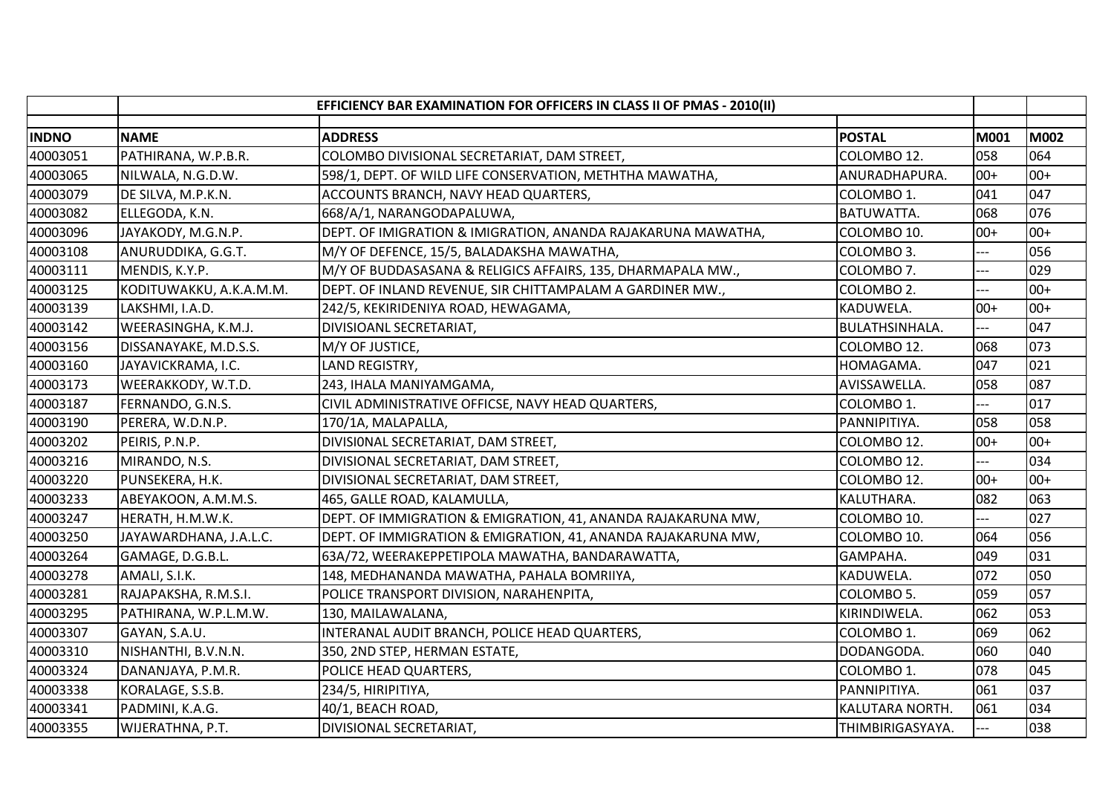|              | EFFICIENCY BAR EXAMINATION FOR OFFICERS IN CLASS II OF PMAS - 2010(II) |                                                              |                        |                |             |
|--------------|------------------------------------------------------------------------|--------------------------------------------------------------|------------------------|----------------|-------------|
| <b>INDNO</b> | <b>NAME</b>                                                            | <b>ADDRESS</b>                                               | <b>POSTAL</b>          | M001           | <b>M002</b> |
| 40003051     | PATHIRANA, W.P.B.R.                                                    | COLOMBO DIVISIONAL SECRETARIAT, DAM STREET,                  | COLOMBO 12.            | 058            | 064         |
| 40003065     | NILWALA, N.G.D.W.                                                      | 598/1, DEPT. OF WILD LIFE CONSERVATION, METHTHA MAWATHA,     | ANURADHAPURA.          | $00+$          | $00+$       |
| 40003079     | DE SILVA, M.P.K.N.                                                     | ACCOUNTS BRANCH, NAVY HEAD QUARTERS,                         | COLOMBO 1.             | 041            | 047         |
| 40003082     | ELLEGODA, K.N.                                                         | 668/A/1, NARANGODAPALUWA,                                    | BATUWATTA.             | 068            | 076         |
| 40003096     | JAYAKODY, M.G.N.P.                                                     | DEPT. OF IMIGRATION & IMIGRATION, ANANDA RAJAKARUNA MAWATHA, | COLOMBO 10.            | $00+$          | $00+$       |
| 40003108     | ANURUDDIKA, G.G.T.                                                     | M/Y OF DEFENCE, 15/5, BALADAKSHA MAWATHA,                    | COLOMBO 3.             |                | 056         |
| 40003111     | MENDIS, K.Y.P.                                                         | M/Y OF BUDDASASANA & RELIGICS AFFAIRS, 135, DHARMAPALA MW.,  | COLOMBO 7.             | ---            | 029         |
| 40003125     | KODITUWAKKU, A.K.A.M.M.                                                | DEPT. OF INLAND REVENUE, SIR CHITTAMPALAM A GARDINER MW.,    | COLOMBO <sub>2</sub> . |                | $00+$       |
| 40003139     | LAKSHMI, I.A.D.                                                        | 242/5, KEKIRIDENIYA ROAD, HEWAGAMA,                          | KADUWELA.              | $00+$          | $00+$       |
| 40003142     | WEERASINGHA, K.M.J.                                                    | DIVISIOANL SECRETARIAT,                                      | <b>BULATHSINHALA.</b>  |                | 047         |
| 40003156     | DISSANAYAKE, M.D.S.S.                                                  | M/Y OF JUSTICE,                                              | COLOMBO 12.            | 068            | 073         |
| 40003160     | JAYAVICKRAMA, I.C.                                                     | LAND REGISTRY,                                               | HOMAGAMA.              | 047            | 021         |
| 40003173     | WEERAKKODY, W.T.D.                                                     | 243, IHALA MANIYAMGAMA,                                      | AVISSAWELLA.           | 058            | 087         |
| 40003187     | FERNANDO, G.N.S.                                                       | CIVIL ADMINISTRATIVE OFFICSE, NAVY HEAD QUARTERS,            | COLOMBO 1.             |                | 017         |
| 40003190     | PERERA, W.D.N.P.                                                       | 170/1A, MALAPALLA,                                           | PANNIPITIYA.           | 058            | 058         |
| 40003202     | PEIRIS, P.N.P.                                                         | DIVISIONAL SECRETARIAT, DAM STREET,                          | COLOMBO 12.            | $00+$          | $00+$       |
| 40003216     | MIRANDO, N.S.                                                          | DIVISIONAL SECRETARIAT, DAM STREET,                          | COLOMBO 12.            | ---            | 034         |
| 40003220     | PUNSEKERA, H.K.                                                        | DIVISIONAL SECRETARIAT, DAM STREET,                          | COLOMBO 12.            | $00+$          | $00+$       |
| 40003233     | ABEYAKOON, A.M.M.S.                                                    | 465, GALLE ROAD, KALAMULLA,                                  | KALUTHARA.             | 082            | 063         |
| 40003247     | HERATH, H.M.W.K.                                                       | DEPT. OF IMMIGRATION & EMIGRATION, 41, ANANDA RAJAKARUNA MW, | COLOMBO 10.            |                | 027         |
| 40003250     | JAYAWARDHANA, J.A.L.C.                                                 | DEPT. OF IMMIGRATION & EMIGRATION, 41, ANANDA RAJAKARUNA MW, | COLOMBO 10.            | 064            | 056         |
| 40003264     | GAMAGE, D.G.B.L.                                                       | 63A/72, WEERAKEPPETIPOLA MAWATHA, BANDARAWATTA,              | GAMPAHA.               | 049            | 031         |
| 40003278     | AMALI, S.I.K.                                                          | 148, MEDHANANDA MAWATHA, PAHALA BOMRIIYA,                    | KADUWELA.              | 072            | 050         |
| 40003281     | RAJAPAKSHA, R.M.S.I.                                                   | POLICE TRANSPORT DIVISION, NARAHENPITA,                      | COLOMBO 5.             | 059            | 057         |
| 40003295     | PATHIRANA, W.P.L.M.W.                                                  | 130, MAILAWALANA,                                            | KIRINDIWELA.           | 062            | 053         |
| 40003307     | GAYAN, S.A.U.                                                          | INTERANAL AUDIT BRANCH, POLICE HEAD QUARTERS,                | COLOMBO 1.             | 069            | 062         |
| 40003310     | NISHANTHI, B.V.N.N.                                                    | 350, 2ND STEP, HERMAN ESTATE,                                | DODANGODA.             | 060            | 040         |
| 40003324     | DANANJAYA, P.M.R.                                                      | POLICE HEAD QUARTERS,                                        | COLOMBO 1.             | 078            | 045         |
| 40003338     | KORALAGE, S.S.B.                                                       | 234/5, HIRIPITIYA,                                           | PANNIPITIYA.           | 061            | 037         |
| 40003341     | PADMINI, K.A.G.                                                        | 40/1, BEACH ROAD,                                            | KALUTARA NORTH.        | 061            | 034         |
| 40003355     | WIJERATHNA, P.T.                                                       | DIVISIONAL SECRETARIAT,                                      | THIMBIRIGASYAYA.       | $\overline{a}$ | 038         |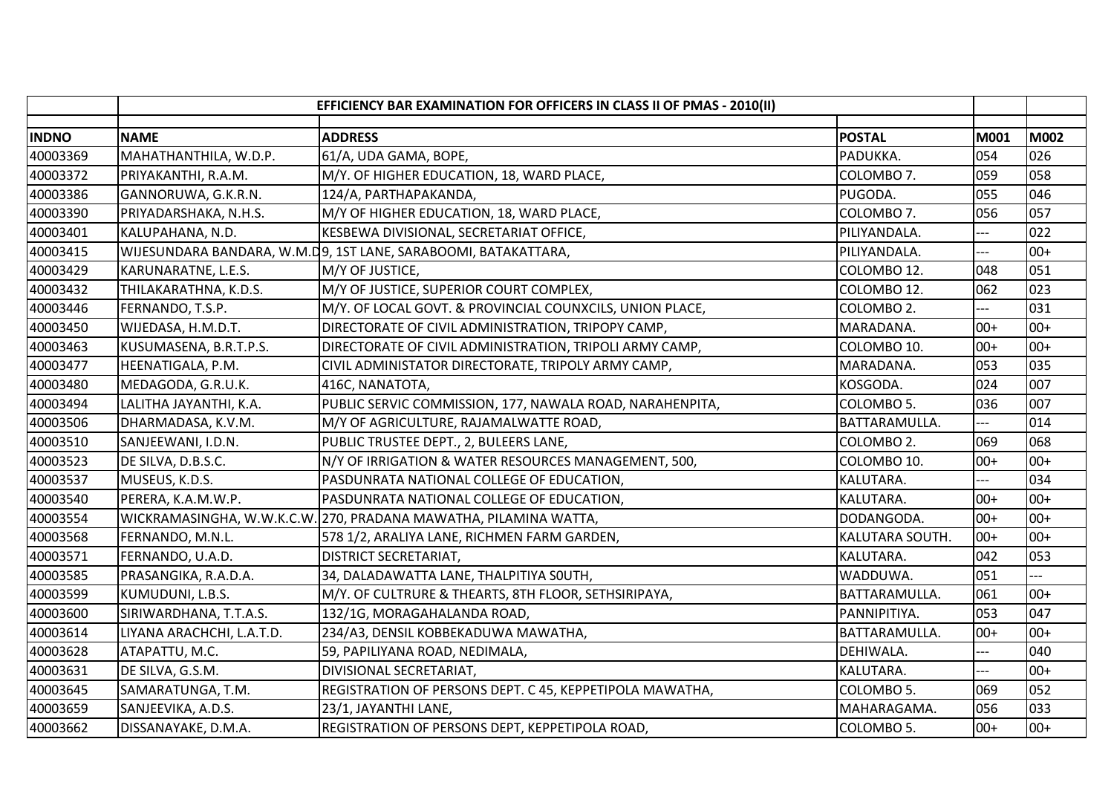|              | EFFICIENCY BAR EXAMINATION FOR OFFICERS IN CLASS II OF PMAS - 2010(II) |                                                                  |                 |       |             |
|--------------|------------------------------------------------------------------------|------------------------------------------------------------------|-----------------|-------|-------------|
| <b>INDNO</b> | <b>NAME</b>                                                            | <b>ADDRESS</b>                                                   | <b>POSTAL</b>   | M001  | <b>M002</b> |
| 40003369     | MAHATHANTHILA, W.D.P.                                                  | 61/A, UDA GAMA, BOPE,                                            | PADUKKA.        | 054   | 026         |
| 40003372     | PRIYAKANTHI, R.A.M.                                                    | M/Y. OF HIGHER EDUCATION, 18, WARD PLACE,                        | COLOMBO 7.      | 059   | 058         |
| 40003386     | GANNORUWA, G.K.R.N.                                                    | 124/A, PARTHAPAKANDA,                                            | PUGODA.         | 055   | 046         |
| 40003390     | PRIYADARSHAKA, N.H.S.                                                  | M/Y OF HIGHER EDUCATION, 18, WARD PLACE,                         | COLOMBO 7.      | 056   | 057         |
| 40003401     | KALUPAHANA, N.D.                                                       | KESBEWA DIVISIONAL, SECRETARIAT OFFICE,                          | PILIYANDALA.    |       | 022         |
| 40003415     |                                                                        | WIJESUNDARA BANDARA, W.M.D9, 1ST LANE, SARABOOMI, BATAKATTARA,   | PILIYANDALA.    |       | $00+$       |
| 40003429     | KARUNARATNE, L.E.S.                                                    | M/Y OF JUSTICE,                                                  | COLOMBO 12.     | 048   | 051         |
| 40003432     | THILAKARATHNA, K.D.S.                                                  | M/Y OF JUSTICE, SUPERIOR COURT COMPLEX,                          | COLOMBO 12.     | 062   | 023         |
| 40003446     | FERNANDO, T.S.P.                                                       | M/Y. OF LOCAL GOVT. & PROVINCIAL COUNXCILS, UNION PLACE,         | COLOMBO 2.      | $---$ | 031         |
| 40003450     | WIJEDASA, H.M.D.T.                                                     | DIRECTORATE OF CIVIL ADMINISTRATION, TRIPOPY CAMP,               | MARADANA.       | $00+$ | $00+$       |
| 40003463     | KUSUMASENA, B.R.T.P.S.                                                 | DIRECTORATE OF CIVIL ADMINISTRATION, TRIPOLI ARMY CAMP,          | COLOMBO 10.     | $00+$ | $00+$       |
| 40003477     | HEENATIGALA, P.M.                                                      | CIVIL ADMINISTATOR DIRECTORATE, TRIPOLY ARMY CAMP,               | MARADANA.       | 053   | 035         |
| 40003480     | MEDAGODA, G.R.U.K.                                                     | 416C, NANATOTA,                                                  | KOSGODA.        | 024   | 007         |
| 40003494     | LALITHA JAYANTHI, K.A.                                                 | PUBLIC SERVIC COMMISSION, 177, NAWALA ROAD, NARAHENPITA,         | COLOMBO 5.      | 036   | 007         |
| 40003506     | DHARMADASA, K.V.M.                                                     | M/Y OF AGRICULTURE, RAJAMALWATTE ROAD,                           | BATTARAMULLA.   |       | 014         |
| 40003510     | SANJEEWANI, I.D.N.                                                     | PUBLIC TRUSTEE DEPT., 2, BULEERS LANE,                           | COLOMBO 2.      | 069   | 068         |
| 40003523     | DE SILVA, D.B.S.C.                                                     | N/Y OF IRRIGATION & WATER RESOURCES MANAGEMENT, 500,             | COLOMBO 10.     | $00+$ | $00+$       |
| 40003537     | MUSEUS, K.D.S.                                                         | PASDUNRATA NATIONAL COLLEGE OF EDUCATION,                        | KALUTARA.       |       | 034         |
| 40003540     | PERERA, K.A.M.W.P.                                                     | PASDUNRATA NATIONAL COLLEGE OF EDUCATION,                        | KALUTARA.       | $00+$ | $00+$       |
| 40003554     |                                                                        | WICKRAMASINGHA, W.W.K.C.W. 270, PRADANA MAWATHA, PILAMINA WATTA, | DODANGODA.      | $00+$ | $00+$       |
| 40003568     | FERNANDO, M.N.L.                                                       | 578 1/2, ARALIYA LANE, RICHMEN FARM GARDEN,                      | KALUTARA SOUTH. | $00+$ | $00+$       |
| 40003571     | FERNANDO, U.A.D.                                                       | <b>DISTRICT SECRETARIAT,</b>                                     | KALUTARA.       | 042   | 053         |
| 40003585     | PRASANGIKA, R.A.D.A.                                                   | 34, DALADAWATTA LANE, THALPITIYA SOUTH,                          | WADDUWA.        | 051   |             |
| 40003599     | KUMUDUNI, L.B.S.                                                       | M/Y. OF CULTRURE & THEARTS, 8TH FLOOR, SETHSIRIPAYA,             | BATTARAMULLA.   | 061   | $00+$       |
| 40003600     | SIRIWARDHANA, T.T.A.S.                                                 | 132/1G, MORAGAHALANDA ROAD,                                      | PANNIPITIYA.    | 053   | 047         |
| 40003614     | LIYANA ARACHCHI, L.A.T.D.                                              | 234/A3, DENSIL KOBBEKADUWA MAWATHA,                              | BATTARAMULLA.   | $00+$ | $00+$       |
| 40003628     | ATAPATTU, M.C.                                                         | 59, PAPILIYANA ROAD, NEDIMALA,                                   | DEHIWALA.       |       | 040         |
| 40003631     | DE SILVA, G.S.M.                                                       | DIVISIONAL SECRETARIAT,                                          | KALUTARA.       | ---   | $00+$       |
| 40003645     | SAMARATUNGA, T.M.                                                      | REGISTRATION OF PERSONS DEPT. C 45, KEPPETIPOLA MAWATHA,         | COLOMBO 5.      | 069   | 052         |
| 40003659     | SANJEEVIKA, A.D.S.                                                     | 23/1, JAYANTHI LANE,                                             | MAHARAGAMA.     | 056   | 033         |
| 40003662     | DISSANAYAKE, D.M.A.                                                    | REGISTRATION OF PERSONS DEPT, KEPPETIPOLA ROAD,                  | COLOMBO 5.      | $00+$ | $00+$       |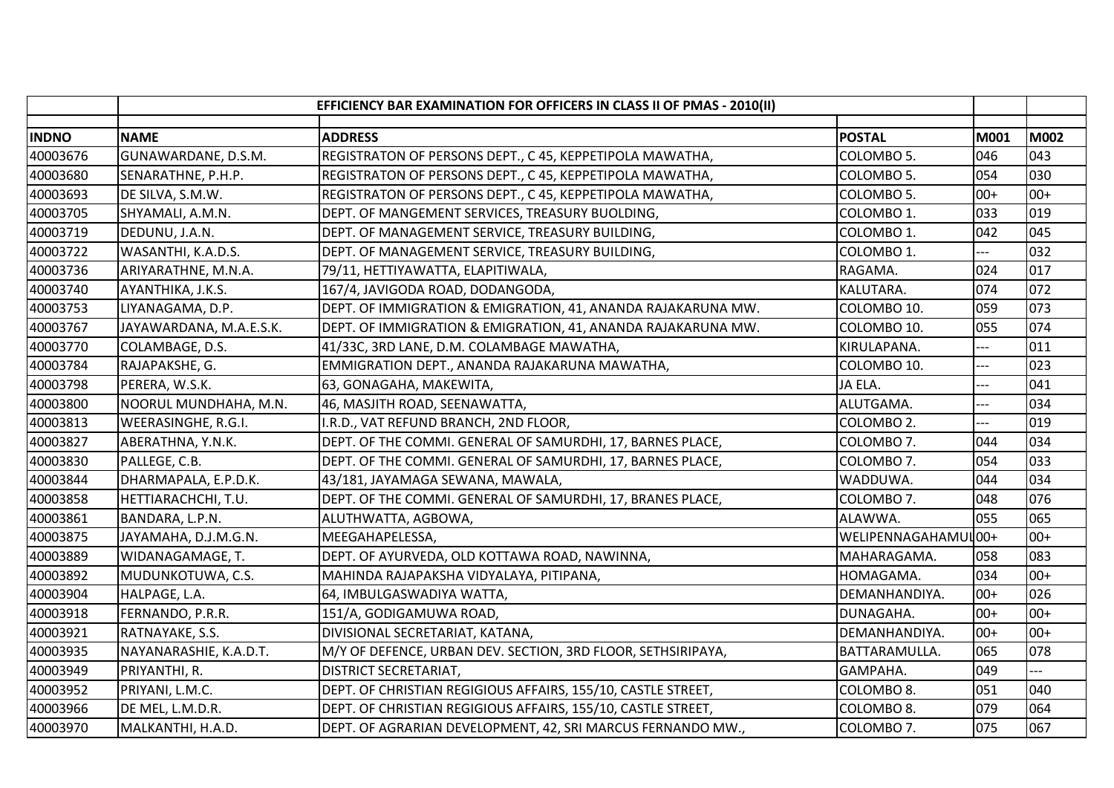|              | EFFICIENCY BAR EXAMINATION FOR OFFICERS IN CLASS II OF PMAS - 2010(II) |                                                                               |       |             |
|--------------|------------------------------------------------------------------------|-------------------------------------------------------------------------------|-------|-------------|
| <b>INDNO</b> | <b>NAME</b>                                                            | <b>ADDRESS</b><br><b>POSTAL</b>                                               | M001  | <b>M002</b> |
| 40003676     | GUNAWARDANE, D.S.M.                                                    | REGISTRATON OF PERSONS DEPT., C 45, KEPPETIPOLA MAWATHA,<br>COLOMBO 5.        | 046   | 043         |
| 40003680     | SENARATHNE, P.H.P.                                                     | REGISTRATON OF PERSONS DEPT., C 45, KEPPETIPOLA MAWATHA,<br>COLOMBO 5.        | 054   | 030         |
| 40003693     | DE SILVA, S.M.W.                                                       | REGISTRATON OF PERSONS DEPT., C 45, KEPPETIPOLA MAWATHA,<br>COLOMBO 5.        | $00+$ | $00+$       |
| 40003705     | SHYAMALI, A.M.N.                                                       | DEPT. OF MANGEMENT SERVICES, TREASURY BUOLDING,<br>COLOMBO 1.                 | 033   | 019         |
| 40003719     | DEDUNU, J.A.N.                                                         | DEPT. OF MANAGEMENT SERVICE, TREASURY BUILDING,<br>COLOMBO 1.                 | 042   | 045         |
| 40003722     | WASANTHI, K.A.D.S.                                                     | DEPT. OF MANAGEMENT SERVICE, TREASURY BUILDING,<br>COLOMBO 1.                 |       | 032         |
| 40003736     | ARIYARATHNE, M.N.A.                                                    | 79/11, HETTIYAWATTA, ELAPITIWALA,<br>RAGAMA.                                  | 024   | 017         |
| 40003740     | AYANTHIKA, J.K.S.                                                      | 167/4, JAVIGODA ROAD, DODANGODA,<br>KALUTARA.                                 | 074   | 072         |
| 40003753     | LIYANAGAMA, D.P.                                                       | DEPT. OF IMMIGRATION & EMIGRATION, 41, ANANDA RAJAKARUNA MW.<br>COLOMBO 10.   | 059   | 073         |
| 40003767     | JAYAWARDANA, M.A.E.S.K.                                                | DEPT. OF IMMIGRATION & EMIGRATION, 41, ANANDA RAJAKARUNA MW.<br>COLOMBO 10.   | 055   | 074         |
| 40003770     | COLAMBAGE, D.S.                                                        | 41/33C, 3RD LANE, D.M. COLAMBAGE MAWATHA,<br>KIRULAPANA.                      | ---   | 011         |
| 40003784     | RAJAPAKSHE, G.                                                         | EMMIGRATION DEPT., ANANDA RAJAKARUNA MAWATHA,<br>COLOMBO 10.                  | ---   | 023         |
| 40003798     | PERERA, W.S.K.                                                         | 63, GONAGAHA, MAKEWITA,<br>JA ELA.                                            |       | 041         |
| 40003800     | NOORUL MUNDHAHA, M.N.                                                  | 46, MASJITH ROAD, SEENAWATTA,<br>ALUTGAMA.                                    | ---   | 034         |
| 40003813     | <b>WEERASINGHE, R.G.I.</b>                                             | I.R.D., VAT REFUND BRANCH, 2ND FLOOR,<br>COLOMBO 2.                           | ---   | 019         |
| 40003827     | ABERATHNA, Y.N.K.                                                      | DEPT. OF THE COMMI. GENERAL OF SAMURDHI, 17, BARNES PLACE,<br>COLOMBO 7.      | 044   | 034         |
| 40003830     | PALLEGE, C.B.                                                          | DEPT. OF THE COMMI. GENERAL OF SAMURDHI, 17, BARNES PLACE,<br>COLOMBO 7.      | 054   | 033         |
| 40003844     | DHARMAPALA, E.P.D.K.                                                   | 43/181, JAYAMAGA SEWANA, MAWALA,<br>WADDUWA.                                  | 044   | 034         |
| 40003858     | HETTIARACHCHI, T.U.                                                    | DEPT. OF THE COMMI. GENERAL OF SAMURDHI, 17, BRANES PLACE,<br>COLOMBO 7.      | 048   | 076         |
| 40003861     | BANDARA, L.P.N.                                                        | ALAWWA.<br>ALUTHWATTA, AGBOWA,                                                | 055   | 065         |
| 40003875     | JAYAMAHA, D.J.M.G.N.                                                   | WELIPENNAGAHAMUL00+<br>MEEGAHAPELESSA,                                        |       | $00+$       |
| 40003889     | WIDANAGAMAGE, T.                                                       | DEPT. OF AYURVEDA, OLD KOTTAWA ROAD, NAWINNA,<br>MAHARAGAMA.                  | 058   | 083         |
| 40003892     | MUDUNKOTUWA, C.S.                                                      | MAHINDA RAJAPAKSHA VIDYALAYA, PITIPANA,<br>HOMAGAMA.                          | 034   | $00+$       |
| 40003904     | HALPAGE, L.A.                                                          | 64, IMBULGASWADIYA WATTA,<br>DEMANHANDIYA.                                    | $00+$ | 026         |
| 40003918     | FERNANDO, P.R.R.                                                       | 151/A, GODIGAMUWA ROAD,<br>DUNAGAHA.                                          | $00+$ | $00+$       |
| 40003921     | RATNAYAKE, S.S.                                                        | DIVISIONAL SECRETARIAT, KATANA,<br>DEMANHANDIYA.                              | $00+$ | $00+$       |
| 40003935     | NAYANARASHIE, K.A.D.T.                                                 | M/Y OF DEFENCE, URBAN DEV. SECTION, 3RD FLOOR, SETHSIRIPAYA,<br>BATTARAMULLA. | 065   | 078         |
| 40003949     | PRIYANTHI, R.                                                          | GAMPAHA.<br><b>DISTRICT SECRETARIAT,</b>                                      | 049   |             |
| 40003952     | PRIYANI, L.M.C.                                                        | DEPT. OF CHRISTIAN REGIGIOUS AFFAIRS, 155/10, CASTLE STREET,<br>COLOMBO 8.    | 051   | 040         |
| 40003966     | DE MEL, L.M.D.R.                                                       | DEPT. OF CHRISTIAN REGIGIOUS AFFAIRS, 155/10, CASTLE STREET,<br>COLOMBO 8.    | 079   | 064         |
| 40003970     | MALKANTHI, H.A.D.                                                      | DEPT. OF AGRARIAN DEVELOPMENT, 42, SRI MARCUS FERNANDO MW.,<br>COLOMBO 7.     | 075   | 067         |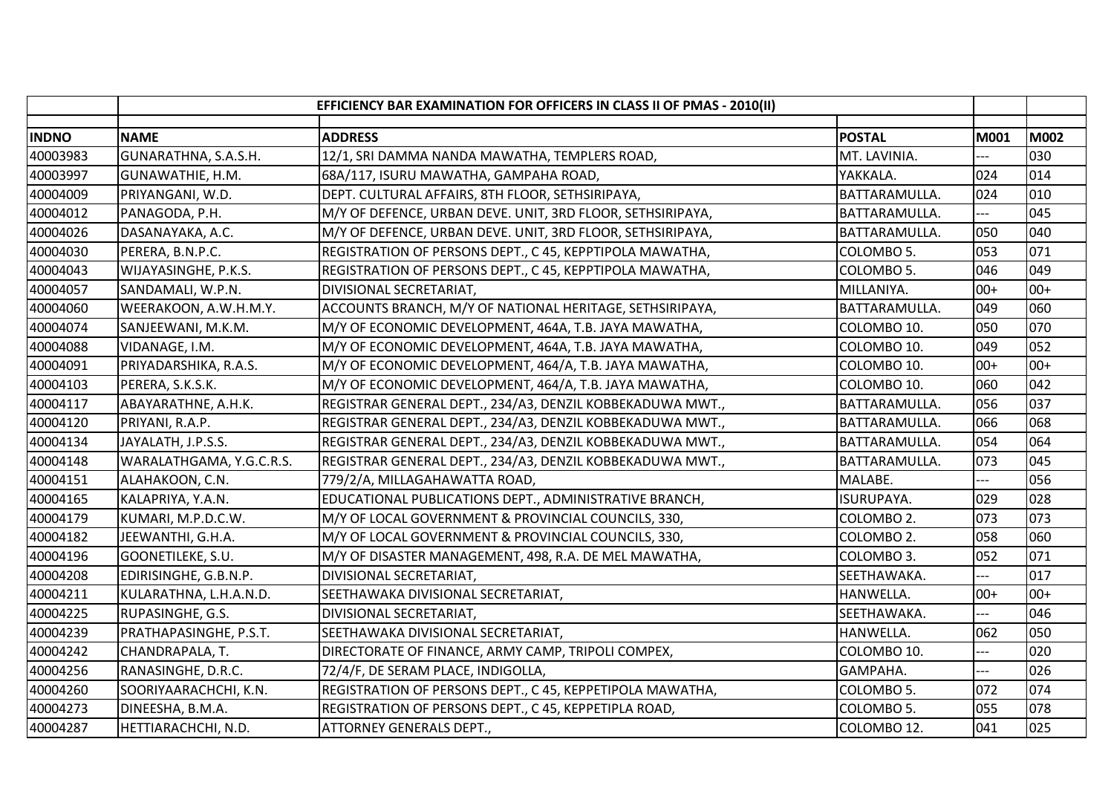|              |                          | EFFICIENCY BAR EXAMINATION FOR OFFICERS IN CLASS II OF PMAS - 2010(II) |                   |             |       |
|--------------|--------------------------|------------------------------------------------------------------------|-------------------|-------------|-------|
| <b>INDNO</b> | <b>NAME</b>              | <b>ADDRESS</b>                                                         | <b>POSTAL</b>     | <b>M001</b> | M002  |
| 40003983     | GUNARATHNA, S.A.S.H.     | 12/1, SRI DAMMA NANDA MAWATHA, TEMPLERS ROAD,                          | MT. LAVINIA.      |             | 030   |
| 40003997     | GUNAWATHIE, H.M.         | 68A/117, ISURU MAWATHA, GAMPAHA ROAD,                                  | YAKKALA.          | 024         | 014   |
| 40004009     | PRIYANGANI, W.D.         | DEPT. CULTURAL AFFAIRS, 8TH FLOOR, SETHSIRIPAYA,                       | BATTARAMULLA.     | 024         | 010   |
| 40004012     | PANAGODA, P.H.           | M/Y OF DEFENCE, URBAN DEVE. UNIT, 3RD FLOOR, SETHSIRIPAYA,             | BATTARAMULLA.     |             | 045   |
| 40004026     | DASANAYAKA, A.C.         | M/Y OF DEFENCE, URBAN DEVE. UNIT, 3RD FLOOR, SETHSIRIPAYA,             | BATTARAMULLA.     | 050         | 040   |
| 40004030     | PERERA, B.N.P.C.         | REGISTRATION OF PERSONS DEPT., C 45, KEPPTIPOLA MAWATHA,               | COLOMBO 5.        | 053         | 071   |
| 40004043     | WIJAYASINGHE, P.K.S.     | REGISTRATION OF PERSONS DEPT., C 45, KEPPTIPOLA MAWATHA,               | COLOMBO 5.        | 046         | 049   |
| 40004057     | SANDAMALI, W.P.N.        | DIVISIONAL SECRETARIAT,                                                | MILLANIYA.        | $00+$       | $00+$ |
| 40004060     | WEERAKOON, A.W.H.M.Y.    | ACCOUNTS BRANCH, M/Y OF NATIONAL HERITAGE, SETHSIRIPAYA,               | BATTARAMULLA.     | 049         | 060   |
| 40004074     | SANJEEWANI, M.K.M.       | M/Y OF ECONOMIC DEVELOPMENT, 464A, T.B. JAYA MAWATHA,                  | COLOMBO 10.       | 050         | 070   |
| 40004088     | VIDANAGE, I.M.           | M/Y OF ECONOMIC DEVELOPMENT, 464A, T.B. JAYA MAWATHA,                  | COLOMBO 10.       | 049         | 052   |
| 40004091     | PRIYADARSHIKA, R.A.S.    | M/Y OF ECONOMIC DEVELOPMENT, 464/A, T.B. JAYA MAWATHA,                 | COLOMBO 10.       | $00+$       | $00+$ |
| 40004103     | PERERA, S.K.S.K.         | M/Y OF ECONOMIC DEVELOPMENT, 464/A, T.B. JAYA MAWATHA,                 | COLOMBO 10.       | 060         | 042   |
| 40004117     | ABAYARATHNE, A.H.K.      | REGISTRAR GENERAL DEPT., 234/A3, DENZIL KOBBEKADUWA MWT.,              | BATTARAMULLA.     | 056         | 037   |
| 40004120     | PRIYANI, R.A.P.          | REGISTRAR GENERAL DEPT., 234/A3, DENZIL KOBBEKADUWA MWT.,              | BATTARAMULLA.     | 066         | 068   |
| 40004134     | JAYALATH, J.P.S.S.       | REGISTRAR GENERAL DEPT., 234/A3, DENZIL KOBBEKADUWA MWT.,              | BATTARAMULLA.     | 054         | 064   |
| 40004148     | WARALATHGAMA, Y.G.C.R.S. | REGISTRAR GENERAL DEPT., 234/A3, DENZIL KOBBEKADUWA MWT.,              | BATTARAMULLA.     | 073         | 045   |
| 40004151     | ALAHAKOON, C.N.          | 779/2/A, MILLAGAHAWATTA ROAD,                                          | MALABE.           |             | 056   |
| 40004165     | KALAPRIYA, Y.A.N.        | EDUCATIONAL PUBLICATIONS DEPT., ADMINISTRATIVE BRANCH,                 | <b>ISURUPAYA.</b> | 029         | 028   |
| 40004179     | KUMARI, M.P.D.C.W.       | M/Y OF LOCAL GOVERNMENT & PROVINCIAL COUNCILS, 330,                    | COLOMBO 2.        | 073         | 073   |
| 40004182     | JEEWANTHI, G.H.A.        | M/Y OF LOCAL GOVERNMENT & PROVINCIAL COUNCILS, 330,                    | COLOMBO 2.        | 058         | 060   |
| 40004196     | GOONETILEKE, S.U.        | M/Y OF DISASTER MANAGEMENT, 498, R.A. DE MEL MAWATHA,                  | COLOMBO 3.        | 052         | 071   |
| 40004208     | EDIRISINGHE, G.B.N.P.    | DIVISIONAL SECRETARIAT,                                                | SEETHAWAKA.       |             | 017   |
| 40004211     | KULARATHNA, L.H.A.N.D.   | SEETHAWAKA DIVISIONAL SECRETARIAT,                                     | <b>HANWELLA.</b>  | $00+$       | $00+$ |
| 40004225     | RUPASINGHE, G.S.         | DIVISIONAL SECRETARIAT,                                                | SEETHAWAKA.       | ---         | 046   |
| 40004239     | PRATHAPASINGHE, P.S.T.   | SEETHAWAKA DIVISIONAL SECRETARIAT,                                     | HANWELLA.         | 062         | 050   |
| 40004242     | CHANDRAPALA, T.          | DIRECTORATE OF FINANCE, ARMY CAMP, TRIPOLI COMPEX,                     | COLOMBO 10.       | ---         | 020   |
| 40004256     | RANASINGHE, D.R.C.       | 72/4/F, DE SERAM PLACE, INDIGOLLA,                                     | GAMPAHA.          | ---         | 026   |
| 40004260     | SOORIYAARACHCHI, K.N.    | REGISTRATION OF PERSONS DEPT., C 45, KEPPETIPOLA MAWATHA,              | COLOMBO 5.        | 072         | 074   |
| 40004273     | DINEESHA, B.M.A.         | REGISTRATION OF PERSONS DEPT., C 45, KEPPETIPLA ROAD,                  | COLOMBO 5.        | 055         | 078   |
| 40004287     | HETTIARACHCHI, N.D.      | <b>ATTORNEY GENERALS DEPT.,</b>                                        | COLOMBO 12.       | 041         | 025   |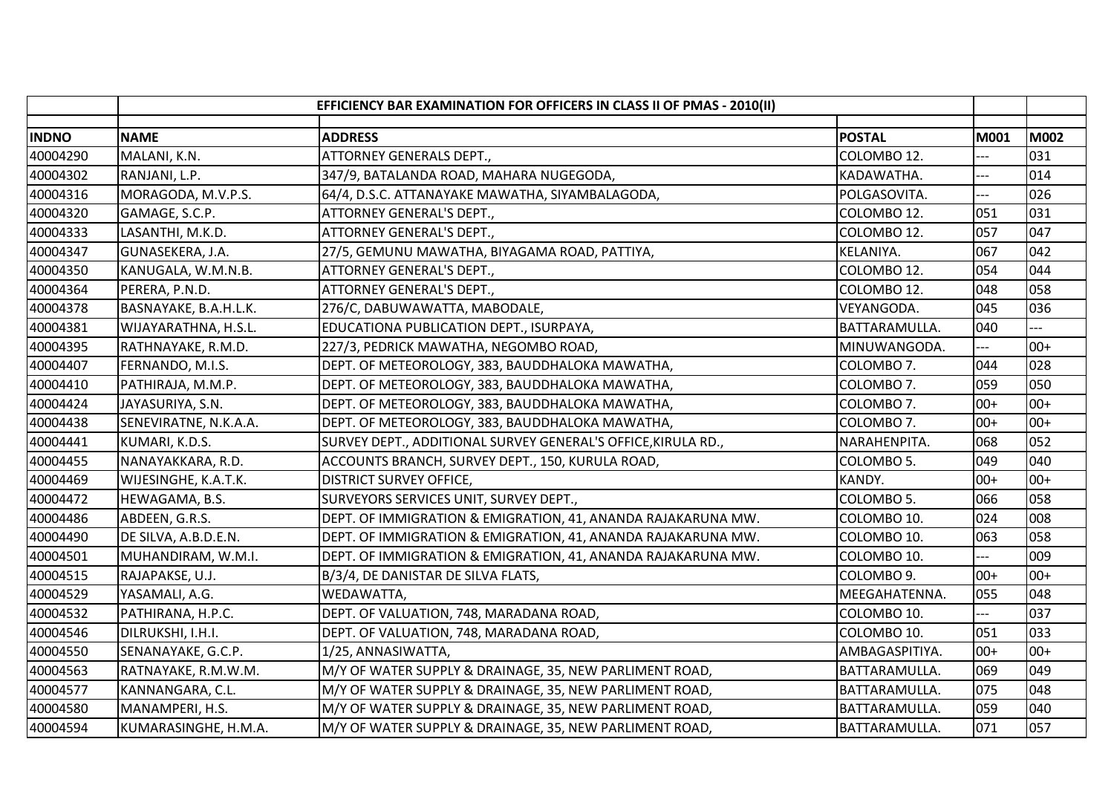|              |                             | EFFICIENCY BAR EXAMINATION FOR OFFICERS IN CLASS II OF PMAS - 2010(II) |                |             |             |
|--------------|-----------------------------|------------------------------------------------------------------------|----------------|-------------|-------------|
| <b>INDNO</b> | <b>NAME</b>                 | <b>ADDRESS</b>                                                         | <b>POSTAL</b>  | <b>M001</b> | <b>M002</b> |
| 40004290     | MALANI, K.N.                | ATTORNEY GENERALS DEPT.,                                               | COLOMBO 12.    |             | 031         |
| 40004302     | RANJANI, L.P.               | 347/9, BATALANDA ROAD, MAHARA NUGEGODA,                                | KADAWATHA.     | ---         | 014         |
| 40004316     | MORAGODA, M.V.P.S.          | 64/4, D.S.C. ATTANAYAKE MAWATHA, SIYAMBALAGODA,                        | POLGASOVITA.   | ---         | 026         |
| 40004320     | GAMAGE, S.C.P.              | ATTORNEY GENERAL'S DEPT.,                                              | COLOMBO 12.    | 051         | 031         |
| 40004333     | LASANTHI, M.K.D.            | ATTORNEY GENERAL'S DEPT.,                                              | COLOMBO 12.    | 057         | 047         |
| 40004347     | GUNASEKERA, J.A.            | 27/5, GEMUNU MAWATHA, BIYAGAMA ROAD, PATTIYA,                          | KELANIYA.      | 067         | 042         |
| 40004350     | KANUGALA, W.M.N.B.          | ATTORNEY GENERAL'S DEPT.,                                              | COLOMBO 12.    | 054         | 044         |
| 40004364     | PERERA, P.N.D.              | ATTORNEY GENERAL'S DEPT.,                                              | COLOMBO 12.    | 048         | 058         |
| 40004378     | BASNAYAKE, B.A.H.L.K.       | 276/C, DABUWAWATTA, MABODALE,                                          | VEYANGODA.     | 045         | 036         |
| 40004381     | WIJAYARATHNA, H.S.L.        | EDUCATIONA PUBLICATION DEPT., ISURPAYA,                                | BATTARAMULLA.  | 040         |             |
| 40004395     | RATHNAYAKE, R.M.D.          | 227/3, PEDRICK MAWATHA, NEGOMBO ROAD,                                  | MINUWANGODA.   | ---         | $00+$       |
| 40004407     | FERNANDO, M.I.S.            | DEPT. OF METEOROLOGY, 383, BAUDDHALOKA MAWATHA,                        | COLOMBO 7.     | 044         | 028         |
| 40004410     | PATHIRAJA, M.M.P.           | DEPT. OF METEOROLOGY, 383, BAUDDHALOKA MAWATHA,                        | COLOMBO 7.     | 059         | 050         |
| 40004424     | JAYASURIYA, S.N.            | DEPT. OF METEOROLOGY, 383, BAUDDHALOKA MAWATHA,                        | COLOMBO 7.     | $00+$       | $00+$       |
| 40004438     | SENEVIRATNE, N.K.A.A.       | DEPT. OF METEOROLOGY, 383, BAUDDHALOKA MAWATHA,                        | COLOMBO 7.     | $00+$       | $00+$       |
| 40004441     | KUMARI, K.D.S.              | SURVEY DEPT., ADDITIONAL SURVEY GENERAL'S OFFICE, KIRULA RD.,          | NARAHENPITA.   | 068         | 052         |
| 40004455     | NANAYAKKARA, R.D.           | ACCOUNTS BRANCH, SURVEY DEPT., 150, KURULA ROAD,                       | COLOMBO 5.     | 049         | 040         |
| 40004469     | <b>WIJESINGHE, K.A.T.K.</b> | <b>DISTRICT SURVEY OFFICE,</b>                                         | KANDY.         | $00+$       | $00+$       |
| 40004472     | HEWAGAMA, B.S.              | SURVEYORS SERVICES UNIT, SURVEY DEPT.,                                 | COLOMBO 5.     | 066         | 058         |
| 40004486     | ABDEEN, G.R.S.              | DEPT. OF IMMIGRATION & EMIGRATION, 41, ANANDA RAJAKARUNA MW.           | COLOMBO 10.    | 024         | 008         |
| 40004490     | DE SILVA, A.B.D.E.N.        | DEPT. OF IMMIGRATION & EMIGRATION, 41, ANANDA RAJAKARUNA MW.           | COLOMBO 10.    | 063         | 058         |
| 40004501     | MUHANDIRAM, W.M.I.          | DEPT. OF IMMIGRATION & EMIGRATION, 41, ANANDA RAJAKARUNA MW.           | COLOMBO 10.    | ---         | 009         |
| 40004515     | RAJAPAKSE, U.J.             | B/3/4, DE DANISTAR DE SILVA FLATS,                                     | COLOMBO 9.     | $00+$       | $00+$       |
| 40004529     | YASAMALI, A.G.              | WEDAWATTA,                                                             | MEEGAHATENNA.  | 055         | 048         |
| 40004532     | PATHIRANA, H.P.C.           | DEPT. OF VALUATION, 748, MARADANA ROAD,                                | COLOMBO 10.    | ---         | 037         |
| 40004546     | DILRUKSHI, I.H.I.           | DEPT. OF VALUATION, 748, MARADANA ROAD,                                | COLOMBO 10.    | 051         | 033         |
| 40004550     | SENANAYAKE, G.C.P.          | 1/25, ANNASIWATTA,                                                     | AMBAGASPITIYA. | $00+$       | $00+$       |
| 40004563     | RATNAYAKE, R.M.W.M.         | M/Y OF WATER SUPPLY & DRAINAGE, 35, NEW PARLIMENT ROAD,                | BATTARAMULLA.  | 069         | 049         |
| 40004577     | KANNANGARA, C.L.            | M/Y OF WATER SUPPLY & DRAINAGE, 35, NEW PARLIMENT ROAD,                | BATTARAMULLA.  | 075         | 048         |
| 40004580     | MANAMPERI, H.S.             | M/Y OF WATER SUPPLY & DRAINAGE, 35, NEW PARLIMENT ROAD,                | BATTARAMULLA.  | 059         | 040         |
| 40004594     | KUMARASINGHE, H.M.A.        | M/Y OF WATER SUPPLY & DRAINAGE, 35, NEW PARLIMENT ROAD,                | BATTARAMULLA.  | 071         | 057         |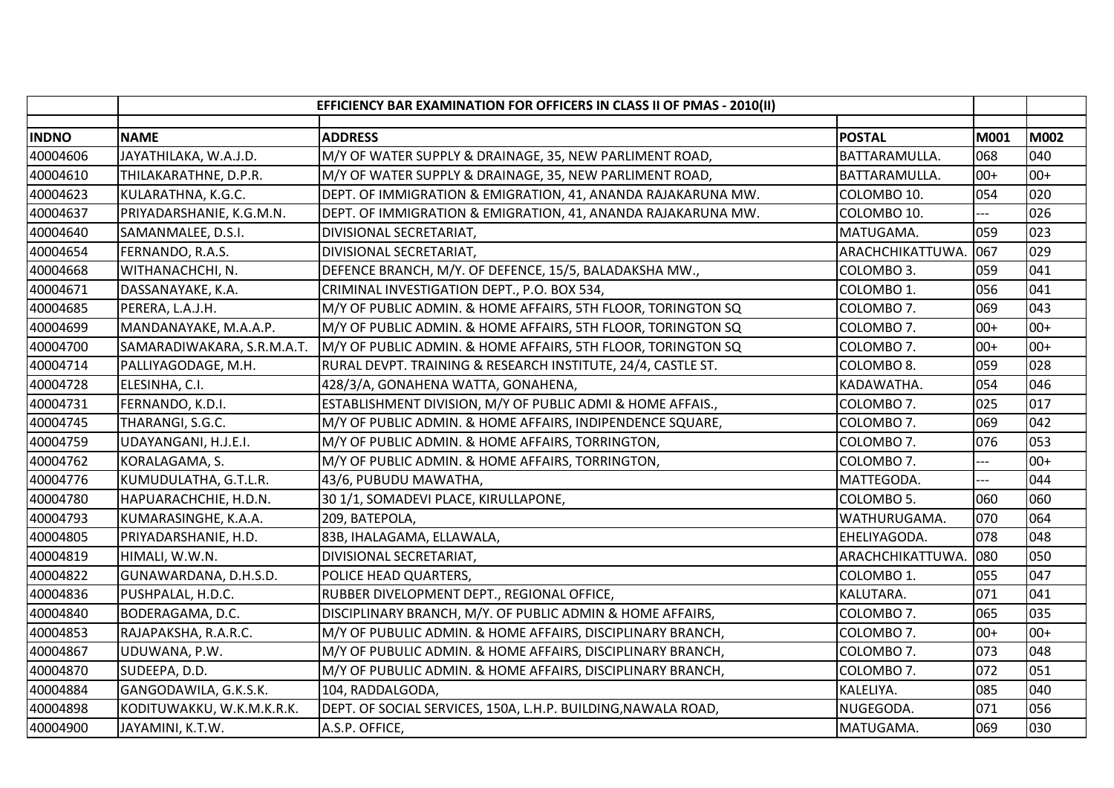|              |                            | EFFICIENCY BAR EXAMINATION FOR OFFICERS IN CLASS II OF PMAS - 2010(II)      |       |             |
|--------------|----------------------------|-----------------------------------------------------------------------------|-------|-------------|
| <b>INDNO</b> | <b>NAME</b>                | <b>ADDRESS</b><br><b>POSTAL</b>                                             | M001  | <b>M002</b> |
| 40004606     | JAYATHILAKA, W.A.J.D.      | BATTARAMULLA.<br>M/Y OF WATER SUPPLY & DRAINAGE, 35, NEW PARLIMENT ROAD,    | 068   | 040         |
| 40004610     | THILAKARATHNE, D.P.R.      | M/Y OF WATER SUPPLY & DRAINAGE, 35, NEW PARLIMENT ROAD,<br>BATTARAMULLA.    | $00+$ | $00+$       |
| 40004623     | KULARATHNA, K.G.C.         | DEPT. OF IMMIGRATION & EMIGRATION, 41, ANANDA RAJAKARUNA MW.<br>COLOMBO 10. | 054   | 020         |
| 40004637     | PRIYADARSHANIE, K.G.M.N.   | DEPT. OF IMMIGRATION & EMIGRATION, 41, ANANDA RAJAKARUNA MW.<br>COLOMBO 10. |       | 026         |
| 40004640     | SAMANMALEE, D.S.I.         | DIVISIONAL SECRETARIAT,<br>MATUGAMA.                                        | 059   | 023         |
| 40004654     | FERNANDO, R.A.S.           | ARACHCHIKATTUWA. 067<br>DIVISIONAL SECRETARIAT,                             |       | 029         |
| 40004668     | WITHANACHCHI, N.           | DEFENCE BRANCH, M/Y. OF DEFENCE, 15/5, BALADAKSHA MW.,<br>COLOMBO 3.        | 059   | 041         |
| 40004671     | DASSANAYAKE, K.A.          | CRIMINAL INVESTIGATION DEPT., P.O. BOX 534,<br>COLOMBO 1.                   | 056   | 041         |
| 40004685     | PERERA, L.A.J.H.           | M/Y OF PUBLIC ADMIN. & HOME AFFAIRS, 5TH FLOOR, TORINGTON SQ<br>COLOMBO 7.  | 069   | 043         |
| 40004699     | MANDANAYAKE, M.A.A.P.      | M/Y OF PUBLIC ADMIN. & HOME AFFAIRS, 5TH FLOOR, TORINGTON SQ<br>COLOMBO 7.  | $00+$ | $00+$       |
| 40004700     | SAMARADIWAKARA, S.R.M.A.T. | M/Y OF PUBLIC ADMIN. & HOME AFFAIRS, 5TH FLOOR, TORINGTON SQ<br>COLOMBO 7.  | $00+$ | $00+$       |
| 40004714     | PALLIYAGODAGE, M.H.        | RURAL DEVPT. TRAINING & RESEARCH INSTITUTE, 24/4, CASTLE ST.<br>COLOMBO 8.  | 059   | 028         |
| 40004728     | ELESINHA, C.I.             | 428/3/A, GONAHENA WATTA, GONAHENA,<br>KADAWATHA.                            | 054   | 046         |
| 40004731     | FERNANDO, K.D.I.           | ESTABLISHMENT DIVISION, M/Y OF PUBLIC ADMI & HOME AFFAIS.,<br>COLOMBO 7.    | 025   | 017         |
| 40004745     | THARANGI, S.G.C.           | M/Y OF PUBLIC ADMIN. & HOME AFFAIRS, INDIPENDENCE SQUARE,<br>COLOMBO 7.     | 069   | 042         |
| 40004759     | UDAYANGANI, H.J.E.I.       | M/Y OF PUBLIC ADMIN. & HOME AFFAIRS, TORRINGTON,<br>COLOMBO 7.              | 076   | 053         |
| 40004762     | KORALAGAMA, S.             | M/Y OF PUBLIC ADMIN. & HOME AFFAIRS, TORRINGTON,<br>COLOMBO 7.              | $-$   | $00+$       |
| 40004776     | KUMUDULATHA, G.T.L.R.      | MATTEGODA.<br>43/6, PUBUDU MAWATHA,                                         | $-$   | 044         |
| 40004780     | HAPUARACHCHIE, H.D.N.      | 30 1/1, SOMADEVI PLACE, KIRULLAPONE,<br>COLOMBO 5.                          | 060   | 060         |
| 40004793     | KUMARASINGHE, K.A.A.       | 209, BATEPOLA,<br>WATHURUGAMA.                                              | 070   | 064         |
| 40004805     | PRIYADARSHANIE, H.D.       | 83B, IHALAGAMA, ELLAWALA,<br>EHELIYAGODA.                                   | 078   | 048         |
| 40004819     | HIMALI, W.W.N.             | DIVISIONAL SECRETARIAT,<br>ARACHCHIKATTUWA                                  | 080   | 050         |
| 40004822     | GUNAWARDANA, D.H.S.D.      | POLICE HEAD QUARTERS,<br>COLOMBO 1.                                         | 055   | 047         |
| 40004836     | PUSHPALAL, H.D.C.          | RUBBER DIVELOPMENT DEPT., REGIONAL OFFICE,<br>KALUTARA.                     | 071   | 041         |
| 40004840     | BODERAGAMA, D.C.           | DISCIPLINARY BRANCH, M/Y. OF PUBLIC ADMIN & HOME AFFAIRS,<br>COLOMBO 7.     | 065   | 035         |
| 40004853     | RAJAPAKSHA, R.A.R.C.       | M/Y OF PUBULIC ADMIN. & HOME AFFAIRS, DISCIPLINARY BRANCH,<br>COLOMBO 7.    | $00+$ | $00+$       |
| 40004867     | UDUWANA, P.W.              | M/Y OF PUBULIC ADMIN. & HOME AFFAIRS, DISCIPLINARY BRANCH,<br>COLOMBO 7.    | 073   | 048         |
| 40004870     | SUDEEPA, D.D.              | M/Y OF PUBULIC ADMIN. & HOME AFFAIRS, DISCIPLINARY BRANCH,<br>COLOMBO 7.    | 072   | 051         |
| 40004884     | GANGODAWILA, G.K.S.K.      | 104, RADDALGODA,<br>KALELIYA.                                               | 085   | 040         |
| 40004898     | KODITUWAKKU, W.K.M.K.R.K.  | DEPT. OF SOCIAL SERVICES, 150A, L.H.P. BUILDING, NAWALA ROAD,<br>NUGEGODA.  | 071   | 056         |
| 40004900     | JAYAMINI, K.T.W.           | A.S.P. OFFICE,<br>MATUGAMA.                                                 | 069   | 030         |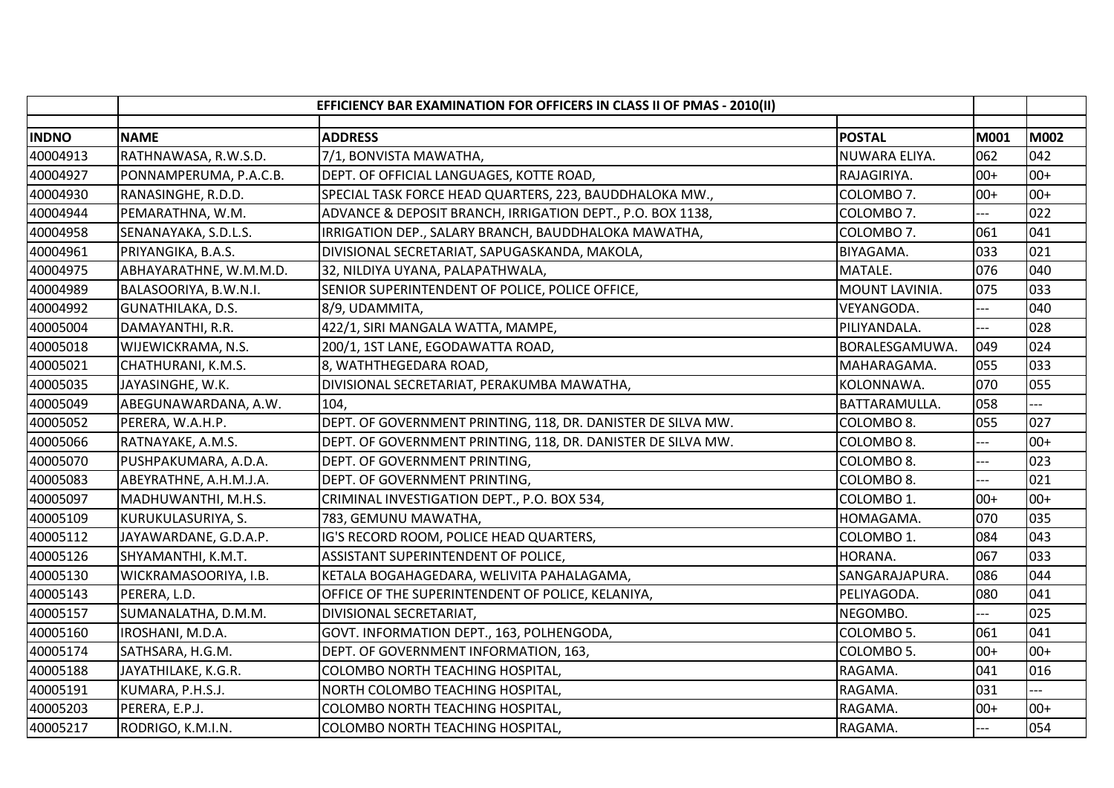|              |                        | EFFICIENCY BAR EXAMINATION FOR OFFICERS IN CLASS II OF PMAS - 2010(II) |                |                |       |
|--------------|------------------------|------------------------------------------------------------------------|----------------|----------------|-------|
| <b>INDNO</b> | <b>NAME</b>            | <b>ADDRESS</b>                                                         | <b>POSTAL</b>  | M001           | M002  |
| 40004913     | RATHNAWASA, R.W.S.D.   | 7/1, BONVISTA MAWATHA,                                                 | NUWARA ELIYA.  | 062            | 042   |
| 40004927     | PONNAMPERUMA, P.A.C.B. | DEPT. OF OFFICIAL LANGUAGES, KOTTE ROAD,                               | RAJAGIRIYA.    | $00+$          | $00+$ |
| 40004930     | RANASINGHE, R.D.D.     | SPECIAL TASK FORCE HEAD QUARTERS, 223, BAUDDHALOKA MW.,                | COLOMBO 7.     | $00+$          | $00+$ |
| 40004944     | PEMARATHNA, W.M.       | ADVANCE & DEPOSIT BRANCH, IRRIGATION DEPT., P.O. BOX 1138,             | COLOMBO 7.     |                | 022   |
| 40004958     | SENANAYAKA, S.D.L.S.   | IRRIGATION DEP., SALARY BRANCH, BAUDDHALOKA MAWATHA,                   | COLOMBO 7.     | 061            | 041   |
| 40004961     | PRIYANGIKA, B.A.S.     | DIVISIONAL SECRETARIAT, SAPUGASKANDA, MAKOLA,                          | BIYAGAMA.      | 033            | 021   |
| 40004975     | ABHAYARATHNE, W.M.M.D. | 32, NILDIYA UYANA, PALAPATHWALA,                                       | MATALE.        | 076            | 040   |
| 40004989     | BALASOORIYA, B.W.N.I.  | SENIOR SUPERINTENDENT OF POLICE, POLICE OFFICE,                        | MOUNT LAVINIA. | 075            | 033   |
| 40004992     | GUNATHILAKA, D.S.      | 8/9, UDAMMITA,                                                         | VEYANGODA.     | ---            | 040   |
| 40005004     | DAMAYANTHI, R.R.       | 422/1, SIRI MANGALA WATTA, MAMPE,                                      | PILIYANDALA.   | ---            | 028   |
| 40005018     | WIJEWICKRAMA, N.S.     | 200/1, 1ST LANE, EGODAWATTA ROAD,                                      | BORALESGAMUWA. | 049            | 024   |
| 40005021     | CHATHURANI, K.M.S.     | 8, WATHTHEGEDARA ROAD,                                                 | MAHARAGAMA.    | 055            | 033   |
| 40005035     | JAYASINGHE, W.K.       | DIVISIONAL SECRETARIAT, PERAKUMBA MAWATHA,                             | KOLONNAWA.     | 070            | 055   |
| 40005049     | ABEGUNAWARDANA, A.W.   | 104,                                                                   | BATTARAMULLA.  | 058            |       |
| 40005052     | PERERA, W.A.H.P.       | DEPT. OF GOVERNMENT PRINTING, 118, DR. DANISTER DE SILVA MW.           | COLOMBO 8.     | 055            | 027   |
| 40005066     | RATNAYAKE, A.M.S.      | DEPT. OF GOVERNMENT PRINTING, 118, DR. DANISTER DE SILVA MW.           | COLOMBO 8.     | $---$          | $00+$ |
| 40005070     | PUSHPAKUMARA, A.D.A.   | DEPT. OF GOVERNMENT PRINTING,                                          | COLOMBO 8.     | $---$          | 023   |
| 40005083     | ABEYRATHNE, A.H.M.J.A. | DEPT. OF GOVERNMENT PRINTING,                                          | COLOMBO 8.     |                | 021   |
| 40005097     | MADHUWANTHI, M.H.S.    | CRIMINAL INVESTIGATION DEPT., P.O. BOX 534,                            | COLOMBO 1.     | $00+$          | $00+$ |
| 40005109     | KURUKULASURIYA, S.     | 783, GEMUNU MAWATHA,                                                   | HOMAGAMA.      | 070            | 035   |
| 40005112     | JAYAWARDANE, G.D.A.P.  | IG'S RECORD ROOM, POLICE HEAD QUARTERS,                                | COLOMBO 1.     | 084            | 043   |
| 40005126     | SHYAMANTHI, K.M.T.     | ASSISTANT SUPERINTENDENT OF POLICE,                                    | HORANA.        | 067            | 033   |
| 40005130     | WICKRAMASOORIYA, I.B.  | KETALA BOGAHAGEDARA, WELIVITA PAHALAGAMA,                              | SANGARAJAPURA. | 086            | 044   |
| 40005143     | PERERA, L.D.           | OFFICE OF THE SUPERINTENDENT OF POLICE, KELANIYA,                      | PELIYAGODA.    | 080            | 041   |
| 40005157     | SUMANALATHA, D.M.M.    | DIVISIONAL SECRETARIAT,                                                | NEGOMBO.       | ---            | 025   |
| 40005160     | IROSHANI, M.D.A.       | GOVT. INFORMATION DEPT., 163, POLHENGODA,                              | COLOMBO 5.     | 061            | 041   |
| 40005174     | SATHSARA, H.G.M.       | DEPT. OF GOVERNMENT INFORMATION, 163,                                  | COLOMBO 5.     | $00+$          | $00+$ |
| 40005188     | JAYATHILAKE, K.G.R.    | COLOMBO NORTH TEACHING HOSPITAL,                                       | RAGAMA.        | 041            | 016   |
| 40005191     | KUMARA, P.H.S.J.       | NORTH COLOMBO TEACHING HOSPITAL,                                       | RAGAMA.        | 031            |       |
| 40005203     | PERERA, E.P.J.         | COLOMBO NORTH TEACHING HOSPITAL,                                       | RAGAMA.        | $00+$          | $00+$ |
| 40005217     | RODRIGO, K.M.I.N.      | COLOMBO NORTH TEACHING HOSPITAL,                                       | RAGAMA.        | $\overline{a}$ | 054   |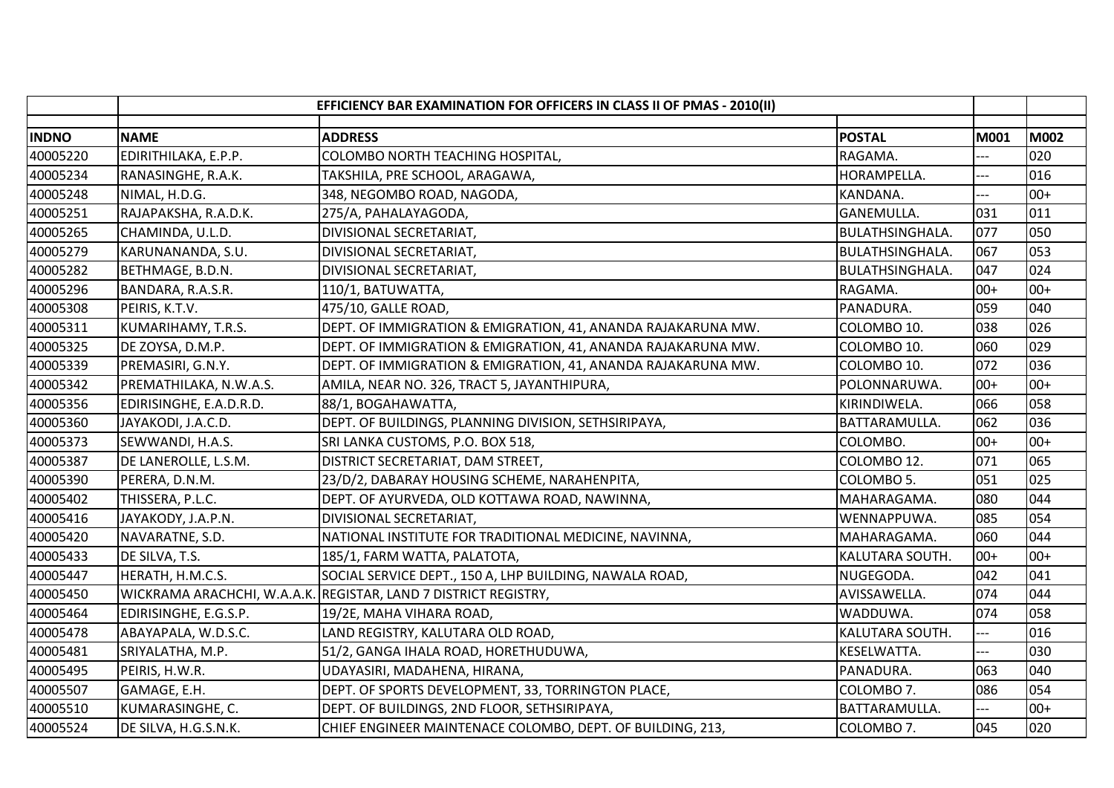|              |                             | EFFICIENCY BAR EXAMINATION FOR OFFICERS IN CLASS II OF PMAS - 2010(II) |                        |             |             |
|--------------|-----------------------------|------------------------------------------------------------------------|------------------------|-------------|-------------|
| <b>INDNO</b> | <b>NAME</b>                 | <b>ADDRESS</b>                                                         | <b>POSTAL</b>          | <b>M001</b> | <b>M002</b> |
| 40005220     | EDIRITHILAKA, E.P.P.        | COLOMBO NORTH TEACHING HOSPITAL,                                       | RAGAMA.                |             | 020         |
| 40005234     | RANASINGHE, R.A.K.          | TAKSHILA, PRE SCHOOL, ARAGAWA,                                         | HORAMPELLA.            | ---         | 016         |
| 40005248     | NIMAL, H.D.G.               | 348, NEGOMBO ROAD, NAGODA,                                             | KANDANA.               | ---         | $00+$       |
| 40005251     | RAJAPAKSHA, R.A.D.K.        | 275/A, PAHALAYAGODA,                                                   | <b>GANEMULLA.</b>      | 031         | 011         |
| 40005265     | CHAMINDA, U.L.D.            | DIVISIONAL SECRETARIAT,                                                | <b>BULATHSINGHALA.</b> | 077         | 050         |
| 40005279     | KARUNANANDA, S.U.           | DIVISIONAL SECRETARIAT,                                                | <b>BULATHSINGHALA.</b> | 067         | 053         |
| 40005282     | BETHMAGE, B.D.N.            | DIVISIONAL SECRETARIAT,                                                | <b>BULATHSINGHALA.</b> | 047         | 024         |
| 40005296     | BANDARA, R.A.S.R.           | 110/1, BATUWATTA,                                                      | RAGAMA.                | $00+$       | $00+$       |
| 40005308     | PEIRIS, K.T.V.              | 475/10, GALLE ROAD,                                                    | PANADURA.              | 059         | 040         |
| 40005311     | KUMARIHAMY, T.R.S.          | DEPT. OF IMMIGRATION & EMIGRATION, 41, ANANDA RAJAKARUNA MW.           | COLOMBO 10.            | 038         | 026         |
| 40005325     | DE ZOYSA, D.M.P.            | DEPT. OF IMMIGRATION & EMIGRATION, 41, ANANDA RAJAKARUNA MW.           | COLOMBO 10.            | 060         | 029         |
| 40005339     | PREMASIRI, G.N.Y.           | DEPT. OF IMMIGRATION & EMIGRATION, 41, ANANDA RAJAKARUNA MW.           | COLOMBO 10.            | 072         | 036         |
| 40005342     | PREMATHILAKA, N.W.A.S.      | AMILA, NEAR NO. 326, TRACT 5, JAYANTHIPURA,                            | POLONNARUWA.           | $00+$       | $00+$       |
| 40005356     | EDIRISINGHE, E.A.D.R.D.     | 88/1, BOGAHAWATTA,                                                     | KIRINDIWELA.           | 066         | 058         |
| 40005360     | JAYAKODI, J.A.C.D.          | DEPT. OF BUILDINGS, PLANNING DIVISION, SETHSIRIPAYA,                   | BATTARAMULLA.          | 062         | 036         |
| 40005373     | SEWWANDI, H.A.S.            | SRI LANKA CUSTOMS, P.O. BOX 518,                                       | COLOMBO.               | $00+$       | $00+$       |
| 40005387     | DE LANEROLLE, L.S.M.        | DISTRICT SECRETARIAT, DAM STREET,                                      | COLOMBO 12.            | 071         | 065         |
| 40005390     | PERERA, D.N.M.              | 23/D/2, DABARAY HOUSING SCHEME, NARAHENPITA,                           | COLOMBO 5.             | 051         | 025         |
| 40005402     | THISSERA, P.L.C.            | DEPT. OF AYURVEDA, OLD KOTTAWA ROAD, NAWINNA,                          | MAHARAGAMA.            | 080         | 044         |
| 40005416     | JAYAKODY, J.A.P.N.          | DIVISIONAL SECRETARIAT,                                                | WENNAPPUWA.            | 085         | 054         |
| 40005420     | NAVARATNE, S.D.             | NATIONAL INSTITUTE FOR TRADITIONAL MEDICINE, NAVINNA,                  | MAHARAGAMA.            | 060         | 044         |
| 40005433     | DE SILVA, T.S.              | 185/1, FARM WATTA, PALATOTA,                                           | KALUTARA SOUTH.        | $00+$       | $00+$       |
| 40005447     | HERATH, H.M.C.S.            | SOCIAL SERVICE DEPT., 150 A, LHP BUILDING, NAWALA ROAD,                | NUGEGODA.              | 042         | 041         |
| 40005450     | WICKRAMA ARACHCHI, W.A.A.K. | <b>REGISTAR, LAND 7 DISTRICT REGISTRY,</b>                             | AVISSAWELLA.           | 074         | 044         |
| 40005464     | EDIRISINGHE, E.G.S.P.       | 19/2E, MAHA VIHARA ROAD,                                               | WADDUWA.               | 074         | 058         |
| 40005478     | ABAYAPALA, W.D.S.C.         | LAND REGISTRY, KALUTARA OLD ROAD,                                      | KALUTARA SOUTH.        | ---         | 016         |
| 40005481     | SRIYALATHA, M.P.            | 51/2, GANGA IHALA ROAD, HORETHUDUWA,                                   | KESELWATTA.            |             | 030         |
| 40005495     | PEIRIS, H.W.R.              | UDAYASIRI, MADAHENA, HIRANA,                                           | PANADURA.              | 063         | 040         |
| 40005507     | GAMAGE, E.H.                | DEPT. OF SPORTS DEVELOPMENT, 33, TORRINGTON PLACE,                     | COLOMBO 7.             | 086         | 054         |
| 40005510     | KUMARASINGHE, C.            | DEPT. OF BUILDINGS, 2ND FLOOR, SETHSIRIPAYA,                           | BATTARAMULLA.          | $---$       | $00+$       |
| 40005524     | DE SILVA, H.G.S.N.K.        | CHIEF ENGINEER MAINTENACE COLOMBO, DEPT. OF BUILDING, 213,             | COLOMBO 7.             | 045         | 020         |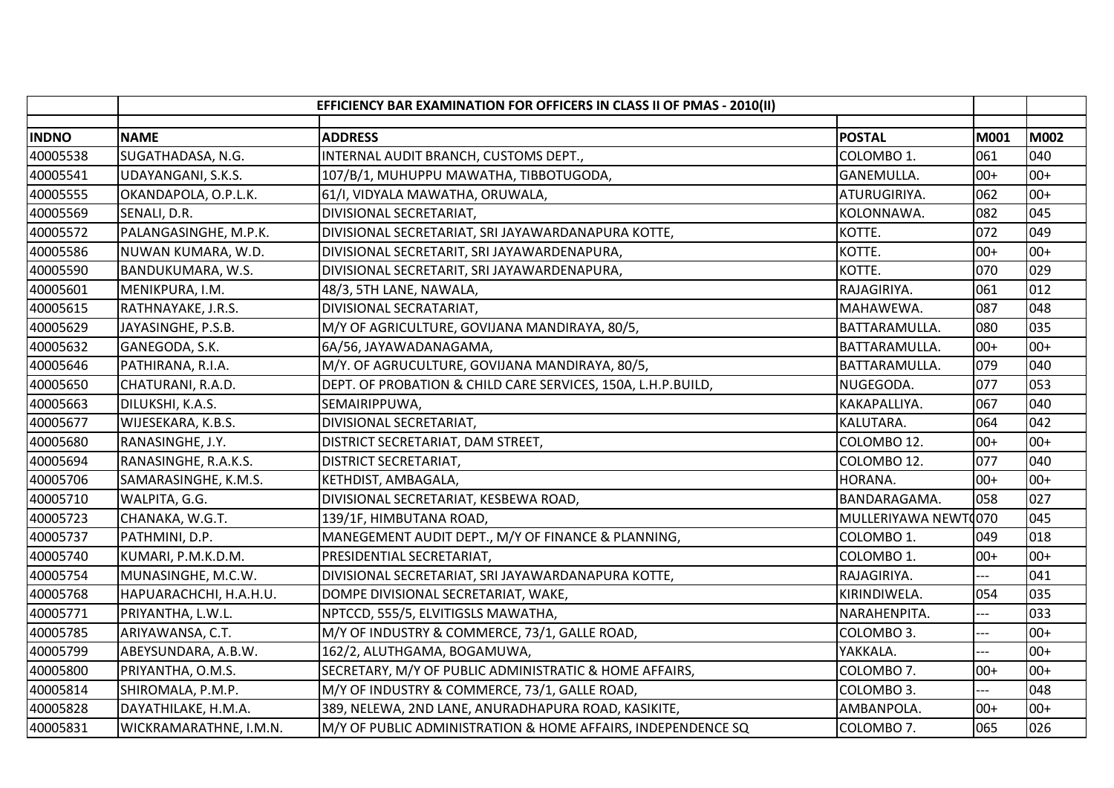|              |                        | EFFICIENCY BAR EXAMINATION FOR OFFICERS IN CLASS II OF PMAS - 2010(II) |                      |       |       |
|--------------|------------------------|------------------------------------------------------------------------|----------------------|-------|-------|
| <b>INDNO</b> | <b>NAME</b>            | <b>ADDRESS</b>                                                         | <b>POSTAL</b>        | M001  | M002  |
| 40005538     | SUGATHADASA, N.G.      | INTERNAL AUDIT BRANCH, CUSTOMS DEPT.,                                  | COLOMBO 1.           | 061   | 040   |
| 40005541     | UDAYANGANI, S.K.S.     | 107/B/1, MUHUPPU MAWATHA, TIBBOTUGODA,                                 | GANEMULLA.           | $00+$ | $00+$ |
| 40005555     | OKANDAPOLA, O.P.L.K.   | 61/I, VIDYALA MAWATHA, ORUWALA,                                        | ATURUGIRIYA.         | 062   | $00+$ |
| 40005569     | SENALI, D.R.           | DIVISIONAL SECRETARIAT,                                                | KOLONNAWA.           | 082   | 045   |
| 40005572     | PALANGASINGHE, M.P.K.  | DIVISIONAL SECRETARIAT, SRI JAYAWARDANAPURA KOTTE,                     | KOTTE.               | 072   | 049   |
| 40005586     | NUWAN KUMARA, W.D.     | DIVISIONAL SECRETARIT, SRI JAYAWARDENAPURA,                            | KOTTE.               | $00+$ | $00+$ |
| 40005590     | BANDUKUMARA, W.S.      | DIVISIONAL SECRETARIT, SRI JAYAWARDENAPURA,                            | KOTTE.               | 070   | 029   |
| 40005601     | MENIKPURA, I.M.        | 48/3, 5TH LANE, NAWALA,                                                | RAJAGIRIYA.          | 061   | 012   |
| 40005615     | RATHNAYAKE, J.R.S.     | DIVISIONAL SECRATARIAT,                                                | MAHAWEWA.            | 087   | 048   |
| 40005629     | JAYASINGHE, P.S.B.     | M/Y OF AGRICULTURE, GOVIJANA MANDIRAYA, 80/5,                          | BATTARAMULLA.        | 080   | 035   |
| 40005632     | GANEGODA, S.K.         | 6A/56, JAYAWADANAGAMA,                                                 | BATTARAMULLA.        | $00+$ | $00+$ |
| 40005646     | PATHIRANA, R.I.A.      | M/Y. OF AGRUCULTURE, GOVIJANA MANDIRAYA, 80/5,                         | BATTARAMULLA.        | 079   | 040   |
| 40005650     | CHATURANI, R.A.D.      | DEPT. OF PROBATION & CHILD CARE SERVICES, 150A, L.H.P.BUILD,           | NUGEGODA.            | 077   | 053   |
| 40005663     | DILUKSHI, K.A.S.       | SEMAIRIPPUWA,                                                          | KAKAPALLIYA.         | 067   | 040   |
| 40005677     | WIJESEKARA, K.B.S.     | DIVISIONAL SECRETARIAT,                                                | KALUTARA.            | 064   | 042   |
| 40005680     | RANASINGHE, J.Y.       | DISTRICT SECRETARIAT, DAM STREET,                                      | COLOMBO 12.          | $00+$ | $00+$ |
| 40005694     | RANASINGHE, R.A.K.S.   | <b>DISTRICT SECRETARIAT,</b>                                           | COLOMBO 12.          | 077   | 040   |
| 40005706     | SAMARASINGHE, K.M.S.   | KETHDIST, AMBAGALA,                                                    | HORANA.              | $00+$ | $00+$ |
| 40005710     | WALPITA, G.G.          | DIVISIONAL SECRETARIAT, KESBEWA ROAD,                                  | BANDARAGAMA.         | 058   | 027   |
| 40005723     | CHANAKA, W.G.T.        | 139/1F, HIMBUTANA ROAD,                                                | MULLERIYAWA NEWT0070 |       | 045   |
| 40005737     | PATHMINI, D.P.         | MANEGEMENT AUDIT DEPT., M/Y OF FINANCE & PLANNING,                     | COLOMBO 1.           | 049   | 018   |
| 40005740     | KUMARI, P.M.K.D.M.     | PRESIDENTIAL SECRETARIAT,                                              | COLOMBO 1.           | $00+$ | $00+$ |
| 40005754     | MUNASINGHE, M.C.W.     | DIVISIONAL SECRETARIAT, SRI JAYAWARDANAPURA KOTTE,                     | RAJAGIRIYA.          |       | 041   |
| 40005768     | HAPUARACHCHI, H.A.H.U. | DOMPE DIVISIONAL SECRETARIAT, WAKE,                                    | KIRINDIWELA.         | 054   | 035   |
| 40005771     | PRIYANTHA, L.W.L.      | NPTCCD, 555/5, ELVITIGSLS MAWATHA,                                     | NARAHENPITA.         |       | 033   |
| 40005785     | ARIYAWANSA, C.T.       | M/Y OF INDUSTRY & COMMERCE, 73/1, GALLE ROAD,                          | COLOMBO 3.           | ---   | $00+$ |
| 40005799     | ABEYSUNDARA, A.B.W.    | 162/2, ALUTHGAMA, BOGAMUWA,                                            | YAKKALA.             | ---   | $00+$ |
| 40005800     | PRIYANTHA, O.M.S.      | SECRETARY, M/Y OF PUBLIC ADMINISTRATIC & HOME AFFAIRS,                 | COLOMBO 7.           | $00+$ | $00+$ |
| 40005814     | SHIROMALA, P.M.P.      | M/Y OF INDUSTRY & COMMERCE, 73/1, GALLE ROAD,                          | COLOMBO 3.           |       | 048   |
| 40005828     | DAYATHILAKE, H.M.A.    | 389, NELEWA, 2ND LANE, ANURADHAPURA ROAD, KASIKITE,                    | AMBANPOLA.           | $00+$ | $00+$ |
| 40005831     | WICKRAMARATHNE, I.M.N. | M/Y OF PUBLIC ADMINISTRATION & HOME AFFAIRS, INDEPENDENCE SQ           | COLOMBO 7.           | 065   | 026   |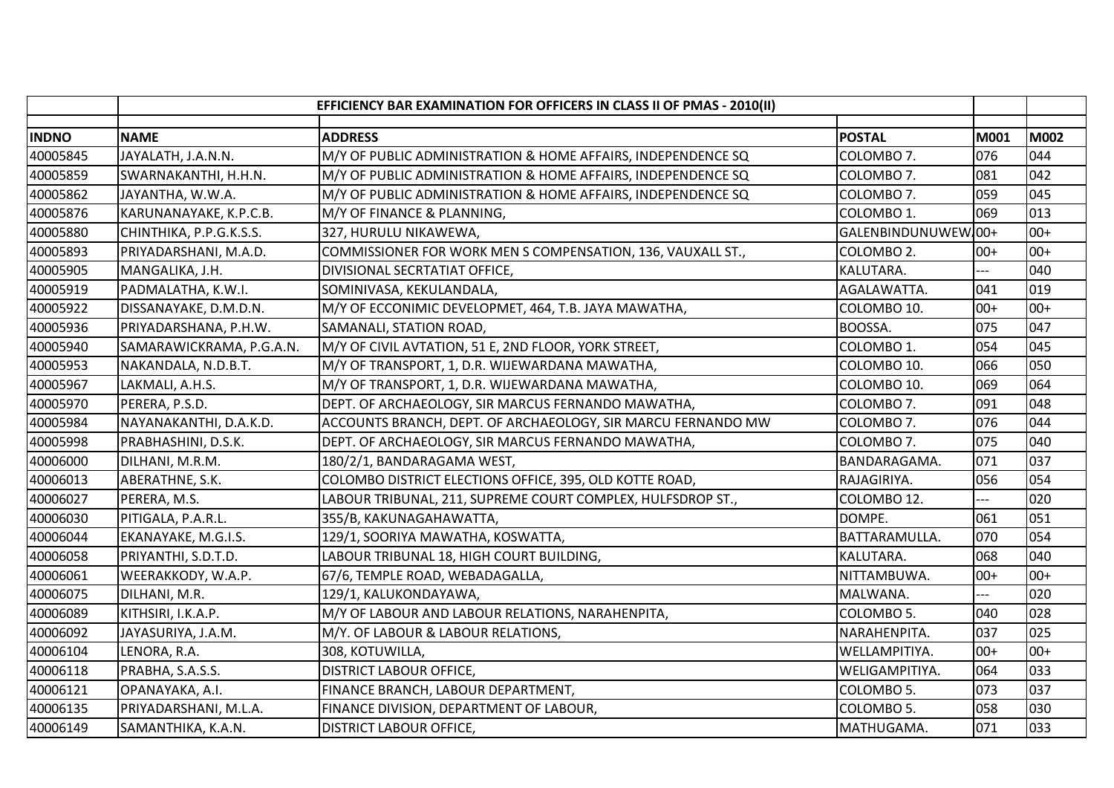|              | EFFICIENCY BAR EXAMINATION FOR OFFICERS IN CLASS II OF PMAS - 2010(II) |                                                                                       |       |             |  |
|--------------|------------------------------------------------------------------------|---------------------------------------------------------------------------------------|-------|-------------|--|
| <b>INDNO</b> | <b>NAME</b>                                                            | <b>ADDRESS</b><br><b>POSTAL</b>                                                       | M001  | <b>M002</b> |  |
| 40005845     | JAYALATH, J.A.N.N.                                                     | M/Y OF PUBLIC ADMINISTRATION & HOME AFFAIRS, INDEPENDENCE SQ<br>COLOMBO 7.            | 076   | 044         |  |
| 40005859     | SWARNAKANTHI, H.H.N.                                                   | M/Y OF PUBLIC ADMINISTRATION & HOME AFFAIRS, INDEPENDENCE SQ<br>COLOMBO 7.            | 081   | 042         |  |
| 40005862     | JAYANTHA, W.W.A.                                                       | M/Y OF PUBLIC ADMINISTRATION & HOME AFFAIRS, INDEPENDENCE SQ<br>COLOMBO 7.            | 059   | 045         |  |
| 40005876     | KARUNANAYAKE, K.P.C.B.                                                 | M/Y OF FINANCE & PLANNING,<br>COLOMBO 1.                                              | 069   | 013         |  |
| 40005880     | CHINTHIKA, P.P.G.K.S.S.                                                | GALENBINDUNUWEW 00+<br>327, HURULU NIKAWEWA,                                          |       | $00+$       |  |
| 40005893     | PRIYADARSHANI, M.A.D.                                                  | COMMISSIONER FOR WORK MEN S COMPENSATION, 136, VAUXALL ST.,<br>COLOMBO <sub>2</sub> . | $00+$ | $00+$       |  |
| 40005905     | MANGALIKA, J.H.                                                        | DIVISIONAL SECRTATIAT OFFICE,<br>KALUTARA.                                            | $---$ | 040         |  |
| 40005919     | PADMALATHA, K.W.I.                                                     | SOMINIVASA, KEKULANDALA,<br>AGALAWATTA.                                               | 041   | 019         |  |
| 40005922     | DISSANAYAKE, D.M.D.N.                                                  | M/Y OF ECCONIMIC DEVELOPMET, 464, T.B. JAYA MAWATHA,<br>COLOMBO 10.                   | $00+$ | $00+$       |  |
| 40005936     | PRIYADARSHANA, P.H.W.                                                  | BOOSSA.<br>SAMANALI, STATION ROAD,                                                    | 075   | 047         |  |
| 40005940     | SAMARAWICKRAMA, P.G.A.N.                                               | M/Y OF CIVIL AVTATION, 51 E, 2ND FLOOR, YORK STREET,<br>COLOMBO 1.                    | 054   | 045         |  |
| 40005953     | NAKANDALA, N.D.B.T.                                                    | M/Y OF TRANSPORT, 1, D.R. WIJEWARDANA MAWATHA,<br>COLOMBO 10.                         | 066   | 050         |  |
| 40005967     | LAKMALI, A.H.S.                                                        | M/Y OF TRANSPORT, 1, D.R. WIJEWARDANA MAWATHA,<br>COLOMBO 10.                         | 069   | 064         |  |
| 40005970     | PERERA, P.S.D.                                                         | DEPT. OF ARCHAEOLOGY, SIR MARCUS FERNANDO MAWATHA,<br>COLOMBO 7.                      | 091   | 048         |  |
| 40005984     | NAYANAKANTHI, D.A.K.D.                                                 | ACCOUNTS BRANCH, DEPT. OF ARCHAEOLOGY, SIR MARCU FERNANDO MW<br>COLOMBO 7.            | 076   | 044         |  |
| 40005998     | PRABHASHINI, D.S.K.                                                    | DEPT. OF ARCHAEOLOGY, SIR MARCUS FERNANDO MAWATHA,<br>COLOMBO 7.                      | 075   | 040         |  |
| 40006000     | DILHANI, M.R.M.                                                        | 180/2/1, BANDARAGAMA WEST,<br>BANDARAGAMA.                                            | 071   | 037         |  |
| 40006013     | ABERATHNE, S.K.                                                        | COLOMBO DISTRICT ELECTIONS OFFICE, 395, OLD KOTTE ROAD,<br>RAJAGIRIYA.                | 056   | 054         |  |
| 40006027     | PERERA, M.S.                                                           | LABOUR TRIBUNAL, 211, SUPREME COURT COMPLEX, HULFSDROP ST.,<br>COLOMBO 12.            |       | 020         |  |
| 40006030     | PITIGALA, P.A.R.L.                                                     | 355/B, KAKUNAGAHAWATTA,<br>DOMPE.                                                     | 061   | 051         |  |
| 40006044     | EKANAYAKE, M.G.I.S.                                                    | 129/1, SOORIYA MAWATHA, KOSWATTA,<br>BATTARAMULLA.                                    | 070   | 054         |  |
| 40006058     | PRIYANTHI, S.D.T.D.                                                    | LABOUR TRIBUNAL 18, HIGH COURT BUILDING,<br>KALUTARA.                                 | 068   | 040         |  |
| 40006061     | WEERAKKODY, W.A.P.                                                     | 67/6, TEMPLE ROAD, WEBADAGALLA,<br>NITTAMBUWA.                                        | $00+$ | $00+$       |  |
| 40006075     | DILHANI, M.R.                                                          | 129/1, KALUKONDAYAWA,<br>MALWANA.                                                     |       | 020         |  |
| 40006089     | KITHSIRI, I.K.A.P.                                                     | M/Y OF LABOUR AND LABOUR RELATIONS, NARAHENPITA,<br>COLOMBO 5.                        | 040   | 028         |  |
| 40006092     | JAYASURIYA, J.A.M.                                                     | M/Y. OF LABOUR & LABOUR RELATIONS,<br>NARAHENPITA.                                    | 037   | 025         |  |
| 40006104     | LENORA, R.A.                                                           | 308, KOTUWILLA,<br>WELLAMPITIYA.                                                      | $00+$ | $00+$       |  |
| 40006118     | PRABHA, S.A.S.S.                                                       | DISTRICT LABOUR OFFICE,<br>WELIGAMPITIYA.                                             | 064   | 033         |  |
| 40006121     | OPANAYAKA, A.I.                                                        | FINANCE BRANCH, LABOUR DEPARTMENT,<br>COLOMBO 5.                                      | 073   | 037         |  |
| 40006135     | PRIYADARSHANI, M.L.A.                                                  | FINANCE DIVISION, DEPARTMENT OF LABOUR,<br>COLOMBO 5.                                 | 058   | 030         |  |
| 40006149     | SAMANTHIKA, K.A.N.                                                     | MATHUGAMA.<br><b>DISTRICT LABOUR OFFICE,</b>                                          | 071   | 033         |  |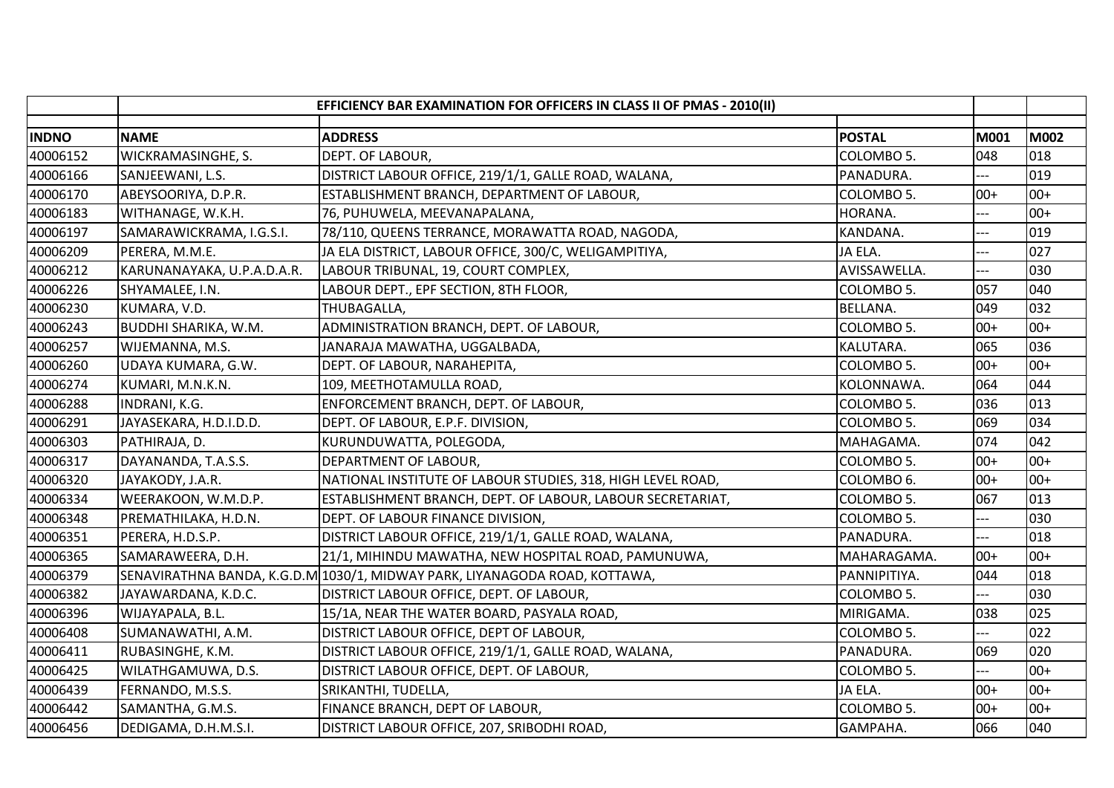|              | EFFICIENCY BAR EXAMINATION FOR OFFICERS IN CLASS II OF PMAS - 2010(II) |                                                                            |                 |       |             |
|--------------|------------------------------------------------------------------------|----------------------------------------------------------------------------|-----------------|-------|-------------|
| <b>INDNO</b> | <b>NAME</b>                                                            | <b>ADDRESS</b>                                                             | <b>POSTAL</b>   | M001  | <b>M002</b> |
| 40006152     | WICKRAMASINGHE, S.                                                     | DEPT. OF LABOUR,                                                           | COLOMBO 5.      | 048   | 018         |
| 40006166     | SANJEEWANI, L.S.                                                       | DISTRICT LABOUR OFFICE, 219/1/1, GALLE ROAD, WALANA,                       | PANADURA.       | ---   | 019         |
| 40006170     | ABEYSOORIYA, D.P.R.                                                    | ESTABLISHMENT BRANCH, DEPARTMENT OF LABOUR,                                | COLOMBO 5.      | $00+$ | $00+$       |
| 40006183     | WITHANAGE, W.K.H.                                                      | 76, PUHUWELA, MEEVANAPALANA,                                               | HORANA.         | ---   | $00+$       |
| 40006197     | SAMARAWICKRAMA, I.G.S.I.                                               | 78/110, QUEENS TERRANCE, MORAWATTA ROAD, NAGODA,                           | KANDANA.        | ---   | 019         |
| 40006209     | PERERA, M.M.E.                                                         | JA ELA DISTRICT, LABOUR OFFICE, 300/C, WELIGAMPITIYA,                      | JA ELA.         | ---   | 027         |
| 40006212     | KARUNANAYAKA, U.P.A.D.A.R.                                             | LABOUR TRIBUNAL, 19, COURT COMPLEX,                                        | AVISSAWELLA.    | $-$   | 030         |
| 40006226     | SHYAMALEE, I.N.                                                        | LABOUR DEPT., EPF SECTION, 8TH FLOOR,                                      | COLOMBO 5.      | 057   | 040         |
| 40006230     | KUMARA, V.D.                                                           | THUBAGALLA,                                                                | <b>BELLANA.</b> | 049   | 032         |
| 40006243     | BUDDHI SHARIKA, W.M.                                                   | ADMINISTRATION BRANCH, DEPT. OF LABOUR,                                    | COLOMBO 5.      | $00+$ | $00+$       |
| 40006257     | WIJEMANNA, M.S.                                                        | JANARAJA MAWATHA, UGGALBADA,                                               | KALUTARA.       | 065   | 036         |
| 40006260     | UDAYA KUMARA, G.W.                                                     | DEPT. OF LABOUR, NARAHEPITA,                                               | COLOMBO 5.      | $00+$ | $00+$       |
| 40006274     | KUMARI, M.N.K.N.                                                       | 109, MEETHOTAMULLA ROAD,                                                   | KOLONNAWA.      | 064   | 044         |
| 40006288     | INDRANI, K.G.                                                          | ENFORCEMENT BRANCH, DEPT. OF LABOUR,                                       | COLOMBO 5.      | 036   | 013         |
| 40006291     | JAYASEKARA, H.D.I.D.D.                                                 | DEPT. OF LABOUR, E.P.F. DIVISION,                                          | COLOMBO 5.      | 069   | 034         |
| 40006303     | PATHIRAJA, D.                                                          | KURUNDUWATTA, POLEGODA,                                                    | MAHAGAMA.       | 074   | 042         |
| 40006317     | DAYANANDA, T.A.S.S.                                                    | DEPARTMENT OF LABOUR,                                                      | COLOMBO 5.      | $00+$ | $00+$       |
| 40006320     | JAYAKODY, J.A.R.                                                       | NATIONAL INSTITUTE OF LABOUR STUDIES, 318, HIGH LEVEL ROAD,                | COLOMBO 6.      | $00+$ | $00+$       |
| 40006334     | WEERAKOON, W.M.D.P.                                                    | ESTABLISHMENT BRANCH, DEPT. OF LABOUR, LABOUR SECRETARIAT,                 | COLOMBO 5.      | 067   | 013         |
| 40006348     | PREMATHILAKA, H.D.N.                                                   | DEPT. OF LABOUR FINANCE DIVISION,                                          | COLOMBO 5.      | ---   | 030         |
| 40006351     | PERERA, H.D.S.P.                                                       | DISTRICT LABOUR OFFICE, 219/1/1, GALLE ROAD, WALANA,                       | PANADURA.       | ---   | 018         |
| 40006365     | SAMARAWEERA, D.H.                                                      | 21/1, MIHINDU MAWATHA, NEW HOSPITAL ROAD, PAMUNUWA,                        | MAHARAGAMA.     | $00+$ | $00+$       |
| 40006379     |                                                                        | SENAVIRATHNA BANDA, K.G.D.M 1030/1, MIDWAY PARK, LIYANAGODA ROAD, KOTTAWA, | PANNIPITIYA.    | 044   | 018         |
| 40006382     | JAYAWARDANA, K.D.C.                                                    | DISTRICT LABOUR OFFICE, DEPT. OF LABOUR,                                   | COLOMBO 5.      |       | 030         |
| 40006396     | WIJAYAPALA, B.L.                                                       | 15/1A, NEAR THE WATER BOARD, PASYALA ROAD,                                 | MIRIGAMA.       | 038   | 025         |
| 40006408     | SUMANAWATHI, A.M.                                                      | DISTRICT LABOUR OFFICE, DEPT OF LABOUR,                                    | COLOMBO 5.      | ---   | 022         |
| 40006411     | RUBASINGHE, K.M.                                                       | DISTRICT LABOUR OFFICE, 219/1/1, GALLE ROAD, WALANA,                       | PANADURA.       | 069   | 020         |
| 40006425     | WILATHGAMUWA, D.S.                                                     | DISTRICT LABOUR OFFICE, DEPT. OF LABOUR,                                   | COLOMBO 5.      | ---   | $00+$       |
| 40006439     | FERNANDO, M.S.S.                                                       | SRIKANTHI, TUDELLA,                                                        | JA ELA.         | $00+$ | $00+$       |
| 40006442     | SAMANTHA, G.M.S.                                                       | FINANCE BRANCH, DEPT OF LABOUR,                                            | COLOMBO 5.      | $00+$ | $00+$       |
| 40006456     | DEDIGAMA, D.H.M.S.I.                                                   | DISTRICT LABOUR OFFICE, 207, SRIBODHI ROAD,                                | GAMPAHA.        | 066   | 040         |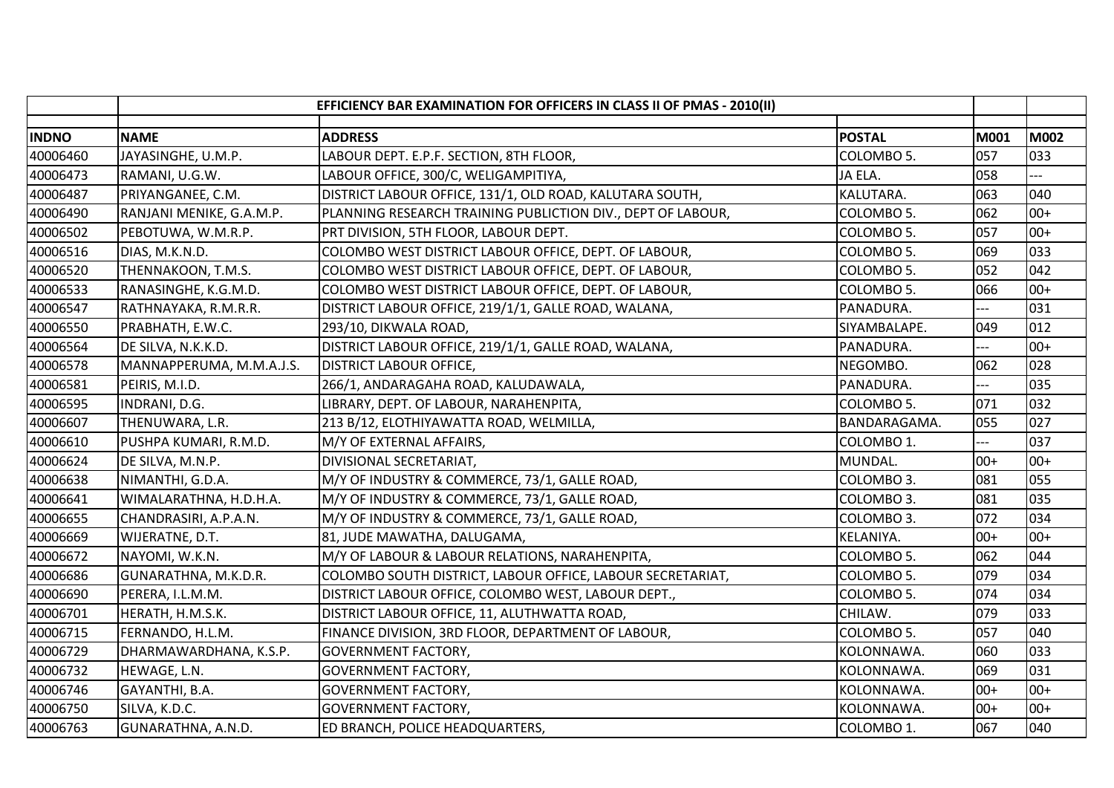|              |                          | EFFICIENCY BAR EXAMINATION FOR OFFICERS IN CLASS II OF PMAS - 2010(II) |               |                |       |
|--------------|--------------------------|------------------------------------------------------------------------|---------------|----------------|-------|
| <b>INDNO</b> | <b>NAME</b>              | <b>ADDRESS</b>                                                         | <b>POSTAL</b> | M001           | M002  |
| 40006460     | JAYASINGHE, U.M.P.       | LABOUR DEPT. E.P.F. SECTION, 8TH FLOOR,                                | COLOMBO 5.    | 057            | 033   |
| 40006473     | RAMANI, U.G.W.           | LABOUR OFFICE, 300/C, WELIGAMPITIYA,                                   | JA ELA.       | 058            | $-$   |
| 40006487     | PRIYANGANEE, C.M.        | DISTRICT LABOUR OFFICE, 131/1, OLD ROAD, KALUTARA SOUTH,               | KALUTARA.     | 063            | 040   |
| 40006490     | RANJANI MENIKE, G.A.M.P. | PLANNING RESEARCH TRAINING PUBLICTION DIV., DEPT OF LABOUR,            | COLOMBO 5.    | 062            | $00+$ |
| 40006502     | PEBOTUWA, W.M.R.P.       | PRT DIVISION, 5TH FLOOR, LABOUR DEPT.                                  | COLOMBO 5.    | 057            | $00+$ |
| 40006516     | DIAS, M.K.N.D.           | COLOMBO WEST DISTRICT LABOUR OFFICE, DEPT. OF LABOUR,                  | COLOMBO 5.    | 069            | 033   |
| 40006520     | THENNAKOON, T.M.S.       | COLOMBO WEST DISTRICT LABOUR OFFICE, DEPT. OF LABOUR,                  | COLOMBO 5.    | 052            | 042   |
| 40006533     | RANASINGHE, K.G.M.D.     | COLOMBO WEST DISTRICT LABOUR OFFICE, DEPT. OF LABOUR,                  | COLOMBO 5.    | 066            | $00+$ |
| 40006547     | RATHNAYAKA, R.M.R.R.     | DISTRICT LABOUR OFFICE, 219/1/1, GALLE ROAD, WALANA,                   | PANADURA.     | $\overline{a}$ | 031   |
| 40006550     | PRABHATH, E.W.C.         | 293/10, DIKWALA ROAD,                                                  | SIYAMBALAPE.  | 049            | 012   |
| 40006564     | DE SILVA, N.K.K.D.       | DISTRICT LABOUR OFFICE, 219/1/1, GALLE ROAD, WALANA,                   | PANADURA.     | ---            | $00+$ |
| 40006578     | MANNAPPERUMA, M.M.A.J.S. | <b>DISTRICT LABOUR OFFICE,</b>                                         | NEGOMBO.      | 062            | 028   |
| 40006581     | PEIRIS, M.I.D.           | 266/1, ANDARAGAHA ROAD, KALUDAWALA,                                    | PANADURA.     |                | 035   |
| 40006595     | INDRANI, D.G.            | LIBRARY, DEPT. OF LABOUR, NARAHENPITA,                                 | COLOMBO 5.    | 071            | 032   |
| 40006607     | THENUWARA, L.R.          | 213 B/12, ELOTHIYAWATTA ROAD, WELMILLA,                                | BANDARAGAMA.  | 055            | 027   |
| 40006610     | PUSHPA KUMARI, R.M.D.    | M/Y OF EXTERNAL AFFAIRS,                                               | COLOMBO 1.    | ---            | 037   |
| 40006624     | DE SILVA, M.N.P.         | DIVISIONAL SECRETARIAT,                                                | MUNDAL.       | $00+$          | $00+$ |
| 40006638     | NIMANTHI, G.D.A.         | M/Y OF INDUSTRY & COMMERCE, 73/1, GALLE ROAD,                          | COLOMBO 3.    | 081            | 055   |
| 40006641     | WIMALARATHNA, H.D.H.A.   | M/Y OF INDUSTRY & COMMERCE, 73/1, GALLE ROAD,                          | COLOMBO 3.    | 081            | 035   |
| 40006655     | CHANDRASIRI, A.P.A.N.    | M/Y OF INDUSTRY & COMMERCE, 73/1, GALLE ROAD,                          | COLOMBO 3.    | 072            | 034   |
| 40006669     | WIJERATNE, D.T.          | 81, JUDE MAWATHA, DALUGAMA,                                            | KELANIYA.     | $00+$          | $00+$ |
| 40006672     | NAYOMI, W.K.N.           | M/Y OF LABOUR & LABOUR RELATIONS, NARAHENPITA,                         | COLOMBO 5.    | 062            | 044   |
| 40006686     | GUNARATHNA, M.K.D.R.     | COLOMBO SOUTH DISTRICT, LABOUR OFFICE, LABOUR SECRETARIAT,             | COLOMBO 5.    | 079            | 034   |
| 40006690     | PERERA, I.L.M.M.         | DISTRICT LABOUR OFFICE, COLOMBO WEST, LABOUR DEPT.,                    | COLOMBO 5.    | 074            | 034   |
| 40006701     | HERATH, H.M.S.K.         | DISTRICT LABOUR OFFICE, 11, ALUTHWATTA ROAD,                           | CHILAW.       | 079            | 033   |
| 40006715     | FERNANDO, H.L.M.         | FINANCE DIVISION, 3RD FLOOR, DEPARTMENT OF LABOUR,                     | COLOMBO 5.    | 057            | 040   |
| 40006729     | DHARMAWARDHANA, K.S.P.   | <b>GOVERNMENT FACTORY,</b>                                             | KOLONNAWA.    | 060            | 033   |
| 40006732     | HEWAGE, L.N.             | <b>GOVERNMENT FACTORY,</b>                                             | KOLONNAWA.    | 069            | 031   |
| 40006746     | GAYANTHI, B.A.           | <b>GOVERNMENT FACTORY,</b>                                             | KOLONNAWA.    | $00+$          | $00+$ |
| 40006750     | SILVA, K.D.C.            | <b>GOVERNMENT FACTORY,</b>                                             | KOLONNAWA.    | $00+$          | $00+$ |
| 40006763     | GUNARATHNA, A.N.D.       | ED BRANCH, POLICE HEADQUARTERS,                                        | COLOMBO 1.    | 067            | 040   |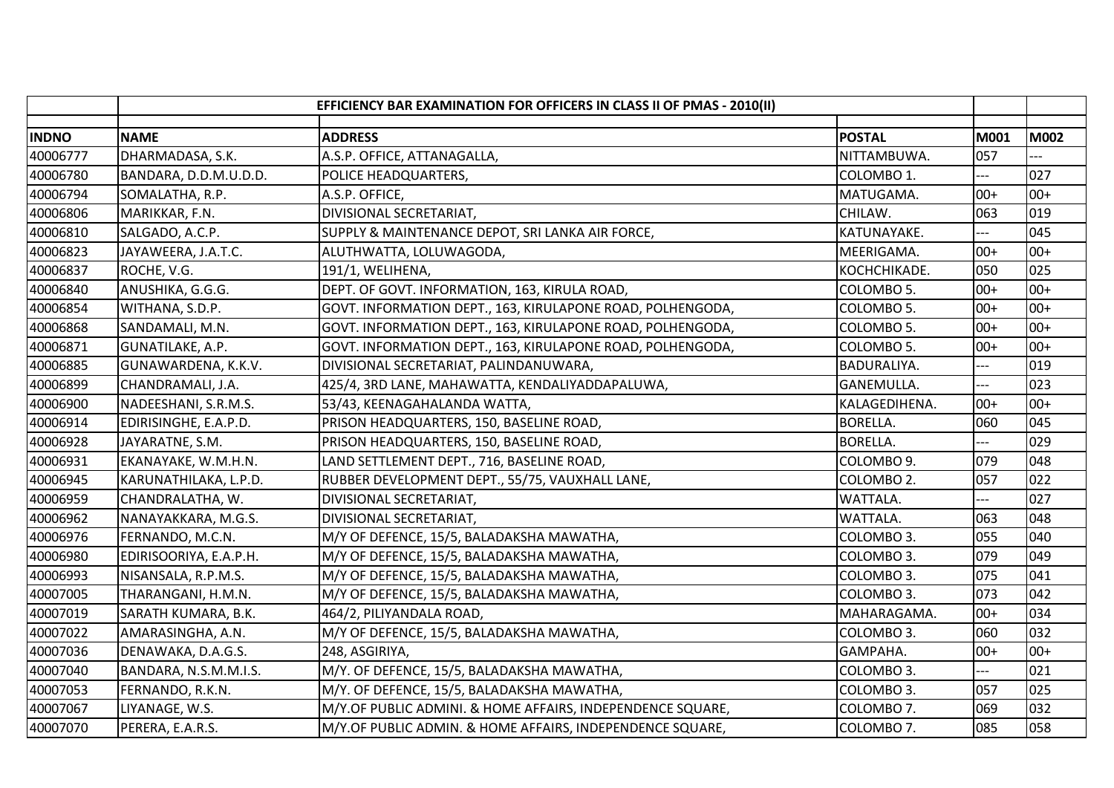|              |                        | EFFICIENCY BAR EXAMINATION FOR OFFICERS IN CLASS II OF PMAS - 2010(II) |                    |       |             |
|--------------|------------------------|------------------------------------------------------------------------|--------------------|-------|-------------|
| <b>INDNO</b> | <b>NAME</b>            | <b>ADDRESS</b>                                                         | <b>POSTAL</b>      | M001  | <b>M002</b> |
| 40006777     | DHARMADASA, S.K.       | A.S.P. OFFICE, ATTANAGALLA,                                            | NITTAMBUWA.        | 057   |             |
| 40006780     | BANDARA, D.D.M.U.D.D.  | POLICE HEADQUARTERS,                                                   | COLOMBO 1.         | ---   | 027         |
| 40006794     | SOMALATHA, R.P.        | A.S.P. OFFICE,                                                         | MATUGAMA.          | $00+$ | $00+$       |
| 40006806     | MARIKKAR, F.N.         | DIVISIONAL SECRETARIAT,                                                | CHILAW.            | 063   | 019         |
| 40006810     | SALGADO, A.C.P.        | SUPPLY & MAINTENANCE DEPOT, SRI LANKA AIR FORCE,                       | KATUNAYAKE.        |       | 045         |
| 40006823     | JAYAWEERA, J.A.T.C.    | ALUTHWATTA, LOLUWAGODA,                                                | MEERIGAMA.         | $00+$ | $00+$       |
| 40006837     | ROCHE, V.G.            | 191/1, WELIHENA,                                                       | KOCHCHIKADE.       | 050   | 025         |
| 40006840     | ANUSHIKA, G.G.G.       | DEPT. OF GOVT. INFORMATION, 163, KIRULA ROAD,                          | COLOMBO 5.         | $00+$ | $00+$       |
| 40006854     | WITHANA, S.D.P.        | GOVT. INFORMATION DEPT., 163, KIRULAPONE ROAD, POLHENGODA,             | COLOMBO 5.         | $00+$ | $00+$       |
| 40006868     | SANDAMALI, M.N.        | GOVT. INFORMATION DEPT., 163, KIRULAPONE ROAD, POLHENGODA,             | COLOMBO 5.         | $00+$ | $00+$       |
| 40006871     | GUNATILAKE, A.P.       | GOVT. INFORMATION DEPT., 163, KIRULAPONE ROAD, POLHENGODA,             | COLOMBO 5.         | $00+$ | $00+$       |
| 40006885     | GUNAWARDENA, K.K.V.    | DIVISIONAL SECRETARIAT, PALINDANUWARA,                                 | <b>BADURALIYA.</b> | $---$ | 019         |
| 40006899     | CHANDRAMALI, J.A.      | 425/4, 3RD LANE, MAHAWATTA, KENDALIYADDAPALUWA,                        | GANEMULLA.         |       | 023         |
| 40006900     | NADEESHANI, S.R.M.S.   | 53/43, KEENAGAHALANDA WATTA,                                           | KALAGEDIHENA.      | $00+$ | $00+$       |
| 40006914     | EDIRISINGHE, E.A.P.D.  | PRISON HEADQUARTERS, 150, BASELINE ROAD,                               | <b>BORELLA.</b>    | 060   | 045         |
| 40006928     | JAYARATNE, S.M.        | PRISON HEADQUARTERS, 150, BASELINE ROAD,                               | <b>BORELLA.</b>    | $---$ | 029         |
| 40006931     | EKANAYAKE, W.M.H.N.    | LAND SETTLEMENT DEPT., 716, BASELINE ROAD,                             | COLOMBO 9.         | 079   | 048         |
| 40006945     | KARUNATHILAKA, L.P.D.  | RUBBER DEVELOPMENT DEPT., 55/75, VAUXHALL LANE,                        | COLOMBO 2.         | 057   | 022         |
| 40006959     | CHANDRALATHA, W.       | DIVISIONAL SECRETARIAT,                                                | WATTALA.           | ---   | 027         |
| 40006962     | NANAYAKKARA, M.G.S.    | DIVISIONAL SECRETARIAT,                                                | WATTALA.           | 063   | 048         |
| 40006976     | FERNANDO, M.C.N.       | M/Y OF DEFENCE, 15/5, BALADAKSHA MAWATHA,                              | COLOMBO 3.         | 055   | 040         |
| 40006980     | EDIRISOORIYA, E.A.P.H. | M/Y OF DEFENCE, 15/5, BALADAKSHA MAWATHA,                              | COLOMBO 3.         | 079   | 049         |
| 40006993     | NISANSALA, R.P.M.S.    | M/Y OF DEFENCE, 15/5, BALADAKSHA MAWATHA,                              | COLOMBO 3.         | 075   | 041         |
| 40007005     | THARANGANI, H.M.N.     | M/Y OF DEFENCE, 15/5, BALADAKSHA MAWATHA,                              | COLOMBO 3.         | 073   | 042         |
| 40007019     | SARATH KUMARA, B.K.    | 464/2, PILIYANDALA ROAD,                                               | MAHARAGAMA.        | $00+$ | 034         |
| 40007022     | AMARASINGHA, A.N.      | M/Y OF DEFENCE, 15/5, BALADAKSHA MAWATHA,                              | COLOMBO 3.         | 060   | 032         |
| 40007036     | DENAWAKA, D.A.G.S.     | 248, ASGIRIYA,                                                         | GAMPAHA.           | $00+$ | $00+$       |
| 40007040     | BANDARA, N.S.M.M.I.S.  | M/Y. OF DEFENCE, 15/5, BALADAKSHA MAWATHA,                             | COLOMBO 3.         |       | 021         |
| 40007053     | FERNANDO, R.K.N.       | M/Y. OF DEFENCE, 15/5, BALADAKSHA MAWATHA,                             | COLOMBO 3.         | 057   | 025         |
| 40007067     | LIYANAGE, W.S.         | M/Y.OF PUBLIC ADMINI. & HOME AFFAIRS, INDEPENDENCE SQUARE,             | COLOMBO 7.         | 069   | 032         |
| 40007070     | PERERA, E.A.R.S.       | M/Y.OF PUBLIC ADMIN. & HOME AFFAIRS, INDEPENDENCE SQUARE,              | COLOMBO 7.         | 085   | 058         |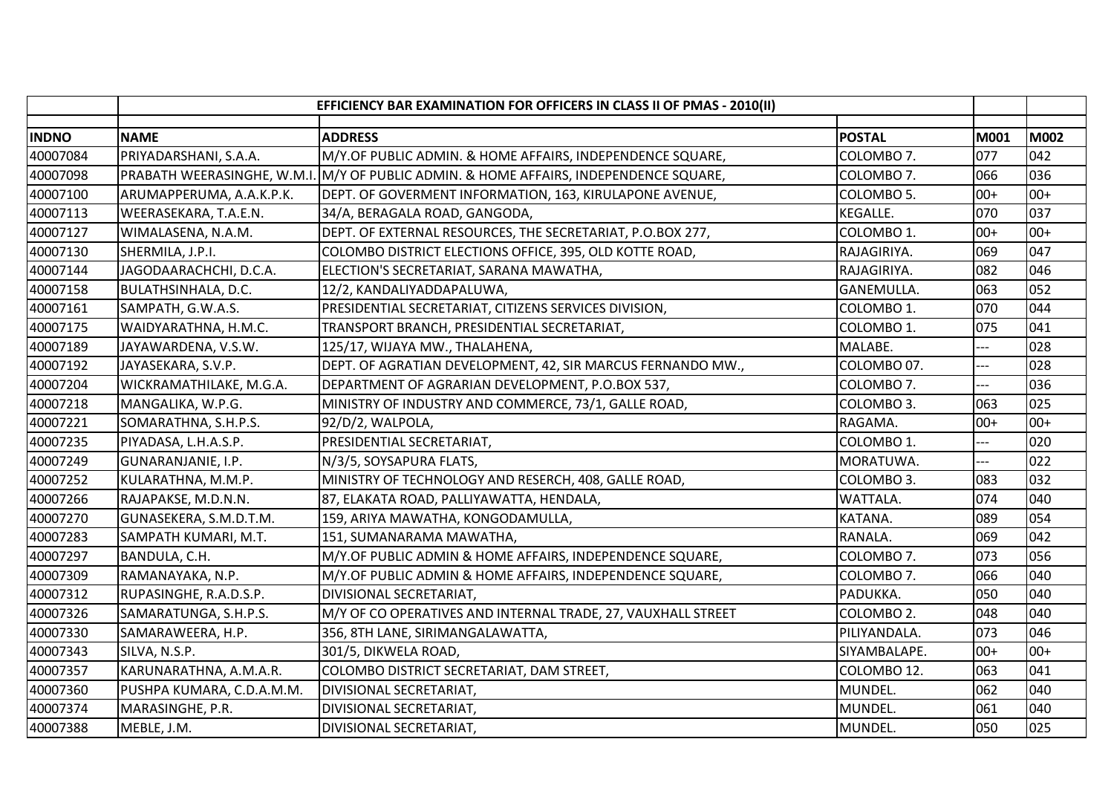|              |                            | EFFICIENCY BAR EXAMINATION FOR OFFICERS IN CLASS II OF PMAS - 2010(II)                |                   |       |             |
|--------------|----------------------------|---------------------------------------------------------------------------------------|-------------------|-------|-------------|
| <b>INDNO</b> | <b>NAME</b>                | <b>ADDRESS</b>                                                                        | <b>POSTAL</b>     | M001  | <b>M002</b> |
| 40007084     | PRIYADARSHANI, S.A.A.      | M/Y.OF PUBLIC ADMIN. & HOME AFFAIRS, INDEPENDENCE SQUARE,                             | COLOMBO 7.        | 077   | 042         |
| 40007098     |                            | PRABATH WEERASINGHE, W.M.I. M/Y OF PUBLIC ADMIN. & HOME AFFAIRS, INDEPENDENCE SQUARE, | COLOMBO 7.        | 066   | 036         |
| 40007100     | ARUMAPPERUMA, A.A.K.P.K.   | DEPT. OF GOVERMENT INFORMATION, 163, KIRULAPONE AVENUE,                               | COLOMBO 5.        | $00+$ | $00+$       |
| 40007113     | WEERASEKARA, T.A.E.N.      | 34/A, BERAGALA ROAD, GANGODA,                                                         | <b>KEGALLE.</b>   | 070   | 037         |
| 40007127     | WIMALASENA, N.A.M.         | DEPT. OF EXTERNAL RESOURCES, THE SECRETARIAT, P.O.BOX 277,                            | COLOMBO 1.        | $00+$ | $00+$       |
| 40007130     | SHERMILA, J.P.I.           | COLOMBO DISTRICT ELECTIONS OFFICE, 395, OLD KOTTE ROAD,                               | RAJAGIRIYA.       | 069   | 047         |
| 40007144     | JAGODAARACHCHI, D.C.A.     | ELECTION'S SECRETARIAT, SARANA MAWATHA,                                               | RAJAGIRIYA.       | 082   | 046         |
| 40007158     | <b>BULATHSINHALA, D.C.</b> | 12/2, KANDALIYADDAPALUWA,                                                             | <b>GANEMULLA.</b> | 063   | 052         |
| 40007161     | SAMPATH, G.W.A.S.          | PRESIDENTIAL SECRETARIAT, CITIZENS SERVICES DIVISION,                                 | COLOMBO 1.        | 070   | 044         |
| 40007175     | WAIDYARATHNA, H.M.C.       | TRANSPORT BRANCH, PRESIDENTIAL SECRETARIAT,                                           | COLOMBO 1.        | 075   | 041         |
| 40007189     | JAYAWARDENA, V.S.W.        | 125/17, WIJAYA MW., THALAHENA,                                                        | MALABE.           | ---   | 028         |
| 40007192     | JAYASEKARA, S.V.P.         | DEPT. OF AGRATIAN DEVELOPMENT, 42, SIR MARCUS FERNANDO MW.,                           | COLOMBO 07.       | ---   | 028         |
| 40007204     | WICKRAMATHILAKE, M.G.A.    | DEPARTMENT OF AGRARIAN DEVELOPMENT, P.O.BOX 537,                                      | COLOMBO 7.        |       | 036         |
| 40007218     | MANGALIKA, W.P.G.          | MINISTRY OF INDUSTRY AND COMMERCE, 73/1, GALLE ROAD,                                  | COLOMBO 3.        | 063   | 025         |
| 40007221     | SOMARATHNA, S.H.P.S.       | 92/D/2, WALPOLA,                                                                      | RAGAMA.           | $00+$ | $00+$       |
| 40007235     | PIYADASA, L.H.A.S.P.       | PRESIDENTIAL SECRETARIAT,                                                             | COLOMBO 1.        | $-$   | 020         |
| 40007249     | GUNARANJANIE, I.P.         | N/3/5, SOYSAPURA FLATS,                                                               | MORATUWA.         | $---$ | 022         |
| 40007252     | KULARATHNA, M.M.P.         | MINISTRY OF TECHNOLOGY AND RESERCH, 408, GALLE ROAD,                                  | COLOMBO 3.        | 083   | 032         |
| 40007266     | RAJAPAKSE, M.D.N.N.        | 87, ELAKATA ROAD, PALLIYAWATTA, HENDALA,                                              | WATTALA.          | 074   | 040         |
| 40007270     | GUNASEKERA, S.M.D.T.M.     | 159, ARIYA MAWATHA, KONGODAMULLA,                                                     | KATANA.           | 089   | 054         |
| 40007283     | SAMPATH KUMARI, M.T.       | 151, SUMANARAMA MAWATHA,                                                              | RANALA.           | 069   | 042         |
| 40007297     | BANDULA, C.H.              | M/Y.OF PUBLIC ADMIN & HOME AFFAIRS, INDEPENDENCE SQUARE,                              | COLOMBO 7.        | 073   | 056         |
| 40007309     | RAMANAYAKA, N.P.           | M/Y.OF PUBLIC ADMIN & HOME AFFAIRS, INDEPENDENCE SQUARE,                              | COLOMBO 7.        | 066   | 040         |
| 40007312     | RUPASINGHE, R.A.D.S.P.     | DIVISIONAL SECRETARIAT,                                                               | PADUKKA.          | 050   | 040         |
| 40007326     | SAMARATUNGA, S.H.P.S.      | M/Y OF CO OPERATIVES AND INTERNAL TRADE, 27, VAUXHALL STREET                          | COLOMBO 2.        | 048   | 040         |
| 40007330     | SAMARAWEERA, H.P.          | 356, 8TH LANE, SIRIMANGALAWATTA,                                                      | PILIYANDALA.      | 073   | 046         |
| 40007343     | SILVA, N.S.P.              | 301/5, DIKWELA ROAD,                                                                  | SIYAMBALAPE.      | $00+$ | $00+$       |
| 40007357     | KARUNARATHNA, A.M.A.R.     | COLOMBO DISTRICT SECRETARIAT, DAM STREET,                                             | COLOMBO 12.       | 063   | 041         |
| 40007360     | PUSHPA KUMARA, C.D.A.M.M.  | DIVISIONAL SECRETARIAT,                                                               | MUNDEL.           | 062   | 040         |
| 40007374     | MARASINGHE, P.R.           | DIVISIONAL SECRETARIAT,                                                               | MUNDEL.           | 061   | 040         |
| 40007388     | MEBLE, J.M.                | DIVISIONAL SECRETARIAT,                                                               | MUNDEL.           | 050   | 025         |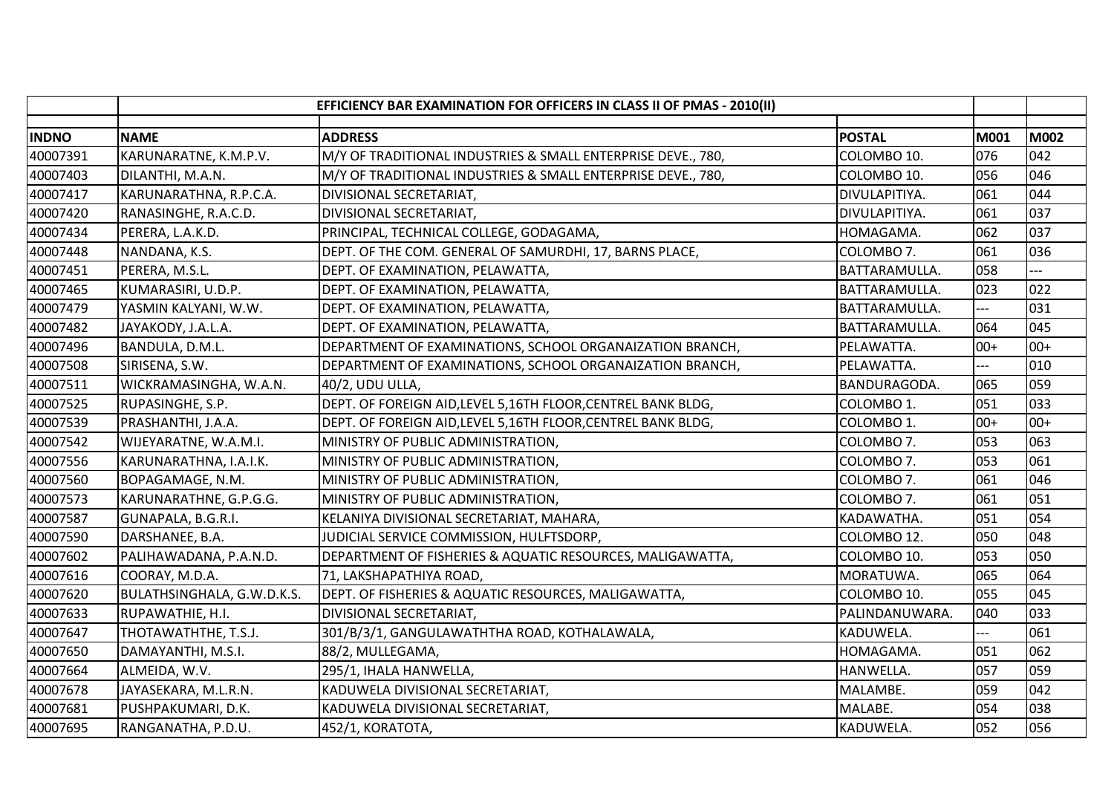|              | EFFICIENCY BAR EXAMINATION FOR OFFICERS IN CLASS II OF PMAS - 2010(II) |                                                               |                |                |             |
|--------------|------------------------------------------------------------------------|---------------------------------------------------------------|----------------|----------------|-------------|
| <b>INDNO</b> | <b>NAME</b>                                                            | <b>ADDRESS</b>                                                | <b>POSTAL</b>  | M001           | <b>M002</b> |
| 40007391     | KARUNARATNE, K.M.P.V.                                                  | M/Y OF TRADITIONAL INDUSTRIES & SMALL ENTERPRISE DEVE., 780,  | COLOMBO 10.    | 076            | 042         |
| 40007403     | DILANTHI, M.A.N.                                                       | M/Y OF TRADITIONAL INDUSTRIES & SMALL ENTERPRISE DEVE., 780,  | COLOMBO 10.    | 056            | 046         |
| 40007417     | KARUNARATHNA, R.P.C.A.                                                 | DIVISIONAL SECRETARIAT,                                       | DIVULAPITIYA.  | 061            | 044         |
| 40007420     | RANASINGHE, R.A.C.D.                                                   | DIVISIONAL SECRETARIAT,                                       | DIVULAPITIYA.  | 061            | 037         |
| 40007434     | PERERA, L.A.K.D.                                                       | PRINCIPAL, TECHNICAL COLLEGE, GODAGAMA,                       | HOMAGAMA.      | 062            | 037         |
| 40007448     | NANDANA, K.S.                                                          | DEPT. OF THE COM. GENERAL OF SAMURDHI, 17, BARNS PLACE,       | COLOMBO 7.     | 061            | 036         |
| 40007451     | PERERA, M.S.L.                                                         | DEPT. OF EXAMINATION, PELAWATTA,                              | BATTARAMULLA.  | 058            | $- -$       |
| 40007465     | KUMARASIRI, U.D.P.                                                     | DEPT. OF EXAMINATION, PELAWATTA,                              | BATTARAMULLA.  | 023            | 022         |
| 40007479     | YASMIN KALYANI, W.W.                                                   | DEPT. OF EXAMINATION, PELAWATTA,                              | BATTARAMULLA.  | $\overline{a}$ | 031         |
| 40007482     | JAYAKODY, J.A.L.A.                                                     | DEPT. OF EXAMINATION, PELAWATTA,                              | BATTARAMULLA.  | 064            | 045         |
| 40007496     | BANDULA, D.M.L.                                                        | DEPARTMENT OF EXAMINATIONS, SCHOOL ORGANAIZATION BRANCH,      | PELAWATTA.     | $00+$          | $00+$       |
| 40007508     | SIRISENA, S.W.                                                         | DEPARTMENT OF EXAMINATIONS, SCHOOL ORGANAIZATION BRANCH,      | PELAWATTA.     | $---$          | 010         |
| 40007511     | WICKRAMASINGHA, W.A.N.                                                 | 40/2, UDU ULLA,                                               | BANDURAGODA.   | 065            | 059         |
| 40007525     | RUPASINGHE, S.P.                                                       | DEPT. OF FOREIGN AID, LEVEL 5, 16TH FLOOR, CENTREL BANK BLDG, | COLOMBO 1.     | 051            | 033         |
| 40007539     | PRASHANTHI, J.A.A.                                                     | DEPT. OF FOREIGN AID, LEVEL 5, 16TH FLOOR, CENTREL BANK BLDG, | COLOMBO 1.     | $00+$          | $00+$       |
| 40007542     | WIJEYARATNE, W.A.M.I.                                                  | MINISTRY OF PUBLIC ADMINISTRATION,                            | COLOMBO 7.     | 053            | 063         |
| 40007556     | KARUNARATHNA, I.A.I.K.                                                 | MINISTRY OF PUBLIC ADMINISTRATION,                            | COLOMBO 7.     | 053            | 061         |
| 40007560     | BOPAGAMAGE, N.M.                                                       | MINISTRY OF PUBLIC ADMINISTRATION,                            | COLOMBO 7.     | 061            | 046         |
| 40007573     | KARUNARATHNE, G.P.G.G.                                                 | MINISTRY OF PUBLIC ADMINISTRATION,                            | COLOMBO 7.     | 061            | 051         |
| 40007587     | GUNAPALA, B.G.R.I.                                                     | KELANIYA DIVISIONAL SECRETARIAT, MAHARA,                      | KADAWATHA.     | 051            | 054         |
| 40007590     | DARSHANEE, B.A.                                                        | JUDICIAL SERVICE COMMISSION, HULFTSDORP,                      | COLOMBO 12.    | 050            | 048         |
| 40007602     | PALIHAWADANA, P.A.N.D.                                                 | DEPARTMENT OF FISHERIES & AQUATIC RESOURCES, MALIGAWATTA,     | COLOMBO 10.    | 053            | 050         |
| 40007616     | COORAY, M.D.A.                                                         | 71, LAKSHAPATHIYA ROAD,                                       | MORATUWA.      | 065            | 064         |
| 40007620     | BULATHSINGHALA, G.W.D.K.S.                                             | DEPT. OF FISHERIES & AQUATIC RESOURCES, MALIGAWATTA,          | COLOMBO 10.    | 055            | 045         |
| 40007633     | RUPAWATHIE, H.I.                                                       | DIVISIONAL SECRETARIAT,                                       | PALINDANUWARA. | 040            | 033         |
| 40007647     | THOTAWATHTHE, T.S.J.                                                   | 301/B/3/1, GANGULAWATHTHA ROAD, KOTHALAWALA,                  | KADUWELA.      | $---$          | 061         |
| 40007650     | DAMAYANTHI, M.S.I.                                                     | 88/2, MULLEGAMA,                                              | HOMAGAMA.      | 051            | 062         |
| 40007664     | ALMEIDA, W.V.                                                          | 295/1, IHALA HANWELLA,                                        | HANWELLA.      | 057            | 059         |
| 40007678     | JAYASEKARA, M.L.R.N.                                                   | KADUWELA DIVISIONAL SECRETARIAT,                              | MALAMBE.       | 059            | 042         |
| 40007681     | PUSHPAKUMARI, D.K.                                                     | KADUWELA DIVISIONAL SECRETARIAT,                              | MALABE.        | 054            | 038         |
| 40007695     | RANGANATHA, P.D.U.                                                     | 452/1, KORATOTA,                                              | KADUWELA.      | 052            | 056         |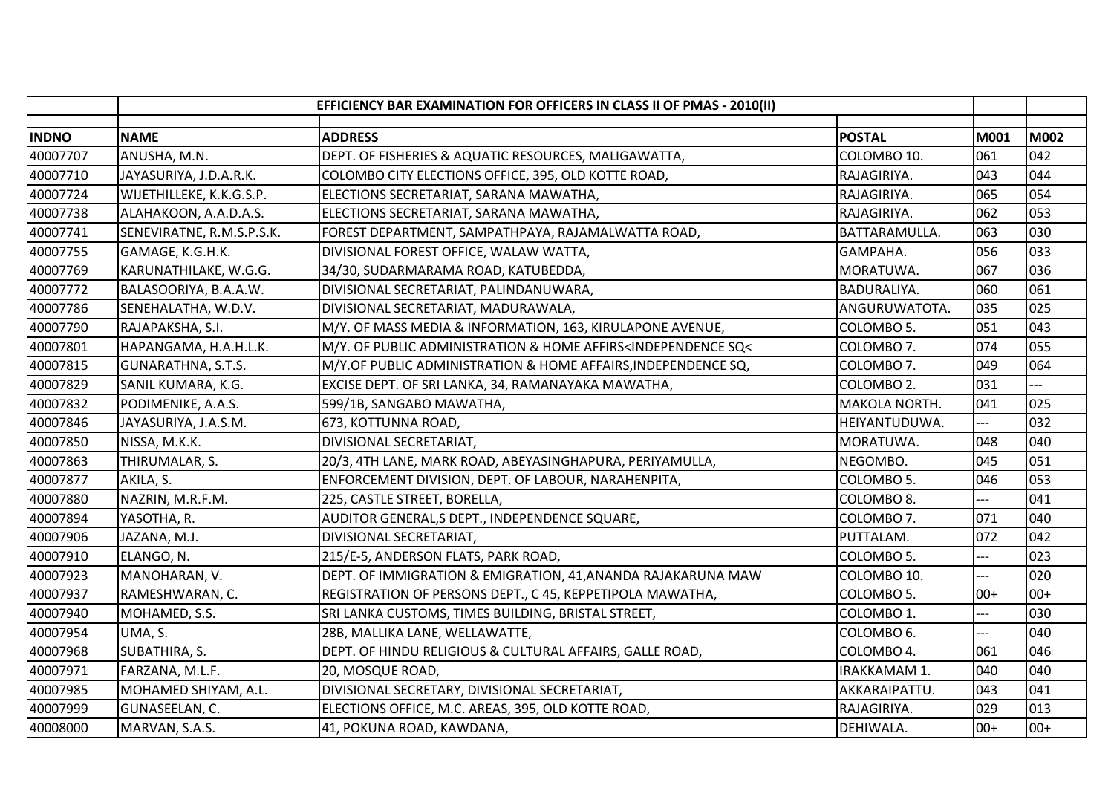|              | EFFICIENCY BAR EXAMINATION FOR OFFICERS IN CLASS II OF PMAS - 2010(II) |                                                                                                                                    |                    |                |             |
|--------------|------------------------------------------------------------------------|------------------------------------------------------------------------------------------------------------------------------------|--------------------|----------------|-------------|
| <b>INDNO</b> | <b>NAME</b>                                                            | <b>ADDRESS</b>                                                                                                                     | <b>POSTAL</b>      | M001           | <b>M002</b> |
| 40007707     | ANUSHA, M.N.                                                           | DEPT. OF FISHERIES & AQUATIC RESOURCES, MALIGAWATTA,                                                                               | COLOMBO 10.        | 061            | 042         |
| 40007710     | JAYASURIYA, J.D.A.R.K.                                                 | COLOMBO CITY ELECTIONS OFFICE, 395, OLD KOTTE ROAD,                                                                                | RAJAGIRIYA.        | 043            | 044         |
| 40007724     | WIJETHILLEKE, K.K.G.S.P.                                               | ELECTIONS SECRETARIAT, SARANA MAWATHA,                                                                                             | RAJAGIRIYA.        | 065            | 054         |
| 40007738     | ALAHAKOON, A.A.D.A.S.                                                  | ELECTIONS SECRETARIAT, SARANA MAWATHA,                                                                                             | RAJAGIRIYA.        | 062            | 053         |
| 40007741     | SENEVIRATNE, R.M.S.P.S.K.                                              | FOREST DEPARTMENT, SAMPATHPAYA, RAJAMALWATTA ROAD,                                                                                 | BATTARAMULLA.      | 063            | 030         |
| 40007755     | GAMAGE, K.G.H.K.                                                       | DIVISIONAL FOREST OFFICE, WALAW WATTA,                                                                                             | GAMPAHA.           | 056            | 033         |
| 40007769     | KARUNATHILAKE, W.G.G.                                                  | 34/30, SUDARMARAMA ROAD, KATUBEDDA,                                                                                                | MORATUWA.          | 067            | 036         |
| 40007772     | BALASOORIYA, B.A.A.W.                                                  | DIVISIONAL SECRETARIAT, PALINDANUWARA,                                                                                             | <b>BADURALIYA.</b> | 060            | 061         |
| 40007786     | SENEHALATHA, W.D.V.                                                    | DIVISIONAL SECRETARIAT, MADURAWALA,                                                                                                | ANGURUWATOTA.      | 035            | 025         |
| 40007790     | RAJAPAKSHA, S.I.                                                       | M/Y. OF MASS MEDIA & INFORMATION, 163, KIRULAPONE AVENUE,                                                                          | COLOMBO 5.         | 051            | 043         |
| 40007801     | HAPANGAMA, H.A.H.L.K.                                                  | M/Y. OF PUBLIC ADMINISTRATION & HOME AFFIRS <independence sq<<="" td=""><td>COLOMBO 7.</td><td>074</td><td>055</td></independence> | COLOMBO 7.         | 074            | 055         |
| 40007815     | GUNARATHNA, S.T.S.                                                     | M/Y.OF PUBLIC ADMINISTRATION & HOME AFFAIRS, INDEPENDENCE SQ,                                                                      | COLOMBO 7.         | 049            | 064         |
| 40007829     | SANIL KUMARA, K.G.                                                     | EXCISE DEPT. OF SRI LANKA, 34, RAMANAYAKA MAWATHA,                                                                                 | COLOMBO 2.         | 031            |             |
| 40007832     | PODIMENIKE, A.A.S.                                                     | 599/1B, SANGABO MAWATHA,                                                                                                           | MAKOLA NORTH.      | 041            | 025         |
| 40007846     | JAYASURIYA, J.A.S.M.                                                   | 673, KOTTUNNA ROAD,                                                                                                                | HEIYANTUDUWA.      | ---            | 032         |
| 40007850     | NISSA, M.K.K.                                                          | DIVISIONAL SECRETARIAT,                                                                                                            | MORATUWA.          | 048            | 040         |
| 40007863     | THIRUMALAR, S.                                                         | 20/3, 4TH LANE, MARK ROAD, ABEYASINGHAPURA, PERIYAMULLA,                                                                           | NEGOMBO.           | 045            | 051         |
| 40007877     | AKILA, S.                                                              | ENFORCEMENT DIVISION, DEPT. OF LABOUR, NARAHENPITA,                                                                                | COLOMBO 5.         | 046            | 053         |
| 40007880     | NAZRIN, M.R.F.M.                                                       | 225, CASTLE STREET, BORELLA,                                                                                                       | COLOMBO 8.         |                | 041         |
| 40007894     | YASOTHA, R.                                                            | AUDITOR GENERAL, S DEPT., INDEPENDENCE SQUARE,                                                                                     | COLOMBO 7.         | 071            | 040         |
| 40007906     | JAZANA, M.J.                                                           | DIVISIONAL SECRETARIAT,                                                                                                            | PUTTALAM.          | 072            | 042         |
| 40007910     | ELANGO, N.                                                             | 215/E-5, ANDERSON FLATS, PARK ROAD,                                                                                                | COLOMBO 5.         | $\overline{a}$ | 023         |
| 40007923     | MANOHARAN, V.                                                          | DEPT. OF IMMIGRATION & EMIGRATION, 41, ANANDA RAJAKARUNA MAW                                                                       | COLOMBO 10.        | $---$          | 020         |
| 40007937     | RAMESHWARAN, C.                                                        | REGISTRATION OF PERSONS DEPT., C 45, KEPPETIPOLA MAWATHA,                                                                          | COLOMBO 5.         | $00+$          | $00+$       |
| 40007940     | MOHAMED, S.S.                                                          | SRI LANKA CUSTOMS, TIMES BUILDING, BRISTAL STREET,                                                                                 | COLOMBO 1.         | ---            | 030         |
| 40007954     | UMA, S.                                                                | 28B, MALLIKA LANE, WELLAWATTE,                                                                                                     | COLOMBO 6.         | $---$          | 040         |
| 40007968     | SUBATHIRA, S.                                                          | DEPT. OF HINDU RELIGIOUS & CULTURAL AFFAIRS, GALLE ROAD,                                                                           | COLOMBO 4.         | 061            | 046         |
| 40007971     | FARZANA, M.L.F.                                                        | 20, MOSQUE ROAD,                                                                                                                   | IRAKKAMAM 1.       | 040            | 040         |
| 40007985     | MOHAMED SHIYAM, A.L.                                                   | DIVISIONAL SECRETARY, DIVISIONAL SECRETARIAT,                                                                                      | AKKARAIPATTU.      | 043            | 041         |
| 40007999     | GUNASEELAN, C.                                                         | ELECTIONS OFFICE, M.C. AREAS, 395, OLD KOTTE ROAD,                                                                                 | RAJAGIRIYA.        | 029            | 013         |
| 40008000     | MARVAN, S.A.S.                                                         | 41, POKUNA ROAD, KAWDANA,                                                                                                          | DEHIWALA.          | $00+$          | $00+$       |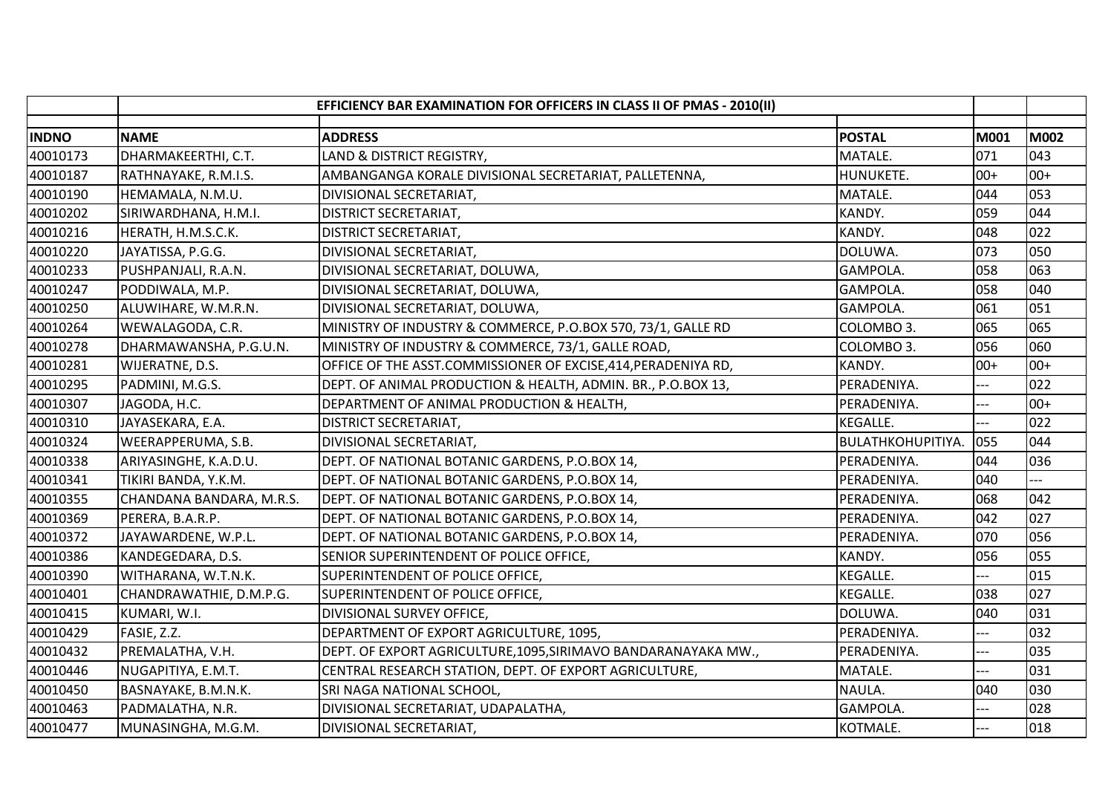|              |                          | EFFICIENCY BAR EXAMINATION FOR OFFICERS IN CLASS II OF PMAS - 2010(II) |                   |                |       |
|--------------|--------------------------|------------------------------------------------------------------------|-------------------|----------------|-------|
| <b>INDNO</b> | <b>NAME</b>              | <b>ADDRESS</b>                                                         | <b>POSTAL</b>     | M001           | M002  |
| 40010173     | DHARMAKEERTHI, C.T.      | LAND & DISTRICT REGISTRY,                                              | MATALE.           | 071            | 043   |
| 40010187     | RATHNAYAKE, R.M.I.S.     | AMBANGANGA KORALE DIVISIONAL SECRETARIAT, PALLETENNA,                  | HUNUKETE.         | $00+$          | $00+$ |
| 40010190     | HEMAMALA, N.M.U.         | DIVISIONAL SECRETARIAT,                                                | MATALE.           | 044            | 053   |
| 40010202     | SIRIWARDHANA, H.M.I.     | <b>DISTRICT SECRETARIAT,</b>                                           | KANDY.            | 059            | 044   |
| 40010216     | HERATH, H.M.S.C.K.       | <b>DISTRICT SECRETARIAT,</b>                                           | KANDY.            | 048            | 022   |
| 40010220     | JAYATISSA, P.G.G.        | DIVISIONAL SECRETARIAT,                                                | DOLUWA.           | 073            | 050   |
| 40010233     | PUSHPANJALI, R.A.N.      | DIVISIONAL SECRETARIAT, DOLUWA,                                        | GAMPOLA.          | 058            | 063   |
| 40010247     | PODDIWALA, M.P.          | DIVISIONAL SECRETARIAT, DOLUWA,                                        | GAMPOLA.          | 058            | 040   |
| 40010250     | ALUWIHARE, W.M.R.N.      | DIVISIONAL SECRETARIAT, DOLUWA,                                        | GAMPOLA.          | 061            | 051   |
| 40010264     | WEWALAGODA, C.R.         | MINISTRY OF INDUSTRY & COMMERCE, P.O.BOX 570, 73/1, GALLE RD           | COLOMBO 3.        | 065            | 065   |
| 40010278     | DHARMAWANSHA, P.G.U.N.   | MINISTRY OF INDUSTRY & COMMERCE, 73/1, GALLE ROAD,                     | COLOMBO 3.        | 056            | 060   |
| 40010281     | WIJERATNE, D.S.          | OFFICE OF THE ASST.COMMISSIONER OF EXCISE, 414, PERADENIYA RD,         | KANDY.            | $00+$          | $00+$ |
| 40010295     | PADMINI, M.G.S.          | DEPT. OF ANIMAL PRODUCTION & HEALTH, ADMIN. BR., P.O.BOX 13,           | PERADENIYA.       |                | 022   |
| 40010307     | JAGODA, H.C.             | DEPARTMENT OF ANIMAL PRODUCTION & HEALTH,                              | PERADENIYA.       | ---            | $00+$ |
| 40010310     | JAYASEKARA, E.A.         | <b>DISTRICT SECRETARIAT,</b>                                           | <b>KEGALLE.</b>   | ---            | 022   |
| 40010324     | WEERAPPERUMA, S.B.       | DIVISIONAL SECRETARIAT,                                                | BULATHKOHUPITIYA. | 055            | 044   |
| 40010338     | ARIYASINGHE, K.A.D.U.    | DEPT. OF NATIONAL BOTANIC GARDENS, P.O.BOX 14,                         | PERADENIYA.       | 044            | 036   |
| 40010341     | TIKIRI BANDA, Y.K.M.     | DEPT. OF NATIONAL BOTANIC GARDENS, P.O.BOX 14,                         | PERADENIYA.       | 040            |       |
| 40010355     | CHANDANA BANDARA, M.R.S. | DEPT. OF NATIONAL BOTANIC GARDENS, P.O.BOX 14,                         | PERADENIYA.       | 068            | 042   |
| 40010369     | PERERA, B.A.R.P.         | DEPT. OF NATIONAL BOTANIC GARDENS, P.O.BOX 14,                         | PERADENIYA.       | 042            | 027   |
| 40010372     | JAYAWARDENE, W.P.L.      | DEPT. OF NATIONAL BOTANIC GARDENS, P.O.BOX 14,                         | PERADENIYA.       | 070            | 056   |
| 40010386     | KANDEGEDARA, D.S.        | SENIOR SUPERINTENDENT OF POLICE OFFICE,                                | KANDY.            | 056            | 055   |
| 40010390     | WITHARANA, W.T.N.K.      | SUPERINTENDENT OF POLICE OFFICE,                                       | <b>KEGALLE.</b>   | $---$          | 015   |
| 40010401     | CHANDRAWATHIE, D.M.P.G.  | SUPERINTENDENT OF POLICE OFFICE,                                       | KEGALLE.          | 038            | 027   |
| 40010415     | KUMARI, W.I.             | DIVISIONAL SURVEY OFFICE,                                              | DOLUWA.           | 040            | 031   |
| 40010429     | FASIE, Z.Z.              | DEPARTMENT OF EXPORT AGRICULTURE, 1095,                                | PERADENIYA.       | ---            | 032   |
| 40010432     | PREMALATHA, V.H.         | DEPT. OF EXPORT AGRICULTURE, 1095, SIRIMAVO BANDARANAYAKA MW.,         | PERADENIYA.       |                | 035   |
| 40010446     | NUGAPITIYA, E.M.T.       | CENTRAL RESEARCH STATION, DEPT. OF EXPORT AGRICULTURE,                 | MATALE.           | $---$          | 031   |
| 40010450     | BASNAYAKE, B.M.N.K.      | SRI NAGA NATIONAL SCHOOL,                                              | NAULA.            | 040            | 030   |
| 40010463     | PADMALATHA, N.R.         | DIVISIONAL SECRETARIAT, UDAPALATHA,                                    | GAMPOLA.          | $---$          | 028   |
| 40010477     | MUNASINGHA, M.G.M.       | DIVISIONAL SECRETARIAT,                                                | KOTMALE.          | $\overline{a}$ | 018   |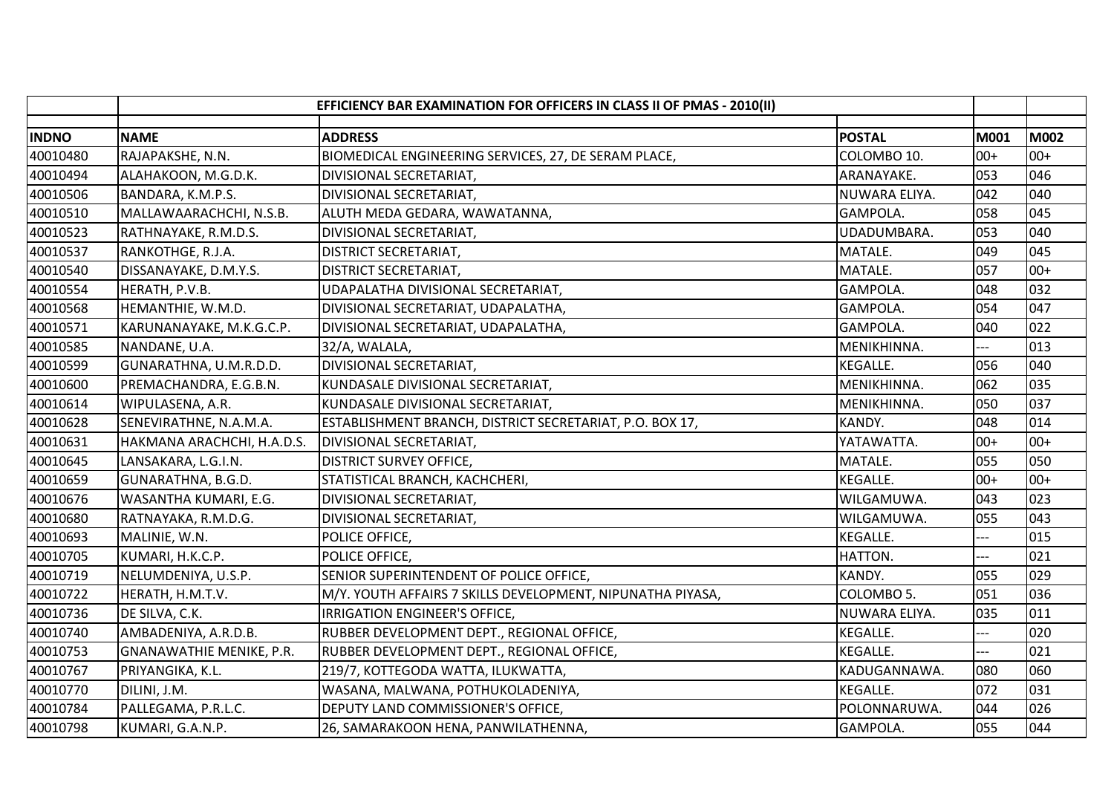|              |                                 | EFFICIENCY BAR EXAMINATION FOR OFFICERS IN CLASS II OF PMAS - 2010(II) |                 |       |       |
|--------------|---------------------------------|------------------------------------------------------------------------|-----------------|-------|-------|
| <b>INDNO</b> | <b>NAME</b>                     | <b>ADDRESS</b>                                                         | <b>POSTAL</b>   | M001  | M002  |
| 40010480     | RAJAPAKSHE, N.N.                | BIOMEDICAL ENGINEERING SERVICES, 27, DE SERAM PLACE,                   | COLOMBO 10.     | $00+$ | $00+$ |
| 40010494     | ALAHAKOON, M.G.D.K.             | DIVISIONAL SECRETARIAT,                                                | ARANAYAKE.      | 053   | 046   |
| 40010506     | BANDARA, K.M.P.S.               | DIVISIONAL SECRETARIAT,                                                | NUWARA ELIYA.   | 042   | 040   |
| 40010510     | MALLAWAARACHCHI, N.S.B.         | ALUTH MEDA GEDARA, WAWATANNA,                                          | GAMPOLA.        | 058   | 045   |
| 40010523     | RATHNAYAKE, R.M.D.S.            | DIVISIONAL SECRETARIAT,                                                | UDADUMBARA.     | 053   | 040   |
| 40010537     | RANKOTHGE, R.J.A.               | <b>DISTRICT SECRETARIAT,</b>                                           | MATALE.         | 049   | 045   |
| 40010540     | DISSANAYAKE, D.M.Y.S.           | <b>DISTRICT SECRETARIAT,</b>                                           | MATALE.         | 057   | $00+$ |
| 40010554     | HERATH, P.V.B.                  | UDAPALATHA DIVISIONAL SECRETARIAT,                                     | GAMPOLA.        | 048   | 032   |
| 40010568     | HEMANTHIE, W.M.D.               | DIVISIONAL SECRETARIAT, UDAPALATHA,                                    | GAMPOLA.        | 054   | 047   |
| 40010571     | KARUNANAYAKE, M.K.G.C.P.        | DIVISIONAL SECRETARIAT, UDAPALATHA,                                    | GAMPOLA.        | 040   | 022   |
| 40010585     | NANDANE, U.A.                   | 32/A, WALALA,                                                          | MENIKHINNA.     |       | 013   |
| 40010599     | GUNARATHNA, U.M.R.D.D.          | DIVISIONAL SECRETARIAT,                                                | <b>KEGALLE.</b> | 056   | 040   |
| 40010600     | PREMACHANDRA, E.G.B.N.          | KUNDASALE DIVISIONAL SECRETARIAT,                                      | MENIKHINNA.     | 062   | 035   |
| 40010614     | WIPULASENA, A.R.                | KUNDASALE DIVISIONAL SECRETARIAT,                                      | MENIKHINNA.     | 050   | 037   |
| 40010628     | SENEVIRATHNE, N.A.M.A.          | ESTABLISHMENT BRANCH, DISTRICT SECRETARIAT, P.O. BOX 17,               | KANDY.          | 048   | 014   |
| 40010631     | HAKMANA ARACHCHI, H.A.D.S.      | DIVISIONAL SECRETARIAT,                                                | YATAWATTA.      | $00+$ | $00+$ |
| 40010645     | LANSAKARA, L.G.I.N.             | <b>DISTRICT SURVEY OFFICE,</b>                                         | MATALE.         | 055   | 050   |
| 40010659     | GUNARATHNA, B.G.D.              | STATISTICAL BRANCH, KACHCHERI,                                         | <b>KEGALLE.</b> | $00+$ | $00+$ |
| 40010676     | WASANTHA KUMARI, E.G.           | DIVISIONAL SECRETARIAT,                                                | WILGAMUWA.      | 043   | 023   |
| 40010680     | RATNAYAKA, R.M.D.G.             | DIVISIONAL SECRETARIAT,                                                | WILGAMUWA.      | 055   | 043   |
| 40010693     | MALINIE, W.N.                   | POLICE OFFICE,                                                         | <b>KEGALLE.</b> | $---$ | 015   |
| 40010705     | KUMARI, H.K.C.P.                | POLICE OFFICE,                                                         | HATTON.         | $---$ | 021   |
| 40010719     | NELUMDENIYA, U.S.P.             | SENIOR SUPERINTENDENT OF POLICE OFFICE,                                | KANDY.          | 055   | 029   |
| 40010722     | HERATH, H.M.T.V.                | M/Y. YOUTH AFFAIRS 7 SKILLS DEVELOPMENT, NIPUNATHA PIYASA,             | COLOMBO 5.      | 051   | 036   |
| 40010736     | DE SILVA, C.K.                  | IRRIGATION ENGINEER'S OFFICE,                                          | NUWARA ELIYA.   | 035   | 011   |
| 40010740     | AMBADENIYA, A.R.D.B.            | RUBBER DEVELOPMENT DEPT., REGIONAL OFFICE,                             | KEGALLE.        | $---$ | 020   |
| 40010753     | <b>GNANAWATHIE MENIKE, P.R.</b> | RUBBER DEVELOPMENT DEPT., REGIONAL OFFICE,                             | <b>KEGALLE.</b> |       | 021   |
| 40010767     | PRIYANGIKA, K.L.                | 219/7, KOTTEGODA WATTA, ILUKWATTA,                                     | KADUGANNAWA.    | 080   | 060   |
| 40010770     | DILINI, J.M.                    | WASANA, MALWANA, POTHUKOLADENIYA,                                      | KEGALLE.        | 072   | 031   |
| 40010784     | PALLEGAMA, P.R.L.C.             | DEPUTY LAND COMMISSIONER'S OFFICE,                                     | POLONNARUWA.    | 044   | 026   |
| 40010798     | KUMARI, G.A.N.P.                | 26, SAMARAKOON HENA, PANWILATHENNA,                                    | GAMPOLA.        | 055   | 044   |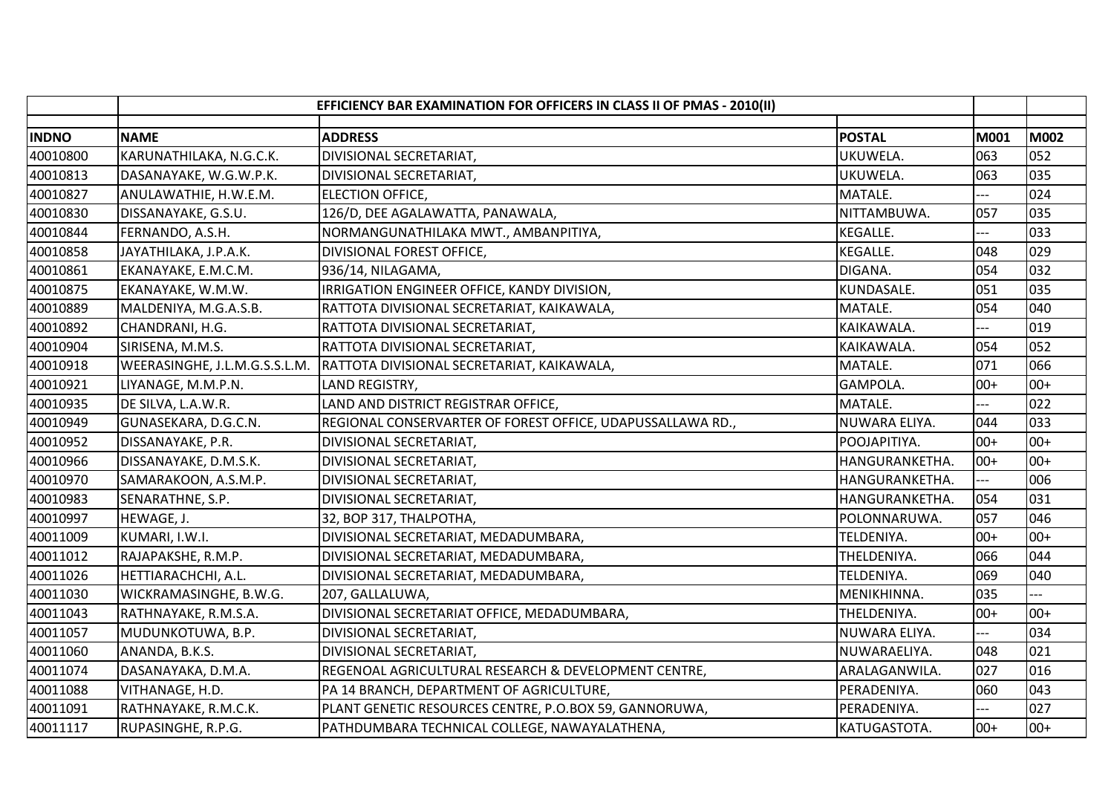|              | EFFICIENCY BAR EXAMINATION FOR OFFICERS IN CLASS II OF PMAS - 2010(II) |                                                            |                 |       |       |
|--------------|------------------------------------------------------------------------|------------------------------------------------------------|-----------------|-------|-------|
| <b>INDNO</b> | <b>NAME</b>                                                            | <b>ADDRESS</b>                                             | <b>POSTAL</b>   | M001  | M002  |
| 40010800     | KARUNATHILAKA, N.G.C.K.                                                | DIVISIONAL SECRETARIAT,                                    | UKUWELA.        | 063   | 052   |
| 40010813     | DASANAYAKE, W.G.W.P.K.                                                 | DIVISIONAL SECRETARIAT,                                    | UKUWELA.        | 063   | 035   |
| 40010827     | ANULAWATHIE, H.W.E.M.                                                  | <b>ELECTION OFFICE,</b>                                    | MATALE.         | $---$ | 024   |
| 40010830     | DISSANAYAKE, G.S.U.                                                    | 126/D, DEE AGALAWATTA, PANAWALA,                           | NITTAMBUWA.     | 057   | 035   |
| 40010844     | FERNANDO, A.S.H.                                                       | NORMANGUNATHILAKA MWT., AMBANPITIYA,                       | <b>KEGALLE.</b> | ---   | 033   |
| 40010858     | JAYATHILAKA, J.P.A.K.                                                  | DIVISIONAL FOREST OFFICE,                                  | KEGALLE.        | 048   | 029   |
| 40010861     | EKANAYAKE, E.M.C.M.                                                    | 936/14, NILAGAMA,                                          | DIGANA.         | 054   | 032   |
| 40010875     | EKANAYAKE, W.M.W.                                                      | IRRIGATION ENGINEER OFFICE, KANDY DIVISION,                | KUNDASALE.      | 051   | 035   |
| 40010889     | MALDENIYA, M.G.A.S.B.                                                  | RATTOTA DIVISIONAL SECRETARIAT, KAIKAWALA,                 | MATALE.         | 054   | 040   |
| 40010892     | CHANDRANI, H.G.                                                        | RATTOTA DIVISIONAL SECRETARIAT,                            | KAIKAWALA.      |       | 019   |
| 40010904     | SIRISENA, M.M.S.                                                       | RATTOTA DIVISIONAL SECRETARIAT,                            | KAIKAWALA.      | 054   | 052   |
| 40010918     | WEERASINGHE, J.L.M.G.S.S.L.M.                                          | RATTOTA DIVISIONAL SECRETARIAT, KAIKAWALA,                 | MATALE.         | 071   | 066   |
| 40010921     | LIYANAGE, M.M.P.N.                                                     | LAND REGISTRY,                                             | GAMPOLA.        | $00+$ | $00+$ |
| 40010935     | DE SILVA, L.A.W.R.                                                     | LAND AND DISTRICT REGISTRAR OFFICE,                        | MATALE.         |       | 022   |
| 40010949     | GUNASEKARA, D.G.C.N.                                                   | REGIONAL CONSERVARTER OF FOREST OFFICE, UDAPUSSALLAWA RD., | NUWARA ELIYA.   | 044   | 033   |
| 40010952     | DISSANAYAKE, P.R.                                                      | DIVISIONAL SECRETARIAT,                                    | POOJAPITIYA.    | $00+$ | $00+$ |
| 40010966     | DISSANAYAKE, D.M.S.K.                                                  | DIVISIONAL SECRETARIAT,                                    | HANGURANKETHA.  | $00+$ | $00+$ |
| 40010970     | SAMARAKOON, A.S.M.P.                                                   | DIVISIONAL SECRETARIAT,                                    | HANGURANKETHA.  |       | 006   |
| 40010983     | SENARATHNE, S.P.                                                       | DIVISIONAL SECRETARIAT,                                    | HANGURANKETHA.  | 054   | 031   |
| 40010997     | HEWAGE, J.                                                             | 32, BOP 317, THALPOTHA,                                    | POLONNARUWA.    | 057   | 046   |
| 40011009     | KUMARI, I.W.I.                                                         | DIVISIONAL SECRETARIAT, MEDADUMBARA,                       | TELDENIYA.      | $00+$ | $00+$ |
| 40011012     | RAJAPAKSHE, R.M.P.                                                     | DIVISIONAL SECRETARIAT, MEDADUMBARA,                       | THELDENIYA.     | 066   | 044   |
| 40011026     | HETTIARACHCHI, A.L.                                                    | DIVISIONAL SECRETARIAT, MEDADUMBARA,                       | TELDENIYA.      | 069   | 040   |
| 40011030     | WICKRAMASINGHE, B.W.G.                                                 | 207, GALLALUWA,                                            | MENIKHINNA.     | 035   |       |
| 40011043     | RATHNAYAKE, R.M.S.A.                                                   | DIVISIONAL SECRETARIAT OFFICE, MEDADUMBARA,                | THELDENIYA.     | $00+$ | $00+$ |
| 40011057     | MUDUNKOTUWA, B.P.                                                      | DIVISIONAL SECRETARIAT,                                    | NUWARA ELIYA.   | ---   | 034   |
| 40011060     | ANANDA, B.K.S.                                                         | DIVISIONAL SECRETARIAT,                                    | NUWARAELIYA.    | 048   | 021   |
| 40011074     | DASANAYAKA, D.M.A.                                                     | REGENOAL AGRICULTURAL RESEARCH & DEVELOPMENT CENTRE,       | ARALAGANWILA.   | 027   | 016   |
| 40011088     | VITHANAGE, H.D.                                                        | PA 14 BRANCH, DEPARTMENT OF AGRICULTURE,                   | PERADENIYA.     | 060   | 043   |
| 40011091     | RATHNAYAKE, R.M.C.K.                                                   | PLANT GENETIC RESOURCES CENTRE, P.O.BOX 59, GANNORUWA,     | PERADENIYA.     | $---$ | 027   |
| 40011117     | RUPASINGHE, R.P.G.                                                     | PATHDUMBARA TECHNICAL COLLEGE, NAWAYALATHENA,              | KATUGASTOTA.    | $00+$ | $00+$ |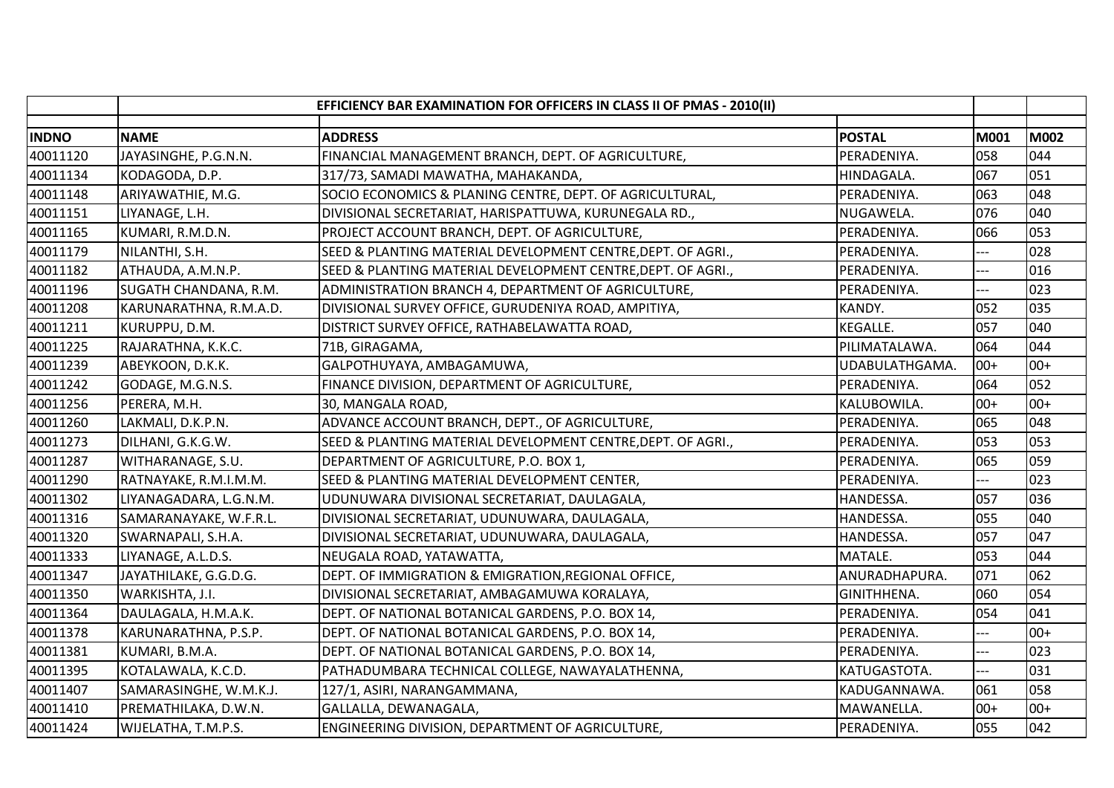|              |                        | EFFICIENCY BAR EXAMINATION FOR OFFICERS IN CLASS II OF PMAS - 2010(II) |                |       |             |
|--------------|------------------------|------------------------------------------------------------------------|----------------|-------|-------------|
| <b>INDNO</b> | <b>NAME</b>            | <b>ADDRESS</b>                                                         | <b>POSTAL</b>  | M001  | <b>M002</b> |
| 40011120     | JAYASINGHE, P.G.N.N.   | FINANCIAL MANAGEMENT BRANCH, DEPT. OF AGRICULTURE,                     | PERADENIYA.    | 058   | 044         |
| 40011134     | KODAGODA, D.P.         | 317/73, SAMADI MAWATHA, MAHAKANDA,                                     | HINDAGALA.     | 067   | 051         |
| 40011148     | ARIYAWATHIE, M.G.      | SOCIO ECONOMICS & PLANING CENTRE, DEPT. OF AGRICULTURAL,               | PERADENIYA.    | 063   | 048         |
| 40011151     | LIYANAGE, L.H.         | DIVISIONAL SECRETARIAT, HARISPATTUWA, KURUNEGALA RD.,                  | NUGAWELA.      | 076   | 040         |
| 40011165     | KUMARI, R.M.D.N.       | PROJECT ACCOUNT BRANCH, DEPT. OF AGRICULTURE,                          | PERADENIYA.    | 066   | 053         |
| 40011179     | NILANTHI, S.H.         | SEED & PLANTING MATERIAL DEVELOPMENT CENTRE, DEPT. OF AGRI.,           | PERADENIYA.    | ---   | 028         |
| 40011182     | ATHAUDA, A.M.N.P.      | SEED & PLANTING MATERIAL DEVELOPMENT CENTRE, DEPT. OF AGRI.,           | PERADENIYA.    | ---   | 016         |
| 40011196     | SUGATH CHANDANA, R.M.  | ADMINISTRATION BRANCH 4, DEPARTMENT OF AGRICULTURE,                    | PERADENIYA.    |       | 023         |
| 40011208     | KARUNARATHNA, R.M.A.D. | DIVISIONAL SURVEY OFFICE, GURUDENIYA ROAD, AMPITIYA,                   | KANDY.         | 052   | 035         |
| 40011211     | KURUPPU, D.M.          | DISTRICT SURVEY OFFICE, RATHABELAWATTA ROAD,                           | KEGALLE.       | 057   | 040         |
| 40011225     | RAJARATHNA, K.K.C.     | 71B, GIRAGAMA,                                                         | PILIMATALAWA.  | 064   | 044         |
| 40011239     | ABEYKOON, D.K.K.       | GALPOTHUYAYA, AMBAGAMUWA,                                              | UDABULATHGAMA. | $00+$ | $00+$       |
| 40011242     | GODAGE, M.G.N.S.       | FINANCE DIVISION, DEPARTMENT OF AGRICULTURE,                           | PERADENIYA.    | 064   | 052         |
| 40011256     | PERERA, M.H.           | 30, MANGALA ROAD,                                                      | KALUBOWILA.    | $00+$ | $00+$       |
| 40011260     | LAKMALI, D.K.P.N.      | ADVANCE ACCOUNT BRANCH, DEPT., OF AGRICULTURE,                         | PERADENIYA.    | 065   | 048         |
| 40011273     | DILHANI, G.K.G.W.      | SEED & PLANTING MATERIAL DEVELOPMENT CENTRE, DEPT. OF AGRI.,           | PERADENIYA.    | 053   | 053         |
| 40011287     | WITHARANAGE, S.U.      | DEPARTMENT OF AGRICULTURE, P.O. BOX 1,                                 | PERADENIYA.    | 065   | 059         |
| 40011290     | RATNAYAKE, R.M.I.M.M.  | SEED & PLANTING MATERIAL DEVELOPMENT CENTER,                           | PERADENIYA.    | ---   | 023         |
| 40011302     | LIYANAGADARA, L.G.N.M. | UDUNUWARA DIVISIONAL SECRETARIAT, DAULAGALA,                           | HANDESSA.      | 057   | 036         |
| 40011316     | SAMARANAYAKE, W.F.R.L. | DIVISIONAL SECRETARIAT, UDUNUWARA, DAULAGALA,                          | HANDESSA.      | 055   | 040         |
| 40011320     | SWARNAPALI, S.H.A.     | DIVISIONAL SECRETARIAT, UDUNUWARA, DAULAGALA,                          | HANDESSA.      | 057   | 047         |
| 40011333     | LIYANAGE, A.L.D.S.     | NEUGALA ROAD, YATAWATTA,                                               | MATALE.        | 053   | 044         |
| 40011347     | JAYATHILAKE, G.G.D.G.  | DEPT. OF IMMIGRATION & EMIGRATION, REGIONAL OFFICE,                    | ANURADHAPURA.  | 071   | 062         |
| 40011350     | WARKISHTA, J.I.        | DIVISIONAL SECRETARIAT, AMBAGAMUWA KORALAYA,                           | GINITHHENA.    | 060   | 054         |
| 40011364     | DAULAGALA, H.M.A.K.    | DEPT. OF NATIONAL BOTANICAL GARDENS, P.O. BOX 14,                      | PERADENIYA.    | 054   | 041         |
| 40011378     | KARUNARATHNA, P.S.P.   | DEPT. OF NATIONAL BOTANICAL GARDENS, P.O. BOX 14,                      | PERADENIYA.    | ---   | $00+$       |
| 40011381     | KUMARI, B.M.A.         | DEPT. OF NATIONAL BOTANICAL GARDENS, P.O. BOX 14,                      | PERADENIYA.    | ---   | 023         |
| 40011395     | KOTALAWALA, K.C.D.     | PATHADUMBARA TECHNICAL COLLEGE, NAWAYALATHENNA,                        | KATUGASTOTA.   | ---   | 031         |
| 40011407     | SAMARASINGHE, W.M.K.J. | 127/1, ASIRI, NARANGAMMANA,                                            | KADUGANNAWA.   | 061   | 058         |
| 40011410     | PREMATHILAKA, D.W.N.   | GALLALLA, DEWANAGALA,                                                  | MAWANELLA.     | $00+$ | $00+$       |
| 40011424     | WIJELATHA, T.M.P.S.    | ENGINEERING DIVISION, DEPARTMENT OF AGRICULTURE,                       | PERADENIYA.    | 055   | 042         |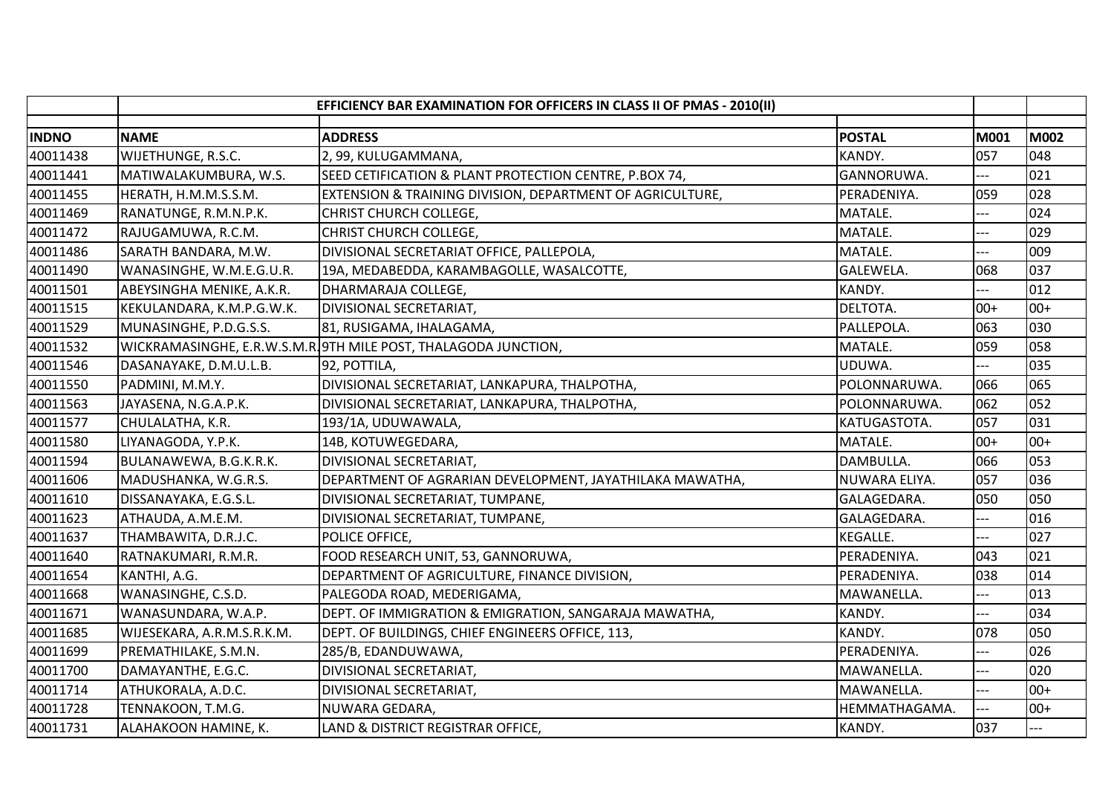| <b>INDNO</b><br><b>NAME</b><br><b>ADDRESS</b><br><b>POSTAL</b><br>M001<br><b>M002</b><br>048<br>057<br>40011438<br>WIJETHUNGE, R.S.C.<br>KANDY.<br>2, 99, KULUGAMMANA,<br>SEED CETIFICATION & PLANT PROTECTION CENTRE, P.BOX 74,<br>021<br>40011441<br>GANNORUWA.<br>MATIWALAKUMBURA, W.S.<br>---<br>028<br>40011455<br>HERATH, H.M.M.S.S.M.<br>EXTENSION & TRAINING DIVISION, DEPARTMENT OF AGRICULTURE,<br>PERADENIYA.<br>059<br>024<br>40011469<br>RANATUNGE, R.M.N.P.K.<br>CHRIST CHURCH COLLEGE,<br>MATALE.<br>029<br>40011472<br>MATALE.<br>RAJUGAMUWA, R.C.M.<br>CHRIST CHURCH COLLEGE,<br><br>40011486<br>009<br>SARATH BANDARA, M.W.<br>DIVISIONAL SECRETARIAT OFFICE, PALLEPOLA,<br>MATALE.<br>037<br>40011490<br>WANASINGHE, W.M.E.G.U.R.<br>19A, MEDABEDDA, KARAMBAGOLLE, WASALCOTTE,<br>GALEWELA.<br>068<br>40011501<br>KANDY.<br>012<br>ABEYSINGHA MENIKE, A.K.R.<br>DHARMARAJA COLLEGE,<br>$00+$<br>40011515<br>$00+$<br>KEKULANDARA, K.M.P.G.W.K.<br>DIVISIONAL SECRETARIAT,<br>DELTOTA.<br>030<br>40011529<br>063<br>MUNASINGHE, P.D.G.S.S.<br>81, RUSIGAMA, IHALAGAMA,<br>PALLEPOLA.<br>058<br>40011532<br>WICKRAMASINGHE, E.R.W.S.M.R. 9TH MILE POST, THALAGODA JUNCTION,<br>MATALE.<br>059<br>035<br>40011546<br>DASANAYAKE, D.M.U.L.B.<br>92, POTTILA,<br>UDUWA.<br>$-$<br>065<br>40011550<br>DIVISIONAL SECRETARIAT, LANKAPURA, THALPOTHA,<br>066<br>PADMINI, M.M.Y.<br>POLONNARUWA. | EFFICIENCY BAR EXAMINATION FOR OFFICERS IN CLASS II OF PMAS - 2010(II) |  |  |  |  |  |
|------------------------------------------------------------------------------------------------------------------------------------------------------------------------------------------------------------------------------------------------------------------------------------------------------------------------------------------------------------------------------------------------------------------------------------------------------------------------------------------------------------------------------------------------------------------------------------------------------------------------------------------------------------------------------------------------------------------------------------------------------------------------------------------------------------------------------------------------------------------------------------------------------------------------------------------------------------------------------------------------------------------------------------------------------------------------------------------------------------------------------------------------------------------------------------------------------------------------------------------------------------------------------------------------------------------------------------------------------------------------------------------------------------|------------------------------------------------------------------------|--|--|--|--|--|
|                                                                                                                                                                                                                                                                                                                                                                                                                                                                                                                                                                                                                                                                                                                                                                                                                                                                                                                                                                                                                                                                                                                                                                                                                                                                                                                                                                                                            |                                                                        |  |  |  |  |  |
|                                                                                                                                                                                                                                                                                                                                                                                                                                                                                                                                                                                                                                                                                                                                                                                                                                                                                                                                                                                                                                                                                                                                                                                                                                                                                                                                                                                                            |                                                                        |  |  |  |  |  |
|                                                                                                                                                                                                                                                                                                                                                                                                                                                                                                                                                                                                                                                                                                                                                                                                                                                                                                                                                                                                                                                                                                                                                                                                                                                                                                                                                                                                            |                                                                        |  |  |  |  |  |
|                                                                                                                                                                                                                                                                                                                                                                                                                                                                                                                                                                                                                                                                                                                                                                                                                                                                                                                                                                                                                                                                                                                                                                                                                                                                                                                                                                                                            |                                                                        |  |  |  |  |  |
|                                                                                                                                                                                                                                                                                                                                                                                                                                                                                                                                                                                                                                                                                                                                                                                                                                                                                                                                                                                                                                                                                                                                                                                                                                                                                                                                                                                                            |                                                                        |  |  |  |  |  |
|                                                                                                                                                                                                                                                                                                                                                                                                                                                                                                                                                                                                                                                                                                                                                                                                                                                                                                                                                                                                                                                                                                                                                                                                                                                                                                                                                                                                            |                                                                        |  |  |  |  |  |
|                                                                                                                                                                                                                                                                                                                                                                                                                                                                                                                                                                                                                                                                                                                                                                                                                                                                                                                                                                                                                                                                                                                                                                                                                                                                                                                                                                                                            |                                                                        |  |  |  |  |  |
|                                                                                                                                                                                                                                                                                                                                                                                                                                                                                                                                                                                                                                                                                                                                                                                                                                                                                                                                                                                                                                                                                                                                                                                                                                                                                                                                                                                                            |                                                                        |  |  |  |  |  |
|                                                                                                                                                                                                                                                                                                                                                                                                                                                                                                                                                                                                                                                                                                                                                                                                                                                                                                                                                                                                                                                                                                                                                                                                                                                                                                                                                                                                            |                                                                        |  |  |  |  |  |
|                                                                                                                                                                                                                                                                                                                                                                                                                                                                                                                                                                                                                                                                                                                                                                                                                                                                                                                                                                                                                                                                                                                                                                                                                                                                                                                                                                                                            |                                                                        |  |  |  |  |  |
|                                                                                                                                                                                                                                                                                                                                                                                                                                                                                                                                                                                                                                                                                                                                                                                                                                                                                                                                                                                                                                                                                                                                                                                                                                                                                                                                                                                                            |                                                                        |  |  |  |  |  |
|                                                                                                                                                                                                                                                                                                                                                                                                                                                                                                                                                                                                                                                                                                                                                                                                                                                                                                                                                                                                                                                                                                                                                                                                                                                                                                                                                                                                            |                                                                        |  |  |  |  |  |
|                                                                                                                                                                                                                                                                                                                                                                                                                                                                                                                                                                                                                                                                                                                                                                                                                                                                                                                                                                                                                                                                                                                                                                                                                                                                                                                                                                                                            |                                                                        |  |  |  |  |  |
|                                                                                                                                                                                                                                                                                                                                                                                                                                                                                                                                                                                                                                                                                                                                                                                                                                                                                                                                                                                                                                                                                                                                                                                                                                                                                                                                                                                                            |                                                                        |  |  |  |  |  |
|                                                                                                                                                                                                                                                                                                                                                                                                                                                                                                                                                                                                                                                                                                                                                                                                                                                                                                                                                                                                                                                                                                                                                                                                                                                                                                                                                                                                            |                                                                        |  |  |  |  |  |
| 052<br>062<br>40011563<br>POLONNARUWA.<br>JAYASENA, N.G.A.P.K.<br>DIVISIONAL SECRETARIAT, LANKAPURA, THALPOTHA,                                                                                                                                                                                                                                                                                                                                                                                                                                                                                                                                                                                                                                                                                                                                                                                                                                                                                                                                                                                                                                                                                                                                                                                                                                                                                            |                                                                        |  |  |  |  |  |
| 031<br>40011577<br>057<br>CHULALATHA, K.R.<br>KATUGASTOTA.<br>193/1A, UDUWAWALA,                                                                                                                                                                                                                                                                                                                                                                                                                                                                                                                                                                                                                                                                                                                                                                                                                                                                                                                                                                                                                                                                                                                                                                                                                                                                                                                           |                                                                        |  |  |  |  |  |
| $00+$<br>40011580<br>LIYANAGODA, Y.P.K.<br>14B, KOTUWEGEDARA,<br>$00+$<br>MATALE.                                                                                                                                                                                                                                                                                                                                                                                                                                                                                                                                                                                                                                                                                                                                                                                                                                                                                                                                                                                                                                                                                                                                                                                                                                                                                                                          |                                                                        |  |  |  |  |  |
| 053<br>40011594<br>066<br>BULANAWEWA, B.G.K.R.K.<br>DIVISIONAL SECRETARIAT,<br>DAMBULLA.                                                                                                                                                                                                                                                                                                                                                                                                                                                                                                                                                                                                                                                                                                                                                                                                                                                                                                                                                                                                                                                                                                                                                                                                                                                                                                                   |                                                                        |  |  |  |  |  |
| 036<br>40011606<br>DEPARTMENT OF AGRARIAN DEVELOPMENT, JAYATHILAKA MAWATHA,<br>057<br>MADUSHANKA, W.G.R.S.<br>NUWARA ELIYA.                                                                                                                                                                                                                                                                                                                                                                                                                                                                                                                                                                                                                                                                                                                                                                                                                                                                                                                                                                                                                                                                                                                                                                                                                                                                                |                                                                        |  |  |  |  |  |
| 050<br>050<br>40011610<br>DISSANAYAKA, E.G.S.L.<br>GALAGEDARA.<br>DIVISIONAL SECRETARIAT, TUMPANE,                                                                                                                                                                                                                                                                                                                                                                                                                                                                                                                                                                                                                                                                                                                                                                                                                                                                                                                                                                                                                                                                                                                                                                                                                                                                                                         |                                                                        |  |  |  |  |  |
| 016<br>40011623<br>ATHAUDA, A.M.E.M.<br>DIVISIONAL SECRETARIAT, TUMPANE,<br>GALAGEDARA.<br>---                                                                                                                                                                                                                                                                                                                                                                                                                                                                                                                                                                                                                                                                                                                                                                                                                                                                                                                                                                                                                                                                                                                                                                                                                                                                                                             |                                                                        |  |  |  |  |  |
| 027<br>40011637<br>THAMBAWITA, D.R.J.C.<br>POLICE OFFICE,<br>KEGALLE.<br>---                                                                                                                                                                                                                                                                                                                                                                                                                                                                                                                                                                                                                                                                                                                                                                                                                                                                                                                                                                                                                                                                                                                                                                                                                                                                                                                               |                                                                        |  |  |  |  |  |
| FOOD RESEARCH UNIT, 53, GANNORUWA,<br>021<br>40011640<br>RATNAKUMARI, R.M.R.<br>PERADENIYA.<br>043                                                                                                                                                                                                                                                                                                                                                                                                                                                                                                                                                                                                                                                                                                                                                                                                                                                                                                                                                                                                                                                                                                                                                                                                                                                                                                         |                                                                        |  |  |  |  |  |
| 038<br>014<br>40011654<br>KANTHI, A.G.<br>DEPARTMENT OF AGRICULTURE, FINANCE DIVISION,<br>PERADENIYA.                                                                                                                                                                                                                                                                                                                                                                                                                                                                                                                                                                                                                                                                                                                                                                                                                                                                                                                                                                                                                                                                                                                                                                                                                                                                                                      |                                                                        |  |  |  |  |  |
| 013<br>40011668<br>WANASINGHE, C.S.D.<br>MAWANELLA.<br>PALEGODA ROAD, MEDERIGAMA,                                                                                                                                                                                                                                                                                                                                                                                                                                                                                                                                                                                                                                                                                                                                                                                                                                                                                                                                                                                                                                                                                                                                                                                                                                                                                                                          |                                                                        |  |  |  |  |  |
| 034<br>40011671<br>WANASUNDARA, W.A.P.<br>DEPT. OF IMMIGRATION & EMIGRATION, SANGARAJA MAWATHA,<br>KANDY.<br>$--$                                                                                                                                                                                                                                                                                                                                                                                                                                                                                                                                                                                                                                                                                                                                                                                                                                                                                                                                                                                                                                                                                                                                                                                                                                                                                          |                                                                        |  |  |  |  |  |
| 050<br>40011685<br>WIJESEKARA, A.R.M.S.R.K.M.<br>DEPT. OF BUILDINGS, CHIEF ENGINEERS OFFICE, 113,<br>KANDY.<br>078                                                                                                                                                                                                                                                                                                                                                                                                                                                                                                                                                                                                                                                                                                                                                                                                                                                                                                                                                                                                                                                                                                                                                                                                                                                                                         |                                                                        |  |  |  |  |  |
| 026<br>40011699<br>PREMATHILAKE, S.M.N.<br>285/B, EDANDUWAWA,<br>PERADENIYA.                                                                                                                                                                                                                                                                                                                                                                                                                                                                                                                                                                                                                                                                                                                                                                                                                                                                                                                                                                                                                                                                                                                                                                                                                                                                                                                               |                                                                        |  |  |  |  |  |
| 020<br>40011700<br>DAMAYANTHE, E.G.C.<br>DIVISIONAL SECRETARIAT,<br>MAWANELLA.<br>---                                                                                                                                                                                                                                                                                                                                                                                                                                                                                                                                                                                                                                                                                                                                                                                                                                                                                                                                                                                                                                                                                                                                                                                                                                                                                                                      |                                                                        |  |  |  |  |  |
| 40011714<br>$00+$<br>ATHUKORALA, A.D.C.<br>DIVISIONAL SECRETARIAT,<br>MAWANELLA.<br>$---$                                                                                                                                                                                                                                                                                                                                                                                                                                                                                                                                                                                                                                                                                                                                                                                                                                                                                                                                                                                                                                                                                                                                                                                                                                                                                                                  |                                                                        |  |  |  |  |  |
| 40011728<br>$00+$<br>TENNAKOON, T.M.G.<br>NUWARA GEDARA,<br>HEMMATHAGAMA.<br>$-$                                                                                                                                                                                                                                                                                                                                                                                                                                                                                                                                                                                                                                                                                                                                                                                                                                                                                                                                                                                                                                                                                                                                                                                                                                                                                                                           |                                                                        |  |  |  |  |  |
| 40011731<br>ALAHAKOON HAMINE, K.<br>LAND & DISTRICT REGISTRAR OFFICE,<br>KANDY.<br>037                                                                                                                                                                                                                                                                                                                                                                                                                                                                                                                                                                                                                                                                                                                                                                                                                                                                                                                                                                                                                                                                                                                                                                                                                                                                                                                     |                                                                        |  |  |  |  |  |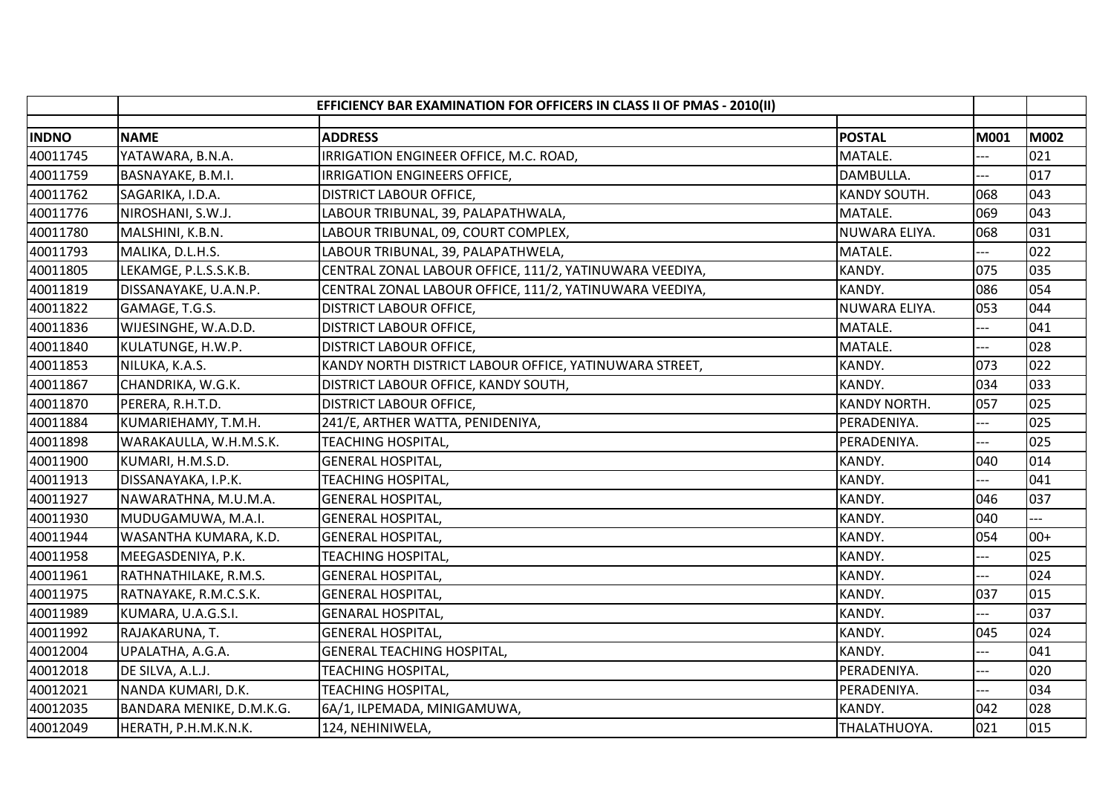|              |                          | EFFICIENCY BAR EXAMINATION FOR OFFICERS IN CLASS II OF PMAS - 2010(II) |                     |       |             |
|--------------|--------------------------|------------------------------------------------------------------------|---------------------|-------|-------------|
| <b>INDNO</b> | <b>NAME</b>              | <b>ADDRESS</b>                                                         | <b>POSTAL</b>       | M001  | <b>M002</b> |
| 40011745     | YATAWARA, B.N.A.         | IRRIGATION ENGINEER OFFICE, M.C. ROAD,                                 | MATALE.             |       | 021         |
| 40011759     | BASNAYAKE, B.M.I.        | IRRIGATION ENGINEERS OFFICE,                                           | DAMBULLA.           |       | 017         |
| 40011762     | SAGARIKA, I.D.A.         | DISTRICT LABOUR OFFICE,                                                | KANDY SOUTH.        | 068   | 043         |
| 40011776     | NIROSHANI, S.W.J.        | LABOUR TRIBUNAL, 39, PALAPATHWALA,                                     | MATALE.             | 069   | 043         |
| 40011780     | MALSHINI, K.B.N.         | LABOUR TRIBUNAL, 09, COURT COMPLEX,                                    | NUWARA ELIYA.       | 068   | 031         |
| 40011793     | MALIKA, D.L.H.S.         | LABOUR TRIBUNAL, 39, PALAPATHWELA,                                     | MATALE.             | ---   | 022         |
| 40011805     | LEKAMGE, P.L.S.S.K.B.    | CENTRAL ZONAL LABOUR OFFICE, 111/2, YATINUWARA VEEDIYA,                | KANDY.              | 075   | 035         |
| 40011819     | DISSANAYAKE, U.A.N.P.    | CENTRAL ZONAL LABOUR OFFICE, 111/2, YATINUWARA VEEDIYA,                | KANDY.              | 086   | 054         |
| 40011822     | GAMAGE, T.G.S.           | <b>DISTRICT LABOUR OFFICE,</b>                                         | NUWARA ELIYA.       | 053   | 044         |
| 40011836     | WIJESINGHE, W.A.D.D.     | <b>DISTRICT LABOUR OFFICE,</b>                                         | MATALE.             |       | 041         |
| 40011840     | KULATUNGE, H.W.P.        | <b>DISTRICT LABOUR OFFICE,</b>                                         | MATALE.             | ---   | 028         |
| 40011853     | NILUKA, K.A.S.           | KANDY NORTH DISTRICT LABOUR OFFICE, YATINUWARA STREET,                 | KANDY.              | 073   | 022         |
| 40011867     | CHANDRIKA, W.G.K.        | DISTRICT LABOUR OFFICE, KANDY SOUTH,                                   | KANDY.              | 034   | 033         |
| 40011870     | PERERA, R.H.T.D.         | <b>DISTRICT LABOUR OFFICE,</b>                                         | <b>KANDY NORTH.</b> | 057   | 025         |
| 40011884     | KUMARIEHAMY, T.M.H.      | 241/E, ARTHER WATTA, PENIDENIYA,                                       | PERADENIYA.         |       | 025         |
| 40011898     | WARAKAULLA, W.H.M.S.K.   | <b>TEACHING HOSPITAL,</b>                                              | PERADENIYA.         | ---   | 025         |
| 40011900     | KUMARI, H.M.S.D.         | <b>GENERAL HOSPITAL,</b>                                               | KANDY.              | 040   | 014         |
| 40011913     | DISSANAYAKA, I.P.K.      | <b>TEACHING HOSPITAL,</b>                                              | KANDY.              |       | 041         |
| 40011927     | NAWARATHNA, M.U.M.A.     | <b>GENERAL HOSPITAL,</b>                                               | KANDY.              | 046   | 037         |
| 40011930     | MUDUGAMUWA, M.A.I.       | <b>GENERAL HOSPITAL,</b>                                               | KANDY.              | 040   |             |
| 40011944     | WASANTHA KUMARA, K.D.    | <b>GENERAL HOSPITAL,</b>                                               | KANDY.              | 054   | $00+$       |
| 40011958     | MEEGASDENIYA, P.K.       | <b>TEACHING HOSPITAL,</b>                                              | KANDY.              | $---$ | 025         |
| 40011961     | RATHNATHILAKE, R.M.S.    | <b>GENERAL HOSPITAL,</b>                                               | KANDY.              |       | 024         |
| 40011975     | RATNAYAKE, R.M.C.S.K.    | <b>GENERAL HOSPITAL,</b>                                               | KANDY.              | 037   | 015         |
| 40011989     | KUMARA, U.A.G.S.I.       | <b>GENARAL HOSPITAL,</b>                                               | KANDY.              | $---$ | 037         |
| 40011992     | RAJAKARUNA, T.           | <b>GENERAL HOSPITAL,</b>                                               | KANDY.              | 045   | 024         |
| 40012004     | UPALATHA, A.G.A.         | <b>GENERAL TEACHING HOSPITAL,</b>                                      | KANDY.              |       | 041         |
| 40012018     | DE SILVA, A.L.J.         | <b>TEACHING HOSPITAL,</b>                                              | PERADENIYA.         | ---   | 020         |
| 40012021     | NANDA KUMARI, D.K.       | <b>TEACHING HOSPITAL,</b>                                              | PERADENIYA.         | ---   | 034         |
| 40012035     | BANDARA MENIKE, D.M.K.G. | 6A/1, ILPEMADA, MINIGAMUWA,                                            | KANDY.              | 042   | 028         |
| 40012049     | HERATH, P.H.M.K.N.K.     | 124, NEHINIWELA,                                                       | THALATHUOYA.        | 021   | 015         |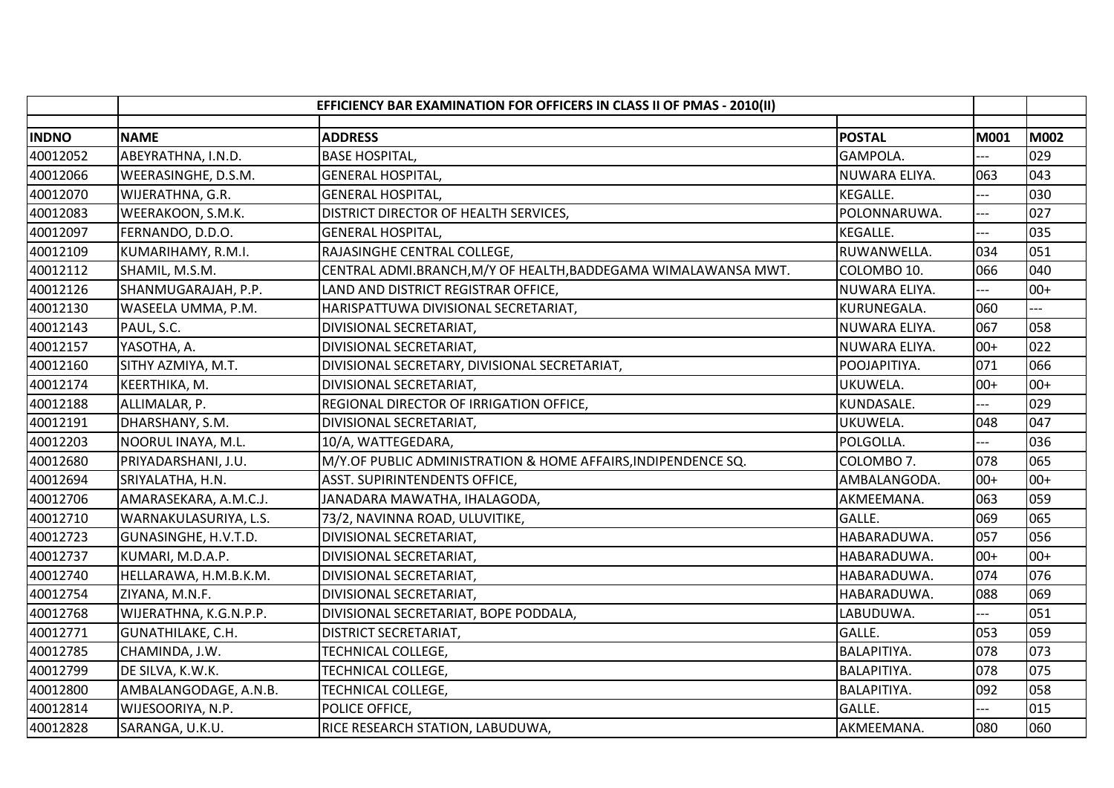|              | EFFICIENCY BAR EXAMINATION FOR OFFICERS IN CLASS II OF PMAS - 2010(II) |                                                                |                 |       |             |
|--------------|------------------------------------------------------------------------|----------------------------------------------------------------|-----------------|-------|-------------|
|              |                                                                        |                                                                |                 |       |             |
| <b>INDNO</b> | <b>NAME</b>                                                            | <b>ADDRESS</b>                                                 | <b>POSTAL</b>   | M001  | <b>M002</b> |
| 40012052     | ABEYRATHNA, I.N.D.                                                     | <b>BASE HOSPITAL,</b>                                          | GAMPOLA.        |       | 029         |
| 40012066     | WEERASINGHE, D.S.M.                                                    | <b>GENERAL HOSPITAL,</b>                                       | NUWARA ELIYA.   | 063   | 043         |
| 40012070     | WIJERATHNA, G.R.                                                       | <b>GENERAL HOSPITAL,</b>                                       | <b>KEGALLE.</b> |       | 030         |
| 40012083     | WEERAKOON, S.M.K.                                                      | DISTRICT DIRECTOR OF HEALTH SERVICES,                          | POLONNARUWA.    |       | 027         |
| 40012097     | FERNANDO, D.D.O.                                                       | <b>GENERAL HOSPITAL,</b>                                       | KEGALLE.        |       | 035         |
| 40012109     | KUMARIHAMY, R.M.I.                                                     | RAJASINGHE CENTRAL COLLEGE,                                    | RUWANWELLA.     | 034   | 051         |
| 40012112     | SHAMIL, M.S.M.                                                         | CENTRAL ADMI.BRANCH, M/Y OF HEALTH, BADDEGAMA WIMALAWANSA MWT. | COLOMBO 10.     | 066   | 040         |
| 40012126     | SHANMUGARAJAH, P.P.                                                    | LAND AND DISTRICT REGISTRAR OFFICE,                            | NUWARA ELIYA.   |       | $00+$       |
| 40012130     | WASEELA UMMA, P.M.                                                     | HARISPATTUWA DIVISIONAL SECRETARIAT,                           | KURUNEGALA.     | 060   |             |
| 40012143     | PAUL, S.C.                                                             | DIVISIONAL SECRETARIAT,                                        | NUWARA ELIYA.   | 067   | 058         |
| 40012157     | YASOTHA, A.                                                            | DIVISIONAL SECRETARIAT,                                        | NUWARA ELIYA.   | $00+$ | 022         |
| 40012160     | SITHY AZMIYA, M.T.                                                     | DIVISIONAL SECRETARY, DIVISIONAL SECRETARIAT,                  | POOJAPITIYA.    | 071   | 066         |
| 40012174     | KEERTHIKA, M.                                                          | DIVISIONAL SECRETARIAT,                                        | UKUWELA.        | $00+$ | $00+$       |
| 40012188     | ALLIMALAR, P.                                                          | REGIONAL DIRECTOR OF IRRIGATION OFFICE,                        | KUNDASALE.      |       | 029         |
| 40012191     | DHARSHANY, S.M.                                                        | DIVISIONAL SECRETARIAT,                                        | UKUWELA.        | 048   | 047         |
| 40012203     | NOORUL INAYA, M.L.                                                     | 10/A, WATTEGEDARA,                                             | POLGOLLA.       | $---$ | 036         |
| 40012680     | PRIYADARSHANI, J.U.                                                    | M/Y.OF PUBLIC ADMINISTRATION & HOME AFFAIRS, INDIPENDENCE SQ.  | COLOMBO 7.      | 078   | 065         |
| 40012694     | SRIYALATHA, H.N.                                                       | <b>ASST. SUPIRINTENDENTS OFFICE,</b>                           | AMBALANGODA.    | $00+$ | $00+$       |
| 40012706     | AMARASEKARA, A.M.C.J.                                                  | JANADARA MAWATHA, IHALAGODA,                                   | AKMEEMANA.      | 063   | 059         |
| 40012710     | WARNAKULASURIYA, L.S.                                                  | 73/2, NAVINNA ROAD, ULUVITIKE,                                 | GALLE.          | 069   | 065         |
| 40012723     | GUNASINGHE, H.V.T.D.                                                   | DIVISIONAL SECRETARIAT,                                        | HABARADUWA.     | 057   | 056         |
| 40012737     | KUMARI, M.D.A.P.                                                       | DIVISIONAL SECRETARIAT,                                        | HABARADUWA.     | $00+$ | $00+$       |
| 40012740     | HELLARAWA, H.M.B.K.M.                                                  | DIVISIONAL SECRETARIAT,                                        | HABARADUWA.     | 074   | 076         |
| 40012754     | ZIYANA, M.N.F.                                                         | DIVISIONAL SECRETARIAT,                                        | HABARADUWA.     | 088   | 069         |
| 40012768     | WIJERATHNA, K.G.N.P.P.                                                 | DIVISIONAL SECRETARIAT, BOPE PODDALA,                          | LABUDUWA.       | ---   | 051         |
| 40012771     | GUNATHILAKE, C.H.                                                      | <b>DISTRICT SECRETARIAT,</b>                                   | GALLE.          | 053   | 059         |
| 40012785     | CHAMINDA, J.W.                                                         | TECHNICAL COLLEGE,                                             | BALAPITIYA.     | 078   | 073         |
| 40012799     | DE SILVA, K.W.K.                                                       | TECHNICAL COLLEGE,                                             | BALAPITIYA.     | 078   | 075         |
| 40012800     | AMBALANGODAGE, A.N.B.                                                  | TECHNICAL COLLEGE,                                             | BALAPITIYA.     | 092   | 058         |
| 40012814     | WIJESOORIYA, N.P.                                                      | POLICE OFFICE,                                                 | GALLE.          | $---$ | 015         |
| 40012828     | SARANGA, U.K.U.                                                        | RICE RESEARCH STATION, LABUDUWA,                               | AKMEEMANA.      | 080   | 060         |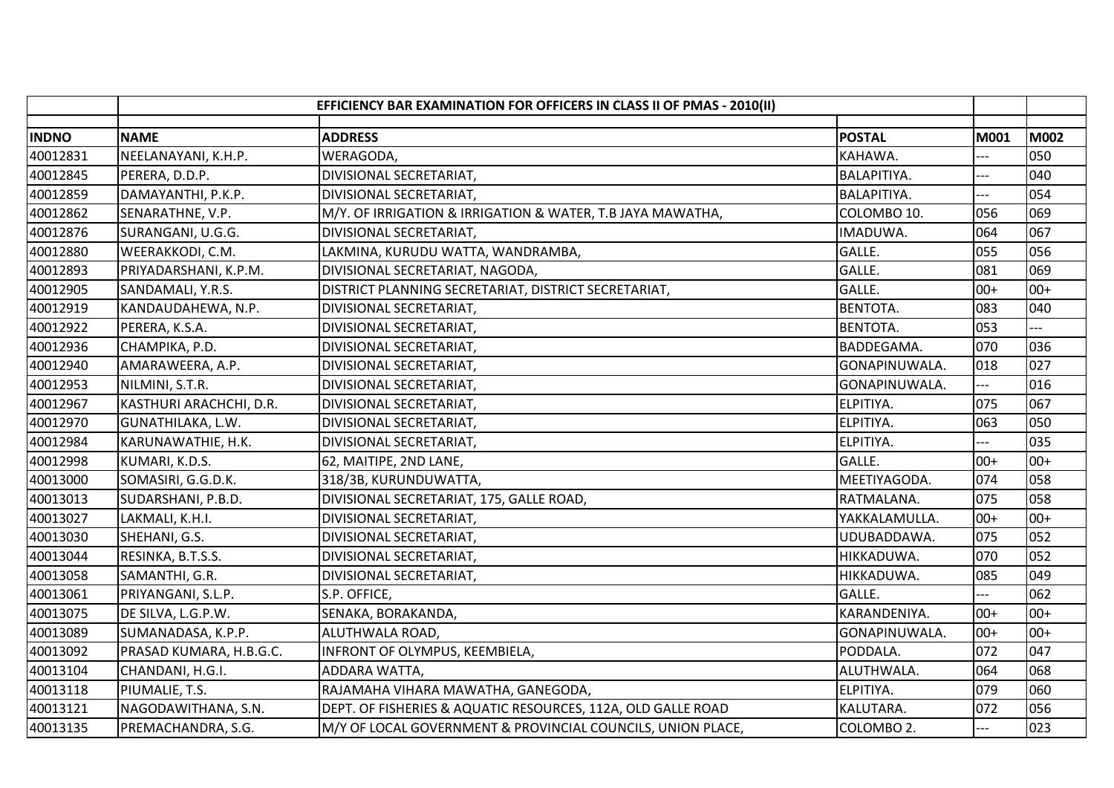|              |                         | EFFICIENCY BAR EXAMINATION FOR OFFICERS IN CLASS II OF PMAS - 2010(II) |                 |                |       |
|--------------|-------------------------|------------------------------------------------------------------------|-----------------|----------------|-------|
| <b>INDNO</b> | <b>NAME</b>             | <b>ADDRESS</b>                                                         | <b>POSTAL</b>   | M001           | M002  |
|              |                         |                                                                        |                 |                |       |
| 40012831     | NEELANAYANI, K.H.P.     | WERAGODA,                                                              | KAHAWA.         |                | 050   |
| 40012845     | PERERA, D.D.P.          | DIVISIONAL SECRETARIAT,                                                | BALAPITIYA.     |                | 040   |
| 40012859     | DAMAYANTHI, P.K.P.      | DIVISIONAL SECRETARIAT,                                                | BALAPITIYA.     | $---$          | 054   |
| 40012862     | SENARATHNE, V.P.        | M/Y. OF IRRIGATION & IRRIGATION & WATER, T.B JAYA MAWATHA,             | COLOMBO 10.     | 056            | 069   |
| 40012876     | SURANGANI, U.G.G.       | DIVISIONAL SECRETARIAT,                                                | IMADUWA.        | 064            | 067   |
| 40012880     | WEERAKKODI, C.M.        | LAKMINA, KURUDU WATTA, WANDRAMBA,                                      | GALLE.          | 055            | 056   |
| 40012893     | PRIYADARSHANI, K.P.M.   | DIVISIONAL SECRETARIAT, NAGODA,                                        | GALLE.          | 081            | 069   |
| 40012905     | SANDAMALI, Y.R.S.       | DISTRICT PLANNING SECRETARIAT, DISTRICT SECRETARIAT,                   | GALLE.          | $00+$          | $00+$ |
| 40012919     | KANDAUDAHEWA, N.P.      | DIVISIONAL SECRETARIAT,                                                | <b>BENTOTA.</b> | 083            | 040   |
| 40012922     | PERERA, K.S.A.          | DIVISIONAL SECRETARIAT,                                                | <b>BENTOTA.</b> | 053            |       |
| 40012936     | CHAMPIKA, P.D.          | DIVISIONAL SECRETARIAT,                                                | BADDEGAMA.      | 070            | 036   |
| 40012940     | AMARAWEERA, A.P.        | DIVISIONAL SECRETARIAT,                                                | GONAPINUWALA.   | 018            | 027   |
| 40012953     | NILMINI, S.T.R.         | DIVISIONAL SECRETARIAT,                                                | GONAPINUWALA.   |                | 016   |
| 40012967     | KASTHURI ARACHCHI, D.R. | DIVISIONAL SECRETARIAT,                                                | ELPITIYA.       | 075            | 067   |
| 40012970     | GUNATHILAKA, L.W.       | DIVISIONAL SECRETARIAT,                                                | ELPITIYA.       | 063            | 050   |
| 40012984     | KARUNAWATHIE, H.K.      | DIVISIONAL SECRETARIAT,                                                | ELPITIYA.       | $---$          | 035   |
| 40012998     | KUMARI, K.D.S.          | 62, MAITIPE, 2ND LANE,                                                 | GALLE.          | $00+$          | $00+$ |
| 40013000     | SOMASIRI, G.G.D.K.      | 318/3B, KURUNDUWATTA,                                                  | MEETIYAGODA.    | 074            | 058   |
| 40013013     | SUDARSHANI, P.B.D.      | DIVISIONAL SECRETARIAT, 175, GALLE ROAD,                               | RATMALANA.      | 075            | 058   |
| 40013027     | LAKMALI, K.H.I.         | DIVISIONAL SECRETARIAT,                                                | YAKKALAMULLA.   | $00+$          | $00+$ |
| 40013030     | SHEHANI, G.S.           | DIVISIONAL SECRETARIAT,                                                | UDUBADDAWA.     | 075            | 052   |
| 40013044     | RESINKA, B.T.S.S.       | DIVISIONAL SECRETARIAT,                                                | HIKKADUWA.      | 070            | 052   |
| 40013058     | SAMANTHI, G.R.          | DIVISIONAL SECRETARIAT,                                                | HIKKADUWA.      | 085            | 049   |
| 40013061     | PRIYANGANI, S.L.P.      | S.P. OFFICE,                                                           | GALLE.          |                | 062   |
| 40013075     | DE SILVA, L.G.P.W.      | SENAKA, BORAKANDA,                                                     | KARANDENIYA.    | $00+$          | $00+$ |
| 40013089     | SUMANADASA, K.P.P.      | ALUTHWALA ROAD,                                                        | GONAPINUWALA.   | $00+$          | $00+$ |
| 40013092     | PRASAD KUMARA, H.B.G.C. | INFRONT OF OLYMPUS, KEEMBIELA,                                         | PODDALA.        | 072            | 047   |
| 40013104     | CHANDANI, H.G.I.        | ADDARA WATTA,                                                          | ALUTHWALA.      | 064            | 068   |
| 40013118     | PIUMALIE, T.S.          | RAJAMAHA VIHARA MAWATHA, GANEGODA,                                     | ELPITIYA.       | 079            | 060   |
| 40013121     | NAGODAWITHANA, S.N.     | DEPT. OF FISHERIES & AQUATIC RESOURCES, 112A, OLD GALLE ROAD           | KALUTARA.       | 072            | 056   |
| 40013135     | PREMACHANDRA, S.G.      | M/Y OF LOCAL GOVERNMENT & PROVINCIAL COUNCILS, UNION PLACE,            | COLOMBO 2.      | $\overline{a}$ | 023   |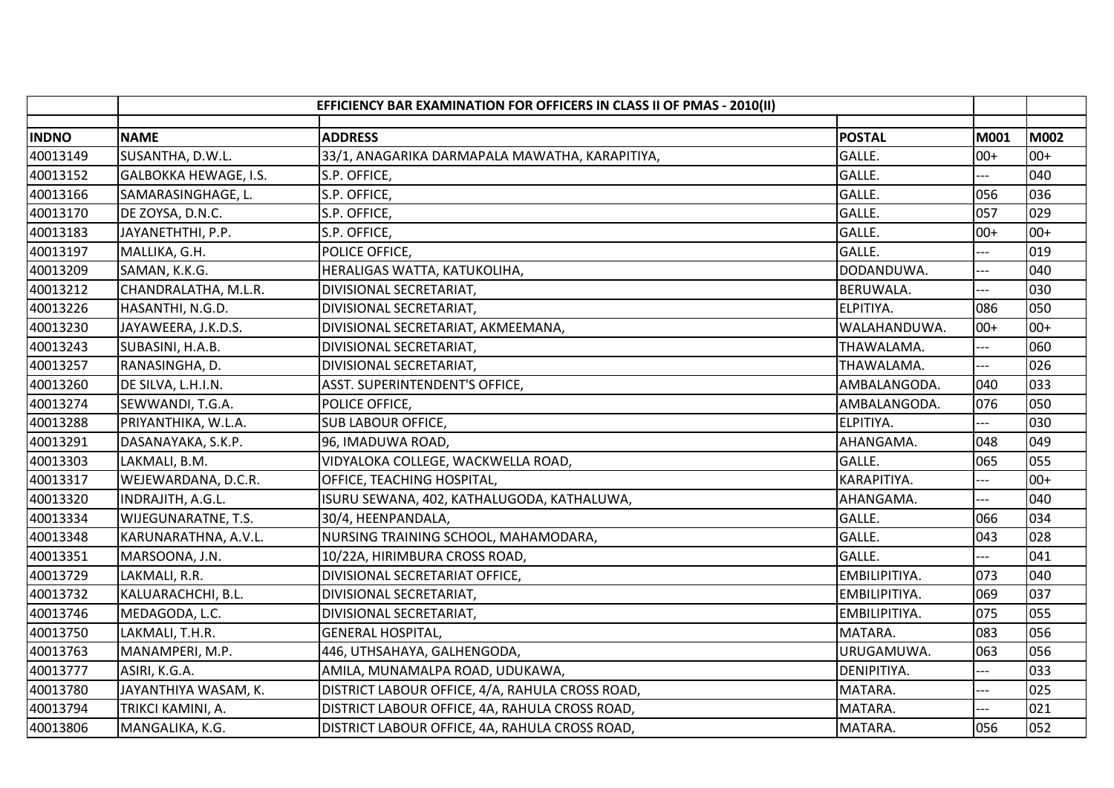|              |                       | EFFICIENCY BAR EXAMINATION FOR OFFICERS IN CLASS II OF PMAS - 2010(II) |                  |       |       |
|--------------|-----------------------|------------------------------------------------------------------------|------------------|-------|-------|
| <b>INDNO</b> | <b>NAME</b>           | <b>ADDRESS</b>                                                         | <b>POSTAL</b>    | M001  | M002  |
| 40013149     | SUSANTHA, D.W.L.      | 33/1, ANAGARIKA DARMAPALA MAWATHA, KARAPITIYA,                         | GALLE.           | $00+$ | $00+$ |
| 40013152     | GALBOKKA HEWAGE, I.S. | S.P. OFFICE,                                                           | GALLE.           | ---   | 040   |
| 40013166     | SAMARASINGHAGE, L.    | S.P. OFFICE,                                                           | GALLE.           | 056   | 036   |
| 40013170     | DE ZOYSA, D.N.C.      | S.P. OFFICE,                                                           | GALLE.           | 057   | 029   |
| 40013183     | JAYANETHTHI, P.P.     | S.P. OFFICE,                                                           | GALLE.           | $00+$ | $00+$ |
| 40013197     | MALLIKA, G.H.         | POLICE OFFICE,                                                         | GALLE.           |       | 019   |
| 40013209     | SAMAN, K.K.G.         | HERALIGAS WATTA, KATUKOLIHA,                                           | DODANDUWA.       | ---   | 040   |
| 40013212     | CHANDRALATHA, M.L.R.  | DIVISIONAL SECRETARIAT,                                                | <b>BERUWALA.</b> |       | 030   |
| 40013226     | HASANTHI, N.G.D.      | DIVISIONAL SECRETARIAT,                                                | ELPITIYA.        | 086   | 050   |
| 40013230     | JAYAWEERA, J.K.D.S.   | DIVISIONAL SECRETARIAT, AKMEEMANA,                                     | WALAHANDUWA.     | $00+$ | $00+$ |
| 40013243     | SUBASINI, H.A.B.      | DIVISIONAL SECRETARIAT,                                                | THAWALAMA.       | ---   | 060   |
| 40013257     | RANASINGHA, D.        | DIVISIONAL SECRETARIAT,                                                | THAWALAMA.       | $-$   | 026   |
| 40013260     | DE SILVA, L.H.I.N.    | ASST. SUPERINTENDENT'S OFFICE,                                         | AMBALANGODA.     | 040   | 033   |
| 40013274     | SEWWANDI, T.G.A.      | POLICE OFFICE,                                                         | AMBALANGODA.     | 076   | 050   |
| 40013288     | PRIYANTHIKA, W.L.A.   | <b>SUB LABOUR OFFICE,</b>                                              | ELPITIYA.        |       | 030   |
| 40013291     | DASANAYAKA, S.K.P.    | 96, IMADUWA ROAD,                                                      | AHANGAMA.        | 048   | 049   |
| 40013303     | LAKMALI, B.M.         | VIDYALOKA COLLEGE, WACKWELLA ROAD,                                     | GALLE.           | 065   | 055   |
| 40013317     | WEJEWARDANA, D.C.R.   | OFFICE, TEACHING HOSPITAL,                                             | KARAPITIYA.      |       | $00+$ |
| 40013320     | INDRAJITH, A.G.L.     | ISURU SEWANA, 402, KATHALUGODA, KATHALUWA,                             | AHANGAMA.        |       | 040   |
| 40013334     | WIJEGUNARATNE, T.S.   | 30/4, HEENPANDALA,                                                     | GALLE.           | 066   | 034   |
| 40013348     | KARUNARATHNA, A.V.L.  | NURSING TRAINING SCHOOL, MAHAMODARA,                                   | GALLE.           | 043   | 028   |
| 40013351     | MARSOONA, J.N.        | 10/22A, HIRIMBURA CROSS ROAD,                                          | GALLE.           | $---$ | 041   |
| 40013729     | LAKMALI, R.R.         | DIVISIONAL SECRETARIAT OFFICE,                                         | EMBILIPITIYA.    | 073   | 040   |
| 40013732     | KALUARACHCHI, B.L.    | DIVISIONAL SECRETARIAT,                                                | EMBILIPITIYA.    | 069   | 037   |
| 40013746     | MEDAGODA, L.C.        | DIVISIONAL SECRETARIAT,                                                | EMBILIPITIYA.    | 075   | 055   |
| 40013750     | LAKMALI, T.H.R.       | <b>GENERAL HOSPITAL,</b>                                               | MATARA.          | 083   | 056   |
| 40013763     | MANAMPERI, M.P.       | 446, UTHSAHAYA, GALHENGODA,                                            | URUGAMUWA.       | 063   | 056   |
| 40013777     | ASIRI, K.G.A.         | AMILA, MUNAMALPA ROAD, UDUKAWA,                                        | DENIPITIYA.      | ---   | 033   |
| 40013780     | JAYANTHIYA WASAM, K.  | DISTRICT LABOUR OFFICE, 4/A, RAHULA CROSS ROAD,                        | MATARA.          | ---   | 025   |
| 40013794     | TRIKCI KAMINI, A.     | DISTRICT LABOUR OFFICE, 4A, RAHULA CROSS ROAD,                         | MATARA.          | $-$   | 021   |
| 40013806     | MANGALIKA, K.G.       | DISTRICT LABOUR OFFICE, 4A, RAHULA CROSS ROAD,                         | MATARA.          | 056   | 052   |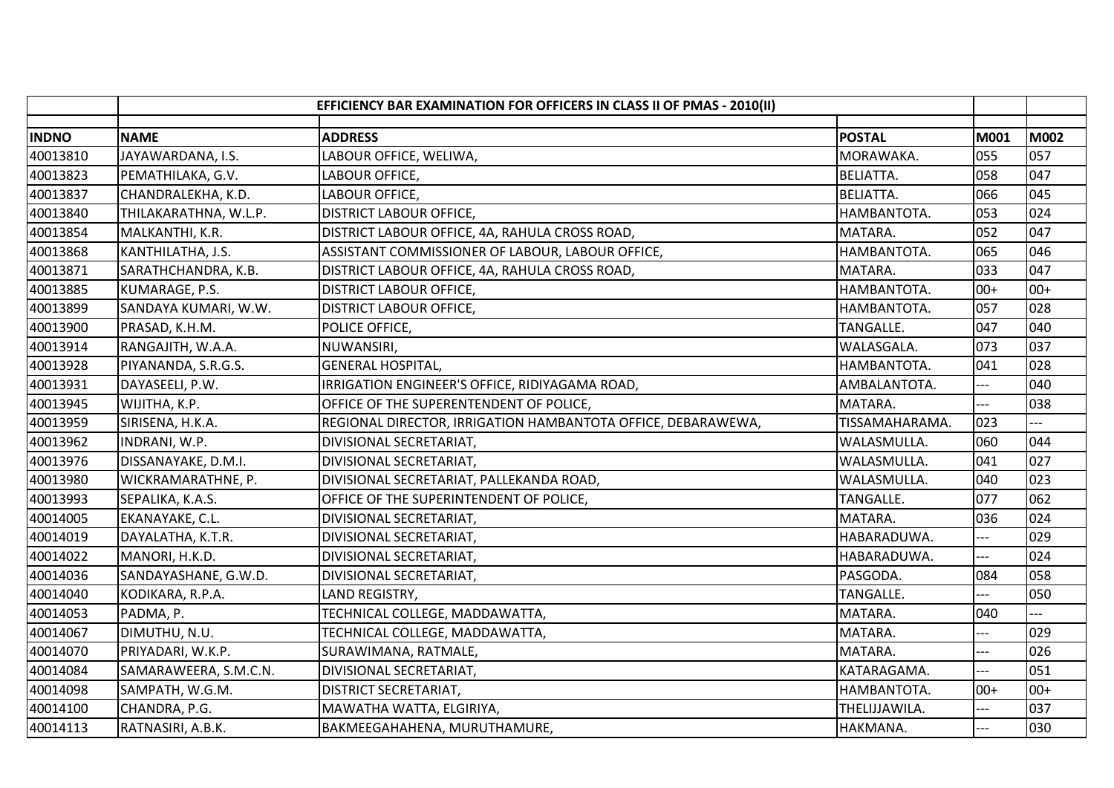|              |                       | EFFICIENCY BAR EXAMINATION FOR OFFICERS IN CLASS II OF PMAS - 2010(II) |                  |       |       |
|--------------|-----------------------|------------------------------------------------------------------------|------------------|-------|-------|
| <b>INDNO</b> | <b>NAME</b>           | <b>ADDRESS</b>                                                         | <b>POSTAL</b>    | M001  | M002  |
| 40013810     | JAYAWARDANA, I.S.     | LABOUR OFFICE, WELIWA,                                                 | MORAWAKA.        | 055   | 057   |
| 40013823     | PEMATHILAKA, G.V.     | LABOUR OFFICE,                                                         | <b>BELIATTA.</b> | 058   | 047   |
| 40013837     | CHANDRALEKHA, K.D.    | LABOUR OFFICE,                                                         | <b>BELIATTA.</b> | 066   | 045   |
| 40013840     | THILAKARATHNA, W.L.P. | <b>DISTRICT LABOUR OFFICE,</b>                                         | HAMBANTOTA.      | 053   | 024   |
| 40013854     | MALKANTHI, K.R.       | DISTRICT LABOUR OFFICE, 4A, RAHULA CROSS ROAD,                         | MATARA.          | 052   | 047   |
| 40013868     | KANTHILATHA, J.S.     | ASSISTANT COMMISSIONER OF LABOUR, LABOUR OFFICE,                       | HAMBANTOTA.      | 065   | 046   |
| 40013871     | SARATHCHANDRA, K.B.   | DISTRICT LABOUR OFFICE, 4A, RAHULA CROSS ROAD,                         | MATARA.          | 033   | 047   |
| 40013885     | KUMARAGE, P.S.        | <b>DISTRICT LABOUR OFFICE,</b>                                         | HAMBANTOTA.      | $00+$ | $00+$ |
| 40013899     | SANDAYA KUMARI, W.W.  | <b>DISTRICT LABOUR OFFICE,</b>                                         | HAMBANTOTA.      | 057   | 028   |
| 40013900     | PRASAD, K.H.M.        | POLICE OFFICE,                                                         | TANGALLE.        | 047   | 040   |
| 40013914     | RANGAJITH, W.A.A.     | NUWANSIRI,                                                             | WALASGALA.       | 073   | 037   |
| 40013928     | PIYANANDA, S.R.G.S.   | <b>GENERAL HOSPITAL,</b>                                               | HAMBANTOTA.      | 041   | 028   |
| 40013931     | DAYASEELI, P.W.       | IRRIGATION ENGINEER'S OFFICE, RIDIYAGAMA ROAD,                         | AMBALANTOTA.     | ---   | 040   |
| 40013945     | WIJITHA, K.P.         | OFFICE OF THE SUPERENTENDENT OF POLICE,                                | MATARA.          |       | 038   |
| 40013959     | SIRISENA, H.K.A.      | REGIONAL DIRECTOR, IRRIGATION HAMBANTOTA OFFICE, DEBARAWEWA,           | TISSAMAHARAMA.   | 023   |       |
| 40013962     | INDRANI, W.P.         | DIVISIONAL SECRETARIAT,                                                | WALASMULLA.      | 060   | 044   |
| 40013976     | DISSANAYAKE, D.M.I.   | DIVISIONAL SECRETARIAT,                                                | WALASMULLA.      | 041   | 027   |
| 40013980     | WICKRAMARATHNE, P.    | DIVISIONAL SECRETARIAT, PALLEKANDA ROAD,                               | WALASMULLA.      | 040   | 023   |
| 40013993     | SEPALIKA, K.A.S.      | OFFICE OF THE SUPERINTENDENT OF POLICE,                                | <b>TANGALLE.</b> | 077   | 062   |
| 40014005     | EKANAYAKE, C.L.       | DIVISIONAL SECRETARIAT,                                                | MATARA.          | 036   | 024   |
| 40014019     | DAYALATHA, K.T.R.     | DIVISIONAL SECRETARIAT,                                                | HABARADUWA.      | ---   | 029   |
| 40014022     | MANORI, H.K.D.        | DIVISIONAL SECRETARIAT,                                                | HABARADUWA.      | ---   | 024   |
| 40014036     | SANDAYASHANE, G.W.D.  | DIVISIONAL SECRETARIAT,                                                | PASGODA.         | 084   | 058   |
| 40014040     | KODIKARA, R.P.A.      | LAND REGISTRY,                                                         | TANGALLE.        |       | 050   |
| 40014053     | PADMA, P.             | TECHNICAL COLLEGE, MADDAWATTA,                                         | MATARA.          | 040   |       |
| 40014067     | DIMUTHU, N.U.         | TECHNICAL COLLEGE, MADDAWATTA,                                         | MATARA.          |       | 029   |
| 40014070     | PRIYADARI, W.K.P.     | SURAWIMANA, RATMALE,                                                   | MATARA.          |       | 026   |
| 40014084     | SAMARAWEERA, S.M.C.N. | DIVISIONAL SECRETARIAT,                                                | KATARAGAMA.      | ---   | 051   |
| 40014098     | SAMPATH, W.G.M.       | <b>DISTRICT SECRETARIAT,</b>                                           | HAMBANTOTA.      | $00+$ | $00+$ |
| 40014100     | CHANDRA, P.G.         | MAWATHA WATTA, ELGIRIYA,                                               | THELIJJAWILA.    | $---$ | 037   |
| 40014113     | RATNASIRI, A.B.K.     | BAKMEEGAHAHENA, MURUTHAMURE,                                           | HAKMANA.         | $---$ | 030   |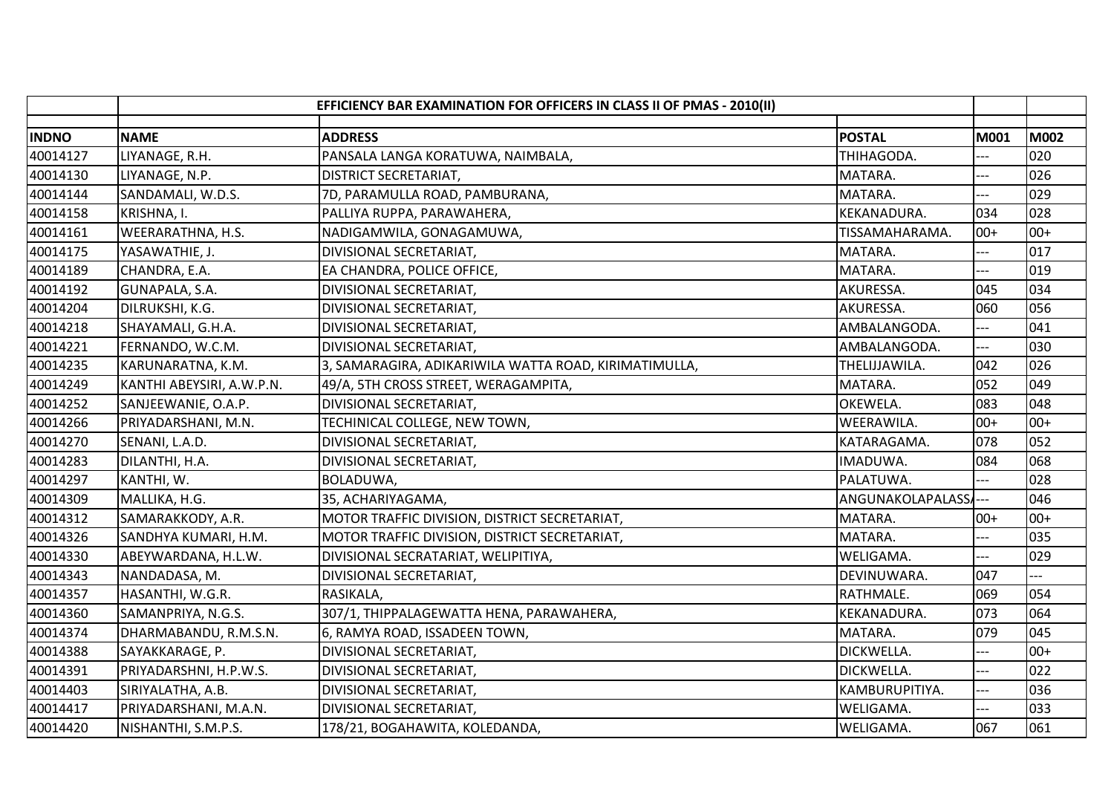|              |                           | EFFICIENCY BAR EXAMINATION FOR OFFICERS IN CLASS II OF PMAS - 2010(II) |                  |             |             |
|--------------|---------------------------|------------------------------------------------------------------------|------------------|-------------|-------------|
| <b>INDNO</b> | <b>NAME</b>               | <b>ADDRESS</b>                                                         | <b>POSTAL</b>    | <b>M001</b> | <b>M002</b> |
| 40014127     | LIYANAGE, R.H.            | PANSALA LANGA KORATUWA, NAIMBALA,                                      | THIHAGODA.       |             | 020         |
| 40014130     | LIYANAGE, N.P.            | <b>DISTRICT SECRETARIAT,</b>                                           | MATARA.          | $---$       | 026         |
| 40014144     | SANDAMALI, W.D.S.         | 7D, PARAMULLA ROAD, PAMBURANA,                                         | MATARA.          |             | 029         |
| 40014158     | KRISHNA, I.               | PALLIYA RUPPA, PARAWAHERA,                                             | KEKANADURA.      | 034         | 028         |
| 40014161     | WEERARATHNA, H.S.         | NADIGAMWILA, GONAGAMUWA,                                               | TISSAMAHARAMA.   | $00+$       | $00+$       |
| 40014175     | YASAWATHIE, J.            | DIVISIONAL SECRETARIAT,                                                | MATARA.          |             | 017         |
| 40014189     | CHANDRA, E.A.             | EA CHANDRA, POLICE OFFICE,                                             | MATARA.          | ---         | 019         |
| 40014192     | GUNAPALA, S.A.            | DIVISIONAL SECRETARIAT,                                                | AKURESSA.        | 045         | 034         |
| 40014204     | DILRUKSHI, K.G.           | DIVISIONAL SECRETARIAT,                                                | AKURESSA.        | 060         | 056         |
| 40014218     | SHAYAMALI, G.H.A.         | DIVISIONAL SECRETARIAT,                                                | AMBALANGODA.     |             | 041         |
| 40014221     | FERNANDO, W.C.M.          | DIVISIONAL SECRETARIAT,                                                | AMBALANGODA.     | ---         | 030         |
| 40014235     | KARUNARATNA, K.M.         | 3, SAMARAGIRA, ADIKARIWILA WATTA ROAD, KIRIMATIMULLA,                  | THELIJJAWILA.    | 042         | 026         |
| 40014249     | KANTHI ABEYSIRI, A.W.P.N. | 49/A, 5TH CROSS STREET, WERAGAMPITA,                                   | MATARA.          | 052         | 049         |
| 40014252     | SANJEEWANIE, O.A.P.       | DIVISIONAL SECRETARIAT,                                                | OKEWELA.         | 083         | 048         |
| 40014266     | PRIYADARSHANI, M.N.       | TECHINICAL COLLEGE, NEW TOWN,                                          | WEERAWILA.       | $00+$       | $00+$       |
| 40014270     | SENANI, L.A.D.            | DIVISIONAL SECRETARIAT,                                                | KATARAGAMA.      | 078         | 052         |
| 40014283     | DILANTHI, H.A.            | DIVISIONAL SECRETARIAT,                                                | IMADUWA.         | 084         | 068         |
| 40014297     | KANTHI, W.                | BOLADUWA,                                                              | PALATUWA.        |             | 028         |
| 40014309     | MALLIKA, H.G.             | 35, ACHARIYAGAMA,                                                      | ANGUNAKOLAPALASS |             | 046         |
| 40014312     | SAMARAKKODY, A.R.         | MOTOR TRAFFIC DIVISION, DISTRICT SECRETARIAT,                          | MATARA.          | $00+$       | $00+$       |
| 40014326     | SANDHYA KUMARI, H.M.      | MOTOR TRAFFIC DIVISION, DISTRICT SECRETARIAT,                          | MATARA.          | ---         | 035         |
| 40014330     | ABEYWARDANA, H.L.W.       | DIVISIONAL SECRATARIAT, WELIPITIYA,                                    | WELIGAMA.        |             | 029         |
| 40014343     | NANDADASA, M.             | DIVISIONAL SECRETARIAT,                                                | DEVINUWARA.      | 047         |             |
| 40014357     | HASANTHI, W.G.R.          | RASIKALA,                                                              | RATHMALE.        | 069         | 054         |
| 40014360     | SAMANPRIYA, N.G.S.        | 307/1, THIPPALAGEWATTA HENA, PARAWAHERA,                               | KEKANADURA.      | 073         | 064         |
| 40014374     | DHARMABANDU, R.M.S.N.     | 6, RAMYA ROAD, ISSADEEN TOWN,                                          | MATARA.          | 079         | 045         |
| 40014388     | SAYAKKARAGE, P.           | DIVISIONAL SECRETARIAT,                                                | DICKWELLA.       |             | $00+$       |
| 40014391     | PRIYADARSHNI, H.P.W.S.    | DIVISIONAL SECRETARIAT,                                                | DICKWELLA.       | ---         | 022         |
| 40014403     | SIRIYALATHA, A.B.         | DIVISIONAL SECRETARIAT,                                                | KAMBURUPITIYA.   | ---         | 036         |
| 40014417     | PRIYADARSHANI, M.A.N.     | DIVISIONAL SECRETARIAT,                                                | WELIGAMA.        | $-$         | 033         |
| 40014420     | NISHANTHI, S.M.P.S.       | 178/21, BOGAHAWITA, KOLEDANDA,                                         | WELIGAMA.        | 067         | 061         |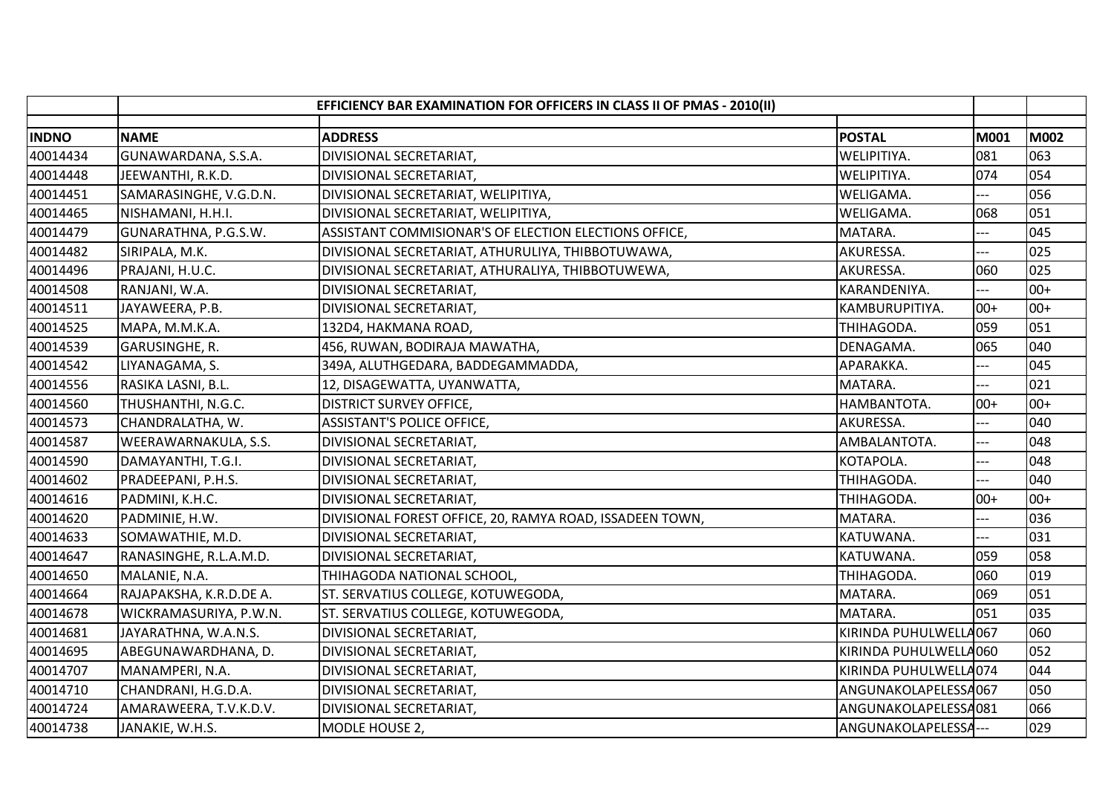|              | EFFICIENCY BAR EXAMINATION FOR OFFICERS IN CLASS II OF PMAS - 2010(II) |                                                          |                           |       |       |
|--------------|------------------------------------------------------------------------|----------------------------------------------------------|---------------------------|-------|-------|
| <b>INDNO</b> | <b>NAME</b>                                                            | <b>ADDRESS</b>                                           | <b>POSTAL</b>             | M001  | M002  |
| 40014434     | GUNAWARDANA, S.S.A.                                                    | DIVISIONAL SECRETARIAT,                                  | WELIPITIYA.               | 081   | 063   |
| 40014448     | JEEWANTHI, R.K.D.                                                      | DIVISIONAL SECRETARIAT,                                  | WELIPITIYA.               | 074   | 054   |
| 40014451     | SAMARASINGHE, V.G.D.N.                                                 | DIVISIONAL SECRETARIAT, WELIPITIYA,                      | WELIGAMA.                 | $---$ | 056   |
| 40014465     | NISHAMANI, H.H.I.                                                      | DIVISIONAL SECRETARIAT, WELIPITIYA,                      | WELIGAMA.                 | 068   | 051   |
| 40014479     | GUNARATHNA, P.G.S.W.                                                   | ASSISTANT COMMISIONAR'S OF ELECTION ELECTIONS OFFICE,    | MATARA.                   | ---   | 045   |
| 40014482     | SIRIPALA, M.K.                                                         | DIVISIONAL SECRETARIAT, ATHURULIYA, THIBBOTUWAWA,        | AKURESSA.                 | ---   | 025   |
| 40014496     | PRAJANI, H.U.C.                                                        | DIVISIONAL SECRETARIAT, ATHURALIYA, THIBBOTUWEWA,        | AKURESSA.                 | 060   | 025   |
| 40014508     | RANJANI, W.A.                                                          | DIVISIONAL SECRETARIAT,                                  | KARANDENIYA.              | $---$ | $00+$ |
| 40014511     | JAYAWEERA, P.B.                                                        | DIVISIONAL SECRETARIAT,                                  | KAMBURUPITIYA.            | $00+$ | $00+$ |
| 40014525     | MAPA, M.M.K.A.                                                         | 132D4, HAKMANA ROAD,                                     | THIHAGODA.                | 059   | 051   |
| 40014539     | GARUSINGHE, R.                                                         | 456, RUWAN, BODIRAJA MAWATHA,                            | DENAGAMA.                 | 065   | 040   |
| 40014542     | LIYANAGAMA, S.                                                         | 349A, ALUTHGEDARA, BADDEGAMMADDA,                        | APARAKKA.                 | ---   | 045   |
| 40014556     | RASIKA LASNI, B.L.                                                     | 12, DISAGEWATTA, UYANWATTA,                              | MATARA.                   |       | 021   |
| 40014560     | THUSHANTHI, N.G.C.                                                     | <b>DISTRICT SURVEY OFFICE,</b>                           | HAMBANTOTA.               | $00+$ | $00+$ |
| 40014573     | CHANDRALATHA, W.                                                       | <b>ASSISTANT'S POLICE OFFICE,</b>                        | AKURESSA.                 |       | 040   |
| 40014587     |                                                                        |                                                          |                           | ---   | 048   |
| 40014590     | WEERAWARNAKULA, S.S.<br>DAMAYANTHI, T.G.I.                             | DIVISIONAL SECRETARIAT,                                  | AMBALANTOTA.<br>KOTAPOLA. | ---   | 048   |
|              |                                                                        | DIVISIONAL SECRETARIAT,                                  |                           |       |       |
| 40014602     | PRADEEPANI, P.H.S.                                                     | DIVISIONAL SECRETARIAT,                                  | THIHAGODA.                |       | 040   |
| 40014616     | PADMINI, K.H.C.                                                        | DIVISIONAL SECRETARIAT,                                  | THIHAGODA.                | $00+$ | $00+$ |
| 40014620     | PADMINIE, H.W.                                                         | DIVISIONAL FOREST OFFICE, 20, RAMYA ROAD, ISSADEEN TOWN, | MATARA.                   |       | 036   |
| 40014633     | SOMAWATHIE, M.D.                                                       | DIVISIONAL SECRETARIAT,                                  | KATUWANA.                 | ---   | 031   |
| 40014647     | RANASINGHE, R.L.A.M.D.                                                 | DIVISIONAL SECRETARIAT,                                  | KATUWANA.                 | 059   | 058   |
| 40014650     | MALANIE, N.A.                                                          | THIHAGODA NATIONAL SCHOOL,                               | THIHAGODA.                | 060   | 019   |
| 40014664     | RAJAPAKSHA, K.R.D.DE A.                                                | ST. SERVATIUS COLLEGE, KOTUWEGODA,                       | MATARA.                   | 069   | 051   |
| 40014678     | WICKRAMASURIYA, P.W.N.                                                 | ST. SERVATIUS COLLEGE, KOTUWEGODA,                       | MATARA.                   | 051   | 035   |
| 40014681     | JAYARATHNA, W.A.N.S.                                                   | DIVISIONAL SECRETARIAT,                                  | KIRINDA PUHULWELLA067     |       | 060   |
| 40014695     | ABEGUNAWARDHANA, D.                                                    | DIVISIONAL SECRETARIAT,                                  | KIRINDA PUHULWELLA060     |       | 052   |
| 40014707     | MANAMPERI, N.A.                                                        | DIVISIONAL SECRETARIAT,                                  | KIRINDA PUHULWELLA074     |       | 044   |
| 40014710     | CHANDRANI, H.G.D.A.                                                    | DIVISIONAL SECRETARIAT,                                  | ANGUNAKOLAPELESSA067      |       | 050   |
| 40014724     | AMARAWEERA, T.V.K.D.V.                                                 | DIVISIONAL SECRETARIAT,                                  | ANGUNAKOLAPELESSA081      |       | 066   |
| 40014738     | JANAKIE, W.H.S.                                                        | MODLE HOUSE 2,                                           | ANGUNAKOLAPELESSA---      |       | 029   |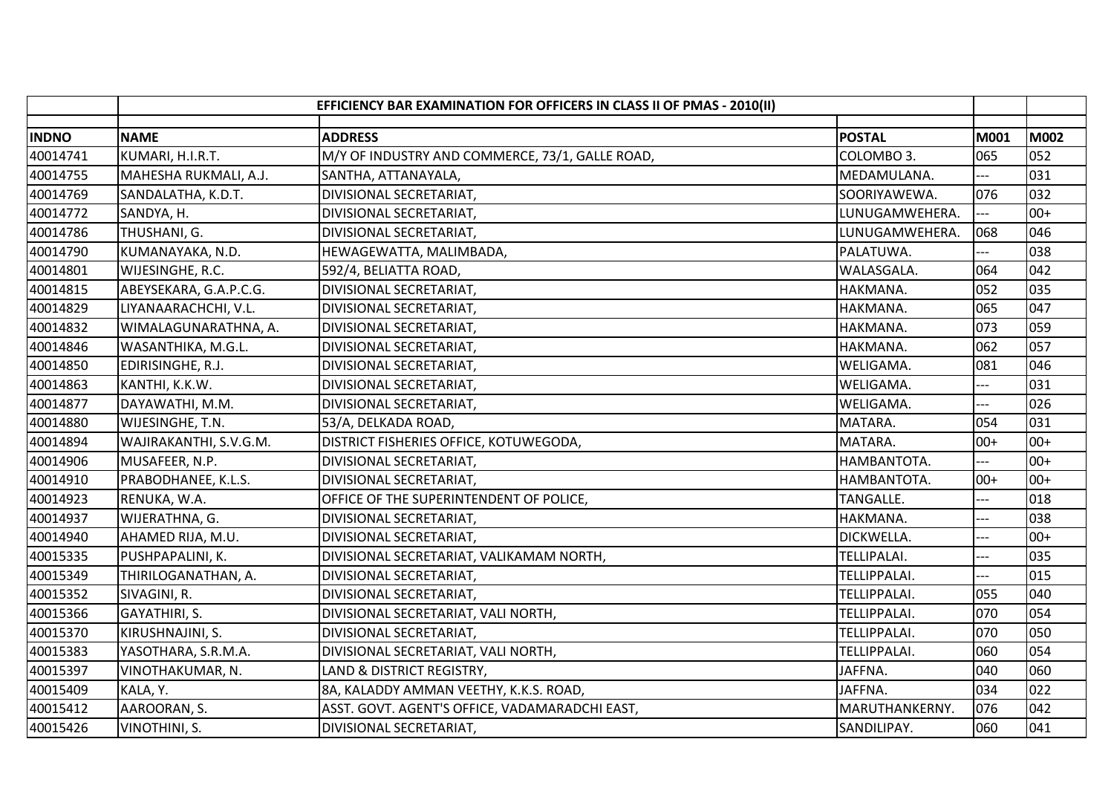|              | EFFICIENCY BAR EXAMINATION FOR OFFICERS IN CLASS II OF PMAS - 2010(II) |                                                 |                     |                |       |
|--------------|------------------------------------------------------------------------|-------------------------------------------------|---------------------|----------------|-------|
| <b>INDNO</b> | <b>NAME</b>                                                            | <b>ADDRESS</b>                                  | <b>POSTAL</b>       | M001           | M002  |
| 40014741     | KUMARI, H.I.R.T.                                                       | M/Y OF INDUSTRY AND COMMERCE, 73/1, GALLE ROAD, | COLOMBO 3.          | 065            | 052   |
| 40014755     | MAHESHA RUKMALI, A.J.                                                  | SANTHA, ATTANAYALA,                             | MEDAMULANA.         | ---            | 031   |
| 40014769     | SANDALATHA, K.D.T.                                                     | DIVISIONAL SECRETARIAT,                         | SOORIYAWEWA.        | 076            | 032   |
| 40014772     | SANDYA, H.                                                             | DIVISIONAL SECRETARIAT,                         | LUNUGAMWEHERA.      | ---            | $00+$ |
| 40014786     | THUSHANI, G.                                                           | DIVISIONAL SECRETARIAT,                         | LUNUGAMWEHERA.      | 068            | 046   |
| 40014790     | KUMANAYAKA, N.D.                                                       | HEWAGEWATTA, MALIMBADA,                         | PALATUWA.           | ---            | 038   |
| 40014801     | WIJESINGHE, R.C.                                                       | 592/4, BELIATTA ROAD,                           | WALASGALA.          | 064            | 042   |
| 40014815     | ABEYSEKARA, G.A.P.C.G.                                                 | DIVISIONAL SECRETARIAT,                         | HAKMANA.            | 052            | 035   |
| 40014829     | LIYANAARACHCHI, V.L.                                                   | DIVISIONAL SECRETARIAT,                         | HAKMANA.            | 065            | 047   |
| 40014832     | WIMALAGUNARATHNA, A.                                                   | DIVISIONAL SECRETARIAT,                         | HAKMANA.            | 073            | 059   |
| 40014846     | WASANTHIKA, M.G.L.                                                     | DIVISIONAL SECRETARIAT,                         | HAKMANA.            | 062            | 057   |
| 40014850     | EDIRISINGHE, R.J.                                                      | DIVISIONAL SECRETARIAT,                         | WELIGAMA.           | 081            | 046   |
| 40014863     | KANTHI, K.K.W.                                                         | DIVISIONAL SECRETARIAT,                         | WELIGAMA.           |                | 031   |
| 40014877     | DAYAWATHI, M.M.                                                        | DIVISIONAL SECRETARIAT,                         | WELIGAMA.           |                | 026   |
| 40014880     | WIJESINGHE, T.N.                                                       | 53/A, DELKADA ROAD,                             | MATARA.             | 054            | 031   |
| 40014894     | WAJIRAKANTHI, S.V.G.M.                                                 | DISTRICT FISHERIES OFFICE, KOTUWEGODA,          | MATARA.             | $00+$          | $00+$ |
| 40014906     | MUSAFEER, N.P.                                                         | DIVISIONAL SECRETARIAT,                         | HAMBANTOTA.         | $\overline{a}$ | $00+$ |
| 40014910     | PRABODHANEE, K.L.S.                                                    | DIVISIONAL SECRETARIAT,                         | HAMBANTOTA.         | $00+$          | $00+$ |
| 40014923     | RENUKA, W.A.                                                           | OFFICE OF THE SUPERINTENDENT OF POLICE,         | TANGALLE.           |                | 018   |
| 40014937     | WIJERATHNA, G.                                                         | DIVISIONAL SECRETARIAT,                         | HAKMANA.            |                | 038   |
| 40014940     | AHAMED RIJA, M.U.                                                      | DIVISIONAL SECRETARIAT,                         | DICKWELLA.          | $-$            | $00+$ |
| 40015335     | PUSHPAPALINI, K.                                                       | DIVISIONAL SECRETARIAT, VALIKAMAM NORTH,        | TELLIPALAI.         | ---            | 035   |
| 40015349     | THIRILOGANATHAN, A.                                                    | DIVISIONAL SECRETARIAT,                         | <b>TELLIPPALAI.</b> | $---$          | 015   |
| 40015352     | SIVAGINI, R.                                                           | DIVISIONAL SECRETARIAT,                         | TELLIPPALAI.        | 055            | 040   |
| 40015366     | GAYATHIRI, S.                                                          | DIVISIONAL SECRETARIAT, VALI NORTH,             | TELLIPPALAI.        | 070            | 054   |
| 40015370     | KIRUSHNAJINI, S.                                                       | DIVISIONAL SECRETARIAT,                         | TELLIPPALAI.        | 070            | 050   |
| 40015383     | YASOTHARA, S.R.M.A.                                                    | DIVISIONAL SECRETARIAT, VALI NORTH,             | TELLIPPALAI.        | 060            | 054   |
| 40015397     | VINOTHAKUMAR, N.                                                       | LAND & DISTRICT REGISTRY,                       | JAFFNA.             | 040            | 060   |
| 40015409     | KALA, Y.                                                               | 8A, KALADDY AMMAN VEETHY, K.K.S. ROAD,          | JAFFNA.             | 034            | 022   |
| 40015412     | AAROORAN, S.                                                           | ASST. GOVT. AGENT'S OFFICE, VADAMARADCHI EAST,  | MARUTHANKERNY.      | 076            | 042   |
| 40015426     | VINOTHINI, S.                                                          | DIVISIONAL SECRETARIAT,                         | SANDILIPAY.         | 060            | 041   |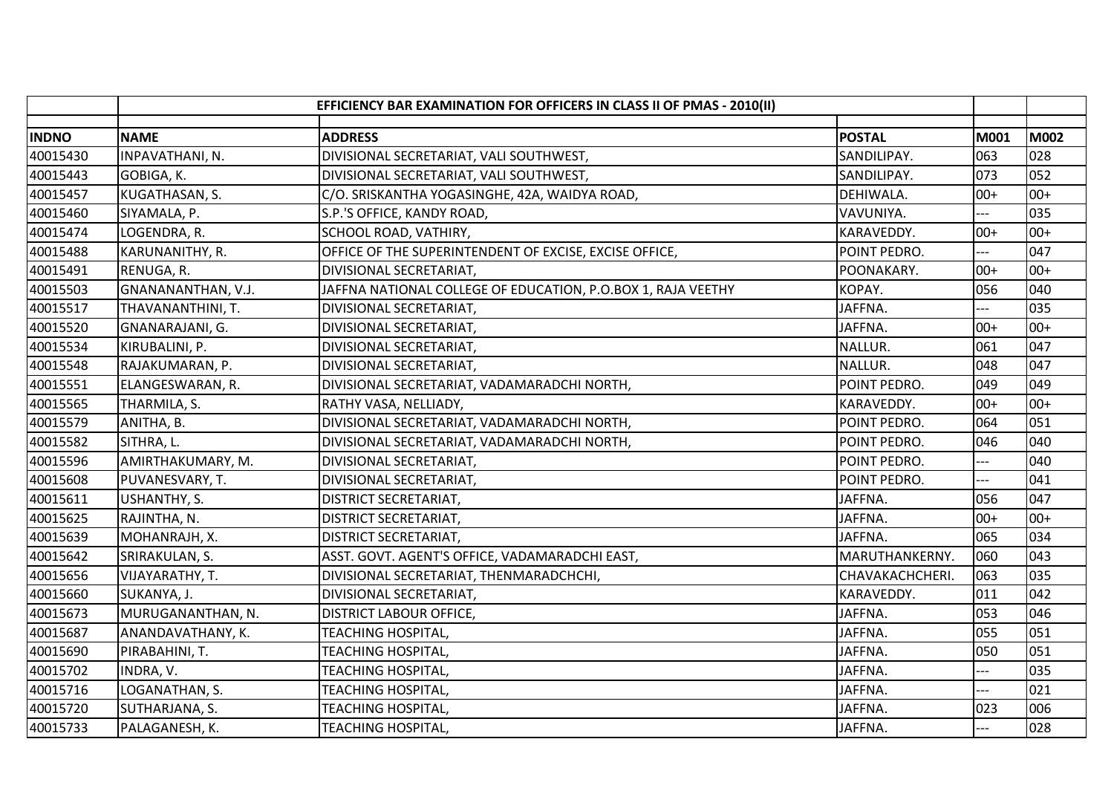|              |                    | EFFICIENCY BAR EXAMINATION FOR OFFICERS IN CLASS II OF PMAS - 2010(II) |                 |       |       |
|--------------|--------------------|------------------------------------------------------------------------|-----------------|-------|-------|
| <b>INDNO</b> | <b>NAME</b>        | <b>ADDRESS</b>                                                         | <b>POSTAL</b>   | M001  | M002  |
| 40015430     | INPAVATHANI, N.    | DIVISIONAL SECRETARIAT, VALI SOUTHWEST,                                | SANDILIPAY.     | 063   | 028   |
| 40015443     | GOBIGA, K.         | DIVISIONAL SECRETARIAT, VALI SOUTHWEST,                                | SANDILIPAY.     | 073   | 052   |
| 40015457     | KUGATHASAN, S.     | C/O. SRISKANTHA YOGASINGHE, 42A, WAIDYA ROAD,                          | DEHIWALA.       | $00+$ | $00+$ |
| 40015460     | SIYAMALA, P.       | S.P.'S OFFICE, KANDY ROAD,                                             | VAVUNIYA.       |       | 035   |
| 40015474     | LOGENDRA, R.       | SCHOOL ROAD, VATHIRY,                                                  | KARAVEDDY.      | $00+$ | $00+$ |
| 40015488     | KARUNANITHY, R.    | OFFICE OF THE SUPERINTENDENT OF EXCISE, EXCISE OFFICE,                 | POINT PEDRO.    |       | 047   |
| 40015491     | RENUGA, R.         | DIVISIONAL SECRETARIAT,                                                | POONAKARY.      | $00+$ | $00+$ |
| 40015503     | GNANANANTHAN, V.J. | JAFFNA NATIONAL COLLEGE OF EDUCATION, P.O.BOX 1, RAJA VEETHY           | KOPAY.          | 056   | 040   |
| 40015517     | THAVANANTHINI, T.  | DIVISIONAL SECRETARIAT,                                                | JAFFNA.         | $---$ | 035   |
| 40015520     | GNANARAJANI, G.    | DIVISIONAL SECRETARIAT,                                                | JAFFNA.         | $00+$ | $00+$ |
| 40015534     | KIRUBALINI, P.     | DIVISIONAL SECRETARIAT,                                                | NALLUR.         | 061   | 047   |
| 40015548     | RAJAKUMARAN, P.    | DIVISIONAL SECRETARIAT,                                                | NALLUR.         | 048   | 047   |
| 40015551     | ELANGESWARAN, R.   | DIVISIONAL SECRETARIAT, VADAMARADCHI NORTH,                            | POINT PEDRO.    | 049   | 049   |
| 40015565     | THARMILA, S.       | RATHY VASA, NELLIADY,                                                  | KARAVEDDY.      | $00+$ | $00+$ |
| 40015579     | ANITHA, B.         | DIVISIONAL SECRETARIAT, VADAMARADCHI NORTH,                            | POINT PEDRO.    | 064   | 051   |
| 40015582     | SITHRA, L.         | DIVISIONAL SECRETARIAT, VADAMARADCHI NORTH,                            | POINT PEDRO.    | 046   | 040   |
| 40015596     | AMIRTHAKUMARY, M.  | DIVISIONAL SECRETARIAT,                                                | POINT PEDRO.    | $---$ | 040   |
| 40015608     | PUVANESVARY, T.    | DIVISIONAL SECRETARIAT,                                                | POINT PEDRO.    | $-$   | 041   |
| 40015611     | USHANTHY, S.       | DISTRICT SECRETARIAT,                                                  | JAFFNA.         | 056   | 047   |
| 40015625     | RAJINTHA, N.       | DISTRICT SECRETARIAT,                                                  | JAFFNA.         | $00+$ | $00+$ |
| 40015639     | MOHANRAJH, X.      | <b>DISTRICT SECRETARIAT,</b>                                           | JAFFNA.         | 065   | 034   |
| 40015642     | SRIRAKULAN, S.     | ASST. GOVT. AGENT'S OFFICE, VADAMARADCHI EAST,                         | MARUTHANKERNY.  | 060   | 043   |
| 40015656     | VIJAYARATHY, T.    | DIVISIONAL SECRETARIAT, THENMARADCHCHI,                                | CHAVAKACHCHERI. | 063   | 035   |
| 40015660     | SUKANYA, J.        | DIVISIONAL SECRETARIAT,                                                | KARAVEDDY.      | 011   | 042   |
| 40015673     | MURUGANANTHAN, N.  | <b>DISTRICT LABOUR OFFICE,</b>                                         | JAFFNA.         | 053   | 046   |
| 40015687     | ANANDAVATHANY, K.  | TEACHING HOSPITAL,                                                     | JAFFNA.         | 055   | 051   |
| 40015690     | PIRABAHINI, T.     | TEACHING HOSPITAL,                                                     | JAFFNA.         | 050   | 051   |
| 40015702     | INDRA, V.          | TEACHING HOSPITAL,                                                     | JAFFNA.         | ---   | 035   |
| 40015716     | LOGANATHAN, S.     | TEACHING HOSPITAL,                                                     | JAFFNA.         | ---   | 021   |
| 40015720     | SUTHARJANA, S.     | TEACHING HOSPITAL,                                                     | JAFFNA.         | 023   | 006   |
| 40015733     | PALAGANESH, K.     | <b>TEACHING HOSPITAL,</b>                                              | JAFFNA.         | $---$ | 028   |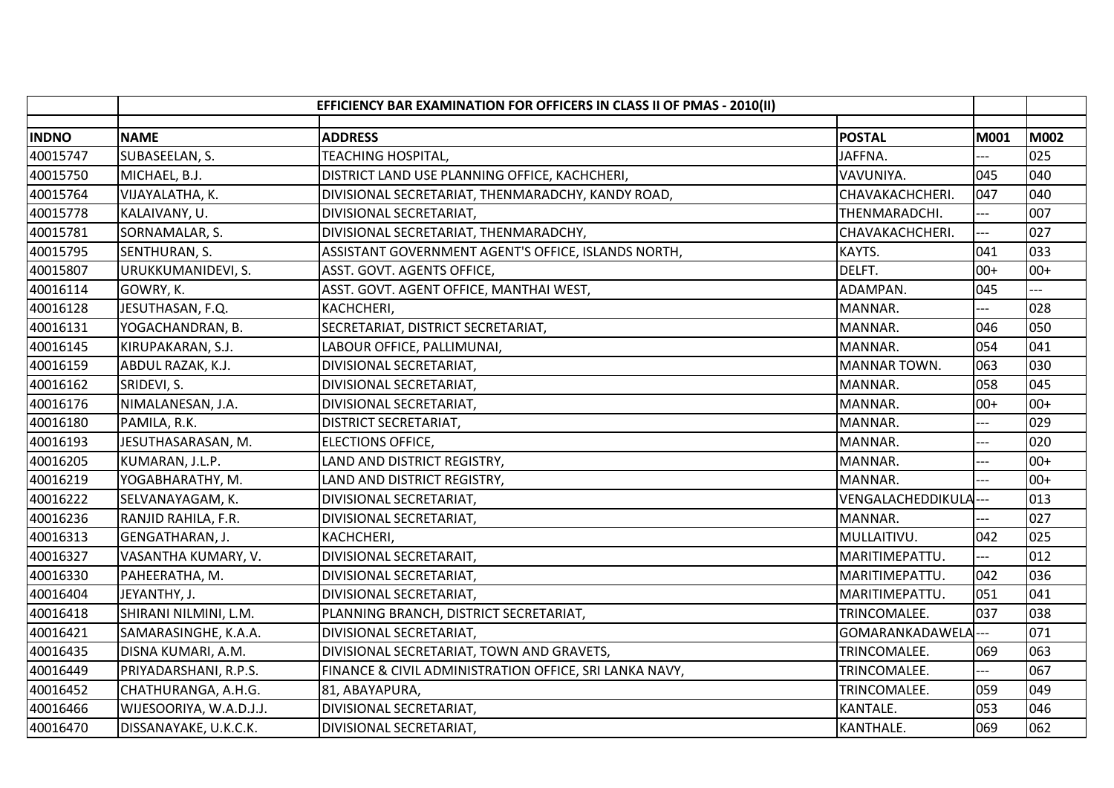|              |                         | EFFICIENCY BAR EXAMINATION FOR OFFICERS IN CLASS II OF PMAS - 2010(II) |                       |                |             |
|--------------|-------------------------|------------------------------------------------------------------------|-----------------------|----------------|-------------|
| <b>INDNO</b> | <b>NAME</b>             | <b>ADDRESS</b>                                                         | <b>POSTAL</b>         | M001           | <b>M002</b> |
| 40015747     | SUBASEELAN, S.          | <b>TEACHING HOSPITAL,</b>                                              | JAFFNA.               |                | 025         |
| 40015750     | MICHAEL, B.J.           | DISTRICT LAND USE PLANNING OFFICE, KACHCHERI,                          | VAVUNIYA.             | 045            | 040         |
| 40015764     | VIJAYALATHA, K.         | DIVISIONAL SECRETARIAT, THENMARADCHY, KANDY ROAD,                      | CHAVAKACHCHERI.       | 047            | 040         |
| 40015778     | KALAIVANY, U.           | DIVISIONAL SECRETARIAT,                                                | THENMARADCHI.         | ---            | 007         |
| 40015781     | SORNAMALAR, S.          | DIVISIONAL SECRETARIAT, THENMARADCHY,                                  | CHAVAKACHCHERI.       | ---            | 027         |
| 40015795     | SENTHURAN, S.           | ASSISTANT GOVERNMENT AGENT'S OFFICE, ISLANDS NORTH,                    | KAYTS.                | 041            | 033         |
| 40015807     | URUKKUMANIDEVI, S.      | ASST. GOVT. AGENTS OFFICE,                                             | DELFT.                | $00+$          | $00+$       |
| 40016114     | GOWRY, K.               | ASST. GOVT. AGENT OFFICE, MANTHAI WEST,                                | ADAMPAN.              | 045            |             |
| 40016128     | JESUTHASAN, F.Q.        | KACHCHERI,                                                             | MANNAR.               | $\overline{a}$ | 028         |
| 40016131     | YOGACHANDRAN, B.        | SECRETARIAT, DISTRICT SECRETARIAT,                                     | MANNAR.               | 046            | 050         |
| 40016145     | KIRUPAKARAN, S.J.       | LABOUR OFFICE, PALLIMUNAI,                                             | MANNAR.               | 054            | 041         |
| 40016159     | ABDUL RAZAK, K.J.       | DIVISIONAL SECRETARIAT,                                                | MANNAR TOWN.          | 063            | 030         |
| 40016162     | SRIDEVI, S.             | DIVISIONAL SECRETARIAT,                                                | MANNAR.               | 058            | 045         |
| 40016176     | NIMALANESAN, J.A.       | DIVISIONAL SECRETARIAT,                                                | MANNAR.               | $00+$          | $00+$       |
| 40016180     | PAMILA, R.K.            | <b>DISTRICT SECRETARIAT,</b>                                           | MANNAR.               |                | 029         |
| 40016193     | JESUTHASARASAN, M.      | <b>ELECTIONS OFFICE,</b>                                               | MANNAR.               | ---            | 020         |
| 40016205     | KUMARAN, J.L.P.         | LAND AND DISTRICT REGISTRY,                                            | MANNAR.               | ---            | $00+$       |
| 40016219     | YOGABHARATHY, M.        | LAND AND DISTRICT REGISTRY,                                            | MANNAR.               | ---            | $00+$       |
| 40016222     | SELVANAYAGAM, K.        | DIVISIONAL SECRETARIAT,                                                | VENGALACHEDDIKULA --- |                | 013         |
| 40016236     | RANJID RAHILA, F.R.     | DIVISIONAL SECRETARIAT,                                                | MANNAR.               |                | 027         |
| 40016313     | GENGATHARAN, J.         | KACHCHERI,                                                             | MULLAITIVU.           | 042            | 025         |
| 40016327     | VASANTHA KUMARY, V.     | DIVISIONAL SECRETARAIT,                                                | MARITIMEPATTU.        | ---            | 012         |
| 40016330     | PAHEERATHA, M.          | DIVISIONAL SECRETARIAT,                                                | MARITIMEPATTU.        | 042            | 036         |
| 40016404     | JEYANTHY, J.            | DIVISIONAL SECRETARIAT,                                                | MARITIMEPATTU.        | 051            | 041         |
| 40016418     | SHIRANI NILMINI, L.M.   | PLANNING BRANCH, DISTRICT SECRETARIAT,                                 | TRINCOMALEE.          | 037            | 038         |
| 40016421     | SAMARASINGHE, K.A.A.    | DIVISIONAL SECRETARIAT,                                                | GOMARANKADAWELA ---   |                | 071         |
| 40016435     | DISNA KUMARI, A.M.      | DIVISIONAL SECRETARIAT, TOWN AND GRAVETS,                              | TRINCOMALEE.          | 069            | 063         |
| 40016449     | PRIYADARSHANI, R.P.S.   | FINANCE & CIVIL ADMINISTRATION OFFICE, SRI LANKA NAVY,                 | TRINCOMALEE.          | ---            | 067         |
| 40016452     | CHATHURANGA, A.H.G.     | 81, ABAYAPURA,                                                         | TRINCOMALEE.          | 059            | 049         |
| 40016466     | WIJESOORIYA, W.A.D.J.J. | DIVISIONAL SECRETARIAT,                                                | <b>KANTALE.</b>       | 053            | 046         |
| 40016470     | DISSANAYAKE, U.K.C.K.   | DIVISIONAL SECRETARIAT,                                                | KANTHALE.             | 069            | 062         |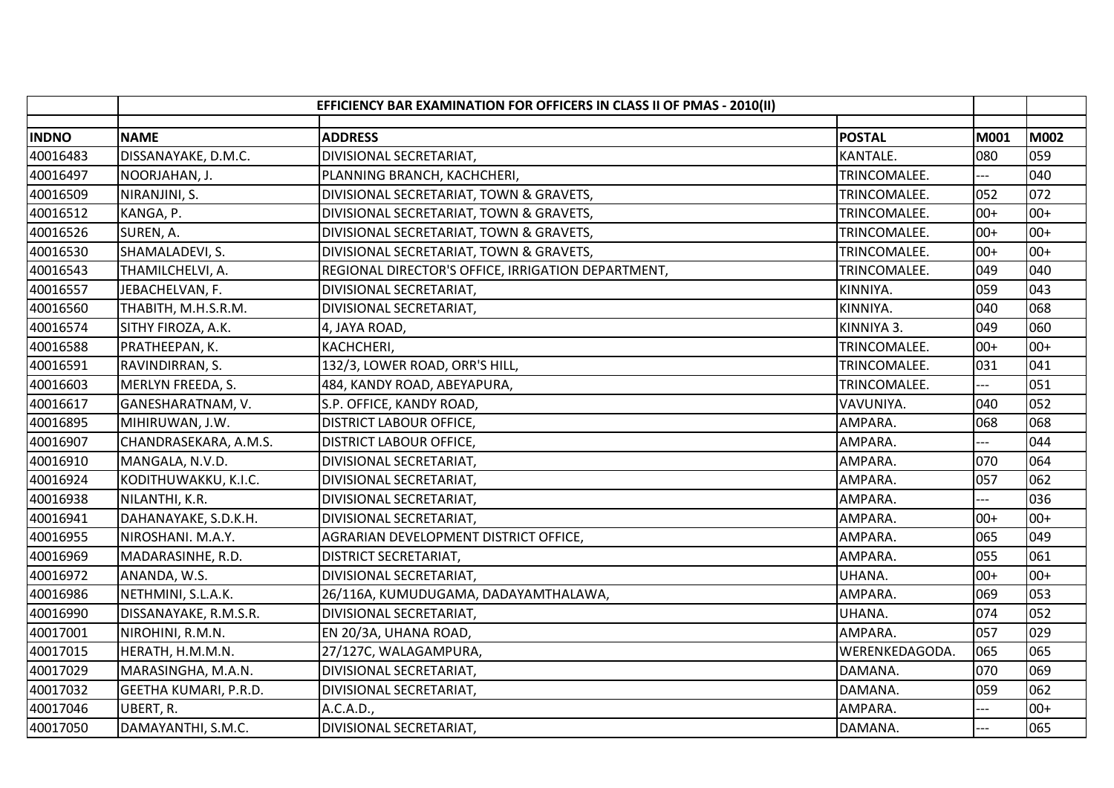|              | EFFICIENCY BAR EXAMINATION FOR OFFICERS IN CLASS II OF PMAS - 2010(II) |                                                    |                |       |             |
|--------------|------------------------------------------------------------------------|----------------------------------------------------|----------------|-------|-------------|
| <b>INDNO</b> | <b>NAME</b>                                                            | <b>ADDRESS</b>                                     | <b>POSTAL</b>  | M001  | <b>M002</b> |
| 40016483     | DISSANAYAKE, D.M.C.                                                    | DIVISIONAL SECRETARIAT,                            | KANTALE.       | 080   | 059         |
| 40016497     | NOORJAHAN, J.                                                          | PLANNING BRANCH, KACHCHERI,                        | TRINCOMALEE.   | ---   | 040         |
| 40016509     | NIRANJINI, S.                                                          | DIVISIONAL SECRETARIAT, TOWN & GRAVETS,            | TRINCOMALEE.   | 052   | 072         |
| 40016512     | KANGA, P.                                                              | DIVISIONAL SECRETARIAT, TOWN & GRAVETS,            | TRINCOMALEE.   | $00+$ | $00+$       |
| 40016526     | SUREN, A.                                                              | DIVISIONAL SECRETARIAT, TOWN & GRAVETS,            | TRINCOMALEE.   | $00+$ | $00+$       |
| 40016530     | SHAMALADEVI, S.                                                        | DIVISIONAL SECRETARIAT, TOWN & GRAVETS,            | TRINCOMALEE.   | $00+$ | $00+$       |
| 40016543     | THAMILCHELVI, A.                                                       | REGIONAL DIRECTOR'S OFFICE, IRRIGATION DEPARTMENT, | TRINCOMALEE.   | 049   | 040         |
| 40016557     | JEBACHELVAN, F.                                                        | DIVISIONAL SECRETARIAT,                            | KINNIYA.       | 059   | 043         |
| 40016560     | THABITH, M.H.S.R.M.                                                    | DIVISIONAL SECRETARIAT,                            | KINNIYA.       | 040   | 068         |
| 40016574     | SITHY FIROZA, A.K.                                                     | 4, JAYA ROAD,                                      | KINNIYA 3.     | 049   | 060         |
| 40016588     | PRATHEEPAN, K.                                                         | KACHCHERI,                                         | TRINCOMALEE.   | $00+$ | $00+$       |
| 40016591     | RAVINDIRRAN, S.                                                        | 132/3, LOWER ROAD, ORR'S HILL,                     | TRINCOMALEE.   | 031   | 041         |
| 40016603     | MERLYN FREEDA, S.                                                      | 484, KANDY ROAD, ABEYAPURA,                        | TRINCOMALEE.   |       | 051         |
| 40016617     | GANESHARATNAM, V.                                                      | S.P. OFFICE, KANDY ROAD,                           | VAVUNIYA.      | 040   | 052         |
| 40016895     | MIHIRUWAN, J.W.                                                        | <b>DISTRICT LABOUR OFFICE,</b>                     | AMPARA.        | 068   | 068         |
| 40016907     | CHANDRASEKARA, A.M.S.                                                  | <b>DISTRICT LABOUR OFFICE,</b>                     | AMPARA.        | $-$   | 044         |
| 40016910     | MANGALA, N.V.D.                                                        | DIVISIONAL SECRETARIAT,                            | AMPARA.        | 070   | 064         |
| 40016924     | KODITHUWAKKU, K.I.C.                                                   | DIVISIONAL SECRETARIAT,                            | AMPARA.        | 057   | 062         |
| 40016938     | NILANTHI, K.R.                                                         | DIVISIONAL SECRETARIAT,                            | AMPARA.        |       | 036         |
| 40016941     | DAHANAYAKE, S.D.K.H.                                                   | DIVISIONAL SECRETARIAT,                            | AMPARA.        | $00+$ | $00+$       |
| 40016955     | NIROSHANI. M.A.Y.                                                      | AGRARIAN DEVELOPMENT DISTRICT OFFICE,              | AMPARA.        | 065   | 049         |
| 40016969     | MADARASINHE, R.D.                                                      | DISTRICT SECRETARIAT,                              | AMPARA.        | 055   | 061         |
| 40016972     | ANANDA, W.S.                                                           | DIVISIONAL SECRETARIAT,                            | UHANA.         | $00+$ | $00+$       |
| 40016986     | NETHMINI, S.L.A.K.                                                     | 26/116A, KUMUDUGAMA, DADAYAMTHALAWA,               | AMPARA.        | 069   | 053         |
| 40016990     | DISSANAYAKE, R.M.S.R.                                                  | DIVISIONAL SECRETARIAT,                            | UHANA.         | 074   | 052         |
| 40017001     | NIROHINI, R.M.N.                                                       | EN 20/3A, UHANA ROAD,                              | AMPARA.        | 057   | 029         |
| 40017015     | HERATH, H.M.M.N.                                                       | 27/127C, WALAGAMPURA,                              | WERENKEDAGODA. | 065   | 065         |
| 40017029     | MARASINGHA, M.A.N.                                                     | DIVISIONAL SECRETARIAT,                            | DAMANA.        | 070   | 069         |
| 40017032     | GEETHA KUMARI, P.R.D.                                                  | DIVISIONAL SECRETARIAT,                            | DAMANA.        | 059   | 062         |
| 40017046     | UBERT, R.                                                              | A.C.A.D.,                                          | AMPARA.        | $---$ | $00+$       |
| 40017050     | DAMAYANTHI, S.M.C.                                                     | DIVISIONAL SECRETARIAT,                            | DAMANA.        | $---$ | 065         |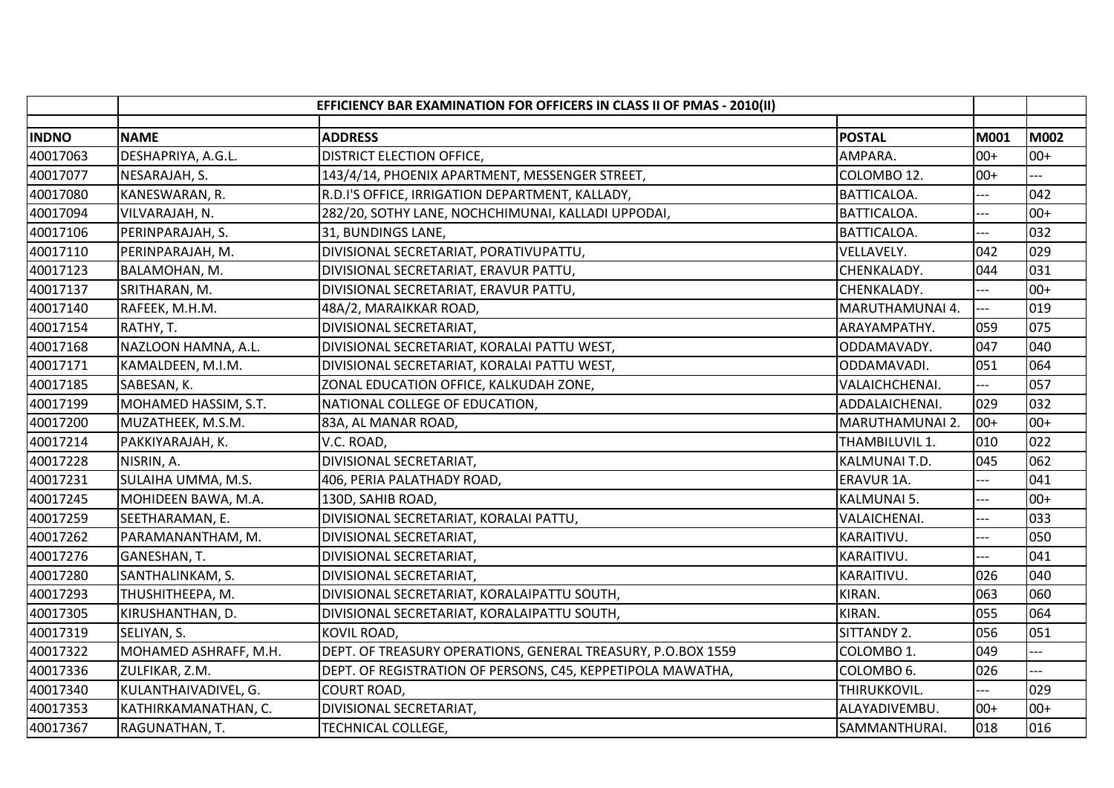|              |                       | EFFICIENCY BAR EXAMINATION FOR OFFICERS IN CLASS II OF PMAS - 2010(II) |                        |                |       |
|--------------|-----------------------|------------------------------------------------------------------------|------------------------|----------------|-------|
| <b>INDNO</b> | <b>NAME</b>           | <b>ADDRESS</b>                                                         | <b>POSTAL</b>          | M001           | M002  |
| 40017063     | DESHAPRIYA, A.G.L.    | DISTRICT ELECTION OFFICE,                                              | AMPARA.                | $00+$          | $00+$ |
| 40017077     | NESARAJAH, S.         | 143/4/14, PHOENIX APARTMENT, MESSENGER STREET,                         | COLOMBO 12.            | $00+$          | $-$   |
| 40017080     | KANESWARAN, R.        | R.D.I'S OFFICE, IRRIGATION DEPARTMENT, KALLADY,                        | <b>BATTICALOA.</b>     | ---            | 042   |
| 40017094     | VILVARAJAH, N.        | 282/20, SOTHY LANE, NOCHCHIMUNAI, KALLADI UPPODAI,                     | BATTICALOA.            | ---            | $00+$ |
| 40017106     | PERINPARAJAH, S.      | 31, BUNDINGS LANE,                                                     | <b>BATTICALOA.</b>     |                | 032   |
| 40017110     | PERINPARAJAH, M.      | DIVISIONAL SECRETARIAT, PORATIVUPATTU,                                 | VELLAVELY.             | 042            | 029   |
| 40017123     | BALAMOHAN, M.         | DIVISIONAL SECRETARIAT, ERAVUR PATTU,                                  | CHENKALADY.            | 044            | 031   |
| 40017137     | SRITHARAN, M.         | DIVISIONAL SECRETARIAT, ERAVUR PATTU,                                  | CHENKALADY.            | ---            | $00+$ |
| 40017140     | RAFEEK, M.H.M.        | 48A/2, MARAIKKAR ROAD,                                                 | MARUTHAMUNAI 4.        | $\overline{a}$ | 019   |
| 40017154     | RATHY, T.             | DIVISIONAL SECRETARIAT,                                                | ARAYAMPATHY.           | 059            | 075   |
| 40017168     | NAZLOON HAMNA, A.L.   | DIVISIONAL SECRETARIAT, KORALAI PATTU WEST,                            | ODDAMAVADY.            | 047            | 040   |
| 40017171     | KAMALDEEN, M.I.M.     | DIVISIONAL SECRETARIAT, KORALAI PATTU WEST,                            | ODDAMAVADI.            | 051            | 064   |
| 40017185     | SABESAN, K.           | ZONAL EDUCATION OFFICE, KALKUDAH ZONE,                                 | VALAICHCHENAI.         |                | 057   |
| 40017199     | MOHAMED HASSIM, S.T.  | NATIONAL COLLEGE OF EDUCATION,                                         | ADDALAICHENAI.         | 029            | 032   |
| 40017200     | MUZATHEEK, M.S.M.     | 83A, AL MANAR ROAD,                                                    | <b>MARUTHAMUNAI 2.</b> | $100+$         | $00+$ |
| 40017214     | PAKKIYARAJAH, K.      | V.C. ROAD,                                                             | THAMBILUVIL 1.         | 010            | 022   |
| 40017228     | NISRIN, A.            | DIVISIONAL SECRETARIAT,                                                | KALMUNAI T.D.          | 045            | 062   |
| 40017231     | SULAIHA UMMA, M.S.    | 406, PERIA PALATHADY ROAD,                                             | <b>ERAVUR 1A.</b>      | ---            | 041   |
| 40017245     | MOHIDEEN BAWA, M.A.   | 130D, SAHIB ROAD,                                                      | <b>KALMUNAI 5.</b>     | ---            | $00+$ |
| 40017259     | SEETHARAMAN, E.       | DIVISIONAL SECRETARIAT, KORALAI PATTU,                                 | VALAICHENAI.           |                | 033   |
| 40017262     | PARAMANANTHAM, M.     | DIVISIONAL SECRETARIAT,                                                | KARAITIVU.             | ---            | 050   |
| 40017276     | GANESHAN, T.          | DIVISIONAL SECRETARIAT,                                                | KARAITIVU.             | ---            | 041   |
| 40017280     | SANTHALINKAM, S.      | DIVISIONAL SECRETARIAT,                                                | KARAITIVU.             | 026            | 040   |
| 40017293     | THUSHITHEEPA, M.      | DIVISIONAL SECRETARIAT, KORALAIPATTU SOUTH,                            | KIRAN.                 | 063            | 060   |
| 40017305     | KIRUSHANTHAN, D.      | DIVISIONAL SECRETARIAT, KORALAIPATTU SOUTH,                            | KIRAN.                 | 055            | 064   |
| 40017319     | SELIYAN, S.           | <b>KOVIL ROAD,</b>                                                     | SITTANDY 2.            | 056            | 051   |
| 40017322     | MOHAMED ASHRAFF, M.H. | DEPT. OF TREASURY OPERATIONS, GENERAL TREASURY, P.O.BOX 1559           | COLOMBO 1.             | 049            |       |
| 40017336     | ZULFIKAR, Z.M.        | DEPT. OF REGISTRATION OF PERSONS, C45, KEPPETIPOLA MAWATHA,            | COLOMBO <sub>6</sub> . | 026            |       |
| 40017340     | KULANTHAIVADIVEL, G.  | <b>COURT ROAD,</b>                                                     | THIRUKKOVIL.           |                | 029   |
| 40017353     | KATHIRKAMANATHAN, C.  | DIVISIONAL SECRETARIAT,                                                | ALAYADIVEMBU.          | $00+$          | $00+$ |
| 40017367     | RAGUNATHAN, T.        | TECHNICAL COLLEGE,                                                     | SAMMANTHURAI.          | 018            | 016   |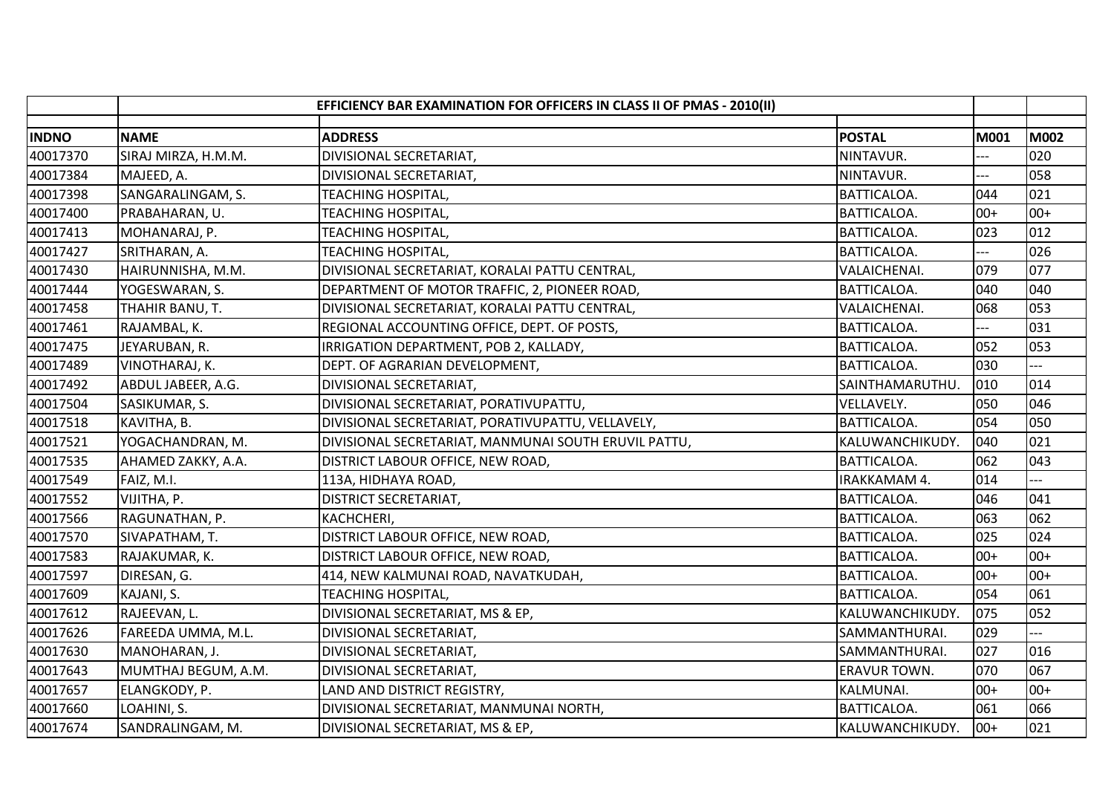|              | EFFICIENCY BAR EXAMINATION FOR OFFICERS IN CLASS II OF PMAS - 2010(II) |                                                      |                     |             |       |
|--------------|------------------------------------------------------------------------|------------------------------------------------------|---------------------|-------------|-------|
| <b>INDNO</b> | <b>NAME</b>                                                            | <b>ADDRESS</b>                                       | <b>POSTAL</b>       | <b>M001</b> | M002  |
| 40017370     | SIRAJ MIRZA, H.M.M.                                                    | DIVISIONAL SECRETARIAT,                              | NINTAVUR.           |             | 020   |
| 40017384     | MAJEED, A.                                                             | DIVISIONAL SECRETARIAT,                              | NINTAVUR.           | ---         | 058   |
| 40017398     | SANGARALINGAM, S.                                                      | TEACHING HOSPITAL,                                   | <b>BATTICALOA.</b>  | 044         | 021   |
| 40017400     | PRABAHARAN, U.                                                         | TEACHING HOSPITAL,                                   | BATTICALOA.         | $00+$       | $00+$ |
| 40017413     | MOHANARAJ, P.                                                          | <b>TEACHING HOSPITAL,</b>                            | BATTICALOA.         | 023         | 012   |
| 40017427     | SRITHARAN, A.                                                          | TEACHING HOSPITAL,                                   | <b>BATTICALOA.</b>  |             | 026   |
| 40017430     | HAIRUNNISHA, M.M.                                                      | DIVISIONAL SECRETARIAT, KORALAI PATTU CENTRAL,       | VALAICHENAI.        | 079         | 077   |
| 40017444     | YOGESWARAN, S.                                                         | DEPARTMENT OF MOTOR TRAFFIC, 2, PIONEER ROAD,        | BATTICALOA.         | 040         | 040   |
| 40017458     | THAHIR BANU, T.                                                        | DIVISIONAL SECRETARIAT, KORALAI PATTU CENTRAL,       | VALAICHENAI.        | 068         | 053   |
| 40017461     | RAJAMBAL, K.                                                           | REGIONAL ACCOUNTING OFFICE, DEPT. OF POSTS,          | BATTICALOA.         |             | 031   |
| 40017475     | JEYARUBAN, R.                                                          | IRRIGATION DEPARTMENT, POB 2, KALLADY,               | BATTICALOA.         | 052         | 053   |
| 40017489     | VINOTHARAJ, K.                                                         | DEPT. OF AGRARIAN DEVELOPMENT,                       | <b>BATTICALOA.</b>  | 030         |       |
| 40017492     | ABDUL JABEER, A.G.                                                     | DIVISIONAL SECRETARIAT,                              | SAINTHAMARUTHU.     | 010         | 014   |
| 40017504     | SASIKUMAR, S.                                                          | DIVISIONAL SECRETARIAT, PORATIVUPATTU,               | <b>VELLAVELY.</b>   | 050         | 046   |
| 40017518     | KAVITHA, B.                                                            | DIVISIONAL SECRETARIAT, PORATIVUPATTU, VELLAVELY,    | <b>BATTICALOA.</b>  | 054         | 050   |
| 40017521     | YOGACHANDRAN, M.                                                       | DIVISIONAL SECRETARIAT, MANMUNAI SOUTH ERUVIL PATTU, | KALUWANCHIKUDY.     | 040         | 021   |
| 40017535     | AHAMED ZAKKY, A.A.                                                     | DISTRICT LABOUR OFFICE, NEW ROAD,                    | <b>BATTICALOA.</b>  | 062         | 043   |
| 40017549     | FAIZ, M.I.                                                             | 113A, HIDHAYA ROAD,                                  | IRAKKAMAM 4.        | 014         |       |
| 40017552     | VIJITHA, P.                                                            | <b>DISTRICT SECRETARIAT,</b>                         | BATTICALOA.         | 046         | 041   |
| 40017566     | RAGUNATHAN, P.                                                         | KACHCHERI,                                           | <b>BATTICALOA.</b>  | 063         | 062   |
| 40017570     | SIVAPATHAM, T.                                                         | DISTRICT LABOUR OFFICE, NEW ROAD,                    | BATTICALOA.         | 025         | 024   |
| 40017583     | RAJAKUMAR, K.                                                          | DISTRICT LABOUR OFFICE, NEW ROAD,                    | <b>BATTICALOA.</b>  | $00+$       | $00+$ |
| 40017597     | DIRESAN, G.                                                            | 414, NEW KALMUNAI ROAD, NAVATKUDAH,                  | <b>BATTICALOA.</b>  | $00+$       | $00+$ |
| 40017609     | KAJANI, S.                                                             | <b>TEACHING HOSPITAL,</b>                            | BATTICALOA.         | 054         | 061   |
| 40017612     | RAJEEVAN, L.                                                           | DIVISIONAL SECRETARIAT, MS & EP,                     | KALUWANCHIKUDY.     | 075         | 052   |
| 40017626     | FAREEDA UMMA, M.L.                                                     | DIVISIONAL SECRETARIAT,                              | SAMMANTHURAI.       | 029         |       |
| 40017630     | MANOHARAN, J.                                                          | DIVISIONAL SECRETARIAT,                              | SAMMANTHURAI.       | 027         | 016   |
| 40017643     | MUMTHAJ BEGUM, A.M.                                                    | DIVISIONAL SECRETARIAT,                              | <b>ERAVUR TOWN.</b> | 070         | 067   |
| 40017657     | ELANGKODY, P.                                                          | LAND AND DISTRICT REGISTRY,                          | KALMUNAI.           | $00+$       | $00+$ |
| 40017660     | LOAHINI, S.                                                            | DIVISIONAL SECRETARIAT, MANMUNAI NORTH,              | <b>BATTICALOA.</b>  | 061         | 066   |
| 40017674     | SANDRALINGAM, M.                                                       | DIVISIONAL SECRETARIAT, MS & EP,                     | KALUWANCHIKUDY.     | $ 00+$      | 021   |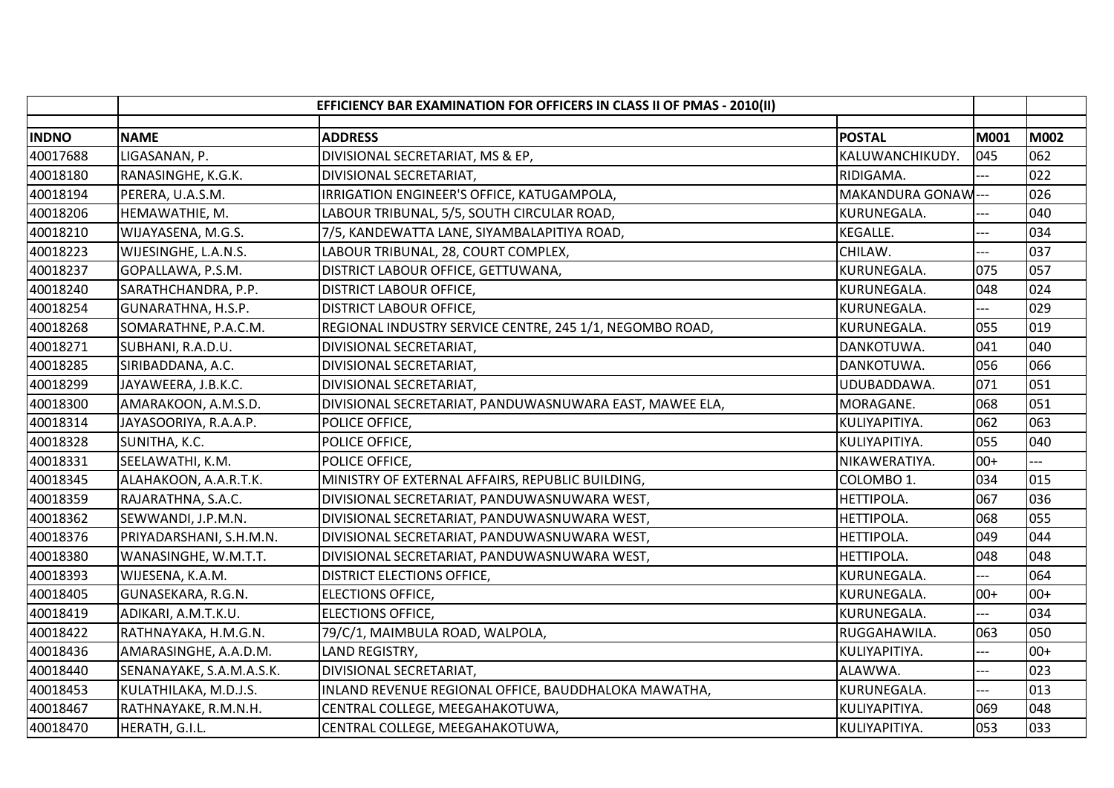|              | EFFICIENCY BAR EXAMINATION FOR OFFICERS IN CLASS II OF PMAS - 2010(II) |                                                          |                    |       |       |
|--------------|------------------------------------------------------------------------|----------------------------------------------------------|--------------------|-------|-------|
| <b>INDNO</b> | <b>NAME</b>                                                            | <b>ADDRESS</b>                                           | <b>POSTAL</b>      | M001  | M002  |
| 40017688     | LIGASANAN, P.                                                          | DIVISIONAL SECRETARIAT, MS & EP,                         | KALUWANCHIKUDY.    | 045   | 062   |
| 40018180     | RANASINGHE, K.G.K.                                                     | DIVISIONAL SECRETARIAT,                                  | RIDIGAMA.          | ---   | 022   |
| 40018194     | PERERA, U.A.S.M.                                                       | IRRIGATION ENGINEER'S OFFICE, KATUGAMPOLA,               | MAKANDURA GONAW--- |       | 026   |
| 40018206     | HEMAWATHIE, M.                                                         | LABOUR TRIBUNAL, 5/5, SOUTH CIRCULAR ROAD,               | KURUNEGALA.        |       | 040   |
| 40018210     | WIJAYASENA, M.G.S.                                                     | 7/5, KANDEWATTA LANE, SIYAMBALAPITIYA ROAD,              | KEGALLE.           |       | 034   |
| 40018223     | WIJESINGHE, L.A.N.S.                                                   | LABOUR TRIBUNAL, 28, COURT COMPLEX,                      | CHILAW.            |       | 037   |
| 40018237     | GOPALLAWA, P.S.M.                                                      | DISTRICT LABOUR OFFICE, GETTUWANA,                       | KURUNEGALA.        | 075   | 057   |
| 40018240     | SARATHCHANDRA, P.P.                                                    | <b>DISTRICT LABOUR OFFICE,</b>                           | KURUNEGALA.        | 048   | 024   |
| 40018254     | GUNARATHNA, H.S.P.                                                     | <b>DISTRICT LABOUR OFFICE,</b>                           | KURUNEGALA.        | $---$ | 029   |
| 40018268     | SOMARATHNE, P.A.C.M.                                                   | REGIONAL INDUSTRY SERVICE CENTRE, 245 1/1, NEGOMBO ROAD, | KURUNEGALA.        | 055   | 019   |
| 40018271     | SUBHANI, R.A.D.U.                                                      | DIVISIONAL SECRETARIAT,                                  | DANKOTUWA.         | 041   | 040   |
| 40018285     | SIRIBADDANA, A.C.                                                      | DIVISIONAL SECRETARIAT,                                  | DANKOTUWA.         | 056   | 066   |
| 40018299     | JAYAWEERA, J.B.K.C.                                                    | DIVISIONAL SECRETARIAT,                                  | UDUBADDAWA.        | 071   | 051   |
| 40018300     | AMARAKOON, A.M.S.D.                                                    | DIVISIONAL SECRETARIAT, PANDUWASNUWARA EAST, MAWEE ELA,  | MORAGANE.          | 068   | 051   |
| 40018314     | JAYASOORIYA, R.A.A.P.                                                  | POLICE OFFICE,                                           | KULIYAPITIYA.      | 062   | 063   |
| 40018328     | SUNITHA, K.C.                                                          | POLICE OFFICE,                                           | KULIYAPITIYA.      | 055   | 040   |
| 40018331     | SEELAWATHI, K.M.                                                       | POLICE OFFICE,                                           | NIKAWERATIYA.      | $00+$ |       |
| 40018345     | ALAHAKOON, A.A.R.T.K.                                                  | MINISTRY OF EXTERNAL AFFAIRS, REPUBLIC BUILDING,         | COLOMBO 1.         | 034   | 015   |
| 40018359     | RAJARATHNA, S.A.C.                                                     | DIVISIONAL SECRETARIAT, PANDUWASNUWARA WEST,             | HETTIPOLA.         | 067   | 036   |
| 40018362     | SEWWANDI, J.P.M.N.                                                     | DIVISIONAL SECRETARIAT, PANDUWASNUWARA WEST,             | HETTIPOLA.         | 068   | 055   |
| 40018376     | PRIYADARSHANI, S.H.M.N.                                                | DIVISIONAL SECRETARIAT, PANDUWASNUWARA WEST,             | HETTIPOLA.         | 049   | 044   |
| 40018380     | WANASINGHE, W.M.T.T.                                                   | DIVISIONAL SECRETARIAT, PANDUWASNUWARA WEST,             | <b>HETTIPOLA.</b>  | 048   | 048   |
| 40018393     | WIJESENA, K.A.M.                                                       | <b>DISTRICT ELECTIONS OFFICE,</b>                        | KURUNEGALA.        |       | 064   |
| 40018405     | GUNASEKARA, R.G.N.                                                     | <b>ELECTIONS OFFICE,</b>                                 | KURUNEGALA.        | $00+$ | $00+$ |
| 40018419     | ADIKARI, A.M.T.K.U.                                                    | <b>ELECTIONS OFFICE,</b>                                 | KURUNEGALA.        | ---   | 034   |
| 40018422     | RATHNAYAKA, H.M.G.N.                                                   | 79/C/1, MAIMBULA ROAD, WALPOLA,                          | RUGGAHAWILA.       | 063   | 050   |
| 40018436     | AMARASINGHE, A.A.D.M.                                                  | LAND REGISTRY,                                           | KULIYAPITIYA.      |       | $00+$ |
| 40018440     | SENANAYAKE, S.A.M.A.S.K.                                               | DIVISIONAL SECRETARIAT,                                  | ALAWWA.            | ---   | 023   |
| 40018453     | KULATHILAKA, M.D.J.S.                                                  | INLAND REVENUE REGIONAL OFFICE, BAUDDHALOKA MAWATHA,     | KURUNEGALA.        | ---   | 013   |
| 40018467     | RATHNAYAKE, R.M.N.H.                                                   | CENTRAL COLLEGE, MEEGAHAKOTUWA,                          | KULIYAPITIYA.      | 069   | 048   |
| 40018470     | HERATH, G.I.L.                                                         | CENTRAL COLLEGE, MEEGAHAKOTUWA,                          | KULIYAPITIYA.      | 053   | 033   |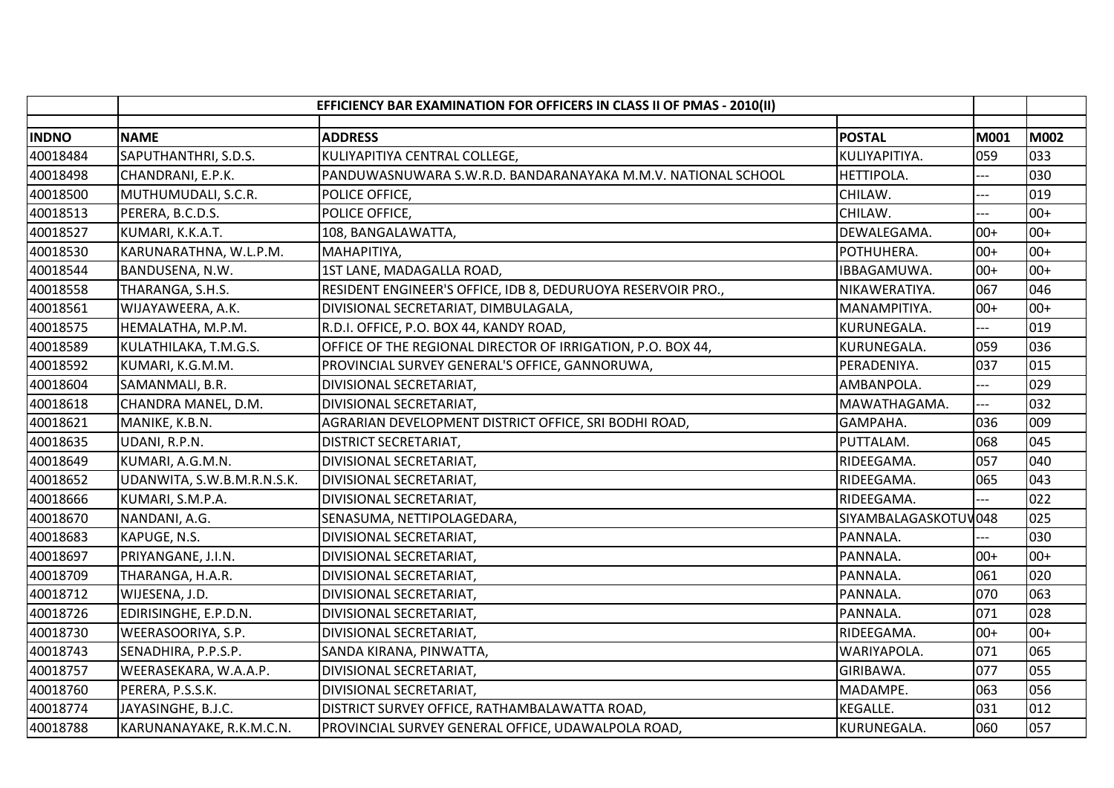|              | EFFICIENCY BAR EXAMINATION FOR OFFICERS IN CLASS II OF PMAS - 2010(II) |                                                              |                      |       |       |
|--------------|------------------------------------------------------------------------|--------------------------------------------------------------|----------------------|-------|-------|
| <b>INDNO</b> | <b>NAME</b>                                                            | <b>ADDRESS</b>                                               | <b>POSTAL</b>        | M001  | M002  |
| 40018484     | SAPUTHANTHRI, S.D.S.                                                   | KULIYAPITIYA CENTRAL COLLEGE,                                | KULIYAPITIYA.        | 059   | 033   |
| 40018498     | CHANDRANI, E.P.K.                                                      | PANDUWASNUWARA S.W.R.D. BANDARANAYAKA M.M.V. NATIONAL SCHOOL | HETTIPOLA.           | ---   | 030   |
| 40018500     | MUTHUMUDALI, S.C.R.                                                    | POLICE OFFICE,                                               | CHILAW.              |       | 019   |
| 40018513     | PERERA, B.C.D.S.                                                       | POLICE OFFICE,                                               | CHILAW.              |       | $00+$ |
| 40018527     | KUMARI, K.K.A.T.                                                       |                                                              |                      | $00+$ | $00+$ |
|              |                                                                        | 108, BANGALAWATTA,                                           | DEWALEGAMA.          | $00+$ | $00+$ |
| 40018530     | KARUNARATHNA, W.L.P.M.                                                 | ΜΑΗΑΡΙΤΙΥΑ,                                                  | POTHUHERA.           |       | $00+$ |
| 40018544     | BANDUSENA, N.W.                                                        | 1ST LANE, MADAGALLA ROAD,                                    | IBBAGAMUWA.          | $00+$ |       |
| 40018558     | THARANGA, S.H.S.                                                       | RESIDENT ENGINEER'S OFFICE, IDB 8, DEDURUOYA RESERVOIR PRO., | NIKAWERATIYA.        | 067   | 046   |
| 40018561     | WIJAYAWEERA, A.K.                                                      | DIVISIONAL SECRETARIAT, DIMBULAGALA,                         | MANAMPITIYA.         | $00+$ | $00+$ |
| 40018575     | HEMALATHA, M.P.M.                                                      | R.D.I. OFFICE, P.O. BOX 44, KANDY ROAD,                      | KURUNEGALA.          |       | 019   |
| 40018589     | KULATHILAKA, T.M.G.S.                                                  | OFFICE OF THE REGIONAL DIRECTOR OF IRRIGATION, P.O. BOX 44,  | KURUNEGALA.          | 059   | 036   |
| 40018592     | KUMARI, K.G.M.M.                                                       | PROVINCIAL SURVEY GENERAL'S OFFICE, GANNORUWA,               | PERADENIYA.          | 037   | 015   |
| 40018604     | SAMANMALI, B.R.                                                        | DIVISIONAL SECRETARIAT,                                      | AMBANPOLA.           |       | 029   |
| 40018618     | CHANDRA MANEL, D.M.                                                    | DIVISIONAL SECRETARIAT,                                      | MAWATHAGAMA.         | ---   | 032   |
| 40018621     | MANIKE, K.B.N.                                                         | AGRARIAN DEVELOPMENT DISTRICT OFFICE, SRI BODHI ROAD,        | GAMPAHA.             | 036   | 009   |
| 40018635     | UDANI, R.P.N.                                                          | DISTRICT SECRETARIAT,                                        | PUTTALAM.            | 068   | 045   |
| 40018649     | KUMARI, A.G.M.N.                                                       | DIVISIONAL SECRETARIAT,                                      | RIDEEGAMA.           | 057   | 040   |
| 40018652     | UDANWITA, S.W.B.M.R.N.S.K.                                             | DIVISIONAL SECRETARIAT,                                      | RIDEEGAMA.           | 065   | 043   |
| 40018666     | KUMARI, S.M.P.A.                                                       | DIVISIONAL SECRETARIAT,                                      | RIDEEGAMA.           |       | 022   |
| 40018670     | NANDANI, A.G.                                                          | SENASUMA, NETTIPOLAGEDARA,                                   | SIYAMBALAGASKOTUV048 |       | 025   |
| 40018683     | KAPUGE, N.S.                                                           | DIVISIONAL SECRETARIAT,                                      | PANNALA.             | $---$ | 030   |
| 40018697     | PRIYANGANE, J.I.N.                                                     | DIVISIONAL SECRETARIAT,                                      | PANNALA.             | $00+$ | $00+$ |
| 40018709     | THARANGA, H.A.R.                                                       | DIVISIONAL SECRETARIAT,                                      | PANNALA.             | 061   | 020   |
| 40018712     | WIJESENA, J.D.                                                         | DIVISIONAL SECRETARIAT,                                      | PANNALA.             | 070   | 063   |
| 40018726     | EDIRISINGHE, E.P.D.N.                                                  | DIVISIONAL SECRETARIAT,                                      | PANNALA.             | 071   | 028   |
| 40018730     | WEERASOORIYA, S.P.                                                     | DIVISIONAL SECRETARIAT,                                      | RIDEEGAMA.           | $00+$ | $00+$ |
| 40018743     | SENADHIRA, P.P.S.P.                                                    | SANDA KIRANA, PINWATTA,                                      | WARIYAPOLA.          | 071   | 065   |
| 40018757     | WEERASEKARA, W.A.A.P.                                                  | DIVISIONAL SECRETARIAT,                                      | GIRIBAWA.            | 077   | 055   |
| 40018760     | PERERA, P.S.S.K.                                                       | DIVISIONAL SECRETARIAT,                                      | MADAMPE.             | 063   | 056   |
| 40018774     | JAYASINGHE, B.J.C.                                                     | DISTRICT SURVEY OFFICE, RATHAMBALAWATTA ROAD,                | <b>KEGALLE.</b>      | 031   | 012   |
| 40018788     | KARUNANAYAKE, R.K.M.C.N.                                               | PROVINCIAL SURVEY GENERAL OFFICE, UDAWALPOLA ROAD,           | KURUNEGALA.          | 060   | 057   |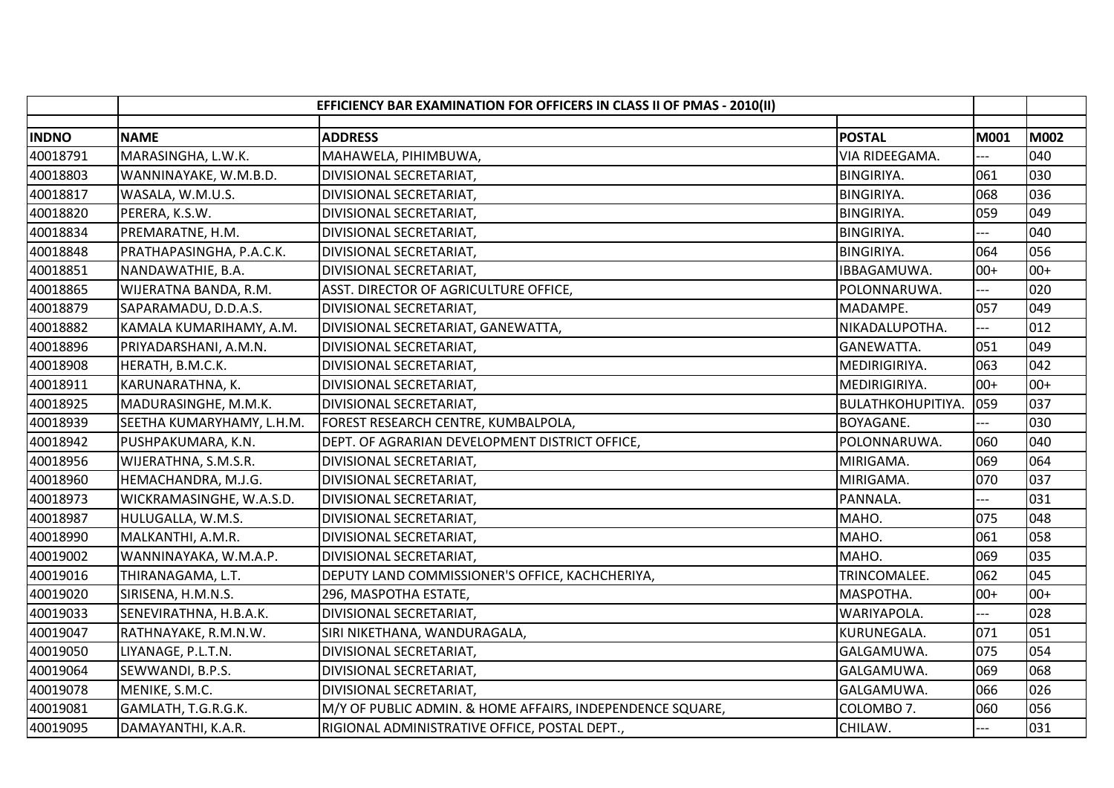|              | EFFICIENCY BAR EXAMINATION FOR OFFICERS IN CLASS II OF PMAS - 2010(II) |                                                           |                          |             |       |
|--------------|------------------------------------------------------------------------|-----------------------------------------------------------|--------------------------|-------------|-------|
| <b>INDNO</b> | <b>NAME</b>                                                            | <b>ADDRESS</b>                                            | <b>POSTAL</b>            | <b>M001</b> | M002  |
| 40018791     | MARASINGHA, L.W.K.                                                     | MAHAWELA, PIHIMBUWA,                                      | VIA RIDEEGAMA.           |             | 040   |
| 40018803     | WANNINAYAKE, W.M.B.D.                                                  | DIVISIONAL SECRETARIAT,                                   | <b>BINGIRIYA.</b>        | 061         | 030   |
| 40018817     | WASALA, W.M.U.S.                                                       | DIVISIONAL SECRETARIAT,                                   | <b>BINGIRIYA.</b>        | 068         | 036   |
| 40018820     | PERERA, K.S.W.                                                         | DIVISIONAL SECRETARIAT,                                   | <b>BINGIRIYA.</b>        | 059         | 049   |
| 40018834     | PREMARATNE, H.M.                                                       | DIVISIONAL SECRETARIAT,                                   | <b>BINGIRIYA.</b>        |             | 040   |
| 40018848     | PRATHAPASINGHA, P.A.C.K.                                               | DIVISIONAL SECRETARIAT,                                   | <b>BINGIRIYA.</b>        | 064         | 056   |
| 40018851     | NANDAWATHIE, B.A.                                                      | DIVISIONAL SECRETARIAT,                                   | IBBAGAMUWA.              | $00+$       | $00+$ |
| 40018865     | WIJERATNA BANDA, R.M.                                                  | ASST. DIRECTOR OF AGRICULTURE OFFICE,                     | POLONNARUWA.             |             | 020   |
| 40018879     | SAPARAMADU, D.D.A.S.                                                   | DIVISIONAL SECRETARIAT,                                   | MADAMPE.                 | 057         | 049   |
| 40018882     | KAMALA KUMARIHAMY, A.M.                                                | DIVISIONAL SECRETARIAT, GANEWATTA,                        | NIKADALUPOTHA.           |             | 012   |
| 40018896     | PRIYADARSHANI, A.M.N.                                                  | DIVISIONAL SECRETARIAT,                                   | GANEWATTA.               | 051         | 049   |
| 40018908     | HERATH, B.M.C.K.                                                       | DIVISIONAL SECRETARIAT,                                   | MEDIRIGIRIYA.            | 063         | 042   |
| 40018911     | KARUNARATHNA, K.                                                       | DIVISIONAL SECRETARIAT,                                   | MEDIRIGIRIYA.            | $00+$       | $00+$ |
| 40018925     | MADURASINGHE, M.M.K.                                                   | DIVISIONAL SECRETARIAT,                                   | <b>BULATHKOHUPITIYA.</b> | 059         | 037   |
| 40018939     | SEETHA KUMARYHAMY, L.H.M.                                              | FOREST RESEARCH CENTRE, KUMBALPOLA,                       | BOYAGANE.                |             | 030   |
| 40018942     | PUSHPAKUMARA, K.N.                                                     | DEPT. OF AGRARIAN DEVELOPMENT DISTRICT OFFICE,            | POLONNARUWA.             | 060         | 040   |
| 40018956     | WIJERATHNA, S.M.S.R.                                                   | DIVISIONAL SECRETARIAT,                                   | MIRIGAMA.                | 069         | 064   |
| 40018960     | HEMACHANDRA, M.J.G.                                                    | DIVISIONAL SECRETARIAT,                                   | MIRIGAMA.                | 070         | 037   |
| 40018973     | WICKRAMASINGHE, W.A.S.D.                                               | DIVISIONAL SECRETARIAT,                                   | PANNALA.                 |             | 031   |
| 40018987     | HULUGALLA, W.M.S.                                                      | DIVISIONAL SECRETARIAT,                                   | MAHO.                    | 075         | 048   |
| 40018990     | MALKANTHI, A.M.R.                                                      | DIVISIONAL SECRETARIAT,                                   | MAHO.                    | 061         | 058   |
| 40019002     | WANNINAYAKA, W.M.A.P.                                                  | DIVISIONAL SECRETARIAT,                                   | MAHO.                    | 069         | 035   |
| 40019016     | THIRANAGAMA, L.T.                                                      | DEPUTY LAND COMMISSIONER'S OFFICE, KACHCHERIYA,           | TRINCOMALEE.             | 062         | 045   |
| 40019020     | SIRISENA, H.M.N.S.                                                     | 296, MASPOTHA ESTATE,                                     | MASPOTHA.                | $00+$       | $00+$ |
| 40019033     | SENEVIRATHNA, H.B.A.K.                                                 | DIVISIONAL SECRETARIAT,                                   | WARIYAPOLA.              | ---         | 028   |
| 40019047     | RATHNAYAKE, R.M.N.W.                                                   | SIRI NIKETHANA, WANDURAGALA,                              | KURUNEGALA.              | 071         | 051   |
| 40019050     | LIYANAGE, P.L.T.N.                                                     | DIVISIONAL SECRETARIAT,                                   | GALGAMUWA.               | 075         | 054   |
| 40019064     | SEWWANDI, B.P.S.                                                       | DIVISIONAL SECRETARIAT,                                   | GALGAMUWA.               | 069         | 068   |
| 40019078     | MENIKE, S.M.C.                                                         | DIVISIONAL SECRETARIAT,                                   | GALGAMUWA.               | 066         | 026   |
| 40019081     | GAMLATH, T.G.R.G.K.                                                    | M/Y OF PUBLIC ADMIN. & HOME AFFAIRS, INDEPENDENCE SQUARE, | COLOMBO 7.               | 060         | 056   |
| 40019095     | DAMAYANTHI, K.A.R.                                                     | RIGIONAL ADMINISTRATIVE OFFICE, POSTAL DEPT.,             | CHILAW.                  | $---$       | 031   |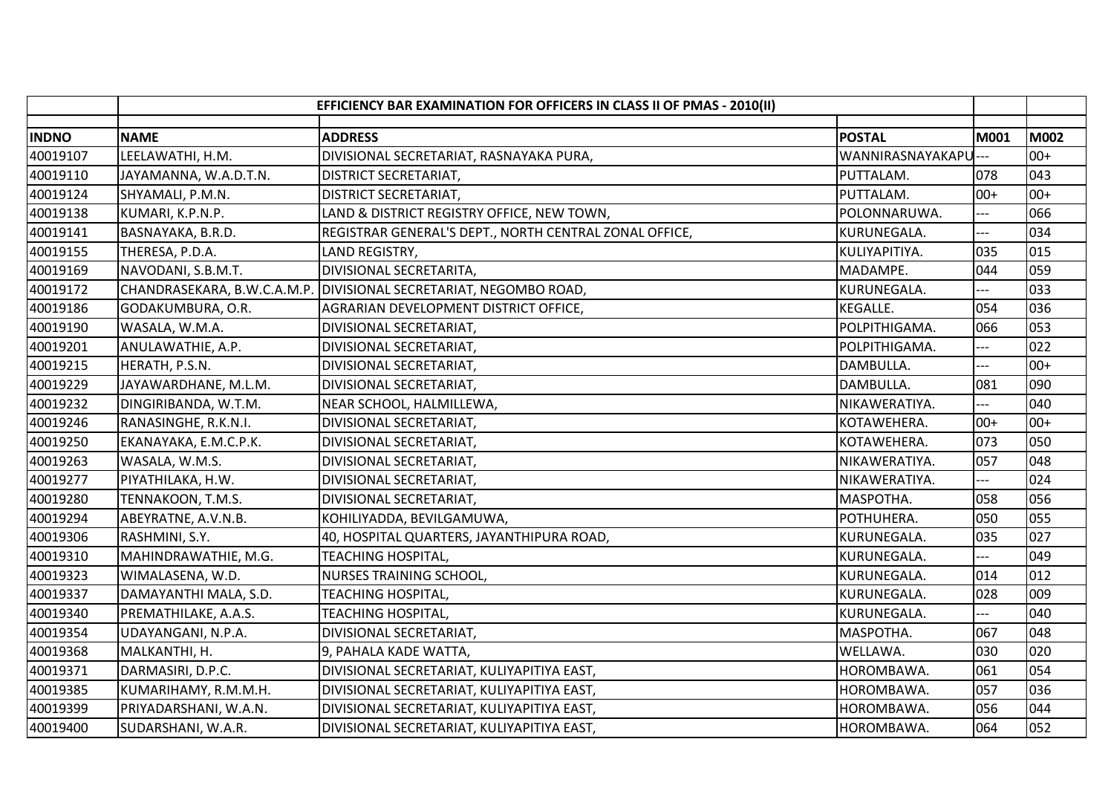|              | EFFICIENCY BAR EXAMINATION FOR OFFICERS IN CLASS II OF PMAS - 2010(II) |                                                                   |                      |                |             |
|--------------|------------------------------------------------------------------------|-------------------------------------------------------------------|----------------------|----------------|-------------|
| <b>INDNO</b> | <b>NAME</b>                                                            | <b>ADDRESS</b>                                                    | <b>POSTAL</b>        | M001           | <b>M002</b> |
| 40019107     | LEELAWATHI, H.M.                                                       | DIVISIONAL SECRETARIAT, RASNAYAKA PURA,                           | WANNIRASNAYAKAPU --- |                | $00+$       |
| 40019110     | JAYAMANNA, W.A.D.T.N.                                                  | DISTRICT SECRETARIAT,                                             | PUTTALAM.            | 078            | 043         |
| 40019124     | SHYAMALI, P.M.N.                                                       | DISTRICT SECRETARIAT,                                             | PUTTALAM.            | $00+$          | $00+$       |
| 40019138     | KUMARI, K.P.N.P.                                                       | LAND & DISTRICT REGISTRY OFFICE, NEW TOWN,                        | POLONNARUWA.         |                | 066         |
| 40019141     | BASNAYAKA, B.R.D.                                                      | REGISTRAR GENERAL'S DEPT., NORTH CENTRAL ZONAL OFFICE,            | KURUNEGALA.          | ---            | 034         |
| 40019155     | THERESA, P.D.A.                                                        | LAND REGISTRY,                                                    | KULIYAPITIYA.        | 035            | 015         |
| 40019169     | NAVODANI, S.B.M.T.                                                     | DIVISIONAL SECRETARITA,                                           | MADAMPE.             | 044            | 059         |
| 40019172     |                                                                        | CHANDRASEKARA, B.W.C.A.M.P. DIVISIONAL SECRETARIAT, NEGOMBO ROAD, | KURUNEGALA.          | $---$          | 033         |
| 40019186     | GODAKUMBURA, O.R.                                                      | AGRARIAN DEVELOPMENT DISTRICT OFFICE,                             | <b>KEGALLE.</b>      | 054            | 036         |
| 40019190     | WASALA, W.M.A.                                                         | DIVISIONAL SECRETARIAT,                                           | POLPITHIGAMA.        | 066            | 053         |
| 40019201     | ANULAWATHIE, A.P.                                                      | DIVISIONAL SECRETARIAT,                                           | POLPITHIGAMA.        |                | 022         |
| 40019215     | HERATH, P.S.N.                                                         | DIVISIONAL SECRETARIAT,                                           | DAMBULLA.            | ---            | $00+$       |
| 40019229     | JAYAWARDHANE, M.L.M.                                                   | DIVISIONAL SECRETARIAT,                                           | DAMBULLA.            | 081            | 090         |
| 40019232     | DINGIRIBANDA, W.T.M.                                                   | NEAR SCHOOL, HALMILLEWA,                                          | NIKAWERATIYA.        |                | 040         |
| 40019246     | RANASINGHE, R.K.N.I.                                                   | DIVISIONAL SECRETARIAT,                                           | KOTAWEHERA.          | $00+$          | $00+$       |
| 40019250     | EKANAYAKA, E.M.C.P.K.                                                  | DIVISIONAL SECRETARIAT,                                           | KOTAWEHERA.          | 073            | 050         |
| 40019263     | WASALA, W.M.S.                                                         | DIVISIONAL SECRETARIAT,                                           | NIKAWERATIYA.        | 057            | 048         |
| 40019277     | PIYATHILAKA, H.W.                                                      | DIVISIONAL SECRETARIAT,                                           | NIKAWERATIYA.        |                | 024         |
| 40019280     | TENNAKOON, T.M.S.                                                      | DIVISIONAL SECRETARIAT,                                           | MASPOTHA.            | 058            | 056         |
| 40019294     | ABEYRATNE, A.V.N.B.                                                    | KOHILIYADDA, BEVILGAMUWA,                                         | POTHUHERA.           | 050            | 055         |
| 40019306     | RASHMINI, S.Y.                                                         | 40, HOSPITAL QUARTERS, JAYANTHIPURA ROAD,                         | KURUNEGALA.          | 035            | 027         |
| 40019310     | MAHINDRAWATHIE, M.G.                                                   | TEACHING HOSPITAL,                                                | KURUNEGALA.          | $\overline{a}$ | 049         |
| 40019323     | WIMALASENA, W.D.                                                       | <b>NURSES TRAINING SCHOOL,</b>                                    | KURUNEGALA.          | 014            | 012         |
| 40019337     | DAMAYANTHI MALA, S.D.                                                  | <b>TEACHING HOSPITAL,</b>                                         | KURUNEGALA.          | 028            | 009         |
| 40019340     | PREMATHILAKE, A.A.S.                                                   | TEACHING HOSPITAL,                                                | KURUNEGALA.          | ---            | 040         |
| 40019354     | UDAYANGANI, N.P.A.                                                     | DIVISIONAL SECRETARIAT,                                           | MASPOTHA.            | 067            | 048         |
| 40019368     | MALKANTHI, H.                                                          | 9, PAHALA KADE WATTA,                                             | WELLAWA.             | 030            | 020         |
| 40019371     | DARMASIRI, D.P.C.                                                      | DIVISIONAL SECRETARIAT, KULIYAPITIYA EAST,                        | HOROMBAWA.           | 061            | 054         |
| 40019385     | KUMARIHAMY, R.M.M.H.                                                   | DIVISIONAL SECRETARIAT, KULIYAPITIYA EAST,                        | HOROMBAWA.           | 057            | 036         |
| 40019399     | PRIYADARSHANI, W.A.N.                                                  | DIVISIONAL SECRETARIAT, KULIYAPITIYA EAST,                        | HOROMBAWA.           | 056            | 044         |
| 40019400     | SUDARSHANI, W.A.R.                                                     | DIVISIONAL SECRETARIAT, KULIYAPITIYA EAST,                        | HOROMBAWA.           | 064            | 052         |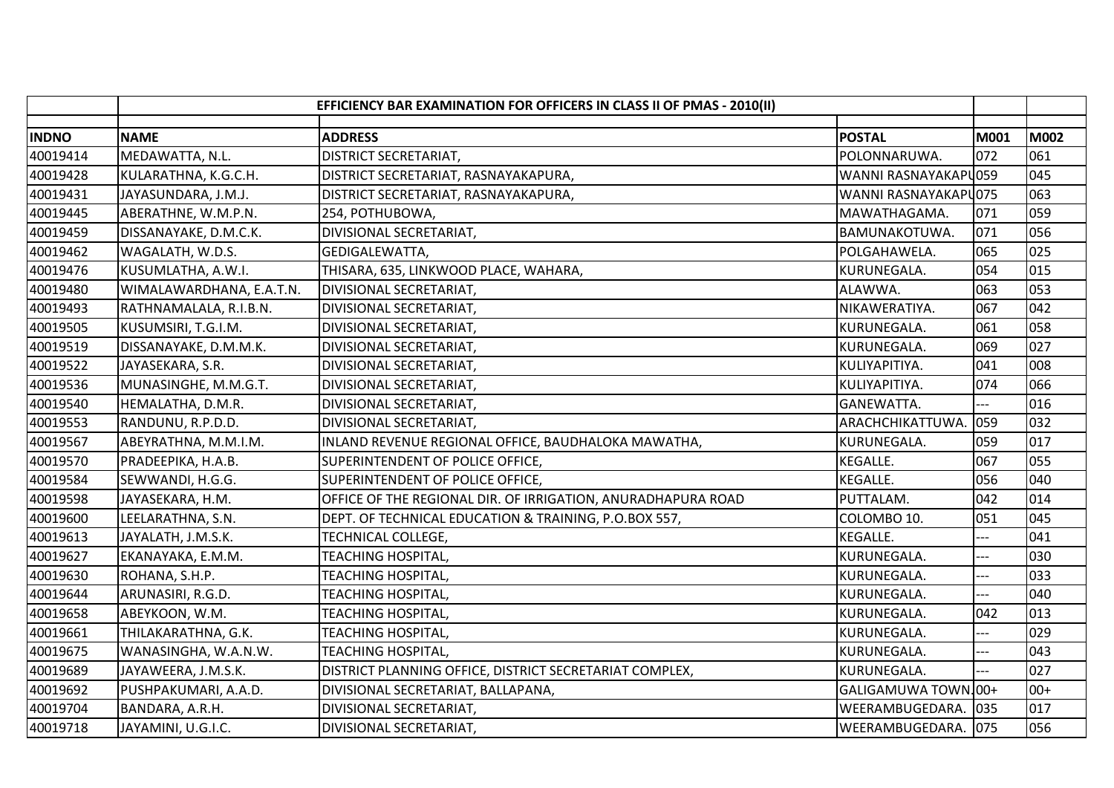|              | EFFICIENCY BAR EXAMINATION FOR OFFICERS IN CLASS II OF PMAS - 2010(II) |                                                                           |      |  |       |
|--------------|------------------------------------------------------------------------|---------------------------------------------------------------------------|------|--|-------|
| <b>INDNO</b> | <b>NAME</b>                                                            | <b>ADDRESS</b><br><b>POSTAL</b>                                           | M001 |  | M002  |
| 40019414     | MEDAWATTA, N.L.                                                        | <b>DISTRICT SECRETARIAT,</b><br>POLONNARUWA.                              | 072  |  | 061   |
| 40019428     | KULARATHNA, K.G.C.H.                                                   | DISTRICT SECRETARIAT, RASNAYAKAPURA,<br>WANNI RASNAYAKAPU059              |      |  | 045   |
| 40019431     | JAYASUNDARA, J.M.J.                                                    | WANNI RASNAYAKAPU075<br>DISTRICT SECRETARIAT, RASNAYAKAPURA,              |      |  | 063   |
| 40019445     | ABERATHNE, W.M.P.N.                                                    | MAWATHAGAMA.<br>254, POTHUBOWA,                                           | 071  |  | 059   |
| 40019459     | DISSANAYAKE, D.M.C.K.                                                  | DIVISIONAL SECRETARIAT,<br>BAMUNAKOTUWA.                                  | 071  |  | 056   |
| 40019462     | WAGALATH, W.D.S.                                                       | POLGAHAWELA.<br>GEDIGALEWATTA,                                            | 065  |  | 025   |
| 40019476     | KUSUMLATHA, A.W.I.                                                     | THISARA, 635, LINKWOOD PLACE, WAHARA,<br>KURUNEGALA.                      | 054  |  | 015   |
| 40019480     | WIMALAWARDHANA, E.A.T.N.                                               | DIVISIONAL SECRETARIAT,<br>ALAWWA.                                        | 063  |  | 053   |
| 40019493     | RATHNAMALALA, R.I.B.N.                                                 | DIVISIONAL SECRETARIAT,<br>NIKAWERATIYA.                                  | 067  |  | 042   |
| 40019505     | KUSUMSIRI, T.G.I.M.                                                    | KURUNEGALA.<br>DIVISIONAL SECRETARIAT,                                    | 061  |  | 058   |
| 40019519     | DISSANAYAKE, D.M.M.K.                                                  | DIVISIONAL SECRETARIAT,<br>KURUNEGALA.                                    | 069  |  | 027   |
| 40019522     | JAYASEKARA, S.R.                                                       | DIVISIONAL SECRETARIAT,<br>KULIYAPITIYA.                                  | 041  |  | 008   |
| 40019536     | MUNASINGHE, M.M.G.T.                                                   | DIVISIONAL SECRETARIAT,<br>KULIYAPITIYA.                                  | 074  |  | 066   |
| 40019540     | HEMALATHA, D.M.R.                                                      | DIVISIONAL SECRETARIAT,<br>GANEWATTA.                                     |      |  | 016   |
| 40019553     | RANDUNU, R.P.D.D.                                                      | ARACHCHIKATTUWA.<br>DIVISIONAL SECRETARIAT,                               | 059  |  | 032   |
| 40019567     | ABEYRATHNA, M.M.I.M.                                                   | INLAND REVENUE REGIONAL OFFICE, BAUDHALOKA MAWATHA,<br>KURUNEGALA.        | 059  |  | 017   |
| 40019570     | PRADEEPIKA, H.A.B.                                                     | SUPERINTENDENT OF POLICE OFFICE,<br>KEGALLE.                              | 067  |  | 055   |
| 40019584     | SEWWANDI, H.G.G.                                                       | SUPERINTENDENT OF POLICE OFFICE,<br>KEGALLE.                              | 056  |  | 040   |
| 40019598     | JAYASEKARA, H.M.                                                       | OFFICE OF THE REGIONAL DIR. OF IRRIGATION, ANURADHAPURA ROAD<br>PUTTALAM. | 042  |  | 014   |
| 40019600     | LEELARATHNA, S.N.                                                      | DEPT. OF TECHNICAL EDUCATION & TRAINING, P.O.BOX 557,<br>COLOMBO 10.      | 051  |  | 045   |
| 40019613     | JAYALATH, J.M.S.K.                                                     | <b>TECHNICAL COLLEGE,</b><br>KEGALLE.                                     | ---  |  | 041   |
| 40019627     | EKANAYAKA, E.M.M.                                                      | KURUNEGALA.<br>TEACHING HOSPITAL,                                         |      |  | 030   |
| 40019630     | ROHANA, S.H.P.                                                         | KURUNEGALA.<br><b>TEACHING HOSPITAL,</b>                                  |      |  | 033   |
| 40019644     | ARUNASIRI, R.G.D.                                                      | <b>TEACHING HOSPITAL,</b><br>KURUNEGALA.                                  |      |  | 040   |
| 40019658     | ABEYKOON, W.M.                                                         | <b>TEACHING HOSPITAL,</b><br>KURUNEGALA.                                  | 042  |  | 013   |
| 40019661     | THILAKARATHNA, G.K.                                                    | KURUNEGALA.<br><b>TEACHING HOSPITAL,</b>                                  | ---  |  | 029   |
| 40019675     | WANASINGHA, W.A.N.W.                                                   | <b>TEACHING HOSPITAL,</b><br>KURUNEGALA.                                  |      |  | 043   |
| 40019689     | JAYAWEERA, J.M.S.K.                                                    | DISTRICT PLANNING OFFICE, DISTRICT SECRETARIAT COMPLEX,<br>KURUNEGALA.    |      |  | 027   |
| 40019692     | PUSHPAKUMARI, A.A.D.                                                   | DIVISIONAL SECRETARIAT, BALLAPANA,<br>GALIGAMUWA TOWN 00+                 |      |  | $00+$ |
| 40019704     | BANDARA, A.R.H.                                                        | DIVISIONAL SECRETARIAT,<br>WEERAMBUGEDARA. 035                            |      |  | 017   |
| 40019718     | JAYAMINI, U.G.I.C.                                                     | WEERAMBUGEDARA. 075<br>DIVISIONAL SECRETARIAT,                            |      |  | 056   |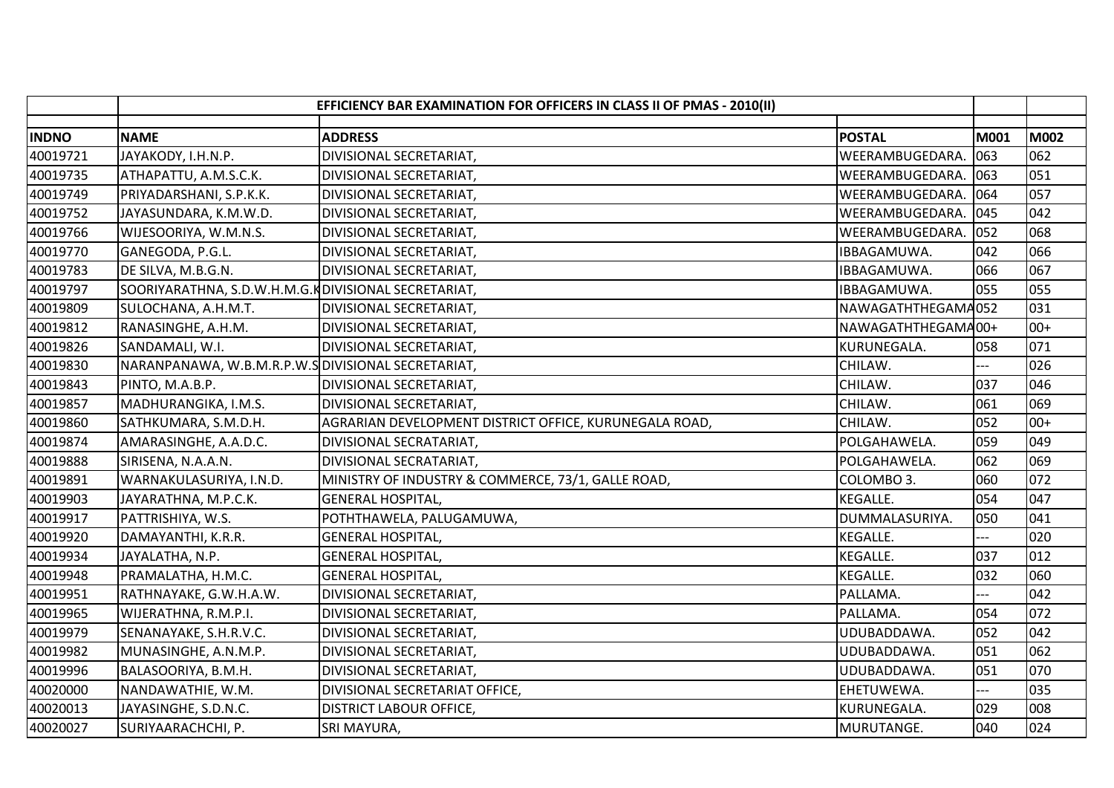|              | EFFICIENCY BAR EXAMINATION FOR OFFICERS IN CLASS II OF PMAS - 2010(II) |                                                        |                    |      |       |
|--------------|------------------------------------------------------------------------|--------------------------------------------------------|--------------------|------|-------|
| <b>INDNO</b> | <b>NAME</b>                                                            | <b>ADDRESS</b>                                         | <b>POSTAL</b>      | M001 | M002  |
| 40019721     | JAYAKODY, I.H.N.P.                                                     | DIVISIONAL SECRETARIAT,                                | WEERAMBUGEDARA.    | 063  | 062   |
| 40019735     | ATHAPATTU, A.M.S.C.K.                                                  | DIVISIONAL SECRETARIAT,                                | WEERAMBUGEDARA.    | 063  | 051   |
| 40019749     | PRIYADARSHANI, S.P.K.K.                                                | DIVISIONAL SECRETARIAT,                                | WEERAMBUGEDARA.    | 064  | 057   |
| 40019752     | JAYASUNDARA, K.M.W.D.                                                  | DIVISIONAL SECRETARIAT,                                | WEERAMBUGEDARA.    | 045  | 042   |
| 40019766     | WIJESOORIYA, W.M.N.S.                                                  | DIVISIONAL SECRETARIAT,                                | WEERAMBUGEDARA.    | 052  | 068   |
| 40019770     | GANEGODA, P.G.L.                                                       | DIVISIONAL SECRETARIAT,                                | IBBAGAMUWA.        | 042  | 066   |
| 40019783     | DE SILVA, M.B.G.N.                                                     | DIVISIONAL SECRETARIAT,                                | IBBAGAMUWA.        | 066  | 067   |
| 40019797     | SOORIYARATHNA, S.D.W.H.M.G.KDIVISIONAL SECRETARIAT,                    |                                                        | IBBAGAMUWA.        | 055  | 055   |
| 40019809     | SULOCHANA, A.H.M.T.                                                    | DIVISIONAL SECRETARIAT,                                | NAWAGATHTHEGAMA052 |      | 031   |
| 40019812     | RANASINGHE, A.H.M.                                                     | DIVISIONAL SECRETARIAT,                                | NAWAGATHTHEGAMA00+ |      | $00+$ |
| 40019826     | SANDAMALI, W.I.                                                        | DIVISIONAL SECRETARIAT,                                | KURUNEGALA.        | 058  | 071   |
| 40019830     | NARANPANAWA, W.B.M.R.P.W.SDIVISIONAL SECRETARIAT,                      |                                                        | CHILAW.            |      | 026   |
| 40019843     | PINTO, M.A.B.P.                                                        | DIVISIONAL SECRETARIAT,                                | CHILAW.            | 037  | 046   |
| 40019857     | MADHURANGIKA, I.M.S.                                                   | DIVISIONAL SECRETARIAT,                                | CHILAW.            | 061  | 069   |
| 40019860     | SATHKUMARA, S.M.D.H.                                                   | AGRARIAN DEVELOPMENT DISTRICT OFFICE, KURUNEGALA ROAD, | CHILAW.            | 052  | $00+$ |
| 40019874     | AMARASINGHE, A.A.D.C.                                                  | DIVISIONAL SECRATARIAT,                                | POLGAHAWELA.       | 059  | 049   |
| 40019888     | SIRISENA, N.A.A.N.                                                     | DIVISIONAL SECRATARIAT,                                | POLGAHAWELA.       | 062  | 069   |
| 40019891     | WARNAKULASURIYA, I.N.D.                                                | MINISTRY OF INDUSTRY & COMMERCE, 73/1, GALLE ROAD,     | COLOMBO 3.         | 060  | 072   |
| 40019903     | JAYARATHNA, M.P.C.K.                                                   | <b>GENERAL HOSPITAL,</b>                               | <b>KEGALLE.</b>    | 054  | 047   |
| 40019917     | PATTRISHIYA, W.S.                                                      | POTHTHAWELA, PALUGAMUWA,                               | DUMMALASURIYA.     | 050  | 041   |
| 40019920     | DAMAYANTHI, K.R.R.                                                     | <b>GENERAL HOSPITAL,</b>                               | <b>KEGALLE.</b>    | $--$ | 020   |
| 40019934     | JAYALATHA, N.P.                                                        | <b>GENERAL HOSPITAL,</b>                               | KEGALLE.           | 037  | 012   |
| 40019948     | PRAMALATHA, H.M.C.                                                     | <b>GENERAL HOSPITAL,</b>                               | <b>KEGALLE.</b>    | 032  | 060   |
| 40019951     | RATHNAYAKE, G.W.H.A.W.                                                 | DIVISIONAL SECRETARIAT,                                | PALLAMA.           |      | 042   |
| 40019965     | WIJERATHNA, R.M.P.I.                                                   | DIVISIONAL SECRETARIAT,                                | PALLAMA.           | 054  | 072   |
| 40019979     | SENANAYAKE, S.H.R.V.C.                                                 | DIVISIONAL SECRETARIAT,                                | UDUBADDAWA.        | 052  | 042   |
| 40019982     | MUNASINGHE, A.N.M.P.                                                   | DIVISIONAL SECRETARIAT,                                | UDUBADDAWA.        | 051  | 062   |
| 40019996     | BALASOORIYA, B.M.H.                                                    | DIVISIONAL SECRETARIAT,                                | UDUBADDAWA.        | 051  | 070   |
| 40020000     | NANDAWATHIE, W.M.                                                      | DIVISIONAL SECRETARIAT OFFICE,                         | EHETUWEWA.         | ---  | 035   |
| 40020013     | JAYASINGHE, S.D.N.C.                                                   | <b>DISTRICT LABOUR OFFICE,</b>                         | KURUNEGALA.        | 029  | 008   |
| 40020027     | SURIYAARACHCHI, P.                                                     | SRI MAYURA,                                            | MURUTANGE.         | 040  | 024   |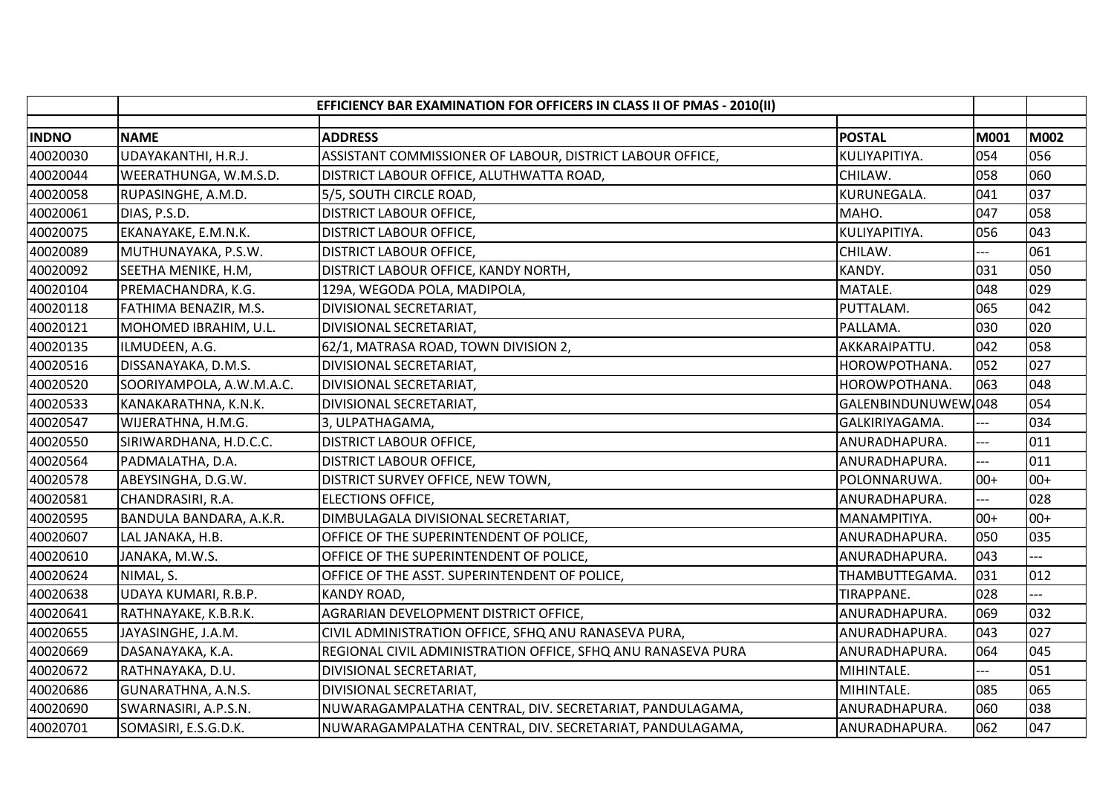|              |                          | EFFICIENCY BAR EXAMINATION FOR OFFICERS IN CLASS II OF PMAS - 2010(II)        |                    |                          |
|--------------|--------------------------|-------------------------------------------------------------------------------|--------------------|--------------------------|
| <b>INDNO</b> | <b>NAME</b>              | <b>ADDRESS</b><br><b>POSTAL</b>                                               | M001               | M002                     |
| 40020030     | UDAYAKANTHI, H.R.J.      | ASSISTANT COMMISSIONER OF LABOUR, DISTRICT LABOUR OFFICE,<br>KULIYAPITIYA.    | 054                | 056                      |
| 40020044     | WEERATHUNGA, W.M.S.D.    | DISTRICT LABOUR OFFICE, ALUTHWATTA ROAD,<br>CHILAW.                           | 058                | 060                      |
| 40020058     | RUPASINGHE, A.M.D.       | KURUNEGALA.<br>5/5, SOUTH CIRCLE ROAD,                                        | 041                | 037                      |
| 40020061     | DIAS, P.S.D.             | <b>DISTRICT LABOUR OFFICE,</b><br>MAHO.                                       | 047                | 058                      |
| 40020075     | EKANAYAKE, E.M.N.K.      | KULIYAPITIYA.<br><b>DISTRICT LABOUR OFFICE,</b>                               | 056                | 043                      |
| 40020089     | MUTHUNAYAKA, P.S.W.      | DISTRICT LABOUR OFFICE,<br>CHILAW.                                            | ---                | 061                      |
| 40020092     | SEETHA MENIKE, H.M,      | DISTRICT LABOUR OFFICE, KANDY NORTH,<br>KANDY.                                | 031                | 050                      |
| 40020104     | PREMACHANDRA, K.G.       | 129A, WEGODA POLA, MADIPOLA,<br>MATALE.                                       | 048                | 029                      |
| 40020118     | FATHIMA BENAZIR, M.S.    | DIVISIONAL SECRETARIAT,<br>PUTTALAM.                                          | 065                | 042                      |
| 40020121     | MOHOMED IBRAHIM, U.L.    | DIVISIONAL SECRETARIAT,<br>PALLAMA.                                           | 030                | 020                      |
| 40020135     | ILMUDEEN, A.G.           | 62/1, MATRASA ROAD, TOWN DIVISION 2,<br>AKKARAIPATTU.                         | 042                | 058                      |
| 40020516     | DISSANAYAKA, D.M.S.      | DIVISIONAL SECRETARIAT,<br>HOROWPOTHANA.                                      | 052                | 027                      |
| 40020520     | SOORIYAMPOLA, A.W.M.A.C. | DIVISIONAL SECRETARIAT,<br>HOROWPOTHANA.                                      | 063                | 048                      |
| 40020533     | KANAKARATHNA, K.N.K.     | DIVISIONAL SECRETARIAT,                                                       | GALENBINDUNUWEW048 | 054                      |
| 40020547     | WIJERATHNA, H.M.G.       | 3, ULPATHAGAMA,<br>GALKIRIYAGAMA.                                             |                    | 034                      |
| 40020550     | SIRIWARDHANA, H.D.C.C.   | <b>DISTRICT LABOUR OFFICE,</b><br>ANURADHAPURA.                               | ---                | 011                      |
| 40020564     | PADMALATHA, D.A.         | <b>DISTRICT LABOUR OFFICE,</b><br>ANURADHAPURA.                               | $-1$               | 011                      |
| 40020578     | ABEYSINGHA, D.G.W.       | DISTRICT SURVEY OFFICE, NEW TOWN,<br>POLONNARUWA.                             | $00+$              | $00+$                    |
| 40020581     | CHANDRASIRI, R.A.        | ANURADHAPURA.<br><b>ELECTIONS OFFICE,</b>                                     |                    | 028                      |
| 40020595     | BANDULA BANDARA, A.K.R.  | DIMBULAGALA DIVISIONAL SECRETARIAT,<br>MANAMPITIYA.                           | $00+$              | $00+$                    |
| 40020607     | LAL JANAKA, H.B.         | OFFICE OF THE SUPERINTENDENT OF POLICE,<br>ANURADHAPURA.                      | 050                | 035                      |
| 40020610     | JANAKA, M.W.S.           | OFFICE OF THE SUPERINTENDENT OF POLICE,<br>ANURADHAPURA.                      | 043                | $\overline{\phantom{a}}$ |
| 40020624     | NIMAL, S.                | OFFICE OF THE ASST. SUPERINTENDENT OF POLICE,<br>THAMBUTTEGAMA.               | 031                | 012                      |
| 40020638     | UDAYA KUMARI, R.B.P.     | <b>KANDY ROAD,</b><br>TIRAPPANE.                                              | 028                |                          |
| 40020641     | RATHNAYAKE, K.B.R.K.     | AGRARIAN DEVELOPMENT DISTRICT OFFICE,<br>ANURADHAPURA.                        | 069                | 032                      |
| 40020655     | JAYASINGHE, J.A.M.       | CIVIL ADMINISTRATION OFFICE, SFHQ ANU RANASEVA PURA,<br>ANURADHAPURA.         | 043                | 027                      |
| 40020669     | DASANAYAKA, K.A.         | REGIONAL CIVIL ADMINISTRATION OFFICE, SFHQ ANU RANASEVA PURA<br>ANURADHAPURA. | 064                | 045                      |
| 40020672     | RATHNAYAKA, D.U.         | DIVISIONAL SECRETARIAT,<br>MIHINTALE.                                         |                    | 051                      |
| 40020686     | GUNARATHNA, A.N.S.       | DIVISIONAL SECRETARIAT,<br>MIHINTALE.                                         | 085                | 065                      |
| 40020690     | SWARNASIRI, A.P.S.N.     | NUWARAGAMPALATHA CENTRAL, DIV. SECRETARIAT, PANDULAGAMA,<br>ANURADHAPURA.     | 060                | 038                      |
| 40020701     | SOMASIRI, E.S.G.D.K.     | NUWARAGAMPALATHA CENTRAL, DIV. SECRETARIAT, PANDULAGAMA,<br>ANURADHAPURA.     | 062                | 047                      |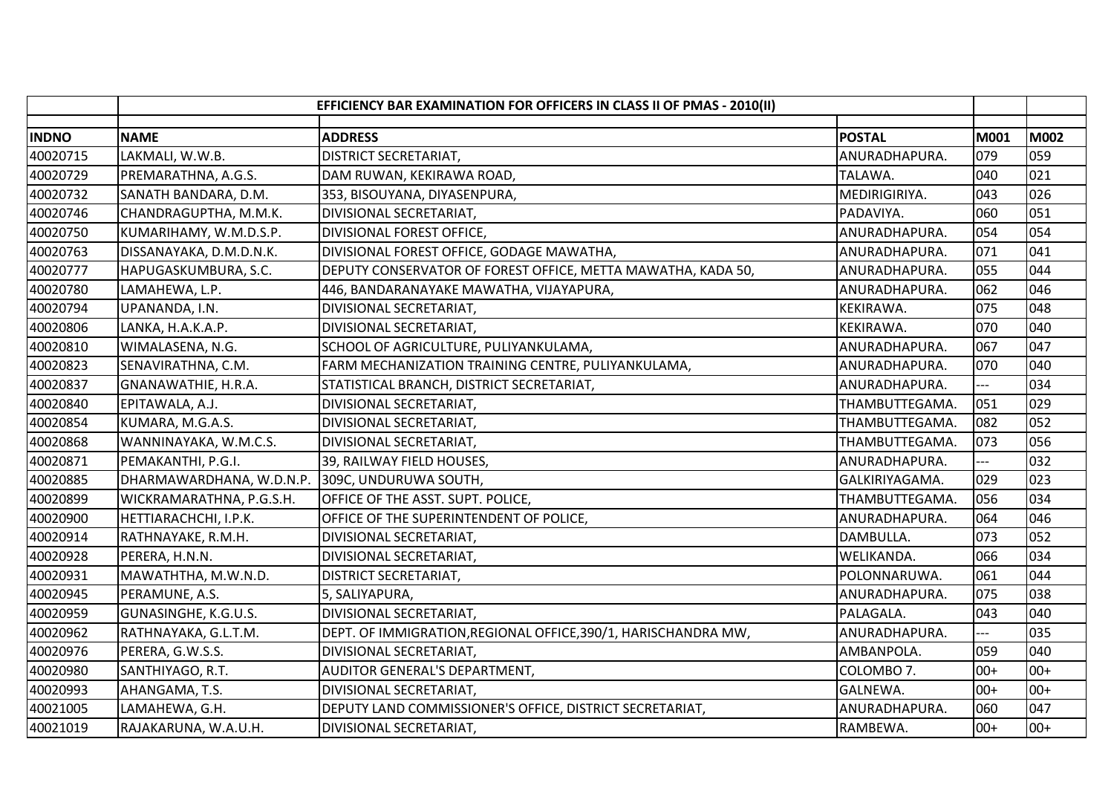|              | EFFICIENCY BAR EXAMINATION FOR OFFICERS IN CLASS II OF PMAS - 2010(II) |                                                                |                |       |       |
|--------------|------------------------------------------------------------------------|----------------------------------------------------------------|----------------|-------|-------|
| <b>INDNO</b> | <b>NAME</b>                                                            | <b>ADDRESS</b>                                                 | <b>POSTAL</b>  | M001  | M002  |
| 40020715     | LAKMALI, W.W.B.                                                        | <b>DISTRICT SECRETARIAT,</b>                                   | ANURADHAPURA.  | 079   | 059   |
| 40020729     | PREMARATHNA, A.G.S.                                                    | DAM RUWAN, KEKIRAWA ROAD,                                      | TALAWA.        | 040   | 021   |
| 40020732     | SANATH BANDARA, D.M.                                                   | 353, BISOUYANA, DIYASENPURA,                                   | MEDIRIGIRIYA.  | 043   | 026   |
| 40020746     | CHANDRAGUPTHA, M.M.K.                                                  | DIVISIONAL SECRETARIAT,                                        | PADAVIYA.      | 060   | 051   |
| 40020750     | KUMARIHAMY, W.M.D.S.P.                                                 | DIVISIONAL FOREST OFFICE,                                      | ANURADHAPURA.  | 054   | 054   |
| 40020763     | DISSANAYAKA, D.M.D.N.K.                                                | DIVISIONAL FOREST OFFICE, GODAGE MAWATHA,                      | ANURADHAPURA.  | 071   | 041   |
| 40020777     | HAPUGASKUMBURA, S.C.                                                   | DEPUTY CONSERVATOR OF FOREST OFFICE, METTA MAWATHA, KADA 50,   | ANURADHAPURA.  | 055   | 044   |
| 40020780     | LAMAHEWA, L.P.                                                         | 446, BANDARANAYAKE MAWATHA, VIJAYAPURA,                        | ANURADHAPURA.  | 062   | 046   |
| 40020794     | UPANANDA, I.N.                                                         | DIVISIONAL SECRETARIAT,                                        | KEKIRAWA.      | 075   | 048   |
| 40020806     | LANKA, H.A.K.A.P.                                                      | DIVISIONAL SECRETARIAT,                                        | KEKIRAWA.      | 070   | 040   |
| 40020810     | WIMALASENA, N.G.                                                       | SCHOOL OF AGRICULTURE, PULIYANKULAMA,                          | ANURADHAPURA.  | 067   | 047   |
| 40020823     | SENAVIRATHNA, C.M.                                                     | FARM MECHANIZATION TRAINING CENTRE, PULIYANKULAMA,             | ANURADHAPURA.  | 070   | 040   |
| 40020837     | GNANAWATHIE, H.R.A.                                                    | STATISTICAL BRANCH, DISTRICT SECRETARIAT,                      | ANURADHAPURA.  |       | 034   |
| 40020840     | EPITAWALA, A.J.                                                        | DIVISIONAL SECRETARIAT,                                        | THAMBUTTEGAMA. | 051   | 029   |
| 40020854     | KUMARA, M.G.A.S.                                                       | DIVISIONAL SECRETARIAT,                                        | THAMBUTTEGAMA. | 082   | 052   |
| 40020868     | WANNINAYAKA, W.M.C.S.                                                  | DIVISIONAL SECRETARIAT,                                        | THAMBUTTEGAMA. | 073   | 056   |
| 40020871     | PEMAKANTHI, P.G.I.                                                     | 39, RAILWAY FIELD HOUSES,                                      | ANURADHAPURA.  | $---$ | 032   |
| 40020885     | DHARMAWARDHANA, W.D.N.P.                                               | 309C, UNDURUWA SOUTH,                                          | GALKIRIYAGAMA. | 029   | 023   |
| 40020899     | WICKRAMARATHNA, P.G.S.H.                                               | OFFICE OF THE ASST. SUPT. POLICE,                              | THAMBUTTEGAMA. | 056   | 034   |
| 40020900     | HETTIARACHCHI, I.P.K.                                                  | OFFICE OF THE SUPERINTENDENT OF POLICE,                        | ANURADHAPURA.  | 064   | 046   |
| 40020914     | RATHNAYAKE, R.M.H.                                                     | DIVISIONAL SECRETARIAT,                                        | DAMBULLA.      | 073   | 052   |
| 40020928     | PERERA, H.N.N.                                                         | DIVISIONAL SECRETARIAT,                                        | WELIKANDA.     | 066   | 034   |
| 40020931     | MAWATHTHA, M.W.N.D.                                                    | <b>DISTRICT SECRETARIAT,</b>                                   | POLONNARUWA.   | 061   | 044   |
| 40020945     | PERAMUNE, A.S.                                                         | 5, SALIYAPURA,                                                 | ANURADHAPURA.  | 075   | 038   |
| 40020959     | GUNASINGHE, K.G.U.S.                                                   | DIVISIONAL SECRETARIAT,                                        | PALAGALA.      | 043   | 040   |
| 40020962     | RATHNAYAKA, G.L.T.M.                                                   | DEPT. OF IMMIGRATION, REGIONAL OFFICE, 390/1, HARISCHANDRA MW, | ANURADHAPURA.  |       | 035   |
| 40020976     | PERERA, G.W.S.S.                                                       | DIVISIONAL SECRETARIAT,                                        | AMBANPOLA.     | 059   | 040   |
| 40020980     | SANTHIYAGO, R.T.                                                       | AUDITOR GENERAL'S DEPARTMENT,                                  | COLOMBO 7.     | $00+$ | $00+$ |
| 40020993     | AHANGAMA, T.S.                                                         | DIVISIONAL SECRETARIAT,                                        | GALNEWA.       | $00+$ | $00+$ |
| 40021005     | LAMAHEWA, G.H.                                                         | DEPUTY LAND COMMISSIONER'S OFFICE, DISTRICT SECRETARIAT,       | ANURADHAPURA.  | 060   | 047   |
| 40021019     | RAJAKARUNA, W.A.U.H.                                                   | DIVISIONAL SECRETARIAT,                                        | RAMBEWA.       | $00+$ | $00+$ |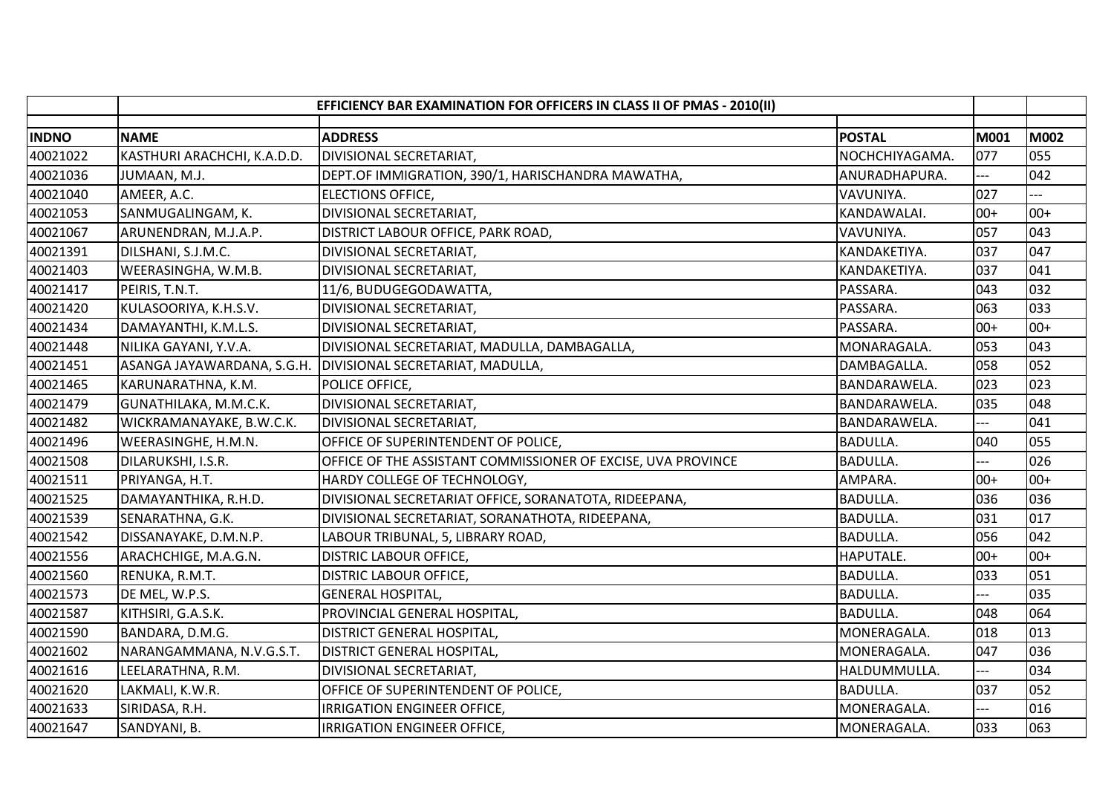|              | EFFICIENCY BAR EXAMINATION FOR OFFICERS IN CLASS II OF PMAS - 2010(II) |                                                              |                 |       |       |
|--------------|------------------------------------------------------------------------|--------------------------------------------------------------|-----------------|-------|-------|
| <b>INDNO</b> | <b>NAME</b>                                                            | <b>ADDRESS</b>                                               | <b>POSTAL</b>   | M001  | M002  |
| 40021022     | KASTHURI ARACHCHI, K.A.D.D.                                            | DIVISIONAL SECRETARIAT,                                      | NOCHCHIYAGAMA.  | 077   | 055   |
| 40021036     | JUMAAN, M.J.                                                           | DEPT.OF IMMIGRATION, 390/1, HARISCHANDRA MAWATHA,            | ANURADHAPURA.   | ---   | 042   |
| 40021040     | AMEER, A.C.                                                            | <b>ELECTIONS OFFICE,</b>                                     | VAVUNIYA.       | 027   |       |
| 40021053     | SANMUGALINGAM, K.                                                      | DIVISIONAL SECRETARIAT,                                      | KANDAWALAI.     | $00+$ | $00+$ |
| 40021067     | ARUNENDRAN, M.J.A.P.                                                   | DISTRICT LABOUR OFFICE, PARK ROAD,                           | VAVUNIYA.       | 057   | 043   |
| 40021391     | DILSHANI, S.J.M.C.                                                     | DIVISIONAL SECRETARIAT,                                      | KANDAKETIYA.    | 037   | 047   |
| 40021403     | WEERASINGHA, W.M.B.                                                    | DIVISIONAL SECRETARIAT,                                      | KANDAKETIYA.    | 037   | 041   |
| 40021417     | PEIRIS, T.N.T.                                                         | 11/6, BUDUGEGODAWATTA,                                       | PASSARA.        | 043   | 032   |
| 40021420     | KULASOORIYA, K.H.S.V.                                                  | DIVISIONAL SECRETARIAT,                                      | PASSARA.        | 063   | 033   |
| 40021434     | DAMAYANTHI, K.M.L.S.                                                   | DIVISIONAL SECRETARIAT,                                      | PASSARA.        | $00+$ | $00+$ |
| 40021448     | NILIKA GAYANI, Y.V.A.                                                  | DIVISIONAL SECRETARIAT, MADULLA, DAMBAGALLA,                 | MONARAGALA.     | 053   | 043   |
| 40021451     | ASANGA JAYAWARDANA, S.G.H.                                             | DIVISIONAL SECRETARIAT, MADULLA,                             | DAMBAGALLA.     | 058   | 052   |
| 40021465     | KARUNARATHNA, K.M.                                                     | POLICE OFFICE,                                               | BANDARAWELA.    | 023   | 023   |
| 40021479     | GUNATHILAKA, M.M.C.K.                                                  | <b>DIVISIONAL SECRETARIAT,</b>                               | BANDARAWELA.    | 035   | 048   |
| 40021482     | WICKRAMANAYAKE, B.W.C.K.                                               | DIVISIONAL SECRETARIAT,                                      | BANDARAWELA.    |       | 041   |
| 40021496     | WEERASINGHE, H.M.N.                                                    | OFFICE OF SUPERINTENDENT OF POLICE,                          | <b>BADULLA.</b> | 040   | 055   |
| 40021508     | DILARUKSHI, I.S.R.                                                     | OFFICE OF THE ASSISTANT COMMISSIONER OF EXCISE, UVA PROVINCE | <b>BADULLA.</b> | $-1$  | 026   |
| 40021511     | PRIYANGA, H.T.                                                         | HARDY COLLEGE OF TECHNOLOGY,                                 | AMPARA.         | $00+$ | $00+$ |
| 40021525     | DAMAYANTHIKA, R.H.D.                                                   | DIVISIONAL SECRETARIAT OFFICE, SORANATOTA, RIDEEPANA,        | <b>BADULLA.</b> | 036   | 036   |
| 40021539     | SENARATHNA, G.K.                                                       | DIVISIONAL SECRETARIAT, SORANATHOTA, RIDEEPANA,              | <b>BADULLA.</b> | 031   | 017   |
| 40021542     | DISSANAYAKE, D.M.N.P.                                                  | LABOUR TRIBUNAL, 5, LIBRARY ROAD,                            | <b>BADULLA.</b> | 056   | 042   |
| 40021556     | ARACHCHIGE, M.A.G.N.                                                   | <b>DISTRIC LABOUR OFFICE,</b>                                | HAPUTALE.       | $00+$ | $00+$ |
| 40021560     | RENUKA, R.M.T.                                                         | <b>DISTRIC LABOUR OFFICE,</b>                                | <b>BADULLA.</b> | 033   | 051   |
| 40021573     | DE MEL, W.P.S.                                                         | <b>GENERAL HOSPITAL,</b>                                     | <b>BADULLA.</b> |       | 035   |
| 40021587     | KITHSIRI, G.A.S.K.                                                     | PROVINCIAL GENERAL HOSPITAL,                                 | <b>BADULLA.</b> | 048   | 064   |
| 40021590     | BANDARA, D.M.G.                                                        | DISTRICT GENERAL HOSPITAL,                                   | MONERAGALA.     | 018   | 013   |
| 40021602     | NARANGAMMANA, N.V.G.S.T.                                               | DISTRICT GENERAL HOSPITAL,                                   | MONERAGALA.     | 047   | 036   |
| 40021616     | LEELARATHNA, R.M.                                                      | DIVISIONAL SECRETARIAT,                                      | HALDUMMULLA.    |       | 034   |
| 40021620     | LAKMALI, K.W.R.                                                        | OFFICE OF SUPERINTENDENT OF POLICE,                          | <b>BADULLA.</b> | 037   | 052   |
| 40021633     | SIRIDASA, R.H.                                                         | IRRIGATION ENGINEER OFFICE,                                  | MONERAGALA.     | $-$   | 016   |
| 40021647     | SANDYANI, B.                                                           | IRRIGATION ENGINEER OFFICE,                                  | MONERAGALA.     | 033   | 063   |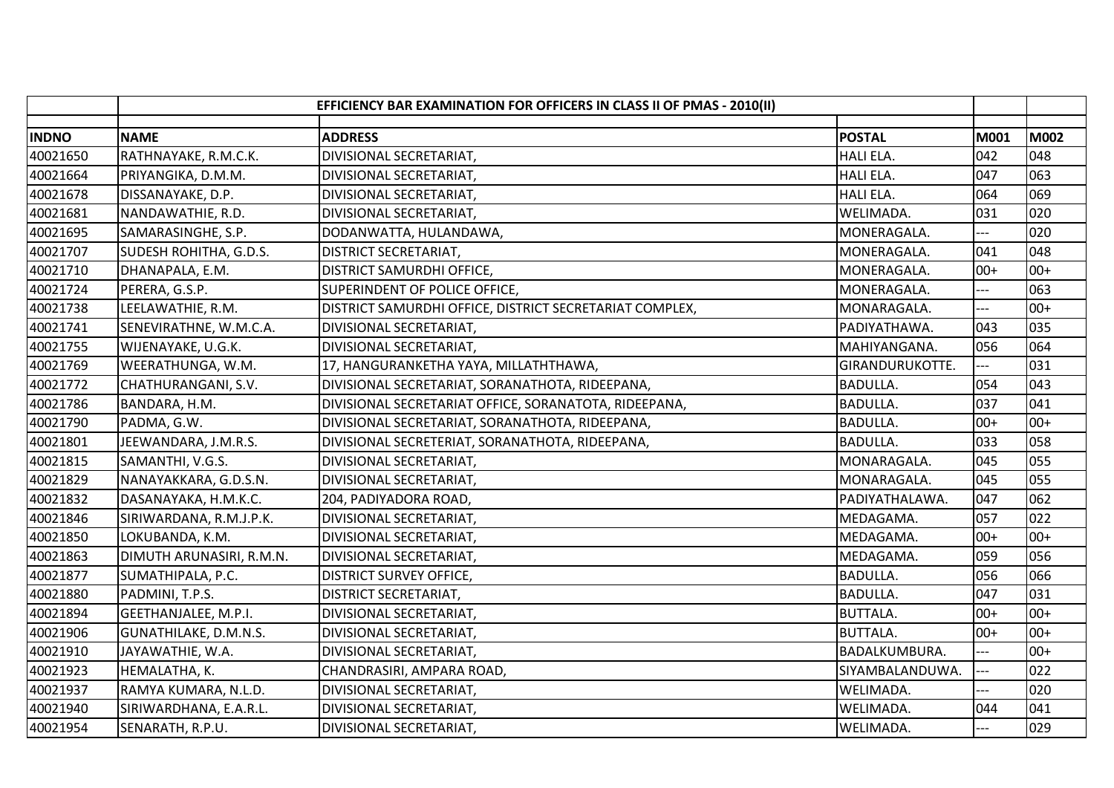|              | EFFICIENCY BAR EXAMINATION FOR OFFICERS IN CLASS II OF PMAS - 2010(II) |                                                         |                  |                |       |
|--------------|------------------------------------------------------------------------|---------------------------------------------------------|------------------|----------------|-------|
| <b>INDNO</b> | <b>NAME</b>                                                            | <b>ADDRESS</b>                                          | <b>POSTAL</b>    | M001           | M002  |
| 40021650     | RATHNAYAKE, R.M.C.K.                                                   | DIVISIONAL SECRETARIAT,                                 | HALI ELA.        | 042            | 048   |
| 40021664     | PRIYANGIKA, D.M.M.                                                     | DIVISIONAL SECRETARIAT,                                 | HALI ELA.        | 047            | 063   |
| 40021678     | DISSANAYAKE, D.P.                                                      | DIVISIONAL SECRETARIAT,                                 | <b>HALI ELA.</b> | 064            | 069   |
| 40021681     | NANDAWATHIE, R.D.                                                      | DIVISIONAL SECRETARIAT,                                 | WELIMADA.        | 031            | 020   |
| 40021695     | SAMARASINGHE, S.P.                                                     | DODANWATTA, HULANDAWA,                                  | MONERAGALA.      |                | 020   |
| 40021707     | SUDESH ROHITHA, G.D.S.                                                 | DISTRICT SECRETARIAT,                                   | MONERAGALA.      | 041            | 048   |
| 40021710     | DHANAPALA, E.M.                                                        | <b>DISTRICT SAMURDHI OFFICE,</b>                        | MONERAGALA.      | $00+$          | $00+$ |
| 40021724     | PERERA, G.S.P.                                                         | SUPERINDENT OF POLICE OFFICE,                           | MONERAGALA.      |                | 063   |
| 40021738     | LEELAWATHIE, R.M.                                                      | DISTRICT SAMURDHI OFFICE, DISTRICT SECRETARIAT COMPLEX, | MONARAGALA.      |                | $00+$ |
| 40021741     | SENEVIRATHNE, W.M.C.A.                                                 | DIVISIONAL SECRETARIAT,                                 | PADIYATHAWA.     | 043            | 035   |
| 40021755     | WIJENAYAKE, U.G.K.                                                     | DIVISIONAL SECRETARIAT,                                 | MAHIYANGANA.     | 056            | 064   |
| 40021769     | WEERATHUNGA, W.M.                                                      | 17, HANGURANKETHA YAYA, MILLATHTHAWA,                   | GIRANDURUKOTTE.  | ---            | 031   |
| 40021772     | CHATHURANGANI, S.V.                                                    | DIVISIONAL SECRETARIAT, SORANATHOTA, RIDEEPANA,         | <b>BADULLA.</b>  | 054            | 043   |
| 40021786     | BANDARA, H.M.                                                          | DIVISIONAL SECRETARIAT OFFICE, SORANATOTA, RIDEEPANA,   | <b>BADULLA.</b>  | 037            | 041   |
| 40021790     | PADMA, G.W.                                                            | DIVISIONAL SECRETARIAT, SORANATHOTA, RIDEEPANA,         | <b>BADULLA.</b>  | $00+$          | $00+$ |
| 40021801     | JEEWANDARA, J.M.R.S.                                                   | DIVISIONAL SECRETERIAT, SORANATHOTA, RIDEEPANA,         | <b>BADULLA.</b>  | 033            | 058   |
| 40021815     | SAMANTHI, V.G.S.                                                       | DIVISIONAL SECRETARIAT,                                 | MONARAGALA.      | 045            | 055   |
| 40021829     | NANAYAKKARA, G.D.S.N.                                                  | DIVISIONAL SECRETARIAT,                                 | MONARAGALA.      | 045            | 055   |
| 40021832     | DASANAYAKA, H.M.K.C.                                                   | 204, PADIYADORA ROAD,                                   | PADIYATHALAWA.   | 047            | 062   |
| 40021846     | SIRIWARDANA, R.M.J.P.K.                                                | DIVISIONAL SECRETARIAT,                                 | MEDAGAMA.        | 057            | 022   |
| 40021850     | LOKUBANDA, K.M.                                                        | DIVISIONAL SECRETARIAT,                                 | MEDAGAMA.        | $00+$          | $00+$ |
| 40021863     | DIMUTH ARUNASIRI, R.M.N.                                               | DIVISIONAL SECRETARIAT,                                 | MEDAGAMA.        | 059            | 056   |
| 40021877     | SUMATHIPALA, P.C.                                                      | <b>DISTRICT SURVEY OFFICE,</b>                          | <b>BADULLA.</b>  | 056            | 066   |
| 40021880     | PADMINI, T.P.S.                                                        | <b>DISTRICT SECRETARIAT,</b>                            | <b>BADULLA.</b>  | 047            | 031   |
| 40021894     | GEETHANJALEE, M.P.I.                                                   | DIVISIONAL SECRETARIAT,                                 | <b>BUTTALA.</b>  | $00+$          | $00+$ |
| 40021906     | GUNATHILAKE, D.M.N.S.                                                  | DIVISIONAL SECRETARIAT,                                 | <b>BUTTALA.</b>  | $00+$          | $00+$ |
| 40021910     | JAYAWATHIE, W.A.                                                       | DIVISIONAL SECRETARIAT,                                 | BADALKUMBURA.    |                | $00+$ |
| 40021923     | HEMALATHA, K.                                                          | CHANDRASIRI, AMPARA ROAD,                               | SIYAMBALANDUWA.  | ---            | 022   |
| 40021937     | RAMYA KUMARA, N.L.D.                                                   | DIVISIONAL SECRETARIAT,                                 | WELIMADA.        |                | 020   |
| 40021940     | SIRIWARDHANA, E.A.R.L.                                                 | DIVISIONAL SECRETARIAT,                                 | WELIMADA.        | 044            | 041   |
| 40021954     | SENARATH, R.P.U.                                                       | DIVISIONAL SECRETARIAT,                                 | WELIMADA.        | $\overline{a}$ | 029   |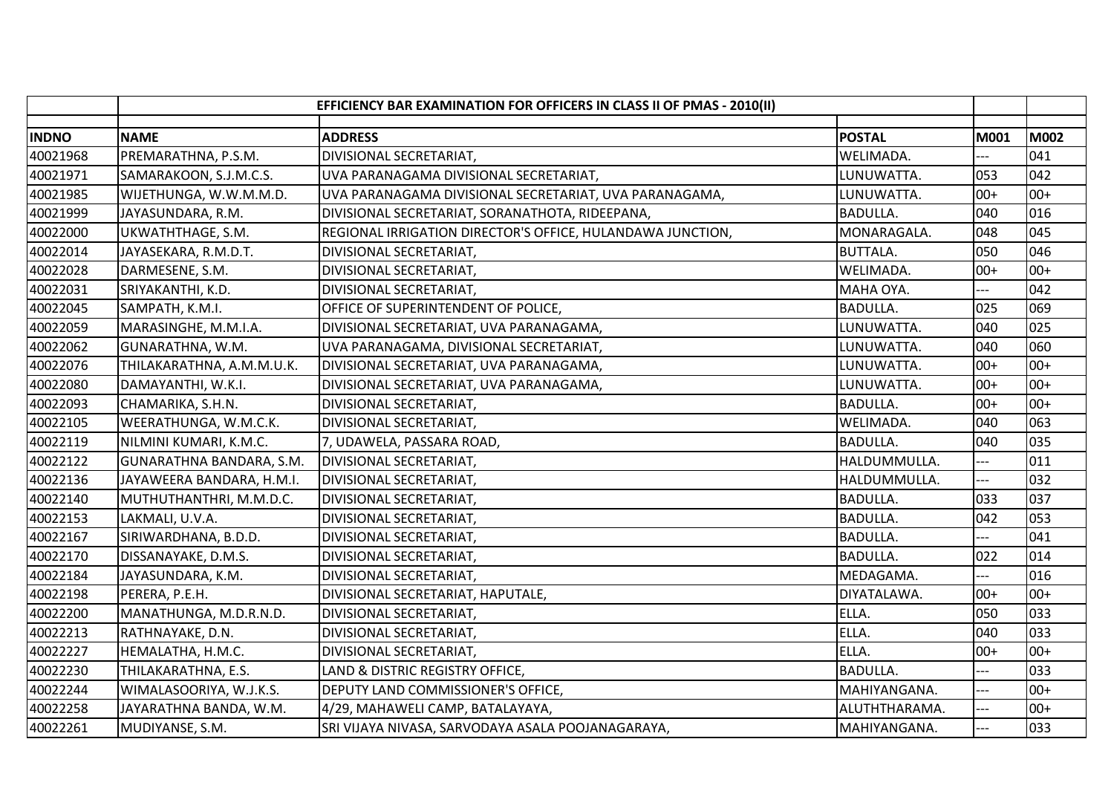|              |                           | EFFICIENCY BAR EXAMINATION FOR OFFICERS IN CLASS II OF PMAS - 2010(II) |                 |             |       |
|--------------|---------------------------|------------------------------------------------------------------------|-----------------|-------------|-------|
| <b>INDNO</b> | <b>NAME</b>               | <b>ADDRESS</b>                                                         | <b>POSTAL</b>   | <b>M001</b> | M002  |
| 40021968     | PREMARATHNA, P.S.M.       | DIVISIONAL SECRETARIAT,                                                | WELIMADA.       |             | 041   |
| 40021971     | SAMARAKOON, S.J.M.C.S.    | UVA PARANAGAMA DIVISIONAL SECRETARIAT,                                 | LUNUWATTA.      | 053         | 042   |
| 40021985     | WIJETHUNGA, W.W.M.M.D.    | UVA PARANAGAMA DIVISIONAL SECRETARIAT, UVA PARANAGAMA,                 | LUNUWATTA.      | $00+$       | $00+$ |
| 40021999     | JAYASUNDARA, R.M.         | DIVISIONAL SECRETARIAT, SORANATHOTA, RIDEEPANA,                        | <b>BADULLA.</b> | 040         | 016   |
| 40022000     | UKWATHTHAGE, S.M.         | REGIONAL IRRIGATION DIRECTOR'S OFFICE, HULANDAWA JUNCTION,             | MONARAGALA.     | 048         | 045   |
| 40022014     | JAYASEKARA, R.M.D.T.      | DIVISIONAL SECRETARIAT,                                                | <b>BUTTALA.</b> | 050         | 046   |
| 40022028     | DARMESENE, S.M.           | DIVISIONAL SECRETARIAT,                                                | WELIMADA.       | $00+$       | $00+$ |
| 40022031     | SRIYAKANTHI, K.D.         | DIVISIONAL SECRETARIAT,                                                | MAHA OYA.       |             | 042   |
| 40022045     | SAMPATH, K.M.I.           | OFFICE OF SUPERINTENDENT OF POLICE,                                    | <b>BADULLA.</b> | 025         | 069   |
| 40022059     | MARASINGHE, M.M.I.A.      | DIVISIONAL SECRETARIAT, UVA PARANAGAMA,                                | LUNUWATTA.      | 040         | 025   |
| 40022062     | GUNARATHNA, W.M.          | UVA PARANAGAMA, DIVISIONAL SECRETARIAT,                                | LUNUWATTA.      | 040         | 060   |
| 40022076     | THILAKARATHNA, A.M.M.U.K. | DIVISIONAL SECRETARIAT, UVA PARANAGAMA,                                | LUNUWATTA.      | $00+$       | $00+$ |
| 40022080     | DAMAYANTHI, W.K.I.        | DIVISIONAL SECRETARIAT, UVA PARANAGAMA,                                | LUNUWATTA.      | $00+$       | $00+$ |
| 40022093     | CHAMARIKA, S.H.N.         | DIVISIONAL SECRETARIAT,                                                | <b>BADULLA.</b> | $00+$       | $00+$ |
| 40022105     | WEERATHUNGA, W.M.C.K.     | DIVISIONAL SECRETARIAT,                                                | WELIMADA.       | 040         | 063   |
| 40022119     | NILMINI KUMARI, K.M.C.    | 7, UDAWELA, PASSARA ROAD,                                              | <b>BADULLA.</b> | 040         | 035   |
| 40022122     | GUNARATHNA BANDARA, S.M.  | DIVISIONAL SECRETARIAT,                                                | HALDUMMULLA.    | $-1$        | 011   |
| 40022136     | JAYAWEERA BANDARA, H.M.I. | DIVISIONAL SECRETARIAT,                                                | HALDUMMULLA.    | ---         | 032   |
| 40022140     | MUTHUTHANTHRI, M.M.D.C.   | DIVISIONAL SECRETARIAT,                                                | <b>BADULLA.</b> | 033         | 037   |
| 40022153     | LAKMALI, U.V.A.           | DIVISIONAL SECRETARIAT,                                                | <b>BADULLA.</b> | 042         | 053   |
| 40022167     | SIRIWARDHANA, B.D.D.      | DIVISIONAL SECRETARIAT,                                                | <b>BADULLA.</b> | ---         | 041   |
| 40022170     | DISSANAYAKE, D.M.S.       | DIVISIONAL SECRETARIAT,                                                | <b>BADULLA.</b> | 022         | 014   |
| 40022184     | JAYASUNDARA, K.M.         | DIVISIONAL SECRETARIAT,                                                | MEDAGAMA.       |             | 016   |
| 40022198     | PERERA, P.E.H.            | DIVISIONAL SECRETARIAT, HAPUTALE,                                      | DIYATALAWA.     | $00+$       | $00+$ |
| 40022200     | MANATHUNGA, M.D.R.N.D.    | DIVISIONAL SECRETARIAT,                                                | ELLA.           | 050         | 033   |
| 40022213     | RATHNAYAKE, D.N.          | DIVISIONAL SECRETARIAT,                                                | ELLA.           | 040         | 033   |
| 40022227     | HEMALATHA, H.M.C.         | DIVISIONAL SECRETARIAT,                                                | ELLA.           | $00+$       | $00+$ |
| 40022230     | THILAKARATHNA, E.S.       | LAND & DISTRIC REGISTRY OFFICE,                                        | <b>BADULLA.</b> | ---         | 033   |
| 40022244     | WIMALASOORIYA, W.J.K.S.   | DEPUTY LAND COMMISSIONER'S OFFICE,                                     | MAHIYANGANA.    | $-$         | $00+$ |
| 40022258     | JAYARATHNA BANDA, W.M.    | 4/29, MAHAWELI CAMP, BATALAYAYA,                                       | ALUTHTHARAMA.   | $---$       | $00+$ |
| 40022261     | MUDIYANSE, S.M.           | SRI VIJAYA NIVASA, SARVODAYA ASALA POOJANAGARAYA,                      | MAHIYANGANA.    | $---$       | 033   |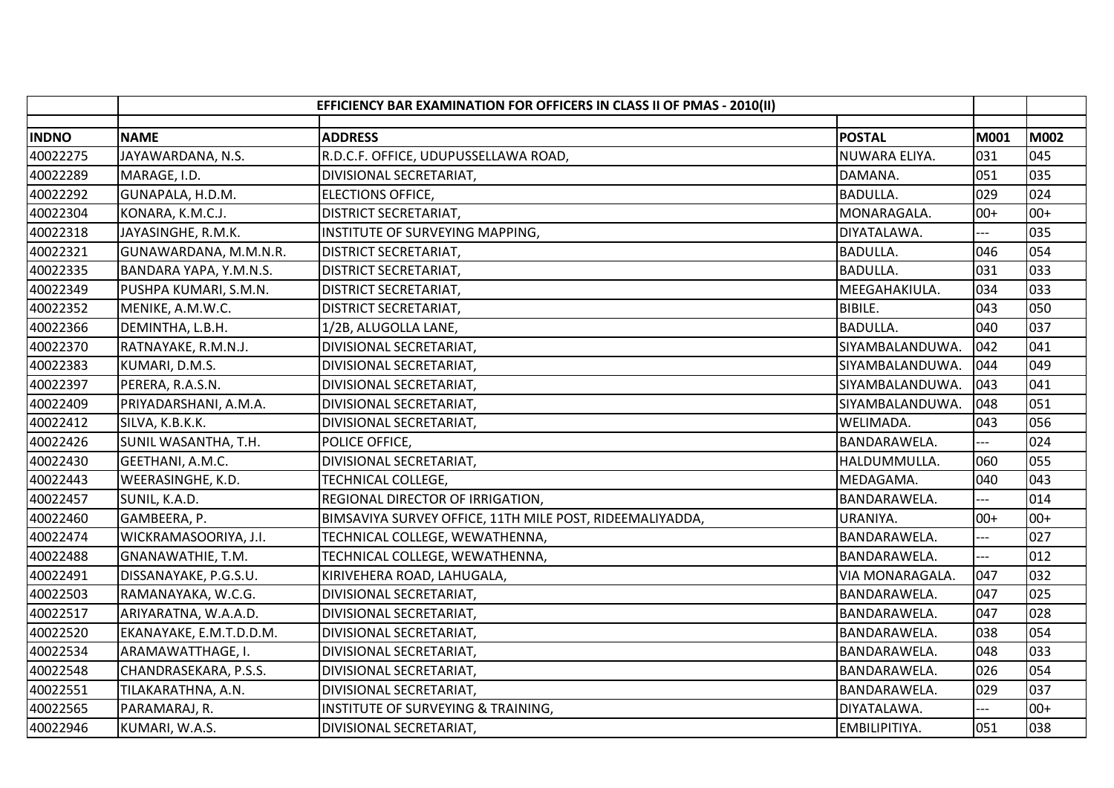|              | EFFICIENCY BAR EXAMINATION FOR OFFICERS IN CLASS II OF PMAS - 2010(II) |                                                          |                 |                          |             |
|--------------|------------------------------------------------------------------------|----------------------------------------------------------|-----------------|--------------------------|-------------|
| <b>INDNO</b> | <b>NAME</b>                                                            | <b>ADDRESS</b>                                           | <b>POSTAL</b>   | M001                     | <b>M002</b> |
| 40022275     | JAYAWARDANA, N.S.                                                      | R.D.C.F. OFFICE, UDUPUSSELLAWA ROAD,                     | NUWARA ELIYA.   | 031                      | 045         |
| 40022289     | MARAGE, I.D.                                                           | DIVISIONAL SECRETARIAT,                                  | DAMANA.         | 051                      | 035         |
| 40022292     | GUNAPALA, H.D.M.                                                       | <b>ELECTIONS OFFICE,</b>                                 | <b>BADULLA.</b> | 029                      | 024         |
| 40022304     | KONARA, K.M.C.J.                                                       | <b>DISTRICT SECRETARIAT,</b>                             | MONARAGALA.     | $00+$                    | $00+$       |
| 40022318     | JAYASINGHE, R.M.K.                                                     | INSTITUTE OF SURVEYING MAPPING,                          | DIYATALAWA.     |                          | 035         |
| 40022321     | GUNAWARDANA, M.M.N.R.                                                  | <b>DISTRICT SECRETARIAT,</b>                             | <b>BADULLA.</b> | 046                      | 054         |
| 40022335     | BANDARA YAPA, Y.M.N.S.                                                 | <b>DISTRICT SECRETARIAT,</b>                             | <b>BADULLA.</b> | 031                      | 033         |
| 40022349     | PUSHPA KUMARI, S.M.N.                                                  | <b>DISTRICT SECRETARIAT,</b>                             | MEEGAHAKIULA.   | 034                      | 033         |
| 40022352     | MENIKE, A.M.W.C.                                                       | <b>DISTRICT SECRETARIAT,</b>                             | <b>BIBILE.</b>  | 043                      | 050         |
| 40022366     | DEMINTHA, L.B.H.                                                       | 1/2B, ALUGOLLA LANE,                                     | <b>BADULLA.</b> | 040                      | 037         |
| 40022370     | RATNAYAKE, R.M.N.J.                                                    | DIVISIONAL SECRETARIAT,                                  | SIYAMBALANDUWA. | 042                      | 041         |
| 40022383     | KUMARI, D.M.S.                                                         | DIVISIONAL SECRETARIAT,                                  | SIYAMBALANDUWA. | 044                      | 049         |
| 40022397     | PERERA, R.A.S.N.                                                       | DIVISIONAL SECRETARIAT,                                  | SIYAMBALANDUWA. | 043                      | 041         |
| 40022409     | PRIYADARSHANI, A.M.A.                                                  | DIVISIONAL SECRETARIAT,                                  | SIYAMBALANDUWA. | 048                      | 051         |
| 40022412     | SILVA, K.B.K.K.                                                        | DIVISIONAL SECRETARIAT,                                  | WELIMADA.       | 043                      | 056         |
| 40022426     | SUNIL WASANTHA, T.H.                                                   | POLICE OFFICE,                                           | BANDARAWELA.    |                          | 024         |
| 40022430     | GEETHANI, A.M.C.                                                       | DIVISIONAL SECRETARIAT,                                  | HALDUMMULLA.    | 060                      | 055         |
| 40022443     | WEERASINGHE, K.D.                                                      | TECHNICAL COLLEGE,                                       | MEDAGAMA.       | 040                      | 043         |
| 40022457     | SUNIL, K.A.D.                                                          | REGIONAL DIRECTOR OF IRRIGATION,                         | BANDARAWELA.    |                          | 014         |
| 40022460     | GAMBEERA, P.                                                           | BIMSAVIYA SURVEY OFFICE, 11TH MILE POST, RIDEEMALIYADDA, | URANIYA.        | $00+$                    | $00+$       |
| 40022474     | WICKRAMASOORIYA, J.I.                                                  | TECHNICAL COLLEGE, WEWATHENNA,                           | BANDARAWELA.    | $-$                      | 027         |
| 40022488     | GNANAWATHIE, T.M.                                                      | TECHNICAL COLLEGE, WEWATHENNA,                           | BANDARAWELA.    | ---                      | 012         |
| 40022491     | DISSANAYAKE, P.G.S.U.                                                  | KIRIVEHERA ROAD, LAHUGALA,                               | VIA MONARAGALA. | 047                      | 032         |
| 40022503     | RAMANAYAKA, W.C.G.                                                     | DIVISIONAL SECRETARIAT,                                  | BANDARAWELA.    | 047                      | 025         |
| 40022517     | ARIYARATNA, W.A.A.D.                                                   | DIVISIONAL SECRETARIAT,                                  | BANDARAWELA.    | 047                      | 028         |
| 40022520     | EKANAYAKE, E.M.T.D.D.M.                                                | DIVISIONAL SECRETARIAT,                                  | BANDARAWELA.    | 038                      | 054         |
| 40022534     | ARAMAWATTHAGE, I.                                                      | DIVISIONAL SECRETARIAT,                                  | BANDARAWELA.    | 048                      | 033         |
| 40022548     | CHANDRASEKARA, P.S.S.                                                  | DIVISIONAL SECRETARIAT,                                  | BANDARAWELA.    | 026                      | 054         |
| 40022551     | TILAKARATHNA, A.N.                                                     | DIVISIONAL SECRETARIAT,                                  | BANDARAWELA.    | 029                      | 037         |
| 40022565     | PARAMARAJ, R.                                                          | INSTITUTE OF SURVEYING & TRAINING,                       | DIYATALAWA.     | $\overline{\phantom{0}}$ | $00+$       |
| 40022946     | KUMARI, W.A.S.                                                         | DIVISIONAL SECRETARIAT,                                  | EMBILIPITIYA.   | 051                      | 038         |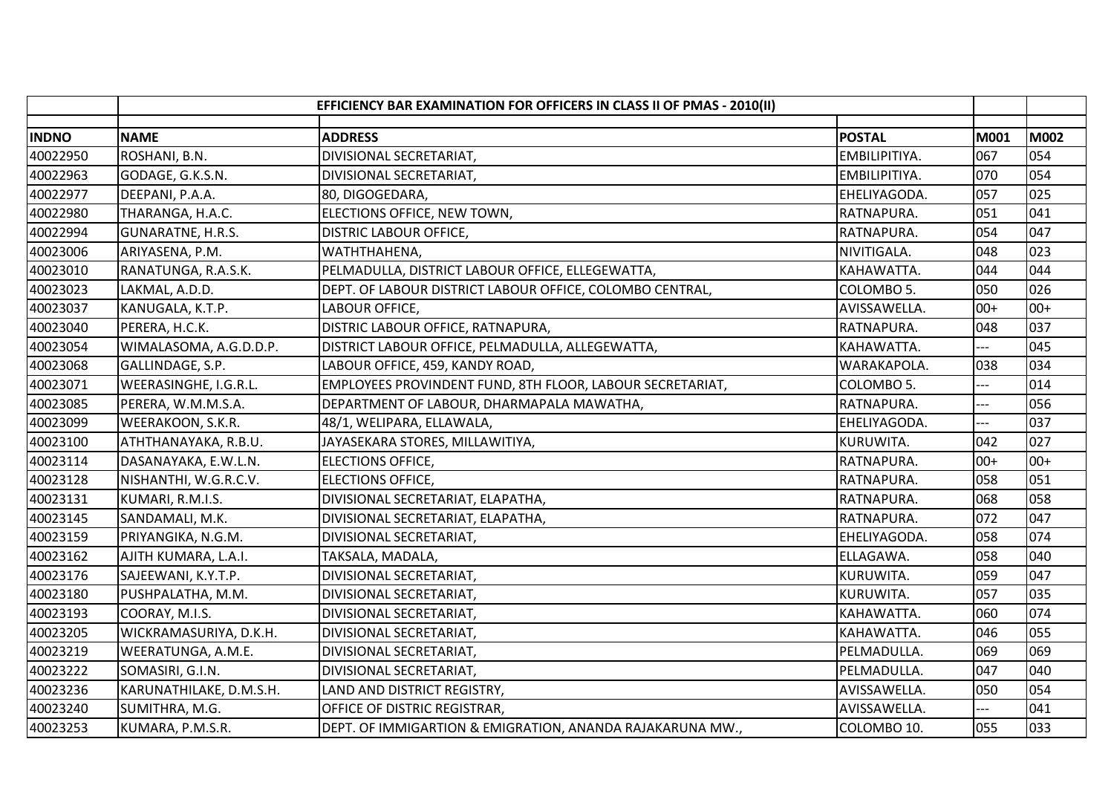|              | EFFICIENCY BAR EXAMINATION FOR OFFICERS IN CLASS II OF PMAS - 2010(II) |                                                           |               |       |       |
|--------------|------------------------------------------------------------------------|-----------------------------------------------------------|---------------|-------|-------|
| <b>INDNO</b> | <b>NAME</b>                                                            | <b>ADDRESS</b>                                            | <b>POSTAL</b> | M001  | M002  |
| 40022950     | ROSHANI, B.N.                                                          | DIVISIONAL SECRETARIAT,                                   | EMBILIPITIYA. | 067   | 054   |
| 40022963     | GODAGE, G.K.S.N.                                                       | DIVISIONAL SECRETARIAT,                                   | EMBILIPITIYA. | 070   | 054   |
| 40022977     | DEEPANI, P.A.A.                                                        | 80, DIGOGEDARA,                                           | EHELIYAGODA.  | 057   | 025   |
| 40022980     | THARANGA, H.A.C.                                                       | ELECTIONS OFFICE, NEW TOWN,                               | RATNAPURA.    | 051   | 041   |
| 40022994     | <b>GUNARATNE, H.R.S.</b>                                               | <b>DISTRIC LABOUR OFFICE,</b>                             | RATNAPURA.    | 054   | 047   |
| 40023006     | ARIYASENA, P.M.                                                        | WATHTHAHENA,                                              | NIVITIGALA.   | 048   | 023   |
| 40023010     | RANATUNGA, R.A.S.K.                                                    | PELMADULLA, DISTRICT LABOUR OFFICE, ELLEGEWATTA,          | KAHAWATTA.    | 044   | 044   |
| 40023023     | LAKMAL, A.D.D.                                                         | DEPT. OF LABOUR DISTRICT LABOUR OFFICE, COLOMBO CENTRAL,  | COLOMBO 5.    | 050   | 026   |
| 40023037     | KANUGALA, K.T.P.                                                       | LABOUR OFFICE,                                            | AVISSAWELLA.  | $00+$ | $00+$ |
| 40023040     | PERERA, H.C.K.                                                         | DISTRIC LABOUR OFFICE, RATNAPURA,                         | RATNAPURA.    | 048   | 037   |
| 40023054     | WIMALASOMA, A.G.D.D.P.                                                 | DISTRICT LABOUR OFFICE, PELMADULLA, ALLEGEWATTA,          | KAHAWATTA.    |       | 045   |
| 40023068     | GALLINDAGE, S.P.                                                       | LABOUR OFFICE, 459, KANDY ROAD,                           | WARAKAPOLA.   | 038   | 034   |
| 40023071     | WEERASINGHE, I.G.R.L.                                                  | EMPLOYEES PROVINDENT FUND, 8TH FLOOR, LABOUR SECRETARIAT, | COLOMBO 5.    |       | 014   |
| 40023085     | PERERA, W.M.M.S.A.                                                     | DEPARTMENT OF LABOUR, DHARMAPALA MAWATHA,                 | RATNAPURA.    |       | 056   |
| 40023099     | WEERAKOON, S.K.R.                                                      | 48/1, WELIPARA, ELLAWALA,                                 | EHELIYAGODA.  |       | 037   |
| 40023100     | ATHTHANAYAKA, R.B.U.                                                   | JAYASEKARA STORES, MILLAWITIYA,                           | KURUWITA.     | 042   | 027   |
| 40023114     | DASANAYAKA, E.W.L.N.                                                   | <b>ELECTIONS OFFICE,</b>                                  | RATNAPURA.    | $00+$ | $00+$ |
| 40023128     | NISHANTHI, W.G.R.C.V.                                                  | <b>ELECTIONS OFFICE,</b>                                  | RATNAPURA.    | 058   | 051   |
| 40023131     | KUMARI, R.M.I.S.                                                       | DIVISIONAL SECRETARIAT, ELAPATHA,                         | RATNAPURA.    | 068   | 058   |
| 40023145     | SANDAMALI, M.K.                                                        | DIVISIONAL SECRETARIAT, ELAPATHA,                         | RATNAPURA.    | 072   | 047   |
| 40023159     | PRIYANGIKA, N.G.M.                                                     | DIVISIONAL SECRETARIAT,                                   | EHELIYAGODA.  | 058   | 074   |
| 40023162     | AJITH KUMARA, L.A.I.                                                   | TAKSALA, MADALA,                                          | ELLAGAWA.     | 058   | 040   |
| 40023176     | SAJEEWANI, K.Y.T.P.                                                    | DIVISIONAL SECRETARIAT,                                   | KURUWITA.     | 059   | 047   |
| 40023180     | PUSHPALATHA, M.M.                                                      | DIVISIONAL SECRETARIAT,                                   | KURUWITA.     | 057   | 035   |
| 40023193     | COORAY, M.I.S.                                                         | DIVISIONAL SECRETARIAT,                                   | KAHAWATTA.    | 060   | 074   |
| 40023205     | WICKRAMASURIYA, D.K.H.                                                 | DIVISIONAL SECRETARIAT,                                   | KAHAWATTA.    | 046   | 055   |
| 40023219     | WEERATUNGA, A.M.E.                                                     | DIVISIONAL SECRETARIAT,                                   | PELMADULLA.   | 069   | 069   |
| 40023222     | SOMASIRI, G.I.N.                                                       | DIVISIONAL SECRETARIAT,                                   | PELMADULLA.   | 047   | 040   |
| 40023236     | KARUNATHILAKE, D.M.S.H.                                                | LAND AND DISTRICT REGISTRY,                               | AVISSAWELLA.  | 050   | 054   |
| 40023240     | SUMITHRA, M.G.                                                         | OFFICE OF DISTRIC REGISTRAR,                              | AVISSAWELLA.  | $---$ | 041   |
| 40023253     | KUMARA, P.M.S.R.                                                       | DEPT. OF IMMIGARTION & EMIGRATION, ANANDA RAJAKARUNA MW., | COLOMBO 10.   | 055   | 033   |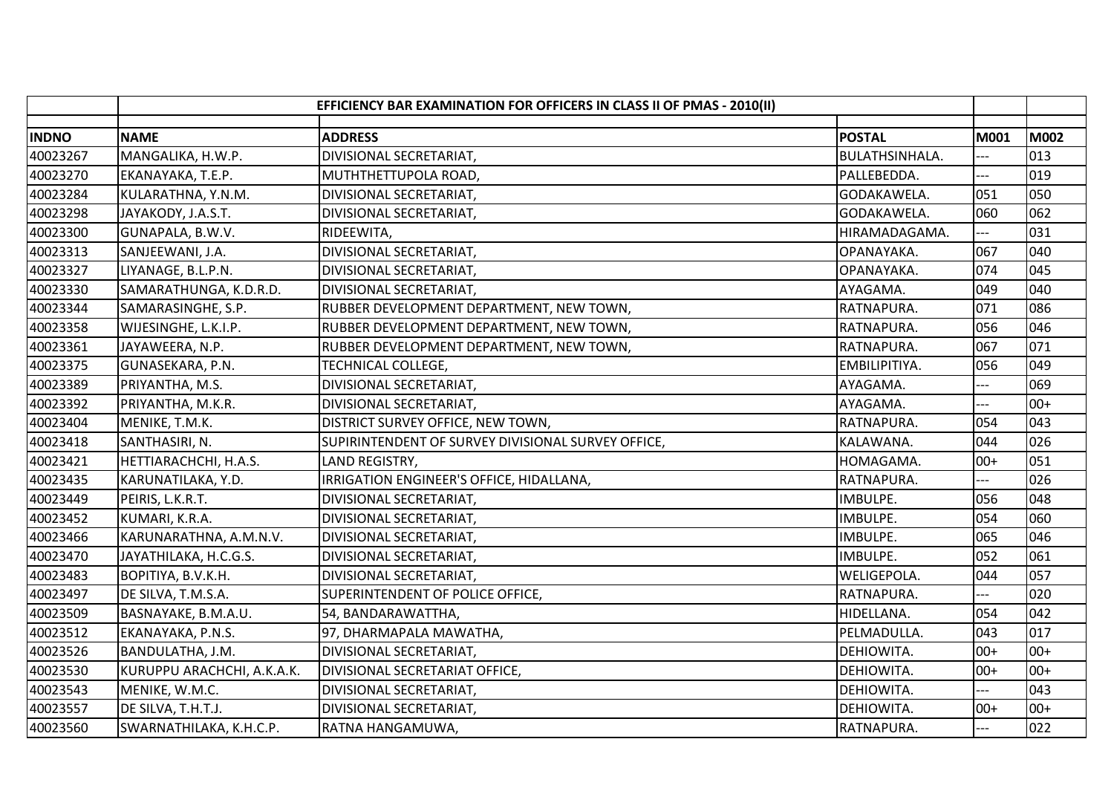|              | EFFICIENCY BAR EXAMINATION FOR OFFICERS IN CLASS II OF PMAS - 2010(II) |                                                    |                |                |             |
|--------------|------------------------------------------------------------------------|----------------------------------------------------|----------------|----------------|-------------|
| <b>INDNO</b> | <b>NAME</b>                                                            | <b>ADDRESS</b>                                     | <b>POSTAL</b>  | M001           | <b>M002</b> |
| 40023267     | MANGALIKA, H.W.P.                                                      | DIVISIONAL SECRETARIAT,                            | BULATHSINHALA. |                | 013         |
| 40023270     | EKANAYAKA, T.E.P.                                                      | MUTHTHETTUPOLA ROAD,                               | PALLEBEDDA.    |                | 019         |
| 40023284     | KULARATHNA, Y.N.M.                                                     | DIVISIONAL SECRETARIAT,                            | GODAKAWELA.    | 051            | 050         |
| 40023298     | JAYAKODY, J.A.S.T.                                                     | DIVISIONAL SECRETARIAT,                            | GODAKAWELA.    | 060            | 062         |
| 40023300     | GUNAPALA, B.W.V.                                                       | RIDEEWITA,                                         | HIRAMADAGAMA.  |                | 031         |
| 40023313     | SANJEEWANI, J.A.                                                       | DIVISIONAL SECRETARIAT,                            | OPANAYAKA.     | 067            | 040         |
| 40023327     | LIYANAGE, B.L.P.N.                                                     | DIVISIONAL SECRETARIAT,                            | OPANAYAKA.     | 074            | 045         |
| 40023330     | SAMARATHUNGA, K.D.R.D.                                                 | DIVISIONAL SECRETARIAT,                            | AYAGAMA.       | 049            | 040         |
| 40023344     | SAMARASINGHE, S.P.                                                     | RUBBER DEVELOPMENT DEPARTMENT, NEW TOWN,           | RATNAPURA.     | 071            | 086         |
| 40023358     | WIJESINGHE, L.K.I.P.                                                   | RUBBER DEVELOPMENT DEPARTMENT, NEW TOWN,           | RATNAPURA.     | 056            | 046         |
| 40023361     | JAYAWEERA, N.P.                                                        | RUBBER DEVELOPMENT DEPARTMENT, NEW TOWN,           | RATNAPURA.     | 067            | 071         |
| 40023375     | GUNASEKARA, P.N.                                                       | TECHNICAL COLLEGE,                                 | EMBILIPITIYA.  | 056            | 049         |
| 40023389     | PRIYANTHA, M.S.                                                        | DIVISIONAL SECRETARIAT,                            | AYAGAMA.       |                | 069         |
| 40023392     | PRIYANTHA, M.K.R.                                                      | DIVISIONAL SECRETARIAT,                            | AYAGAMA.       |                | $00+$       |
| 40023404     | MENIKE, T.M.K.                                                         | DISTRICT SURVEY OFFICE, NEW TOWN,                  | RATNAPURA.     | 054            | 043         |
| 40023418     | SANTHASIRI, N.                                                         | SUPIRINTENDENT OF SURVEY DIVISIONAL SURVEY OFFICE, | KALAWANA.      | 044            | 026         |
| 40023421     | HETTIARACHCHI, H.A.S.                                                  | LAND REGISTRY,                                     | HOMAGAMA.      | $00+$          | 051         |
| 40023435     | KARUNATILAKA, Y.D.                                                     | IRRIGATION ENGINEER'S OFFICE, HIDALLANA,           | RATNAPURA.     |                | 026         |
| 40023449     | PEIRIS, L.K.R.T.                                                       | DIVISIONAL SECRETARIAT,                            | IMBULPE.       | 056            | 048         |
| 40023452     | KUMARI, K.R.A.                                                         | DIVISIONAL SECRETARIAT,                            | IMBULPE.       | 054            | 060         |
| 40023466     | KARUNARATHNA, A.M.N.V.                                                 | DIVISIONAL SECRETARIAT,                            | IMBULPE.       | 065            | 046         |
| 40023470     | JAYATHILAKA, H.C.G.S.                                                  | DIVISIONAL SECRETARIAT,                            | IMBULPE.       | 052            | 061         |
| 40023483     | BOPITIYA, B.V.K.H.                                                     | DIVISIONAL SECRETARIAT,                            | WELIGEPOLA.    | 044            | 057         |
| 40023497     | DE SILVA, T.M.S.A.                                                     | SUPERINTENDENT OF POLICE OFFICE,                   | RATNAPURA.     |                | 020         |
| 40023509     | BASNAYAKE, B.M.A.U.                                                    | 54, BANDARAWATTHA,                                 | HIDELLANA.     | 054            | 042         |
| 40023512     | EKANAYAKA, P.N.S.                                                      | 97, DHARMAPALA MAWATHA,                            | PELMADULLA.    | 043            | 017         |
| 40023526     | BANDULATHA, J.M.                                                       | DIVISIONAL SECRETARIAT,                            | DEHIOWITA.     | $00+$          | $00+$       |
| 40023530     | KURUPPU ARACHCHI, A.K.A.K.                                             | DIVISIONAL SECRETARIAT OFFICE,                     | DEHIOWITA.     | $00+$          | $00+$       |
| 40023543     | MENIKE, W.M.C.                                                         | DIVISIONAL SECRETARIAT,                            | DEHIOWITA.     |                | 043         |
| 40023557     | DE SILVA, T.H.T.J.                                                     | DIVISIONAL SECRETARIAT,                            | DEHIOWITA.     | $00+$          | $00+$       |
| 40023560     | SWARNATHILAKA, K.H.C.P.                                                | RATNA HANGAMUWA,                                   | RATNAPURA.     | $\overline{a}$ | 022         |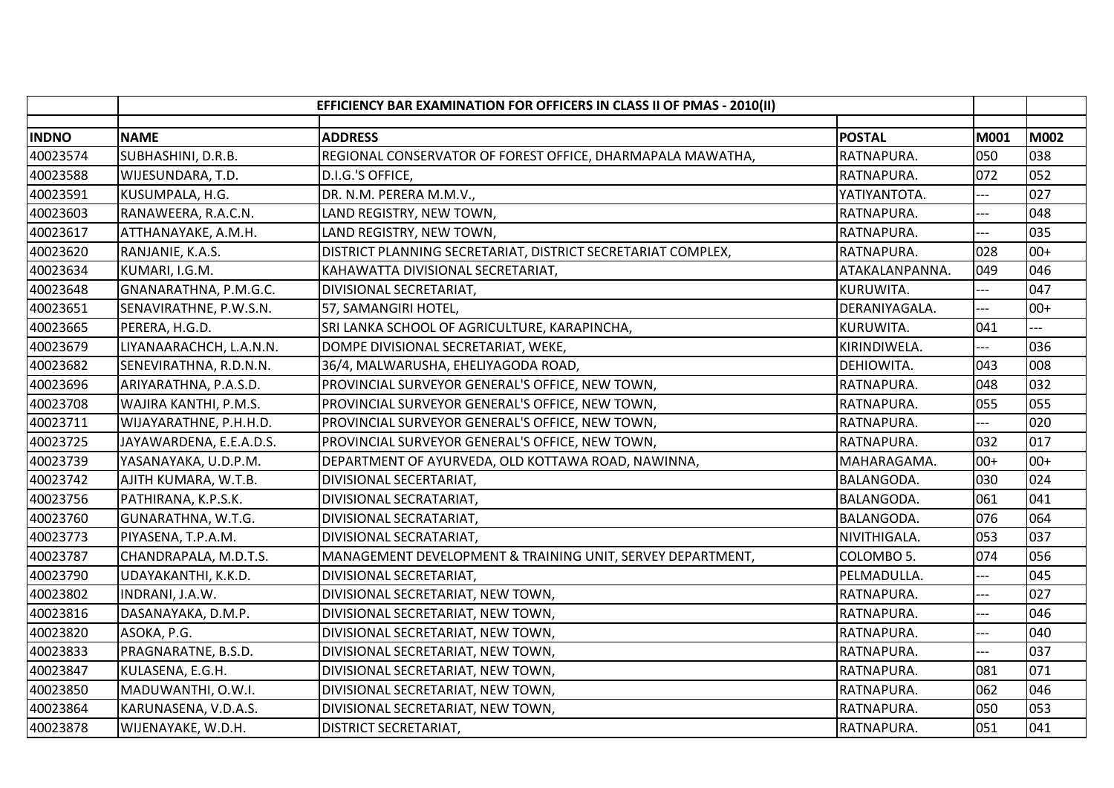|              | EFFICIENCY BAR EXAMINATION FOR OFFICERS IN CLASS II OF PMAS - 2010(II) |                                                              |                   |       |             |
|--------------|------------------------------------------------------------------------|--------------------------------------------------------------|-------------------|-------|-------------|
| <b>INDNO</b> | <b>NAME</b>                                                            | <b>ADDRESS</b>                                               | <b>POSTAL</b>     | M001  | <b>M002</b> |
| 40023574     | SUBHASHINI, D.R.B.                                                     | REGIONAL CONSERVATOR OF FOREST OFFICE, DHARMAPALA MAWATHA,   | RATNAPURA.        | 050   | 038         |
| 40023588     | WIJESUNDARA, T.D.                                                      | D.I.G.'S OFFICE,                                             | RATNAPURA.        | 072   | 052         |
| 40023591     | KUSUMPALA, H.G.                                                        | DR. N.M. PERERA M.M.V.,                                      | ΥΑΤΙΥΑΝΤΟΤΑ.      |       | 027         |
| 40023603     | RANAWEERA, R.A.C.N.                                                    | LAND REGISTRY, NEW TOWN,                                     | RATNAPURA.        |       | 048         |
| 40023617     | ATTHANAYAKE, A.M.H.                                                    | LAND REGISTRY, NEW TOWN,                                     | RATNAPURA.        |       | 035         |
| 40023620     | RANJANIE, K.A.S.                                                       | DISTRICT PLANNING SECRETARIAT, DISTRICT SECRETARIAT COMPLEX, | RATNAPURA.        | 028   | $00+$       |
| 40023634     | KUMARI, I.G.M.                                                         | KAHAWATTA DIVISIONAL SECRETARIAT,                            | ATAKALANPANNA.    | 049   | 046         |
| 40023648     | GNANARATHNA, P.M.G.C.                                                  | DIVISIONAL SECRETARIAT,                                      | KURUWITA.         |       | 047         |
| 40023651     | SENAVIRATHNE, P.W.S.N.                                                 | 57, SAMANGIRI HOTEL,                                         | DERANIYAGALA.     | $---$ | $00+$       |
| 40023665     | PERERA, H.G.D.                                                         | SRI LANKA SCHOOL OF AGRICULTURE, KARAPINCHA,                 | KURUWITA.         | 041   |             |
| 40023679     | LIYANAARACHCH, L.A.N.N.                                                | DOMPE DIVISIONAL SECRETARIAT, WEKE,                          | KIRINDIWELA.      | ---   | 036         |
| 40023682     | SENEVIRATHNA, R.D.N.N.                                                 | 36/4, MALWARUSHA, EHELIYAGODA ROAD,                          | DEHIOWITA.        | 043   | 008         |
| 40023696     | ARIYARATHNA, P.A.S.D.                                                  | PROVINCIAL SURVEYOR GENERAL'S OFFICE, NEW TOWN,              | RATNAPURA.        | 048   | 032         |
| 40023708     | WAJIRA KANTHI, P.M.S.                                                  | PROVINCIAL SURVEYOR GENERAL'S OFFICE, NEW TOWN,              | RATNAPURA.        | 055   | 055         |
| 40023711     | WIJAYARATHNE, P.H.H.D.                                                 | PROVINCIAL SURVEYOR GENERAL'S OFFICE, NEW TOWN,              | RATNAPURA.        |       | 020         |
| 40023725     | JAYAWARDENA, E.E.A.D.S.                                                | PROVINCIAL SURVEYOR GENERAL'S OFFICE, NEW TOWN,              | RATNAPURA.        | 032   | 017         |
| 40023739     | YASANAYAKA, U.D.P.M.                                                   | DEPARTMENT OF AYURVEDA, OLD KOTTAWA ROAD, NAWINNA,           | MAHARAGAMA.       | $00+$ | $00+$       |
| 40023742     | AJITH KUMARA, W.T.B.                                                   | DIVISIONAL SECERTARIAT,                                      | <b>BALANGODA.</b> | 030   | 024         |
| 40023756     | PATHIRANA, K.P.S.K.                                                    | DIVISIONAL SECRATARIAT,                                      | <b>BALANGODA.</b> | 061   | 041         |
| 40023760     | GUNARATHNA, W.T.G.                                                     | DIVISIONAL SECRATARIAT,                                      | BALANGODA.        | 076   | 064         |
| 40023773     | PIYASENA, T.P.A.M.                                                     | DIVISIONAL SECRATARIAT,                                      | NIVITHIGALA.      | 053   | 037         |
| 40023787     | CHANDRAPALA, M.D.T.S.                                                  | MANAGEMENT DEVELOPMENT & TRAINING UNIT, SERVEY DEPARTMENT,   | COLOMBO 5.        | 074   | 056         |
| 40023790     | UDAYAKANTHI, K.K.D.                                                    | DIVISIONAL SECRETARIAT,                                      | PELMADULLA.       |       | 045         |
| 40023802     | INDRANI, J.A.W.                                                        | DIVISIONAL SECRETARIAT, NEW TOWN,                            | RATNAPURA.        |       | 027         |
| 40023816     | DASANAYAKA, D.M.P.                                                     | DIVISIONAL SECRETARIAT, NEW TOWN,                            | RATNAPURA.        | ---   | 046         |
| 40023820     | ASOKA, P.G.                                                            | DIVISIONAL SECRETARIAT, NEW TOWN,                            | RATNAPURA.        | ---   | 040         |
| 40023833     | PRAGNARATNE, B.S.D.                                                    | DIVISIONAL SECRETARIAT, NEW TOWN,                            | RATNAPURA.        |       | 037         |
| 40023847     | KULASENA, E.G.H.                                                       | DIVISIONAL SECRETARIAT, NEW TOWN,                            | RATNAPURA.        | 081   | 071         |
| 40023850     | MADUWANTHI, O.W.I.                                                     | DIVISIONAL SECRETARIAT, NEW TOWN,                            | RATNAPURA.        | 062   | 046         |
| 40023864     | KARUNASENA, V.D.A.S.                                                   | DIVISIONAL SECRETARIAT, NEW TOWN,                            | RATNAPURA.        | 050   | 053         |
| 40023878     | WIJENAYAKE, W.D.H.                                                     | <b>DISTRICT SECRETARIAT,</b>                                 | RATNAPURA.        | 051   | 041         |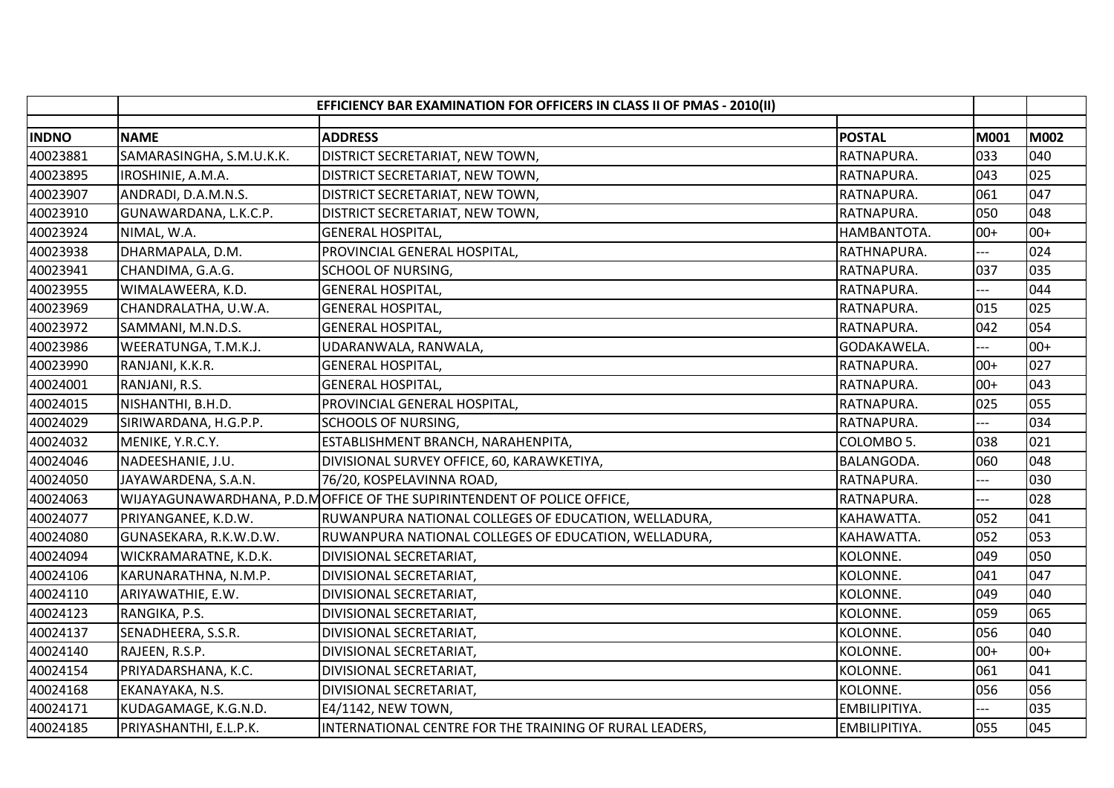|              | EFFICIENCY BAR EXAMINATION FOR OFFICERS IN CLASS II OF PMAS - 2010(II) |                                                                         |                   |       |       |
|--------------|------------------------------------------------------------------------|-------------------------------------------------------------------------|-------------------|-------|-------|
| <b>INDNO</b> | <b>NAME</b>                                                            | <b>ADDRESS</b>                                                          | <b>POSTAL</b>     | M001  | M002  |
| 40023881     | SAMARASINGHA, S.M.U.K.K.                                               | DISTRICT SECRETARIAT, NEW TOWN,                                         | RATNAPURA.        | 033   | 040   |
| 40023895     | IROSHINIE, A.M.A.                                                      | DISTRICT SECRETARIAT, NEW TOWN,                                         | RATNAPURA.        | 043   | 025   |
| 40023907     | ANDRADI, D.A.M.N.S.                                                    | DISTRICT SECRETARIAT, NEW TOWN,                                         | RATNAPURA.        | 061   | 047   |
| 40023910     | GUNAWARDANA, L.K.C.P.                                                  | DISTRICT SECRETARIAT, NEW TOWN,                                         | RATNAPURA.        | 050   | 048   |
| 40023924     | NIMAL, W.A.                                                            | <b>GENERAL HOSPITAL,</b>                                                | HAMBANTOTA.       | $00+$ | $00+$ |
| 40023938     | DHARMAPALA, D.M.                                                       | PROVINCIAL GENERAL HOSPITAL,                                            | RATHNAPURA.       |       | 024   |
| 40023941     | CHANDIMA, G.A.G.                                                       | <b>SCHOOL OF NURSING,</b>                                               | RATNAPURA.        | 037   | 035   |
| 40023955     | WIMALAWEERA, K.D.                                                      | <b>GENERAL HOSPITAL,</b>                                                | RATNAPURA.        |       | 044   |
| 40023969     | CHANDRALATHA, U.W.A.                                                   | <b>GENERAL HOSPITAL,</b>                                                | RATNAPURA.        | 015   | 025   |
| 40023972     | SAMMANI, M.N.D.S.                                                      | <b>GENERAL HOSPITAL,</b>                                                | RATNAPURA.        | 042   | 054   |
| 40023986     | WEERATUNGA, T.M.K.J.                                                   | UDARANWALA, RANWALA,                                                    | GODAKAWELA.       | ---   | $00+$ |
| 40023990     | RANJANI, K.K.R.                                                        | <b>GENERAL HOSPITAL,</b>                                                | RATNAPURA.        | $00+$ | 027   |
| 40024001     | RANJANI, R.S.                                                          | <b>GENERAL HOSPITAL,</b>                                                | RATNAPURA.        | $00+$ | 043   |
| 40024015     | NISHANTHI, B.H.D.                                                      | PROVINCIAL GENERAL HOSPITAL,                                            | RATNAPURA.        | 025   | 055   |
| 40024029     | SIRIWARDANA, H.G.P.P.                                                  | <b>SCHOOLS OF NURSING,</b>                                              | RATNAPURA.        |       | 034   |
| 40024032     | MENIKE, Y.R.C.Y.                                                       | ESTABLISHMENT BRANCH, NARAHENPITA,                                      | COLOMBO 5.        | 038   | 021   |
| 40024046     | NADEESHANIE, J.U.                                                      | DIVISIONAL SURVEY OFFICE, 60, KARAWKETIYA,                              | <b>BALANGODA.</b> | 060   | 048   |
| 40024050     | JAYAWARDENA, S.A.N.                                                    | 76/20, KOSPELAVINNA ROAD,                                               | RATNAPURA.        | ---   | 030   |
| 40024063     |                                                                        | WIJAYAGUNAWARDHANA, P.D.MOFFICE OF THE SUPIRINTENDENT OF POLICE OFFICE, | RATNAPURA.        |       | 028   |
| 40024077     | PRIYANGANEE, K.D.W.                                                    | RUWANPURA NATIONAL COLLEGES OF EDUCATION, WELLADURA,                    | KAHAWATTA.        | 052   | 041   |
| 40024080     | GUNASEKARA, R.K.W.D.W.                                                 | RUWANPURA NATIONAL COLLEGES OF EDUCATION, WELLADURA,                    | KAHAWATTA.        | 052   | 053   |
| 40024094     | WICKRAMARATNE, K.D.K.                                                  | DIVISIONAL SECRETARIAT,                                                 | KOLONNE.          | 049   | 050   |
| 40024106     | KARUNARATHNA, N.M.P.                                                   | DIVISIONAL SECRETARIAT,                                                 | KOLONNE.          | 041   | 047   |
| 40024110     | ARIYAWATHIE, E.W.                                                      | DIVISIONAL SECRETARIAT,                                                 | KOLONNE.          | 049   | 040   |
| 40024123     | RANGIKA, P.S.                                                          | DIVISIONAL SECRETARIAT,                                                 | KOLONNE.          | 059   | 065   |
| 40024137     | SENADHEERA, S.S.R.                                                     | DIVISIONAL SECRETARIAT,                                                 | KOLONNE.          | 056   | 040   |
| 40024140     | RAJEEN, R.S.P.                                                         | DIVISIONAL SECRETARIAT,                                                 | KOLONNE.          | $00+$ | $00+$ |
| 40024154     | PRIYADARSHANA, K.C.                                                    | DIVISIONAL SECRETARIAT,                                                 | KOLONNE.          | 061   | 041   |
| 40024168     | EKANAYAKA, N.S.                                                        | DIVISIONAL SECRETARIAT,                                                 | KOLONNE.          | 056   | 056   |
| 40024171     | KUDAGAMAGE, K.G.N.D.                                                   | E4/1142, NEW TOWN,                                                      | EMBILIPITIYA.     | $-$   | 035   |
| 40024185     | PRIYASHANTHI, E.L.P.K.                                                 | INTERNATIONAL CENTRE FOR THE TRAINING OF RURAL LEADERS,                 | EMBILIPITIYA.     | 055   | 045   |